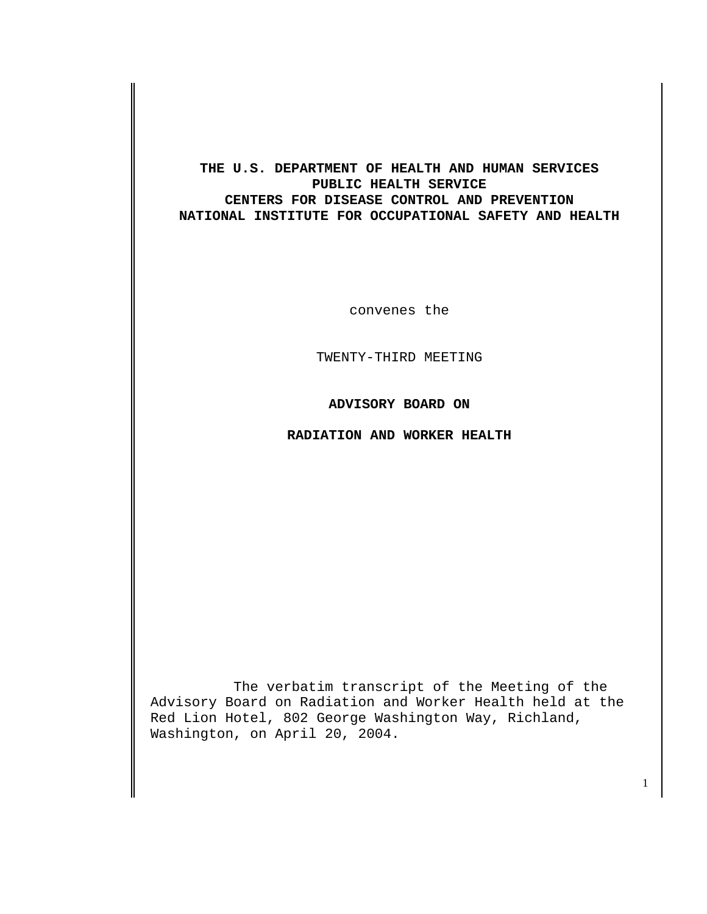### **THE U.S. DEPARTMENT OF HEALTH AND HUMAN SERVICES PUBLIC HEALTH SERVICE CENTERS FOR DISEASE CONTROL AND PREVENTION NATIONAL INSTITUTE FOR OCCUPATIONAL SAFETY AND HEALTH**

convenes the

TWENTY-THIRD MEETING

**ADVISORY BOARD ON** 

**RADIATION AND WORKER HEALTH** 

The verbatim transcript of the Meeting of the Advisory Board on Radiation and Worker Health held at the Red Lion Hotel, 802 George Washington Way, Richland, Washington, on April 20, 2004.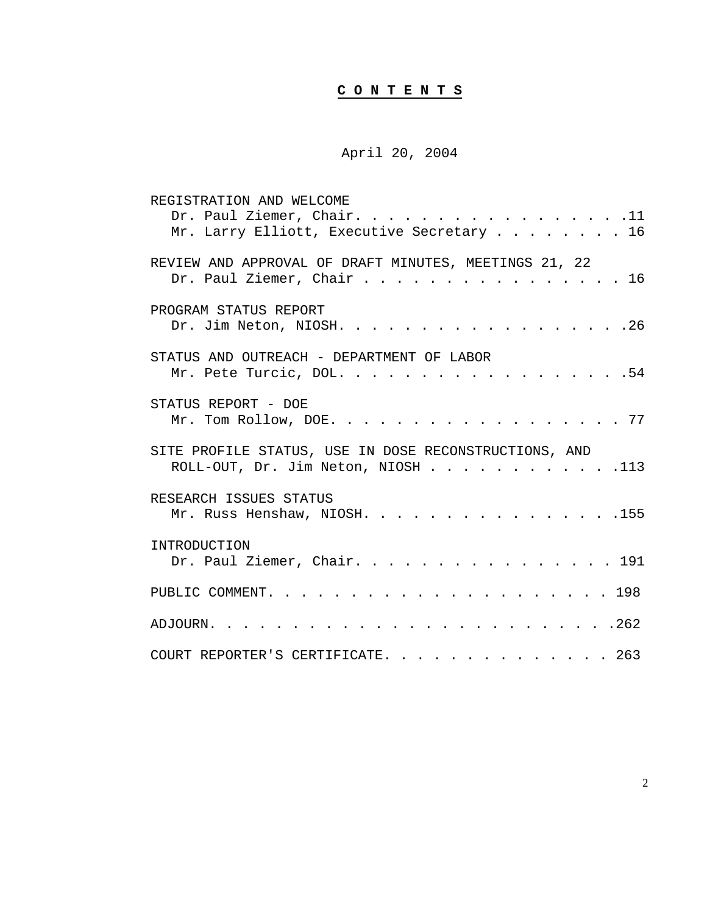# **C O N T E N T S**

## April 20, 2004

| REGISTRATION AND WELCOME<br>Dr. Paul Ziemer, Chair. 11<br>Mr. Larry Elliott, Executive Secretary 16  |
|------------------------------------------------------------------------------------------------------|
| REVIEW AND APPROVAL OF DRAFT MINUTES, MEETINGS 21, 22<br>Dr. Paul Ziemer, Chair 16                   |
| PROGRAM STATUS REPORT<br>Dr. Jim Neton, NIOSH. 26                                                    |
| STATUS AND OUTREACH - DEPARTMENT OF LABOR<br>Mr. Pete Turcic, DOL54                                  |
| STATUS REPORT - DOE<br>Mr. Tom Rollow, DOE. 77                                                       |
| SITE PROFILE STATUS, USE IN DOSE RECONSTRUCTIONS, AND<br>ROLL-OUT, Dr. Jim Neton, NIOSH $\ldots$ 113 |
| RESEARCH ISSUES STATUS<br>Mr. Russ Henshaw, NIOSH. 155                                               |
| INTRODUCTION<br>Dr. Paul Ziemer, Chair. 191                                                          |
|                                                                                                      |
|                                                                                                      |
| COURT REPORTER'S CERTIFICATE. 263                                                                    |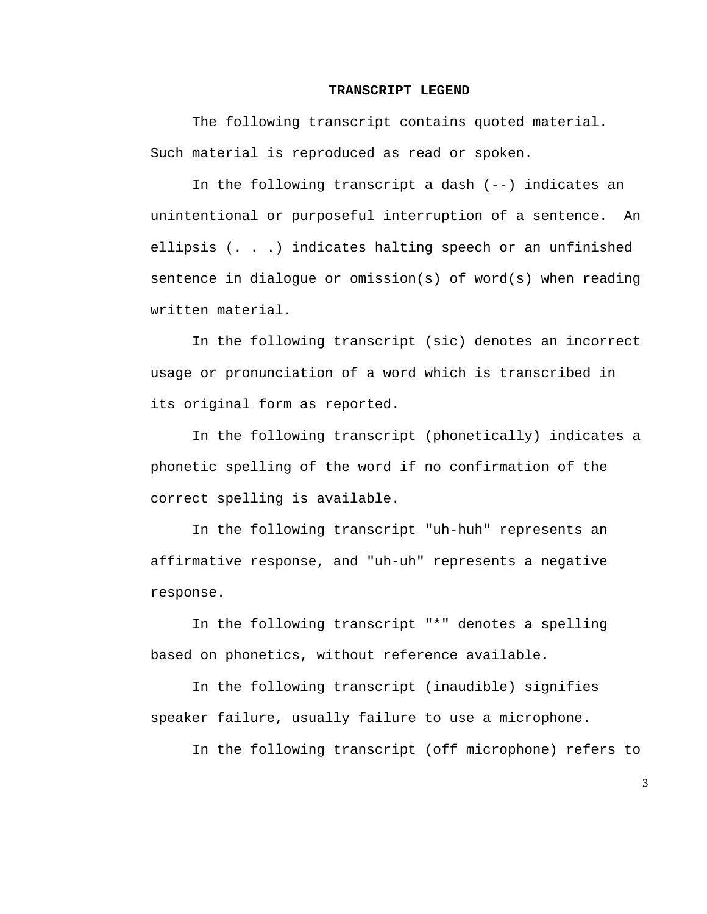#### **TRANSCRIPT LEGEND**

The following transcript contains quoted material. Such material is reproduced as read or spoken.

In the following transcript a dash (--) indicates an unintentional or purposeful interruption of a sentence. An ellipsis (. . .) indicates halting speech or an unfinished sentence in dialogue or omission(s) of word(s) when reading written material.

In the following transcript (sic) denotes an incorrect usage or pronunciation of a word which is transcribed in its original form as reported.

In the following transcript (phonetically) indicates a phonetic spelling of the word if no confirmation of the correct spelling is available.

In the following transcript "uh-huh" represents an affirmative response, and "uh-uh" represents a negative response.

In the following transcript "\*" denotes a spelling based on phonetics, without reference available.

In the following transcript (inaudible) signifies speaker failure, usually failure to use a microphone.

In the following transcript (off microphone) refers to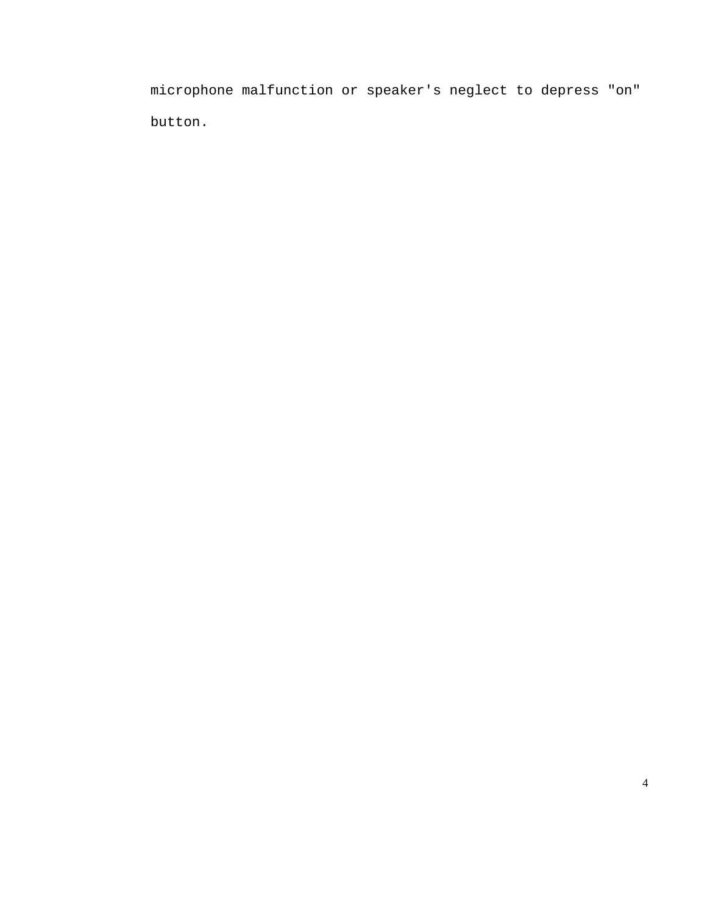microphone malfunction or speaker's neglect to depress "on" button.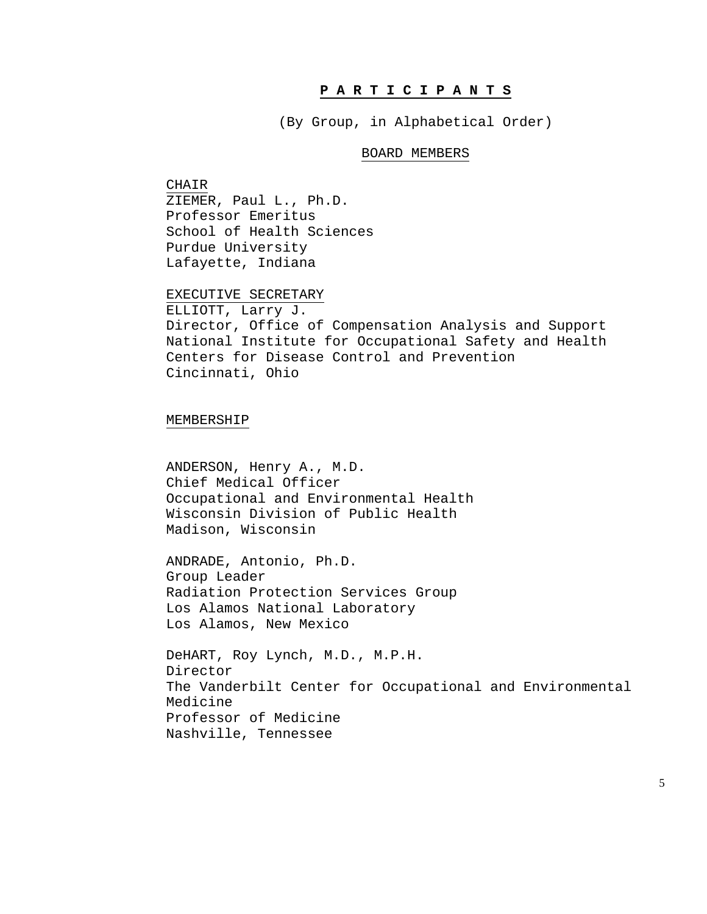#### **P A R T I C I P A N T S**

(By Group, in Alphabetical Order)

#### BOARD MEMBERS

CHAIR ZIEMER, Paul L., Ph.D. Professor Emeritus School of Health Sciences Purdue University Lafayette, Indiana

EXECUTIVE SECRETARY

ELLIOTT, Larry J. Director, Office of Compensation Analysis and Support National Institute for Occupational Safety and Health Centers for Disease Control and Prevention Cincinnati, Ohio

MEMBERSHIP

ANDERSON, Henry A., M.D. Chief Medical Officer Occupational and Environmental Health Wisconsin Division of Public Health Madison, Wisconsin

ANDRADE, Antonio, Ph.D. Group Leader Radiation Protection Services Group Los Alamos National Laboratory Los Alamos, New Mexico

DeHART, Roy Lynch, M.D., M.P.H. Director The Vanderbilt Center for Occupational and Environmental Medicine Professor of Medicine Nashville, Tennessee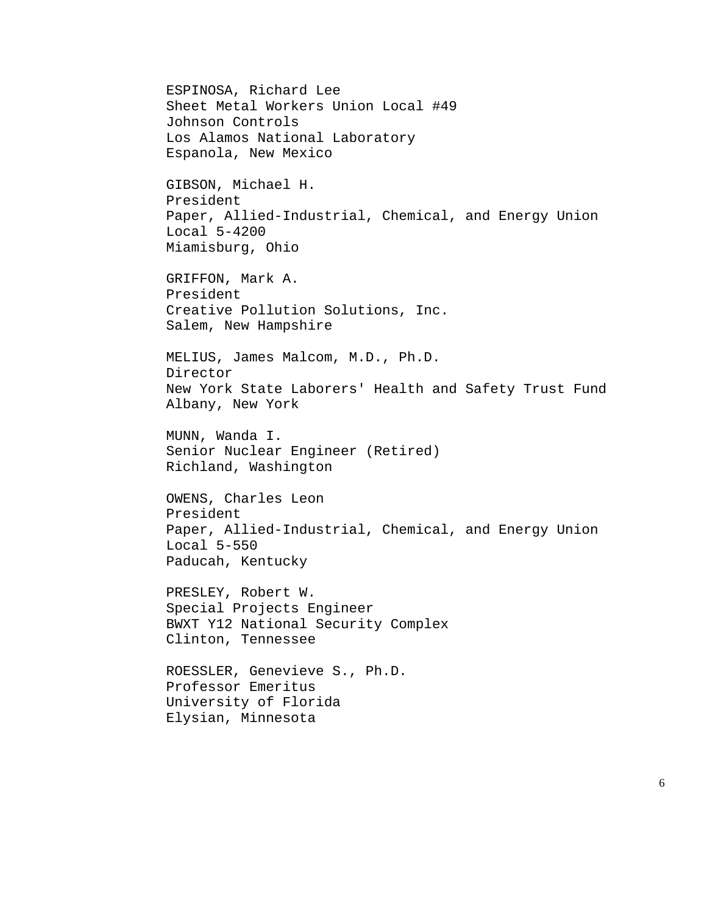ESPINOSA, Richard Lee Sheet Metal Workers Union Local #49 Johnson Controls Los Alamos National Laboratory Espanola, New Mexico GIBSON, Michael H. President Paper, Allied-Industrial, Chemical, and Energy Union Local 5-4200 Miamisburg, Ohio GRIFFON, Mark A. President Creative Pollution Solutions, Inc. Salem, New Hampshire MELIUS, James Malcom, M.D., Ph.D. Director New York State Laborers' Health and Safety Trust Fund Albany, New York MUNN, Wanda I. Senior Nuclear Engineer (Retired) Richland, Washington OWENS, Charles Leon President Paper, Allied-Industrial, Chemical, and Energy Union Local 5-550 Paducah, Kentucky PRESLEY, Robert W. Special Projects Engineer BWXT Y12 National Security Complex Clinton, Tennessee ROESSLER, Genevieve S., Ph.D. Professor Emeritus University of Florida Elysian, Minnesota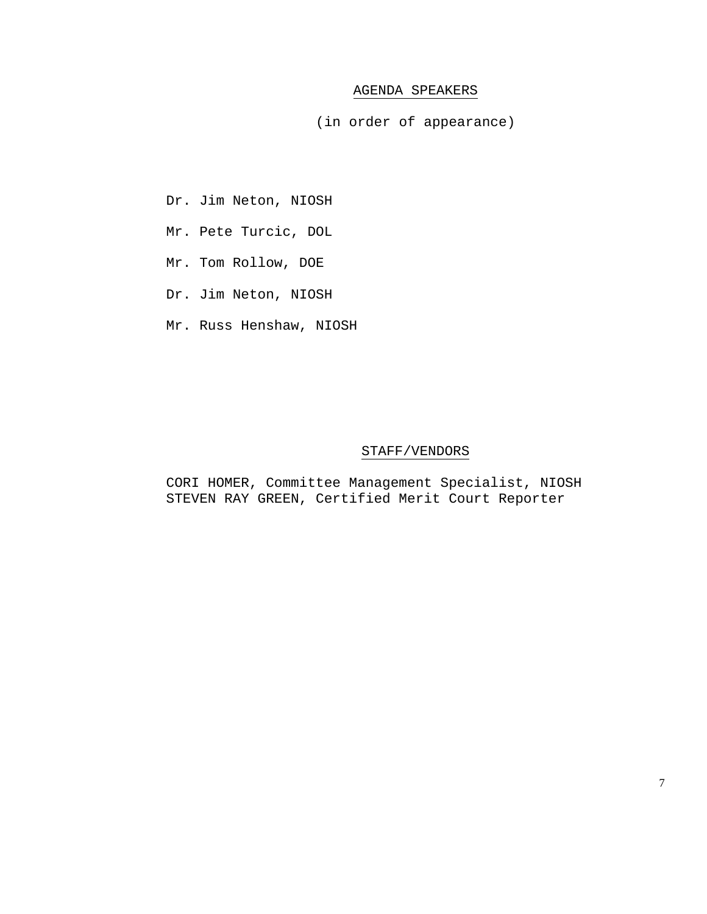#### AGENDA SPEAKERS

(in order of appearance)

- Dr. Jim Neton, NIOSH
- Mr. Pete Turcic, DOL
- Mr. Tom Rollow, DOE
- Dr. Jim Neton, NIOSH
- Mr. Russ Henshaw, NIOSH

#### STAFF/VENDORS

CORI HOMER, Committee Management Specialist, NIOSH STEVEN RAY GREEN, Certified Merit Court Reporter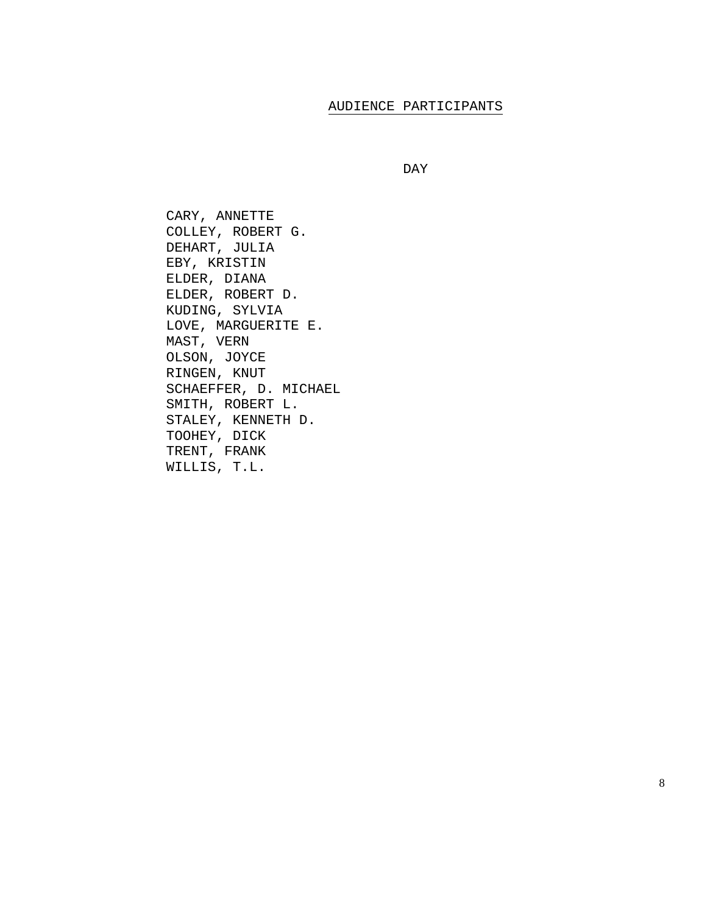### AUDIENCE PARTICIPANTS

```
 DAY
```
CARY, ANNETTE COLLEY, ROBERT G. DEHART, JULIA EBY, KRISTIN ELDER, DIANA ELDER, ROBERT D. KUDING, SYLVIA LOVE, MARGUERITE E. MAST, VERN OLSON, JOYCE RINGEN, KNUT SCHAEFFER, D. MICHAEL SMITH, ROBERT L. STALEY, KENNETH D. TOOHEY, DICK TRENT, FRANK WILLIS, T.L.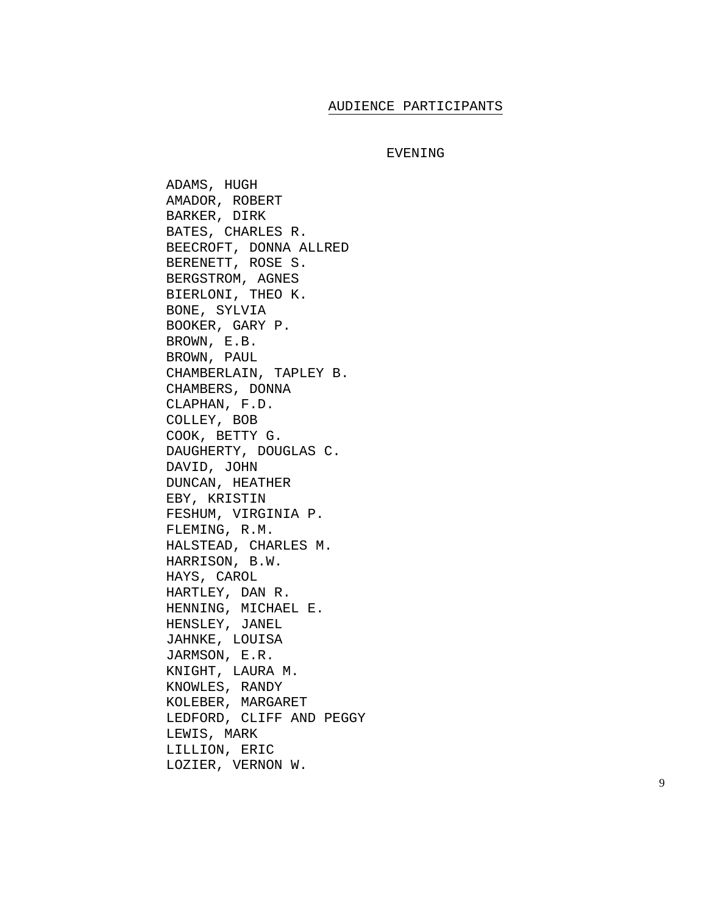#### AUDIENCE PARTICIPANTS

#### EVENING

ADAMS, HUGH AMADOR, ROBERT BARKER, DIRK BATES, CHARLES R. BEECROFT, DONNA ALLRED BERENETT, ROSE S. BERGSTROM, AGNES BIERLONI, THEO K. BONE, SYLVIA BOOKER, GARY P. BROWN, E.B. BROWN, PAUL CHAMBERLAIN, TAPLEY B. CHAMBERS, DONNA CLAPHAN, F.D. COLLEY, BOB COOK, BETTY G. DAUGHERTY, DOUGLAS C. DAVID, JOHN DUNCAN, HEATHER EBY, KRISTIN FESHUM, VIRGINIA P. FLEMING, R.M. HALSTEAD, CHARLES M. HARRISON, B.W. HAYS, CAROL HARTLEY, DAN R. HENNING, MICHAEL E. HENSLEY, JANEL JAHNKE, LOUISA JARMSON, E.R. KNIGHT, LAURA M. KNOWLES, RANDY KOLEBER, MARGARET LEDFORD, CLIFF AND PEGGY LEWIS, MARK LILLION, ERIC LOZIER, VERNON W.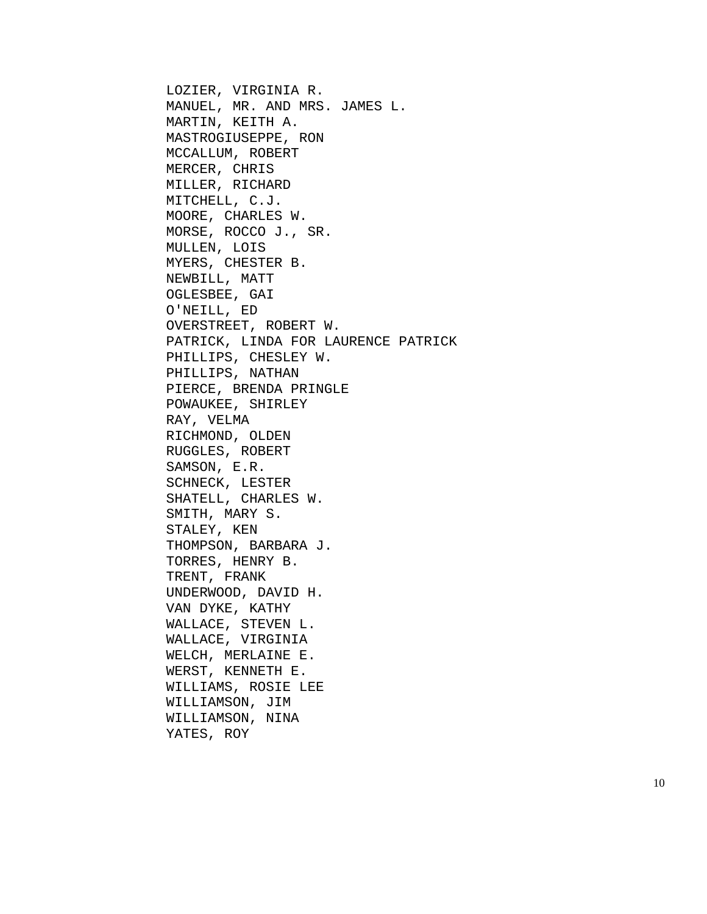LOZIER, VIRGINIA R. MANUEL, MR. AND MRS. JAMES L. MARTIN, KEITH A. MASTROGIUSEPPE, RON MCCALLUM, ROBERT MERCER, CHRIS MILLER, RICHARD MITCHELL, C.J. MOORE, CHARLES W. MORSE, ROCCO J., SR. MULLEN, LOIS MYERS, CHESTER B. NEWBILL, MATT OGLESBEE, GAI O'NEILL, ED OVERSTREET, ROBERT W. PATRICK, LINDA FOR LAURENCE PATRICK PHILLIPS, CHESLEY W. PHILLIPS, NATHAN PIERCE, BRENDA PRINGLE POWAUKEE, SHIRLEY RAY, VELMA RICHMOND, OLDEN RUGGLES, ROBERT SAMSON, E.R. SCHNECK, LESTER SHATELL, CHARLES W. SMITH, MARY S. STALEY, KEN THOMPSON, BARBARA J. TORRES, HENRY B. TRENT, FRANK UNDERWOOD, DAVID H. VAN DYKE, KATHY WALLACE, STEVEN L. WALLACE, VIRGINIA WELCH, MERLAINE E. WERST, KENNETH E. WILLIAMS, ROSIE LEE WILLIAMSON, JIM WILLIAMSON, NINA YATES, ROY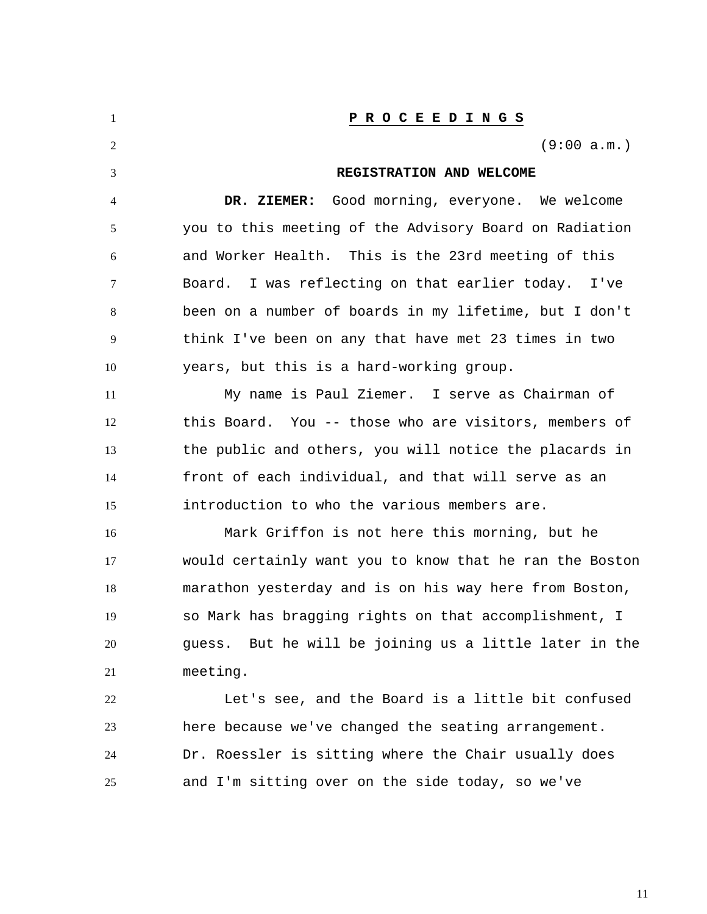| 1  | P R O C E E D I N G S                                   |
|----|---------------------------------------------------------|
| 2  | (9:00 a.m.)                                             |
| 3  | REGISTRATION AND WELCOME                                |
| 4  | DR. ZIEMER: Good morning, everyone. We welcome          |
| 5  | you to this meeting of the Advisory Board on Radiation  |
| 6  | and Worker Health. This is the 23rd meeting of this     |
| 7  | I was reflecting on that earlier today. I've<br>Board.  |
| 8  | been on a number of boards in my lifetime, but I don't  |
| 9  | think I've been on any that have met 23 times in two    |
| 10 | years, but this is a hard-working group.                |
| 11 | My name is Paul Ziemer. I serve as Chairman of          |
| 12 | this Board. You -- those who are visitors, members of   |
| 13 | the public and others, you will notice the placards in  |
| 14 | front of each individual, and that will serve as an     |
| 15 | introduction to who the various members are.            |
| 16 | Mark Griffon is not here this morning, but he           |
| 17 | would certainly want you to know that he ran the Boston |
| 18 | marathon yesterday and is on his way here from Boston,  |
| 19 | so Mark has bragging rights on that accomplishment, I   |
| 20 | guess. But he will be joining us a little later in the  |
| 21 | meeting.                                                |
| 22 | Let's see, and the Board is a little bit confused       |
| 23 | here because we've changed the seating arrangement.     |
| 24 | Dr. Roessler is sitting where the Chair usually does    |
| 25 | and I'm sitting over on the side today, so we've        |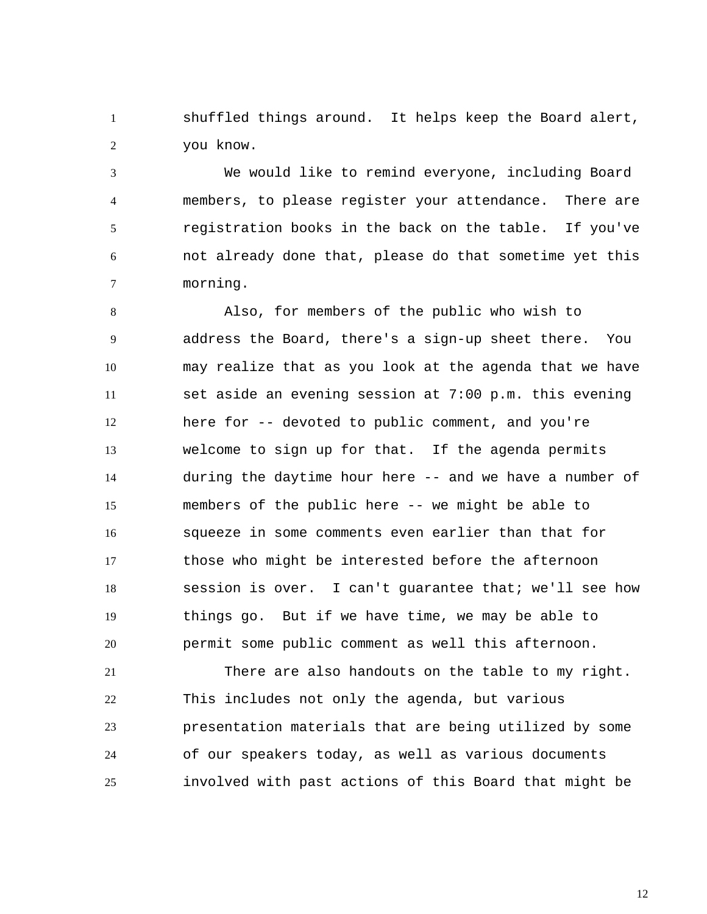1 2 shuffled things around. It helps keep the Board alert, you know.

3 4 5 6 7 We would like to remind everyone, including Board members, to please register your attendance. There are registration books in the back on the table. If you've not already done that, please do that sometime yet this morning.

8 9 10 11 12 13 14 15 16 17 18 19 20 Also, for members of the public who wish to address the Board, there's a sign-up sheet there. You may realize that as you look at the agenda that we have set aside an evening session at 7:00 p.m. this evening here for -- devoted to public comment, and you're welcome to sign up for that. If the agenda permits during the daytime hour here -- and we have a number of members of the public here -- we might be able to squeeze in some comments even earlier than that for those who might be interested before the afternoon session is over. I can't guarantee that; we'll see how things go. But if we have time, we may be able to permit some public comment as well this afternoon.

21 22 23 24 25 There are also handouts on the table to my right. This includes not only the agenda, but various presentation materials that are being utilized by some of our speakers today, as well as various documents involved with past actions of this Board that might be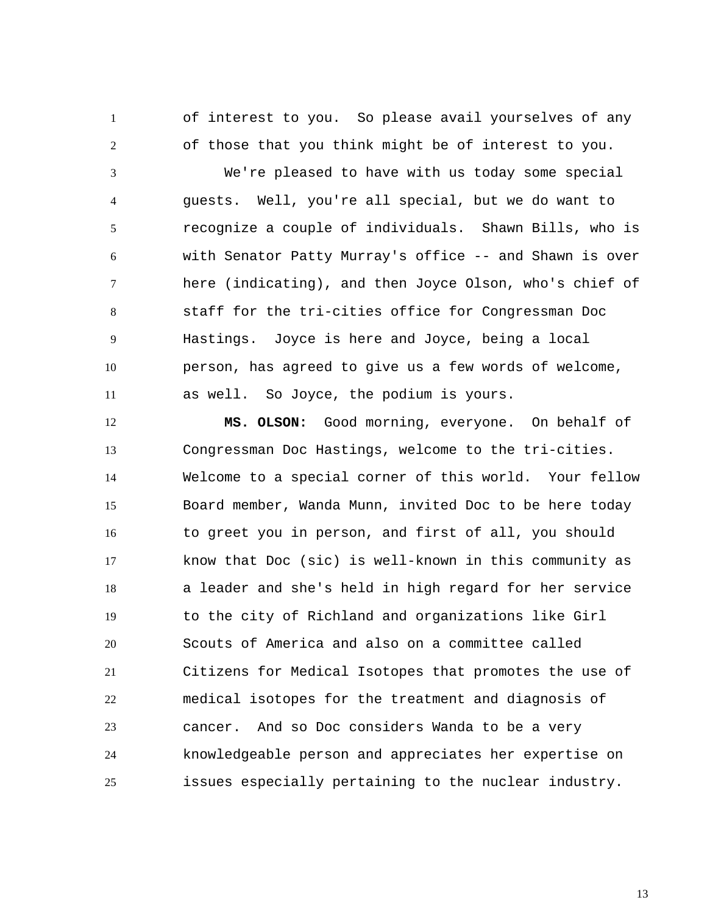of interest to you. So please avail yourselves of any of those that you think might be of interest to you.

1

2

3 4 5 6 7 8 9 10 11 We're pleased to have with us today some special guests. Well, you're all special, but we do want to recognize a couple of individuals. Shawn Bills, who is with Senator Patty Murray's office -- and Shawn is over here (indicating), and then Joyce Olson, who's chief of staff for the tri-cities office for Congressman Doc Hastings. Joyce is here and Joyce, being a local person, has agreed to give us a few words of welcome, as well. So Joyce, the podium is yours.

12 13 14 15 16 17 18 19 20 21 22 23 24 25 **MS. OLSON:** Good morning, everyone. On behalf of Congressman Doc Hastings, welcome to the tri-cities. Welcome to a special corner of this world. Your fellow Board member, Wanda Munn, invited Doc to be here today to greet you in person, and first of all, you should know that Doc (sic) is well-known in this community as a leader and she's held in high regard for her service to the city of Richland and organizations like Girl Scouts of America and also on a committee called Citizens for Medical Isotopes that promotes the use of medical isotopes for the treatment and diagnosis of cancer. And so Doc considers Wanda to be a very knowledgeable person and appreciates her expertise on issues especially pertaining to the nuclear industry.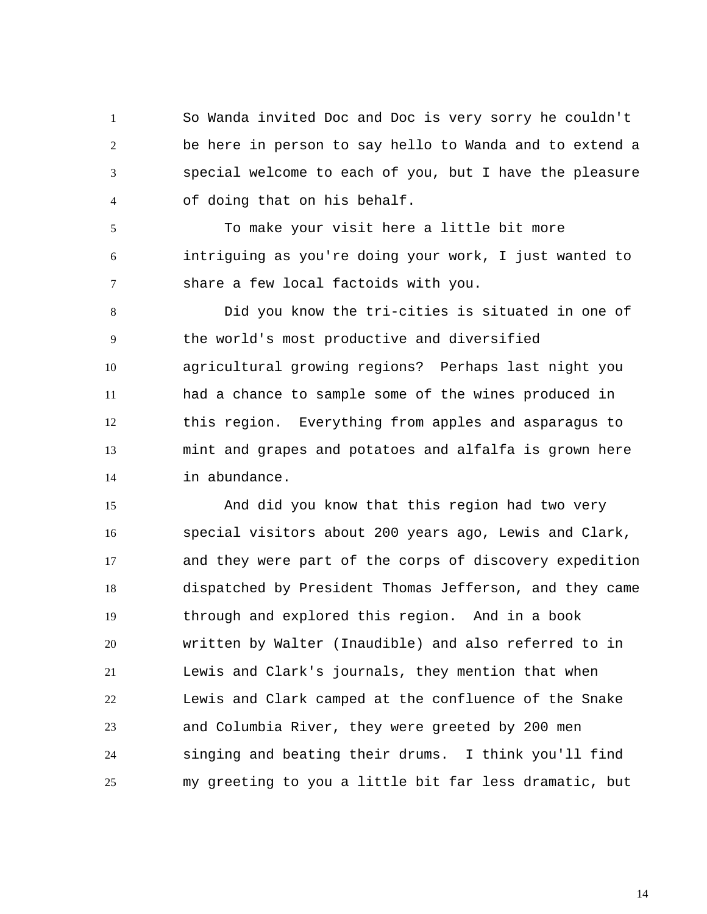1 2 3 4 So Wanda invited Doc and Doc is very sorry he couldn't be here in person to say hello to Wanda and to extend a special welcome to each of you, but I have the pleasure of doing that on his behalf.

5 6 7 To make your visit here a little bit more intriguing as you're doing your work, I just wanted to share a few local factoids with you.

8 9 10 11 12 13 14 Did you know the tri-cities is situated in one of the world's most productive and diversified agricultural growing regions? Perhaps last night you had a chance to sample some of the wines produced in this region. Everything from apples and asparagus to mint and grapes and potatoes and alfalfa is grown here in abundance.

15 16 17 18 19 20 21 22 23 24 25 And did you know that this region had two very special visitors about 200 years ago, Lewis and Clark, and they were part of the corps of discovery expedition dispatched by President Thomas Jefferson, and they came through and explored this region. And in a book written by Walter (Inaudible) and also referred to in Lewis and Clark's journals, they mention that when Lewis and Clark camped at the confluence of the Snake and Columbia River, they were greeted by 200 men singing and beating their drums. I think you'll find my greeting to you a little bit far less dramatic, but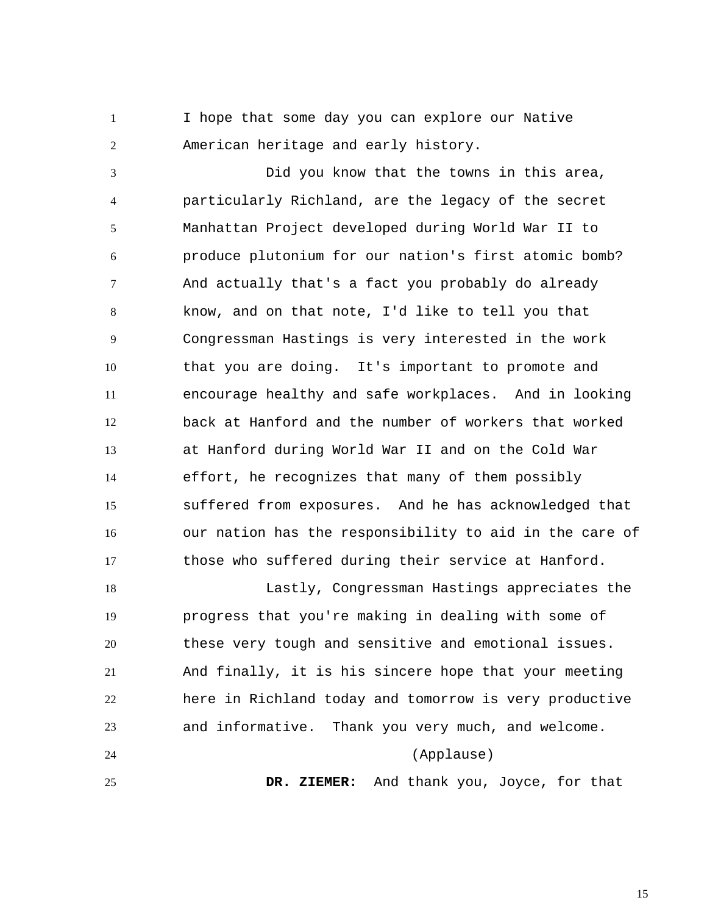1 2 I hope that some day you can explore our Native American heritage and early history.

3 4 5 6 7 8 9 10 11 12 13 14 15 16 17 Did you know that the towns in this area, particularly Richland, are the legacy of the secret Manhattan Project developed during World War II to produce plutonium for our nation's first atomic bomb? And actually that's a fact you probably do already know, and on that note, I'd like to tell you that Congressman Hastings is very interested in the work that you are doing. It's important to promote and encourage healthy and safe workplaces. And in looking back at Hanford and the number of workers that worked at Hanford during World War II and on the Cold War effort, he recognizes that many of them possibly suffered from exposures. And he has acknowledged that our nation has the responsibility to aid in the care of those who suffered during their service at Hanford.

18 19 20 21 22 23 24 25 Lastly, Congressman Hastings appreciates the progress that you're making in dealing with some of these very tough and sensitive and emotional issues. And finally, it is his sincere hope that your meeting here in Richland today and tomorrow is very productive and informative. Thank you very much, and welcome. (Applause)  **DR. ZIEMER:** And thank you, Joyce, for that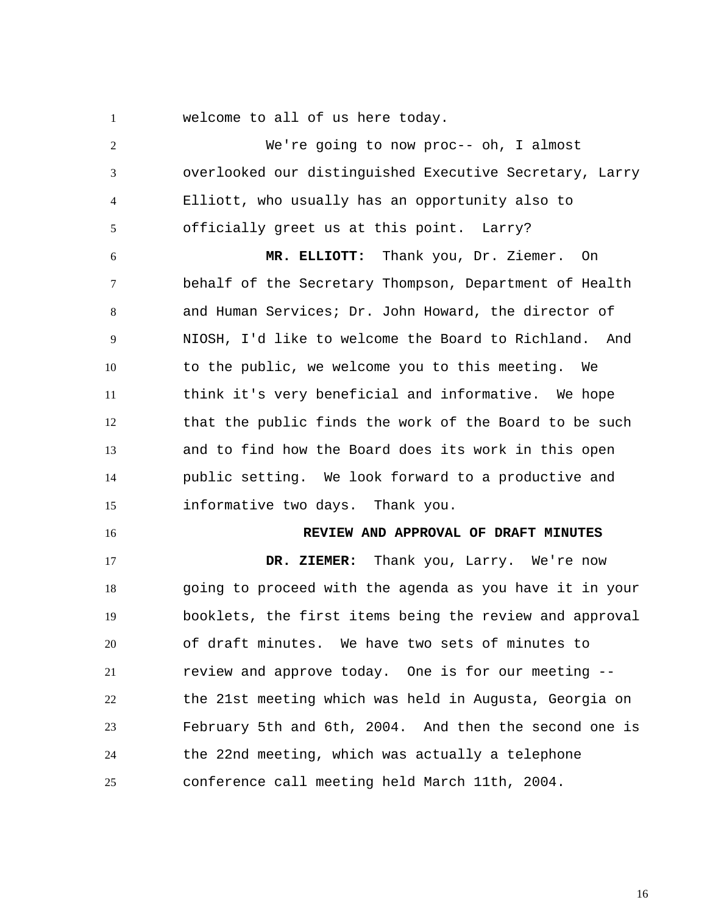welcome to all of us here today.

1

2 3 4 5 6 7 8 9 10 11 12 13 14 15 16 17 18 19 20 21 22 23 24 25 We're going to now proc-- oh, I almost overlooked our distinguished Executive Secretary, Larry Elliott, who usually has an opportunity also to officially greet us at this point. Larry?  **MR. ELLIOTT:** Thank you, Dr. Ziemer. On behalf of the Secretary Thompson, Department of Health and Human Services; Dr. John Howard, the director of NIOSH, I'd like to welcome the Board to Richland. And to the public, we welcome you to this meeting. We think it's very beneficial and informative. We hope that the public finds the work of the Board to be such and to find how the Board does its work in this open public setting. We look forward to a productive and informative two days. Thank you. **REVIEW AND APPROVAL OF DRAFT MINUTES DR. ZIEMER:** Thank you, Larry. We're now going to proceed with the agenda as you have it in your booklets, the first items being the review and approval of draft minutes. We have two sets of minutes to review and approve today. One is for our meeting - the 21st meeting which was held in Augusta, Georgia on February 5th and 6th, 2004. And then the second one is the 22nd meeting, which was actually a telephone conference call meeting held March 11th, 2004.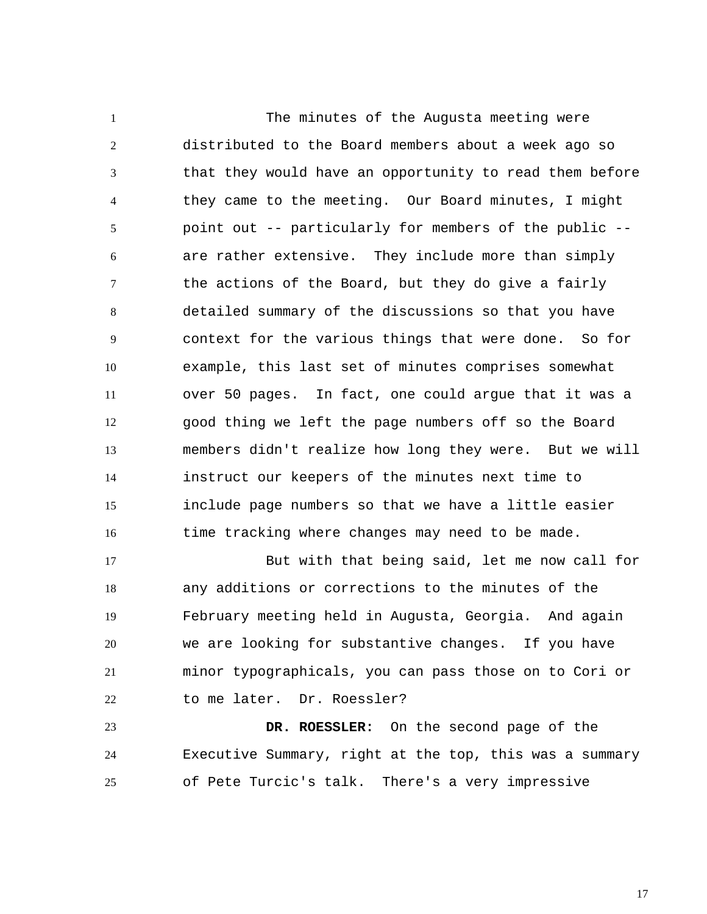1 2 3 4 5 6 7 8 9 10 11 12 13 14 15 16 The minutes of the Augusta meeting were distributed to the Board members about a week ago so that they would have an opportunity to read them before they came to the meeting. Our Board minutes, I might point out -- particularly for members of the public - are rather extensive. They include more than simply the actions of the Board, but they do give a fairly detailed summary of the discussions so that you have context for the various things that were done. So for example, this last set of minutes comprises somewhat over 50 pages. In fact, one could argue that it was a good thing we left the page numbers off so the Board members didn't realize how long they were. But we will instruct our keepers of the minutes next time to include page numbers so that we have a little easier time tracking where changes may need to be made.

17 18 19 20 21 22 But with that being said, let me now call for any additions or corrections to the minutes of the February meeting held in Augusta, Georgia. And again we are looking for substantive changes. If you have minor typographicals, you can pass those on to Cori or to me later. Dr. Roessler?

23 24 25  **DR. ROESSLER:** On the second page of the Executive Summary, right at the top, this was a summary of Pete Turcic's talk. There's a very impressive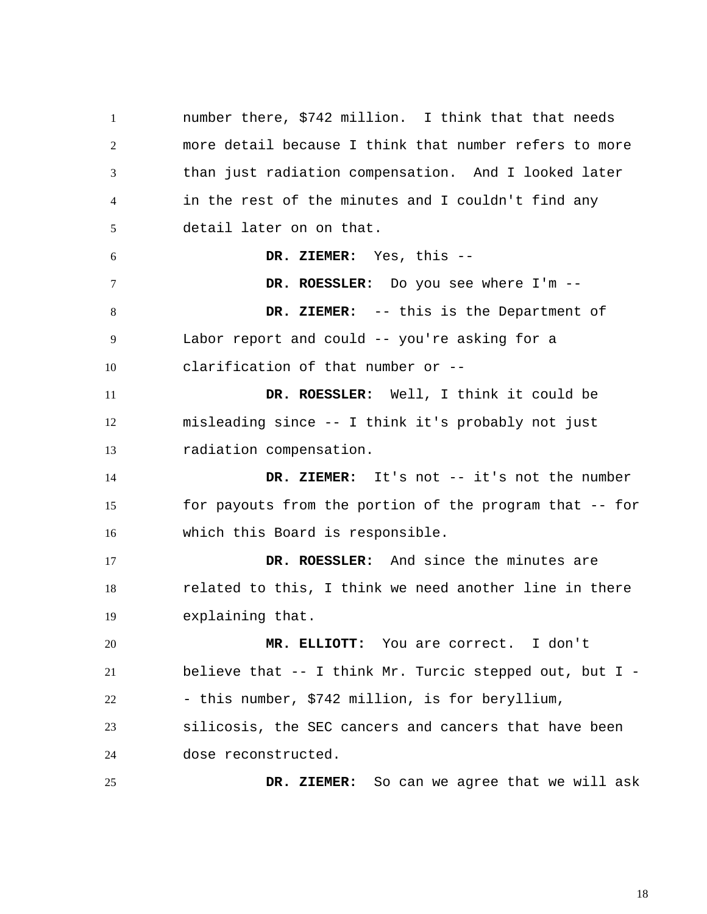1 2 3 4 5 6 7 8 9 10 11 12 13 14 15 16 17 18 19 20 21 22 23 24 25 number there, \$742 million. I think that that needs more detail because I think that number refers to more than just radiation compensation. And I looked later in the rest of the minutes and I couldn't find any detail later on on that.  **DR. ZIEMER:** Yes, this --  **DR. ROESSLER:** Do you see where I'm --  **DR. ZIEMER:** -- this is the Department of Labor report and could -- you're asking for a clarification of that number or --  **DR. ROESSLER:** Well, I think it could be misleading since -- I think it's probably not just radiation compensation.  **DR. ZIEMER:** It's not -- it's not the number for payouts from the portion of the program that -- for which this Board is responsible.  **DR. ROESSLER:** And since the minutes are related to this, I think we need another line in there explaining that.  **MR. ELLIOTT:** You are correct. I don't believe that -- I think Mr. Turcic stepped out, but I - - this number, \$742 million, is for beryllium, silicosis, the SEC cancers and cancers that have been dose reconstructed.  **DR. ZIEMER:** So can we agree that we will ask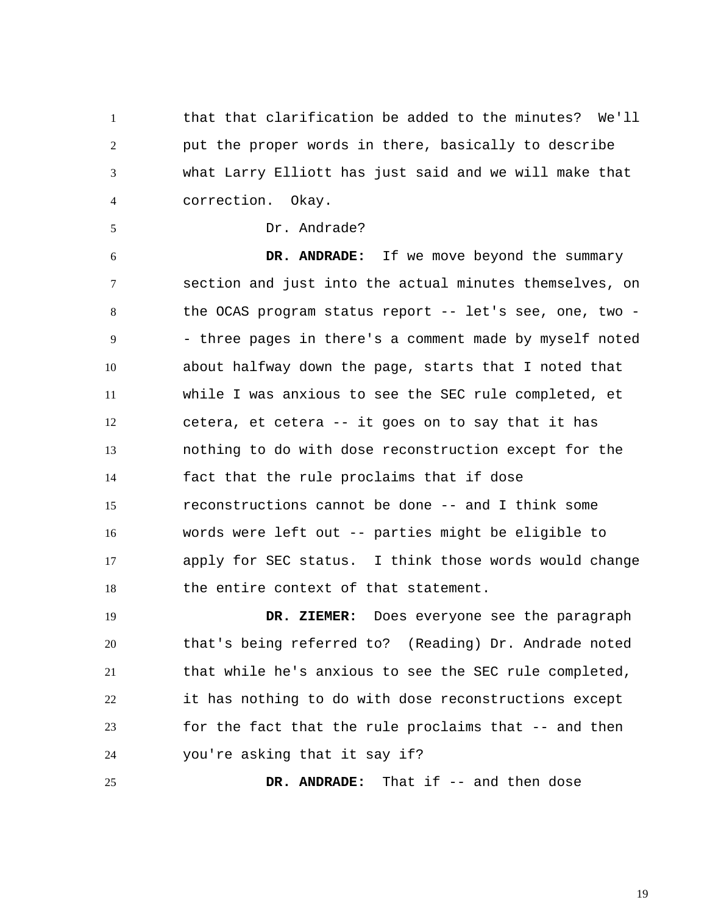1 2 3 4 that that clarification be added to the minutes? We'll put the proper words in there, basically to describe what Larry Elliott has just said and we will make that correction. Okay.

5 Dr. Andrade?

6 7 8 9 10 11 12 13 14 15 16 17 18  **DR. ANDRADE:** If we move beyond the summary section and just into the actual minutes themselves, on the OCAS program status report -- let's see, one, two - - three pages in there's a comment made by myself noted about halfway down the page, starts that I noted that while I was anxious to see the SEC rule completed, et cetera, et cetera -- it goes on to say that it has nothing to do with dose reconstruction except for the fact that the rule proclaims that if dose reconstructions cannot be done -- and I think some words were left out -- parties might be eligible to apply for SEC status. I think those words would change the entire context of that statement.

19 20 21 22 23 24  **DR. ZIEMER:** Does everyone see the paragraph that's being referred to? (Reading) Dr. Andrade noted that while he's anxious to see the SEC rule completed, it has nothing to do with dose reconstructions except for the fact that the rule proclaims that -- and then you're asking that it say if?

25  **DR. ANDRADE:** That if -- and then dose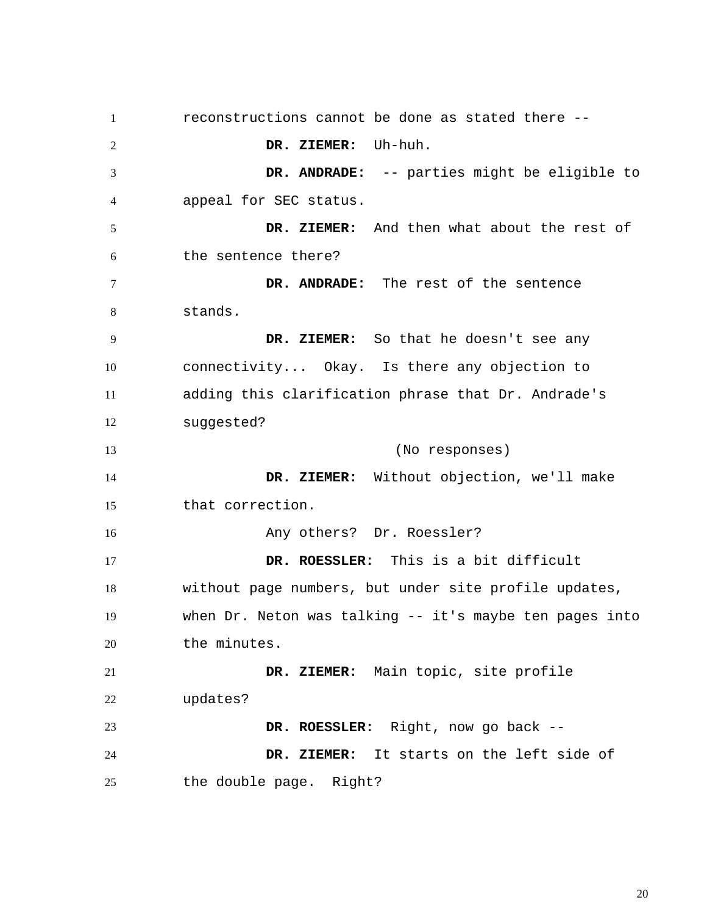1 2 3 4 5 6 7 8 9 10 11 12 13 14 15 16 17 18 19 20 21 22 23 24 25 reconstructions cannot be done as stated there --  **DR. ZIEMER:** Uh-huh.  **DR. ANDRADE:** -- parties might be eligible to appeal for SEC status.  **DR. ZIEMER:** And then what about the rest of the sentence there?  **DR. ANDRADE:** The rest of the sentence stands.  **DR. ZIEMER:** So that he doesn't see any connectivity... Okay. Is there any objection to adding this clarification phrase that Dr. Andrade's suggested? (No responses)  **DR. ZIEMER:** Without objection, we'll make that correction. Any others? Dr. Roessler?  **DR. ROESSLER:** This is a bit difficult without page numbers, but under site profile updates, when Dr. Neton was talking -- it's maybe ten pages into the minutes.  **DR. ZIEMER:** Main topic, site profile updates?  **DR. ROESSLER:** Right, now go back --  **DR. ZIEMER:** It starts on the left side of the double page. Right?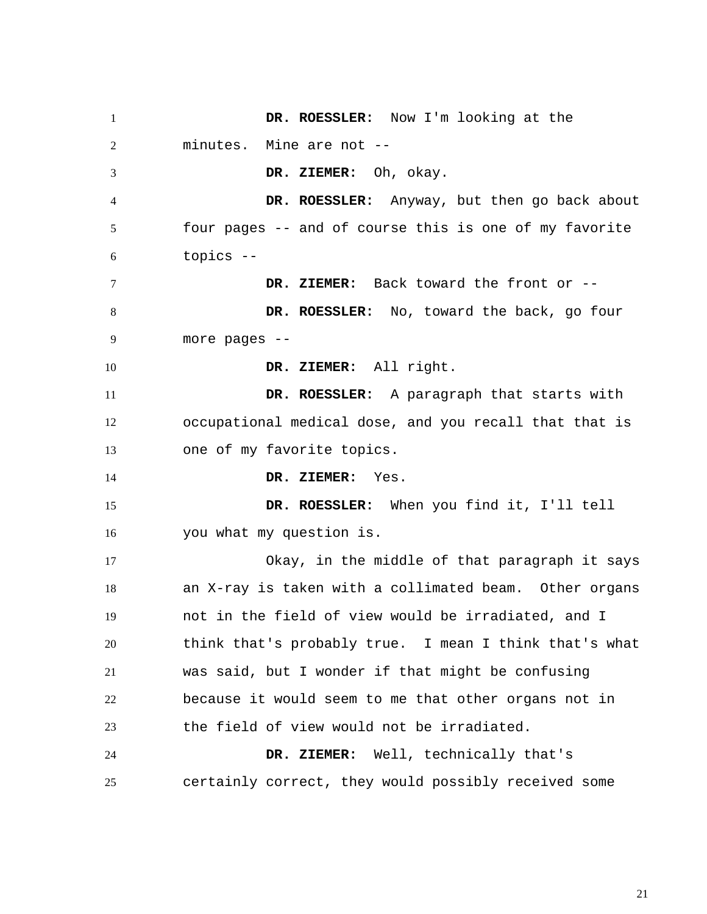1 2 3 4 5 6 7 8 9 10 11 12 13 14 15 16 17 18 19 20 21 22 23 24 25  **DR. ROESSLER:** Now I'm looking at the minutes. Mine are not --  **DR. ZIEMER:** Oh, okay.  **DR. ROESSLER:** Anyway, but then go back about four pages -- and of course this is one of my favorite topics --  **DR. ZIEMER:** Back toward the front or --  **DR. ROESSLER:** No, toward the back, go four more pages --  **DR. ZIEMER:** All right.  **DR. ROESSLER:** A paragraph that starts with occupational medical dose, and you recall that that is one of my favorite topics.  **DR. ZIEMER:** Yes.  **DR. ROESSLER:** When you find it, I'll tell you what my question is. Okay, in the middle of that paragraph it says an X-ray is taken with a collimated beam. Other organs not in the field of view would be irradiated, and I think that's probably true. I mean I think that's what was said, but I wonder if that might be confusing because it would seem to me that other organs not in the field of view would not be irradiated.  **DR. ZIEMER:** Well, technically that's certainly correct, they would possibly received some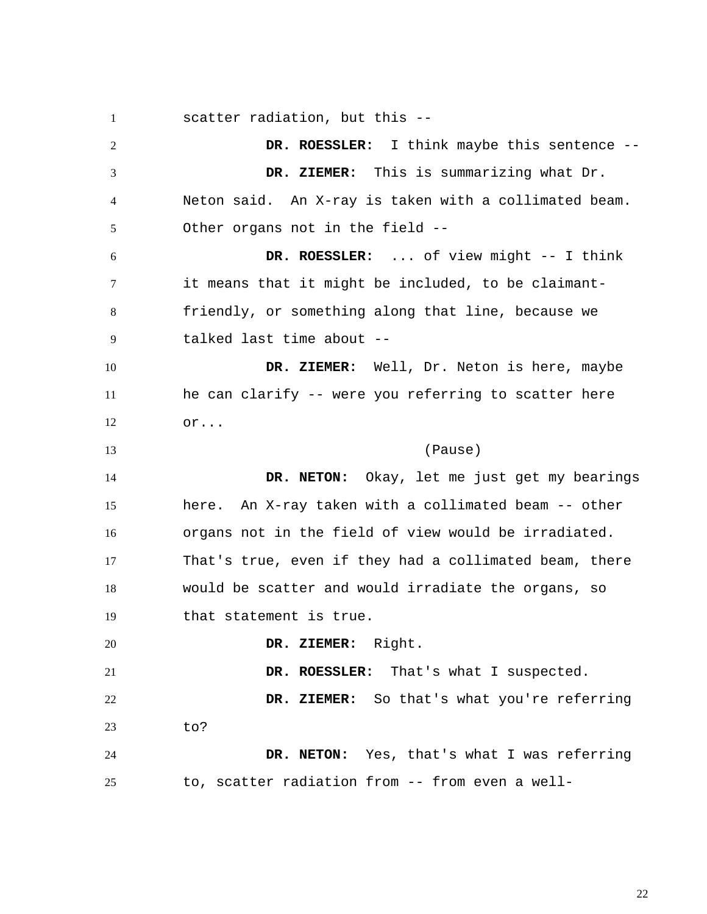1 2 3 4 5 6 7 8 9 10 11 12 13 14 15 16 17 18 19 20 21 22 23 24 25 scatter radiation, but this --  **DR. ROESSLER:** I think maybe this sentence --  **DR. ZIEMER:** This is summarizing what Dr. Neton said. An X-ray is taken with a collimated beam. Other organs not in the field --  **DR. ROESSLER:** ... of view might -- I think it means that it might be included, to be claimantfriendly, or something along that line, because we talked last time about --  **DR. ZIEMER:** Well, Dr. Neton is here, maybe he can clarify -- were you referring to scatter here or... (Pause)  **DR. NETON:** Okay, let me just get my bearings here. An X-ray taken with a collimated beam -- other organs not in the field of view would be irradiated. That's true, even if they had a collimated beam, there would be scatter and would irradiate the organs, so that statement is true.  **DR. ZIEMER:** Right.  **DR. ROESSLER:** That's what I suspected.  **DR. ZIEMER:** So that's what you're referring to?  **DR. NETON:** Yes, that's what I was referring to, scatter radiation from -- from even a well-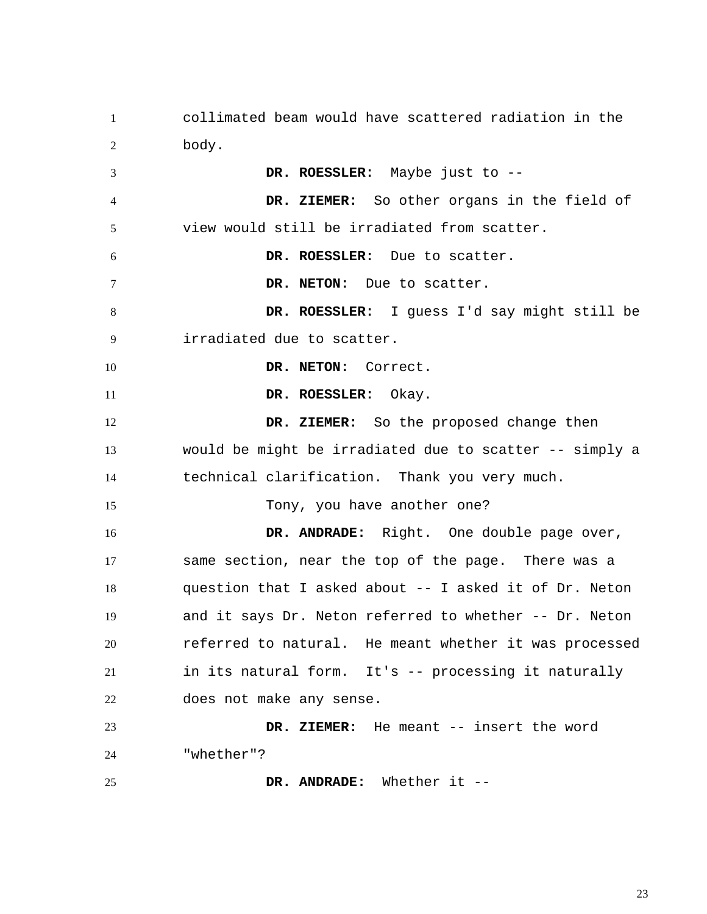1 2 3 4 5 6 7 8 9 10 11 12 13 14 15 16 17 18 19 20 21 22 23 24 25 collimated beam would have scattered radiation in the body.  **DR. ROESSLER:** Maybe just to --  **DR. ZIEMER:** So other organs in the field of view would still be irradiated from scatter.  **DR. ROESSLER:** Due to scatter.  **DR. NETON:** Due to scatter.  **DR. ROESSLER:** I guess I'd say might still be irradiated due to scatter.  **DR. NETON:** Correct.  **DR. ROESSLER:** Okay.  **DR. ZIEMER:** So the proposed change then would be might be irradiated due to scatter -- simply a technical clarification. Thank you very much. Tony, you have another one?  **DR. ANDRADE:** Right. One double page over, same section, near the top of the page. There was a question that I asked about -- I asked it of Dr. Neton and it says Dr. Neton referred to whether -- Dr. Neton referred to natural. He meant whether it was processed in its natural form. It's -- processing it naturally does not make any sense.  **DR. ZIEMER:** He meant -- insert the word "whether"?  **DR. ANDRADE:** Whether it --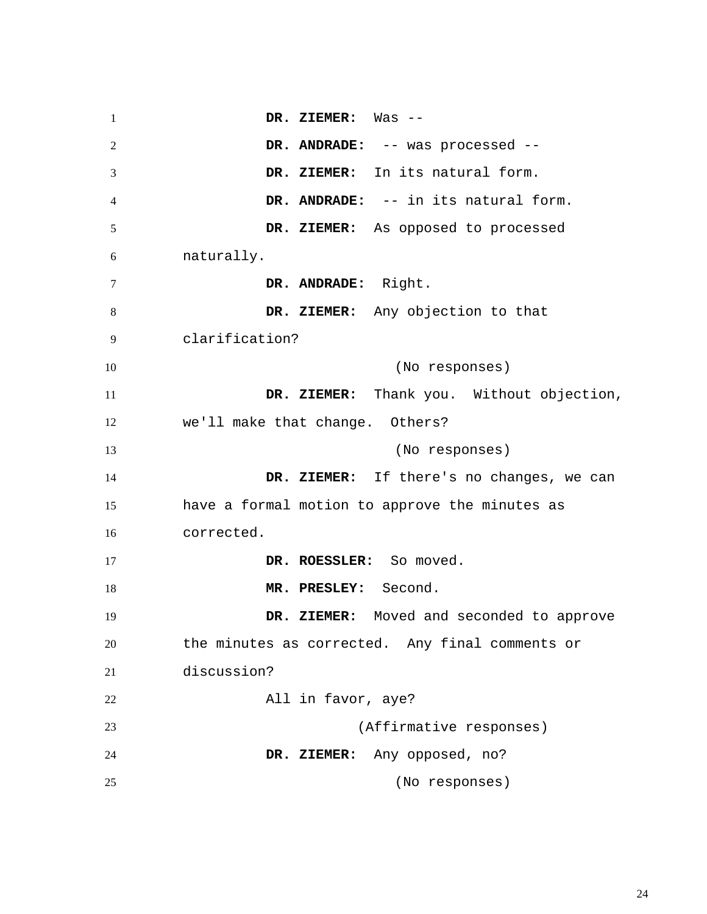1 2 3 4 5 6 7 8 9 10 11 12 13 14 15 16 17 18 19 20 21 22 23 24 25  **DR. ZIEMER:** Was --  **DR. ANDRADE:** -- was processed --  **DR. ZIEMER:** In its natural form.  **DR. ANDRADE:** -- in its natural form.  **DR. ZIEMER:** As opposed to processed naturally.  **DR. ANDRADE:** Right.  **DR. ZIEMER:** Any objection to that clarification? (No responses)  **DR. ZIEMER:** Thank you. Without objection, we'll make that change. Others? (No responses)  **DR. ZIEMER:** If there's no changes, we can have a formal motion to approve the minutes as corrected. DR. ROESSLER: So moved.  **MR. PRESLEY:** Second.  **DR. ZIEMER:** Moved and seconded to approve the minutes as corrected. Any final comments or discussion? All in favor, aye? (Affirmative responses)  **DR. ZIEMER:** Any opposed, no? (No responses)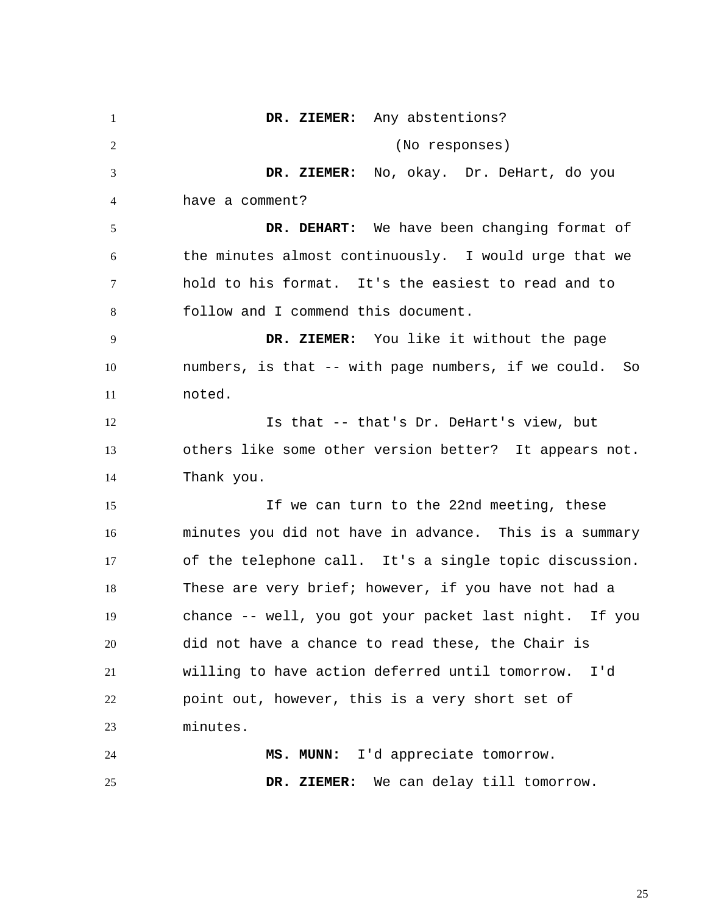1 2 3 4 5 6 7 8 9 10 11 12 13 14 15 16 17 18 19 20 21 22 23 24 25  **DR. ZIEMER:** Any abstentions? (No responses)  **DR. ZIEMER:** No, okay. Dr. DeHart, do you have a comment?  **DR. DEHART:** We have been changing format of the minutes almost continuously. I would urge that we hold to his format. It's the easiest to read and to follow and I commend this document.  **DR. ZIEMER:** You like it without the page numbers, is that -- with page numbers, if we could. So noted. Is that -- that's Dr. DeHart's view, but others like some other version better? It appears not. Thank you. If we can turn to the 22nd meeting, these minutes you did not have in advance. This is a summary of the telephone call. It's a single topic discussion. These are very brief; however, if you have not had a chance -- well, you got your packet last night. If you did not have a chance to read these, the Chair is willing to have action deferred until tomorrow. I'd point out, however, this is a very short set of minutes.  **MS. MUNN:** I'd appreciate tomorrow.  **DR. ZIEMER:** We can delay till tomorrow.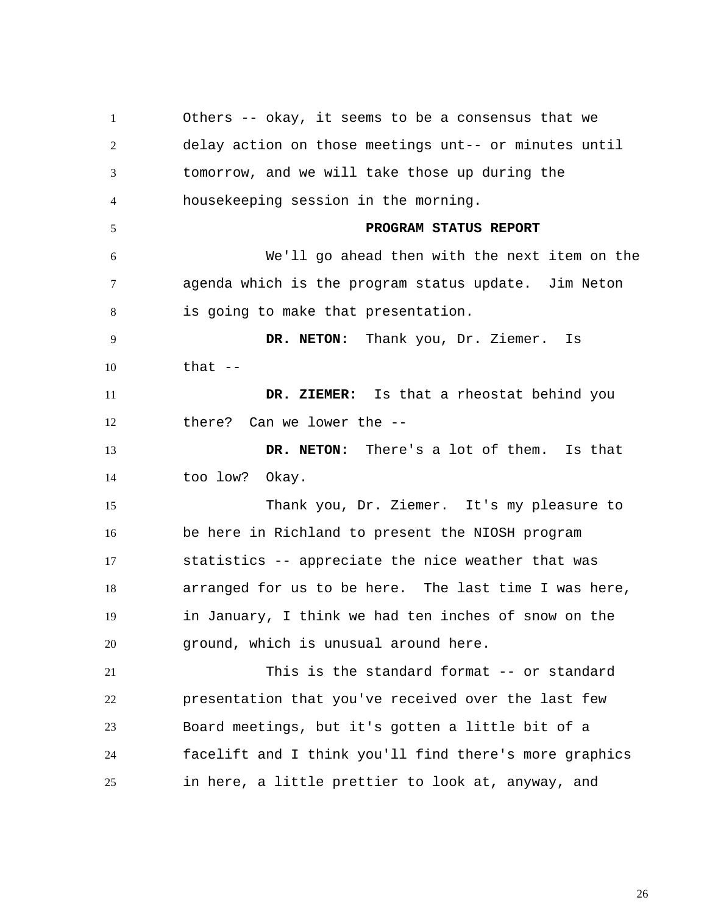1 2 3 4 5 6 7 8 9 10 11 12 13 14 15 16 17 18 19 20 21 22 23 24 25 Others -- okay, it seems to be a consensus that we delay action on those meetings unt-- or minutes until tomorrow, and we will take those up during the housekeeping session in the morning. **PROGRAM STATUS REPORT**  We'll go ahead then with the next item on the agenda which is the program status update. Jim Neton is going to make that presentation.  **DR. NETON:** Thank you, Dr. Ziemer. Is that  $-$  **DR. ZIEMER:** Is that a rheostat behind you there? Can we lower the --  **DR. NETON:** There's a lot of them. Is that too low? Okay. Thank you, Dr. Ziemer. It's my pleasure to be here in Richland to present the NIOSH program statistics -- appreciate the nice weather that was arranged for us to be here. The last time I was here, in January, I think we had ten inches of snow on the ground, which is unusual around here. This is the standard format -- or standard presentation that you've received over the last few Board meetings, but it's gotten a little bit of a facelift and I think you'll find there's more graphics in here, a little prettier to look at, anyway, and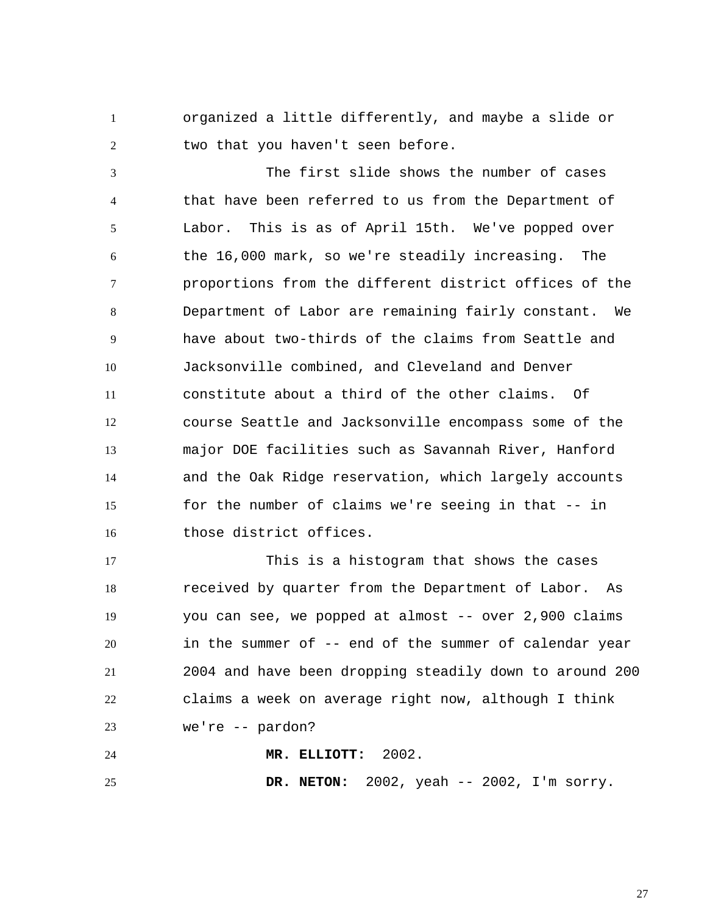1 2 organized a little differently, and maybe a slide or two that you haven't seen before.

3 4 5 6 7 8 9 10 11 12 13 14 15 16 The first slide shows the number of cases that have been referred to us from the Department of Labor. This is as of April 15th. We've popped over the 16,000 mark, so we're steadily increasing. The proportions from the different district offices of the Department of Labor are remaining fairly constant. We have about two-thirds of the claims from Seattle and Jacksonville combined, and Cleveland and Denver constitute about a third of the other claims. Of course Seattle and Jacksonville encompass some of the major DOE facilities such as Savannah River, Hanford and the Oak Ridge reservation, which largely accounts for the number of claims we're seeing in that -- in those district offices.

17 18 19 20 21 22 23 This is a histogram that shows the cases received by quarter from the Department of Labor. As you can see, we popped at almost -- over 2,900 claims in the summer of -- end of the summer of calendar year 2004 and have been dropping steadily down to around 200 claims a week on average right now, although I think we're -- pardon?

24  **MR. ELLIOTT:** 2002.

25  **DR. NETON:** 2002, yeah -- 2002, I'm sorry.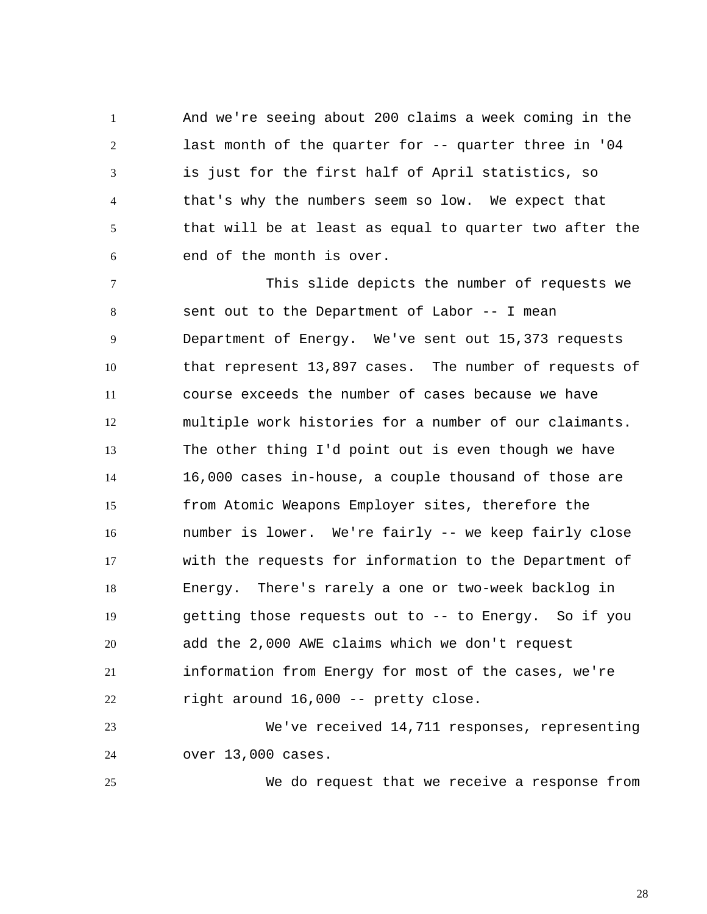1 2 3 4 5 6 And we're seeing about 200 claims a week coming in the last month of the quarter for -- quarter three in '04 is just for the first half of April statistics, so that's why the numbers seem so low. We expect that that will be at least as equal to quarter two after the end of the month is over.

7 8 9 10 11 12 13 14 15 16 17 18 19 20 21 22 This slide depicts the number of requests we sent out to the Department of Labor -- I mean Department of Energy. We've sent out 15,373 requests that represent 13,897 cases. The number of requests of course exceeds the number of cases because we have multiple work histories for a number of our claimants. The other thing I'd point out is even though we have 16,000 cases in-house, a couple thousand of those are from Atomic Weapons Employer sites, therefore the number is lower. We're fairly -- we keep fairly close with the requests for information to the Department of Energy. There's rarely a one or two-week backlog in getting those requests out to -- to Energy. So if you add the 2,000 AWE claims which we don't request information from Energy for most of the cases, we're right around 16,000 -- pretty close.

23 24 We've received 14,711 responses, representing over 13,000 cases.

25

We do request that we receive a response from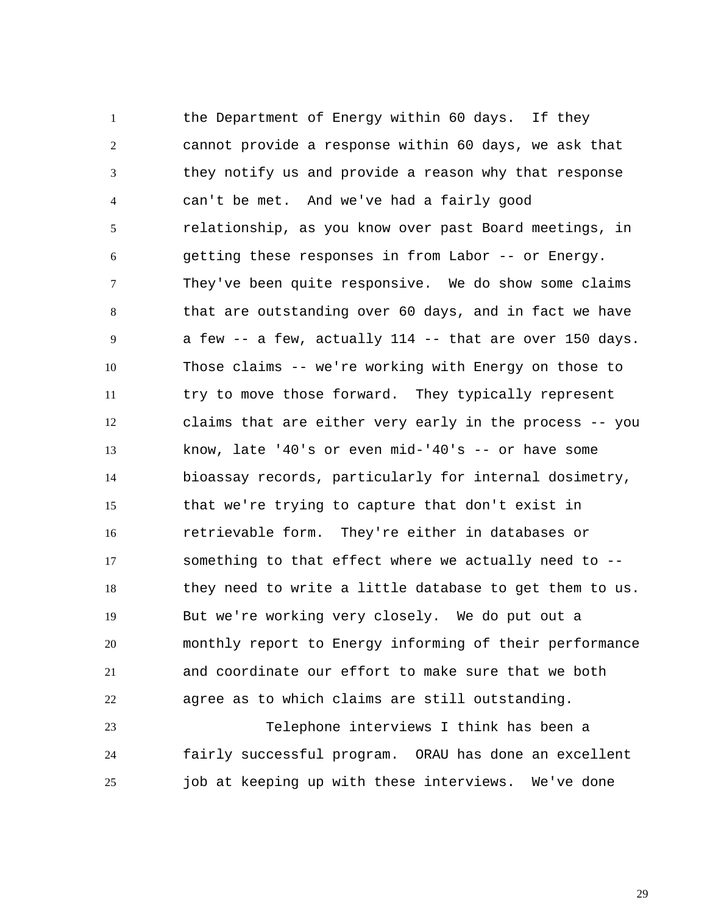1 2 3 4 5 6 7 8 9 10 11 12 13 14 15 16 17 18 19 20 21 22 the Department of Energy within 60 days. If they cannot provide a response within 60 days, we ask that they notify us and provide a reason why that response can't be met. And we've had a fairly good relationship, as you know over past Board meetings, in getting these responses in from Labor -- or Energy. They've been quite responsive. We do show some claims that are outstanding over 60 days, and in fact we have a few -- a few, actually 114 -- that are over 150 days. Those claims -- we're working with Energy on those to try to move those forward. They typically represent claims that are either very early in the process -- you know, late '40's or even mid-'40's -- or have some bioassay records, particularly for internal dosimetry, that we're trying to capture that don't exist in retrievable form. They're either in databases or something to that effect where we actually need to - they need to write a little database to get them to us. But we're working very closely. We do put out a monthly report to Energy informing of their performance and coordinate our effort to make sure that we both agree as to which claims are still outstanding.

23 24 25 Telephone interviews I think has been a fairly successful program. ORAU has done an excellent job at keeping up with these interviews. We've done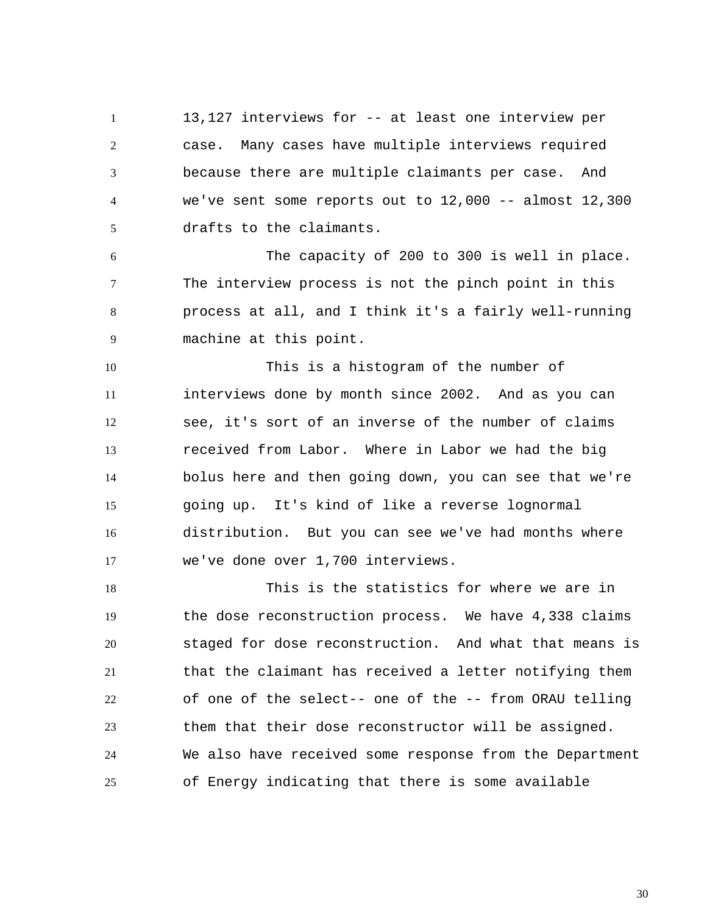1 2 3 4 5 13,127 interviews for -- at least one interview per case. Many cases have multiple interviews required because there are multiple claimants per case. And we've sent some reports out to  $12,000$  -- almost  $12,300$ drafts to the claimants.

6 7 8 9 The capacity of 200 to 300 is well in place. The interview process is not the pinch point in this process at all, and I think it's a fairly well-running machine at this point.

10 11 12 13 14 15 16 17 This is a histogram of the number of interviews done by month since 2002. And as you can see, it's sort of an inverse of the number of claims received from Labor. Where in Labor we had the big bolus here and then going down, you can see that we're going up. It's kind of like a reverse lognormal distribution. But you can see we've had months where we've done over 1,700 interviews.

18 19 20 21 22 23 24 25 This is the statistics for where we are in the dose reconstruction process. We have 4,338 claims staged for dose reconstruction. And what that means is that the claimant has received a letter notifying them of one of the select-- one of the -- from ORAU telling them that their dose reconstructor will be assigned. We also have received some response from the Department of Energy indicating that there is some available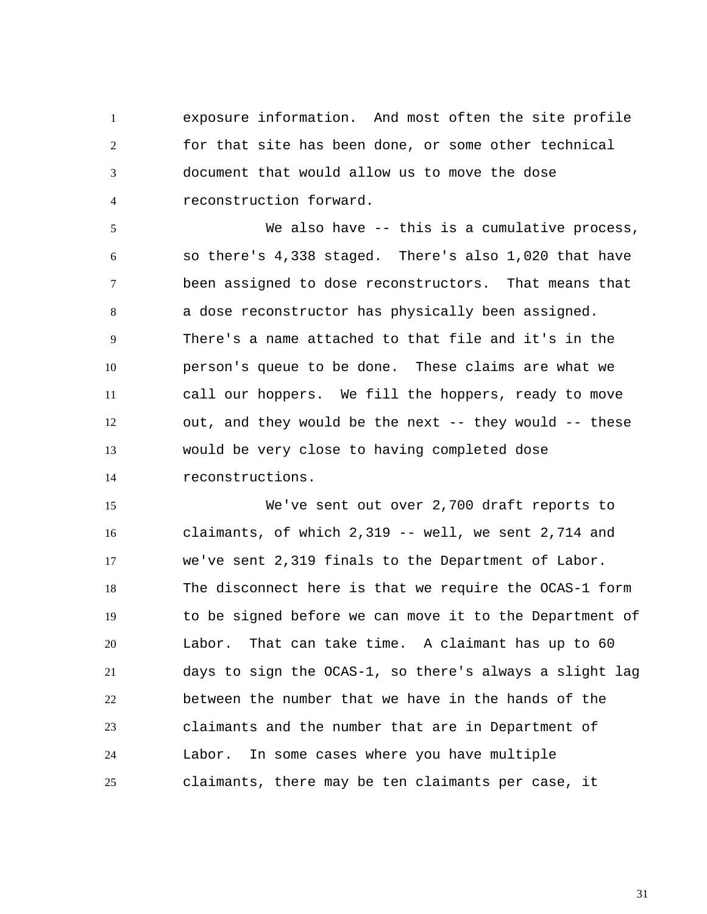1 2 3 4 exposure information. And most often the site profile for that site has been done, or some other technical document that would allow us to move the dose reconstruction forward.

5 6 7 8 9 10 11 12 13 14 We also have -- this is a cumulative process, so there's 4,338 staged. There's also 1,020 that have been assigned to dose reconstructors. That means that a dose reconstructor has physically been assigned. There's a name attached to that file and it's in the person's queue to be done. These claims are what we call our hoppers. We fill the hoppers, ready to move out, and they would be the next -- they would -- these would be very close to having completed dose reconstructions.

15 16 17 18 19 20 21 22 23 24 25 We've sent out over 2,700 draft reports to claimants, of which 2,319 -- well, we sent 2,714 and we've sent 2,319 finals to the Department of Labor. The disconnect here is that we require the OCAS-1 form to be signed before we can move it to the Department of Labor. That can take time. A claimant has up to 60 days to sign the OCAS-1, so there's always a slight lag between the number that we have in the hands of the claimants and the number that are in Department of Labor. In some cases where you have multiple claimants, there may be ten claimants per case, it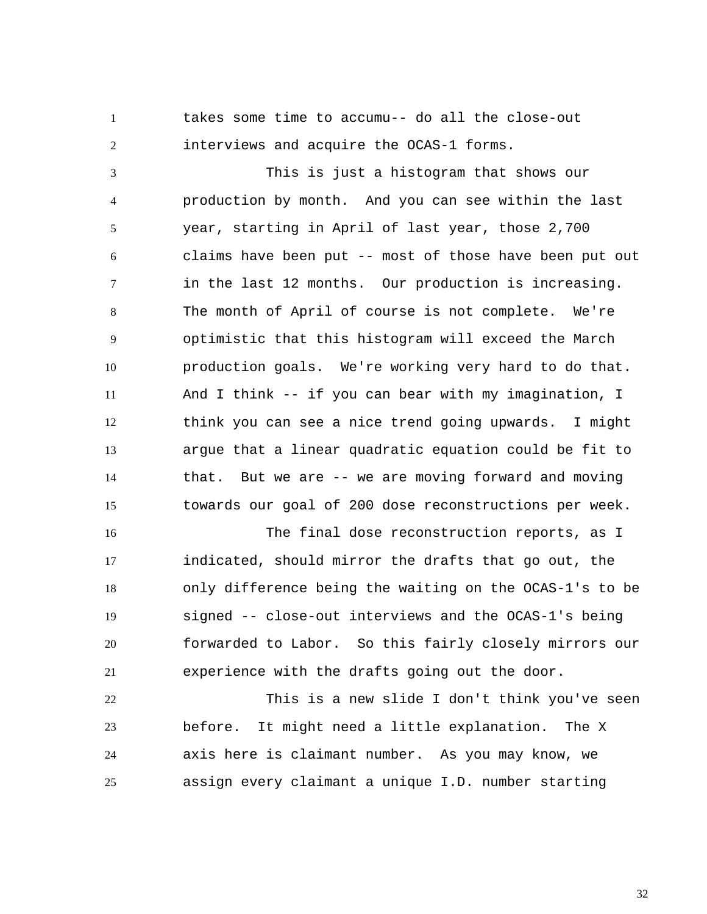1 2 takes some time to accumu-- do all the close-out interviews and acquire the OCAS-1 forms.

3 4 5 6 7 8 9 10 11 12 13 14 15 This is just a histogram that shows our production by month. And you can see within the last year, starting in April of last year, those 2,700 claims have been put -- most of those have been put out in the last 12 months. Our production is increasing. The month of April of course is not complete. We're optimistic that this histogram will exceed the March production goals. We're working very hard to do that. And I think -- if you can bear with my imagination, I think you can see a nice trend going upwards. I might argue that a linear quadratic equation could be fit to that. But we are -- we are moving forward and moving towards our goal of 200 dose reconstructions per week.

16 17 18 19 20 21 The final dose reconstruction reports, as I indicated, should mirror the drafts that go out, the only difference being the waiting on the OCAS-1's to be signed -- close-out interviews and the OCAS-1's being forwarded to Labor. So this fairly closely mirrors our experience with the drafts going out the door.

22 23 24 25 This is a new slide I don't think you've seen before. It might need a little explanation. The X axis here is claimant number. As you may know, we assign every claimant a unique I.D. number starting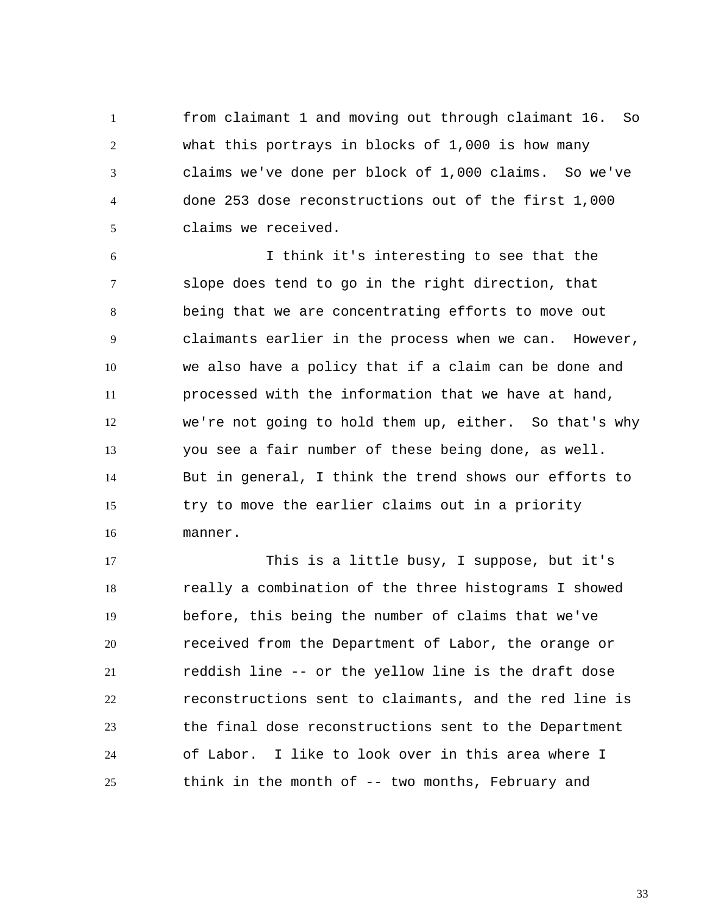1 2 3 4 5 from claimant 1 and moving out through claimant 16. So what this portrays in blocks of 1,000 is how many claims we've done per block of 1,000 claims. So we've done 253 dose reconstructions out of the first 1,000 claims we received.

6 7 8 9 10 11 12 13 14 15 16 I think it's interesting to see that the slope does tend to go in the right direction, that being that we are concentrating efforts to move out claimants earlier in the process when we can. However, we also have a policy that if a claim can be done and processed with the information that we have at hand, we're not going to hold them up, either. So that's why you see a fair number of these being done, as well. But in general, I think the trend shows our efforts to try to move the earlier claims out in a priority manner.

17 18 19 20 21 22 23 24 25 This is a little busy, I suppose, but it's really a combination of the three histograms I showed before, this being the number of claims that we've received from the Department of Labor, the orange or reddish line -- or the yellow line is the draft dose reconstructions sent to claimants, and the red line is the final dose reconstructions sent to the Department of Labor. I like to look over in this area where I think in the month of -- two months, February and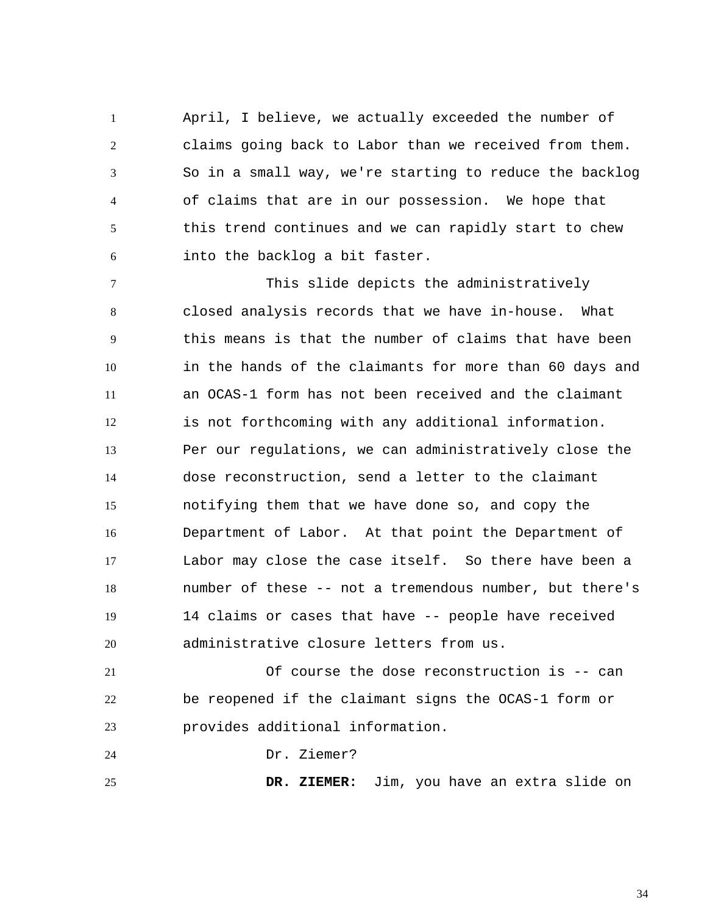1 2 3 4 5 6 April, I believe, we actually exceeded the number of claims going back to Labor than we received from them. So in a small way, we're starting to reduce the backlog of claims that are in our possession. We hope that this trend continues and we can rapidly start to chew into the backlog a bit faster.

7 8 9 10 11 12 13 14 15 16 17 18 19 20 This slide depicts the administratively closed analysis records that we have in-house. What this means is that the number of claims that have been in the hands of the claimants for more than 60 days and an OCAS-1 form has not been received and the claimant is not forthcoming with any additional information. Per our regulations, we can administratively close the dose reconstruction, send a letter to the claimant notifying them that we have done so, and copy the Department of Labor. At that point the Department of Labor may close the case itself. So there have been a number of these -- not a tremendous number, but there's 14 claims or cases that have -- people have received administrative closure letters from us.

21 22 23 Of course the dose reconstruction is -- can be reopened if the claimant signs the OCAS-1 form or provides additional information.

24 Dr. Ziemer?

25

 **DR. ZIEMER:** Jim, you have an extra slide on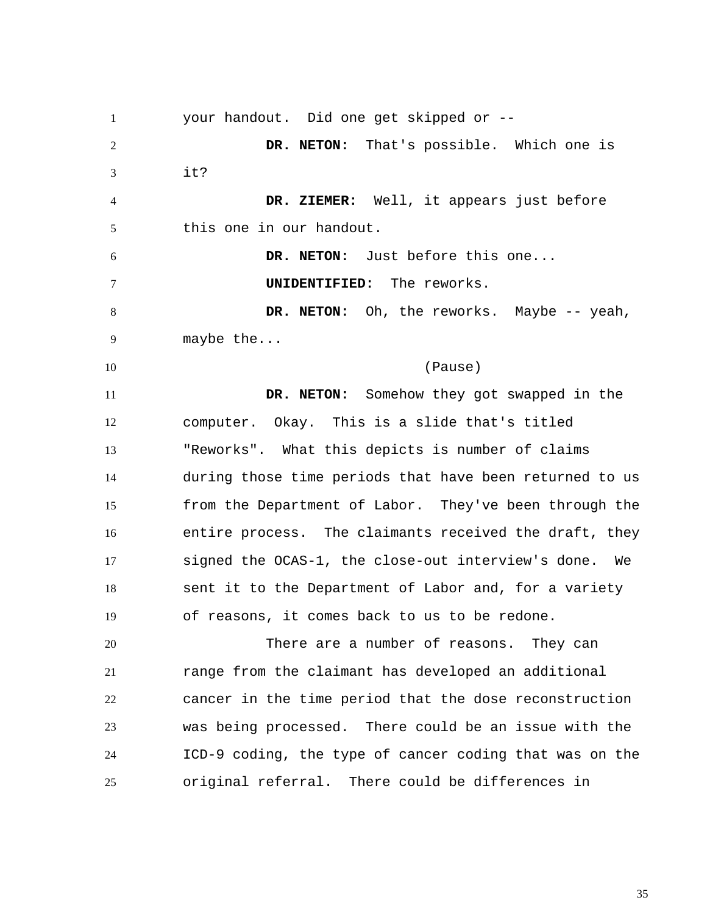1 2 3 4 5 6 7 8 9 10 11 12 13 14 15 16 17 18 19 20 21 22 23 24 25 your handout. Did one get skipped or --  **DR. NETON:** That's possible. Which one is it?  **DR. ZIEMER:** Well, it appears just before this one in our handout.  **DR. NETON:** Just before this one... **UNIDENTIFIED:** The reworks.  **DR. NETON:** Oh, the reworks. Maybe -- yeah, maybe the... (Pause)  **DR. NETON:** Somehow they got swapped in the computer. Okay. This is a slide that's titled "Reworks". What this depicts is number of claims during those time periods that have been returned to us from the Department of Labor. They've been through the entire process. The claimants received the draft, they signed the OCAS-1, the close-out interview's done. We sent it to the Department of Labor and, for a variety of reasons, it comes back to us to be redone. There are a number of reasons. They can range from the claimant has developed an additional cancer in the time period that the dose reconstruction was being processed. There could be an issue with the ICD-9 coding, the type of cancer coding that was on the original referral. There could be differences in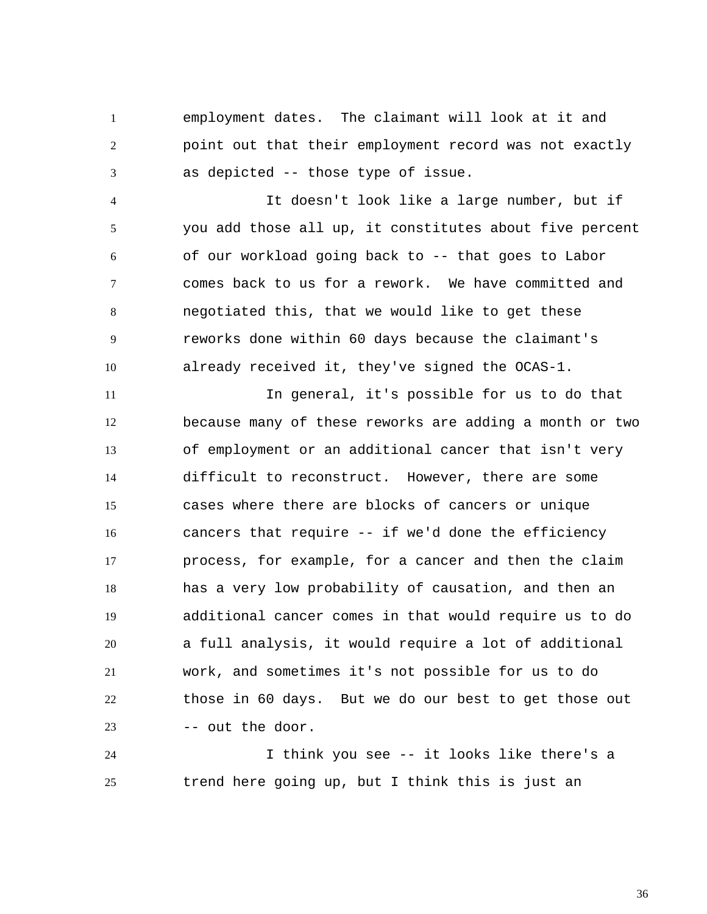1 2 3 employment dates. The claimant will look at it and point out that their employment record was not exactly as depicted -- those type of issue.

4 5 6 7 8 9 10 It doesn't look like a large number, but if you add those all up, it constitutes about five percent of our workload going back to -- that goes to Labor comes back to us for a rework. We have committed and negotiated this, that we would like to get these reworks done within 60 days because the claimant's already received it, they've signed the OCAS-1.

11 12 13 14 15 16 17 18 19 20 21 22 23 In general, it's possible for us to do that because many of these reworks are adding a month or two of employment or an additional cancer that isn't very difficult to reconstruct. However, there are some cases where there are blocks of cancers or unique cancers that require -- if we'd done the efficiency process, for example, for a cancer and then the claim has a very low probability of causation, and then an additional cancer comes in that would require us to do a full analysis, it would require a lot of additional work, and sometimes it's not possible for us to do those in 60 days. But we do our best to get those out -- out the door.

24 25 I think you see -- it looks like there's a trend here going up, but I think this is just an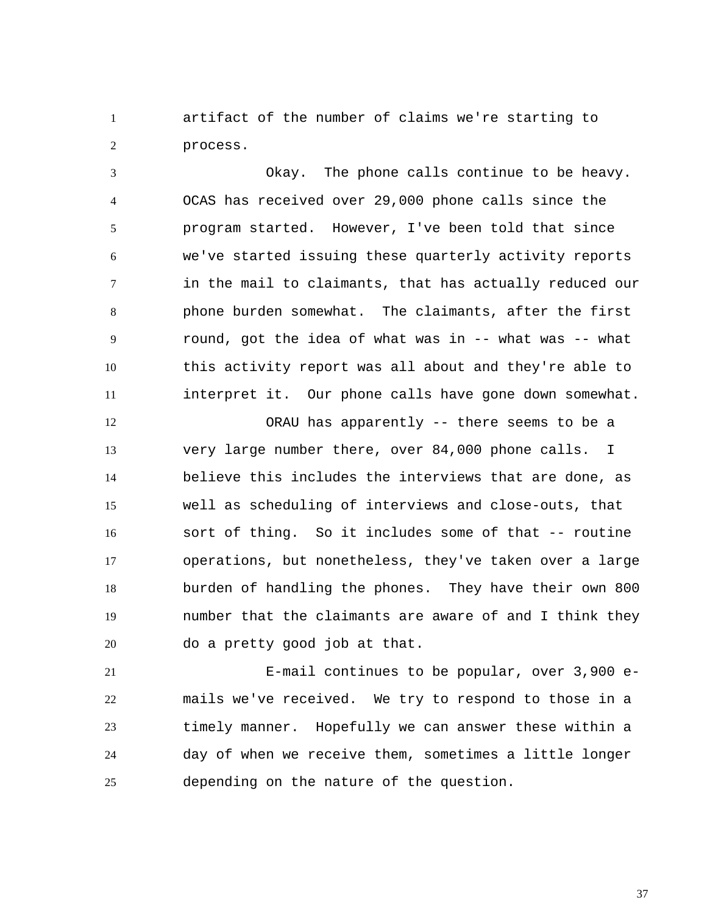1 2 artifact of the number of claims we're starting to process.

3 4 5 6 7 8 9 10 11 Okay. The phone calls continue to be heavy. OCAS has received over 29,000 phone calls since the program started. However, I've been told that since we've started issuing these quarterly activity reports in the mail to claimants, that has actually reduced our phone burden somewhat. The claimants, after the first round, got the idea of what was in -- what was -- what this activity report was all about and they're able to interpret it. Our phone calls have gone down somewhat.

12 13 14 15 16 17 18 19 20 ORAU has apparently -- there seems to be a very large number there, over 84,000 phone calls. I believe this includes the interviews that are done, as well as scheduling of interviews and close-outs, that sort of thing. So it includes some of that -- routine operations, but nonetheless, they've taken over a large burden of handling the phones. They have their own 800 number that the claimants are aware of and I think they do a pretty good job at that.

21 22 23 24 25 E-mail continues to be popular, over 3,900 emails we've received. We try to respond to those in a timely manner. Hopefully we can answer these within a day of when we receive them, sometimes a little longer depending on the nature of the question.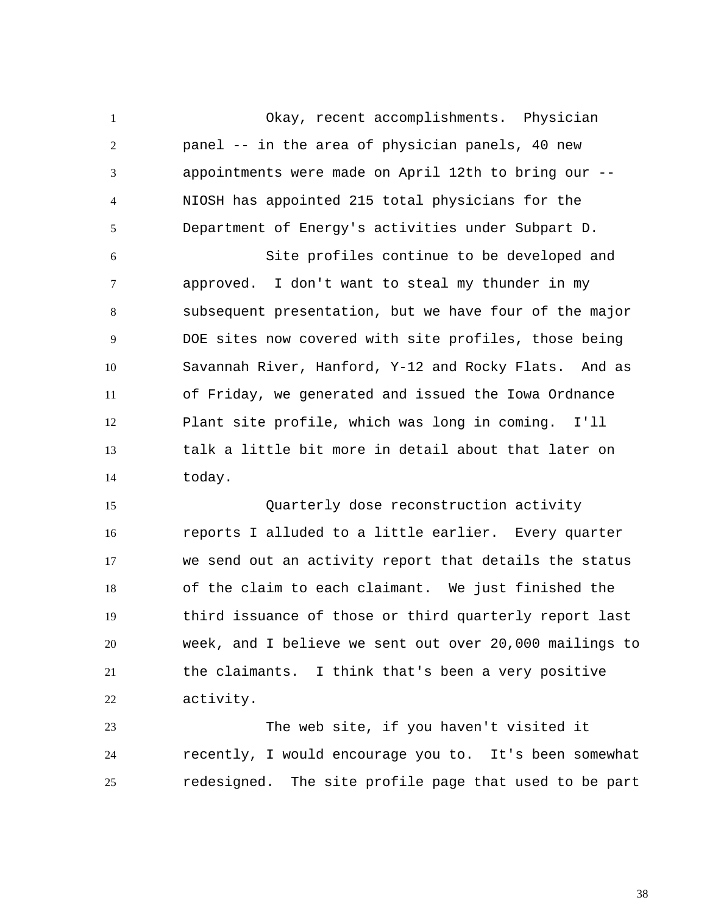1 2 3 4 5 Okay, recent accomplishments. Physician panel -- in the area of physician panels, 40 new appointments were made on April 12th to bring our -- NIOSH has appointed 215 total physicians for the Department of Energy's activities under Subpart D.

6 7 8 9 10 11 12 13 14 Site profiles continue to be developed and approved. I don't want to steal my thunder in my subsequent presentation, but we have four of the major DOE sites now covered with site profiles, those being Savannah River, Hanford, Y-12 and Rocky Flats. And as of Friday, we generated and issued the Iowa Ordnance Plant site profile, which was long in coming. I'll talk a little bit more in detail about that later on today.

15 16 17 18 19 20 21 22 Quarterly dose reconstruction activity reports I alluded to a little earlier. Every quarter we send out an activity report that details the status of the claim to each claimant. We just finished the third issuance of those or third quarterly report last week, and I believe we sent out over 20,000 mailings to the claimants. I think that's been a very positive activity.

23 24 25 The web site, if you haven't visited it recently, I would encourage you to. It's been somewhat redesigned. The site profile page that used to be part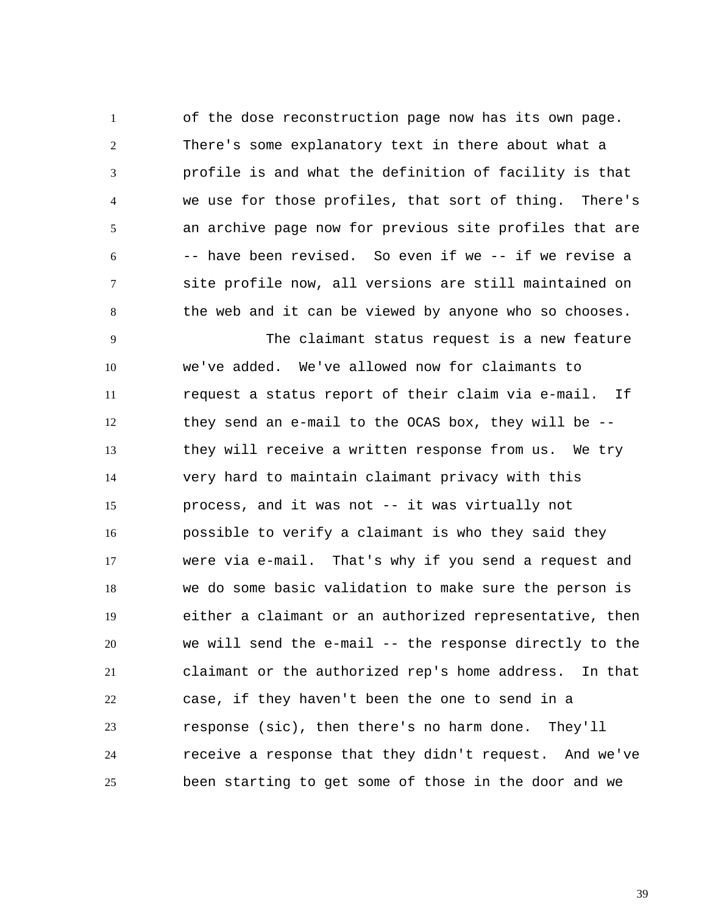1 2 3 4 5 6 7 8 of the dose reconstruction page now has its own page. There's some explanatory text in there about what a profile is and what the definition of facility is that we use for those profiles, that sort of thing. There's an archive page now for previous site profiles that are -- have been revised. So even if we -- if we revise a site profile now, all versions are still maintained on the web and it can be viewed by anyone who so chooses.

9 10 11 12 13 14 15 16 17 18 19 20 21 22 23 24 25 The claimant status request is a new feature we've added. We've allowed now for claimants to request a status report of their claim via e-mail. If they send an e-mail to the OCAS box, they will be - they will receive a written response from us. We try very hard to maintain claimant privacy with this process, and it was not -- it was virtually not possible to verify a claimant is who they said they were via e-mail. That's why if you send a request and we do some basic validation to make sure the person is either a claimant or an authorized representative, then we will send the e-mail -- the response directly to the claimant or the authorized rep's home address. In that case, if they haven't been the one to send in a response (sic), then there's no harm done. They'll receive a response that they didn't request. And we've been starting to get some of those in the door and we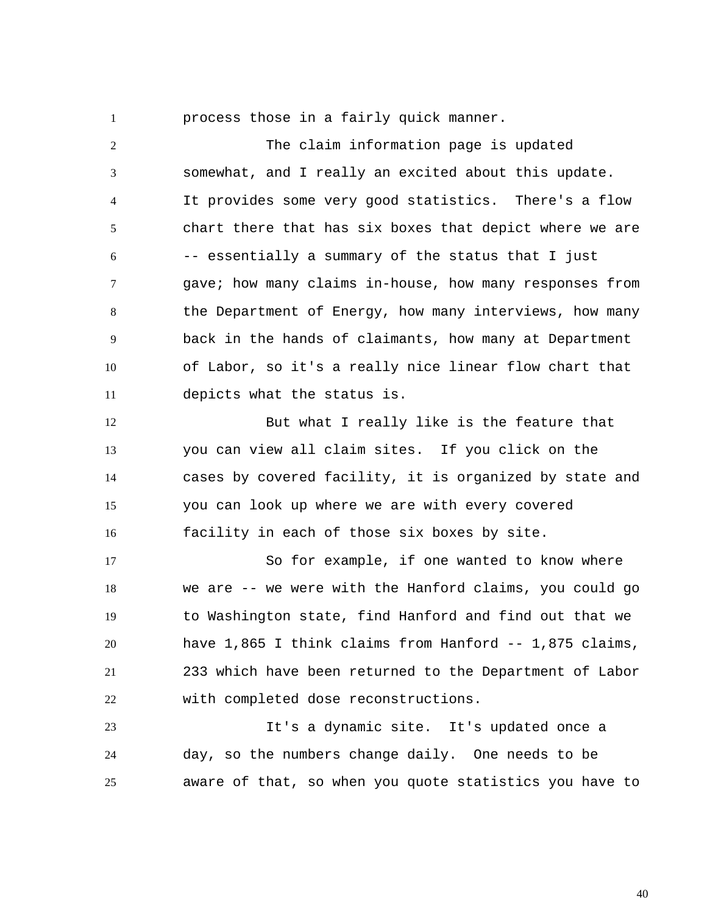process those in a fairly quick manner.

1

2 3 4 5 6 7 8 9 10 11 The claim information page is updated somewhat, and I really an excited about this update. It provides some very good statistics. There's a flow chart there that has six boxes that depict where we are -- essentially a summary of the status that I just gave; how many claims in-house, how many responses from the Department of Energy, how many interviews, how many back in the hands of claimants, how many at Department of Labor, so it's a really nice linear flow chart that depicts what the status is.

12 13 14 15 16 But what I really like is the feature that you can view all claim sites. If you click on the cases by covered facility, it is organized by state and you can look up where we are with every covered facility in each of those six boxes by site.

17 18 19 20 21 22 So for example, if one wanted to know where we are -- we were with the Hanford claims, you could go to Washington state, find Hanford and find out that we have 1,865 I think claims from Hanford -- 1,875 claims, 233 which have been returned to the Department of Labor with completed dose reconstructions.

23 24 25 It's a dynamic site. It's updated once a day, so the numbers change daily. One needs to be aware of that, so when you quote statistics you have to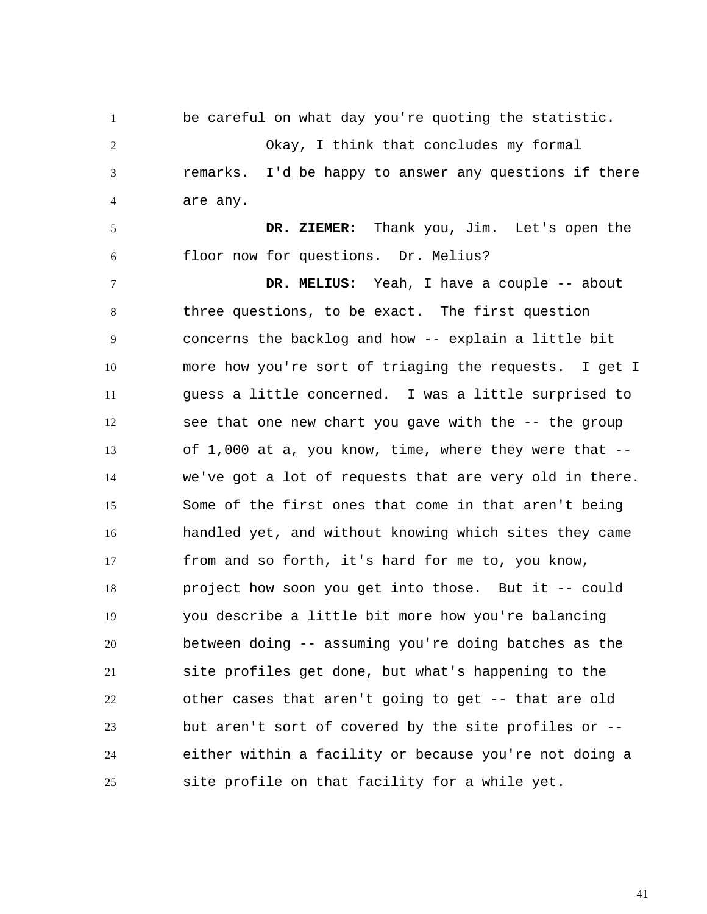1 2 3 4 be careful on what day you're quoting the statistic. Okay, I think that concludes my formal remarks. I'd be happy to answer any questions if there are any.

5 6  **DR. ZIEMER:** Thank you, Jim. Let's open the floor now for questions. Dr. Melius?

7 8 9 10 11 12 13 14 15 16 17 18 19 20 21 22 23 24 25  **DR. MELIUS:** Yeah, I have a couple -- about three questions, to be exact. The first question concerns the backlog and how -- explain a little bit more how you're sort of triaging the requests. I get I guess a little concerned. I was a little surprised to see that one new chart you gave with the -- the group of 1,000 at a, you know, time, where they were that - we've got a lot of requests that are very old in there. Some of the first ones that come in that aren't being handled yet, and without knowing which sites they came from and so forth, it's hard for me to, you know, project how soon you get into those. But it -- could you describe a little bit more how you're balancing between doing -- assuming you're doing batches as the site profiles get done, but what's happening to the other cases that aren't going to get -- that are old but aren't sort of covered by the site profiles or - either within a facility or because you're not doing a site profile on that facility for a while yet.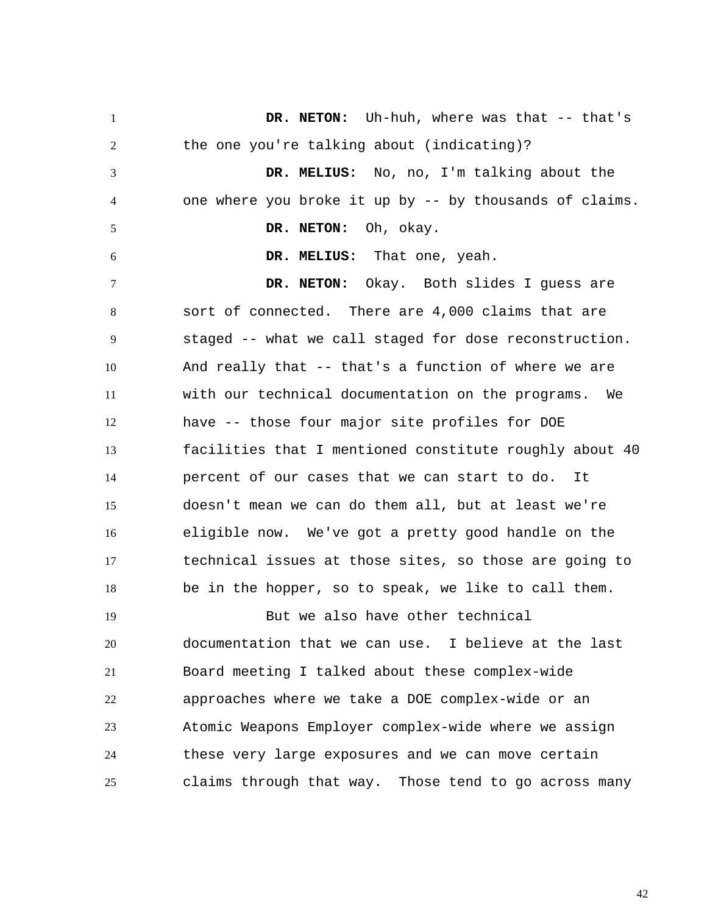1 2 3 4 5 6 7 8 9 10 11 12 13 14 15 16 17 18 19 20 21 22 23 24 25  **DR. NETON:** Uh-huh, where was that -- that's the one you're talking about (indicating)?  **DR. MELIUS:** No, no, I'm talking about the one where you broke it up by -- by thousands of claims.  **DR. NETON:** Oh, okay.  **DR. MELIUS:** That one, yeah.  **DR. NETON:** Okay. Both slides I guess are sort of connected. There are 4,000 claims that are staged -- what we call staged for dose reconstruction. And really that -- that's a function of where we are with our technical documentation on the programs. We have -- those four major site profiles for DOE facilities that I mentioned constitute roughly about 40 percent of our cases that we can start to do. It doesn't mean we can do them all, but at least we're eligible now. We've got a pretty good handle on the technical issues at those sites, so those are going to be in the hopper, so to speak, we like to call them. But we also have other technical documentation that we can use. I believe at the last Board meeting I talked about these complex-wide approaches where we take a DOE complex-wide or an Atomic Weapons Employer complex-wide where we assign these very large exposures and we can move certain claims through that way. Those tend to go across many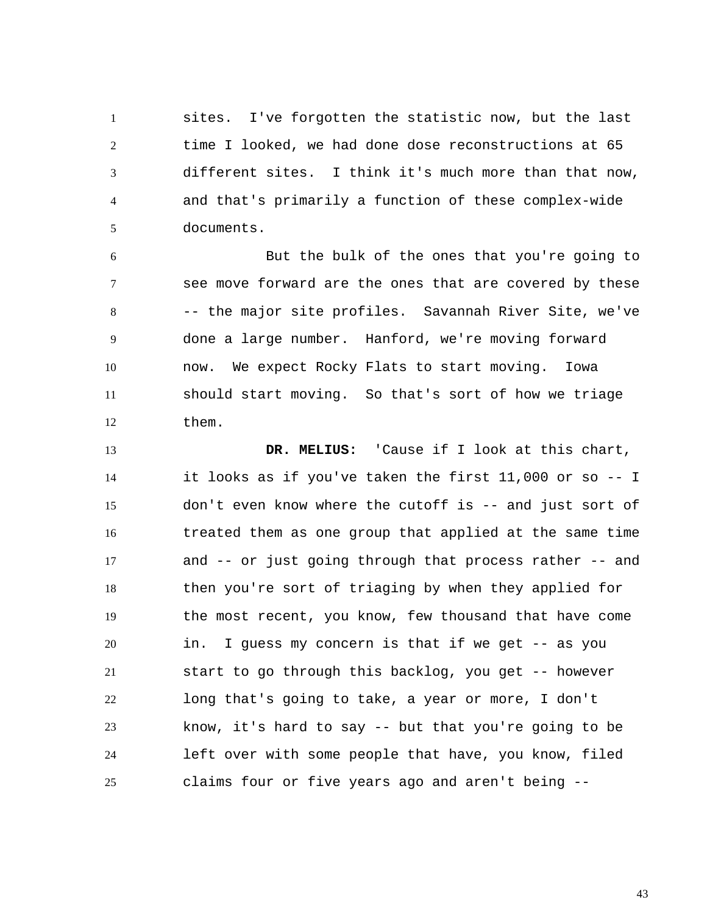1 2 3 4 5 sites. I've forgotten the statistic now, but the last time I looked, we had done dose reconstructions at 65 different sites. I think it's much more than that now, and that's primarily a function of these complex-wide documents.

6 7 8 9 10 11 12 But the bulk of the ones that you're going to see move forward are the ones that are covered by these -- the major site profiles. Savannah River Site, we've done a large number. Hanford, we're moving forward now. We expect Rocky Flats to start moving. Iowa should start moving. So that's sort of how we triage them.

13 14 15 16 17 18 19 20 21 22 23 24 25  **DR. MELIUS:** 'Cause if I look at this chart, it looks as if you've taken the first 11,000 or so -- I don't even know where the cutoff is -- and just sort of treated them as one group that applied at the same time and -- or just going through that process rather -- and then you're sort of triaging by when they applied for the most recent, you know, few thousand that have come in. I guess my concern is that if we get -- as you start to go through this backlog, you get -- however long that's going to take, a year or more, I don't know, it's hard to say -- but that you're going to be left over with some people that have, you know, filed claims four or five years ago and aren't being --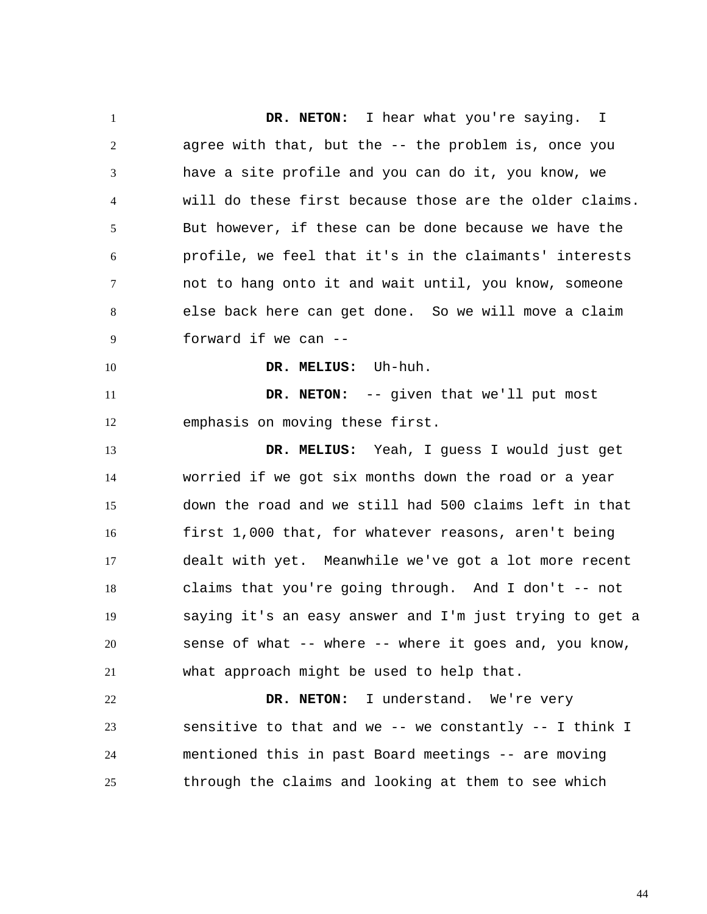1 2 3 4 5 6 7 8 9 10 11 12 13 14 15 16 17 18 19 20 21 22 23 24 25  **DR. NETON:** I hear what you're saying. I agree with that, but the -- the problem is, once you have a site profile and you can do it, you know, we will do these first because those are the older claims. But however, if these can be done because we have the profile, we feel that it's in the claimants' interests not to hang onto it and wait until, you know, someone else back here can get done. So we will move a claim forward if we can --  **DR. MELIUS:** Uh-huh.  **DR. NETON:** -- given that we'll put most emphasis on moving these first.  **DR. MELIUS:** Yeah, I guess I would just get worried if we got six months down the road or a year down the road and we still had 500 claims left in that first 1,000 that, for whatever reasons, aren't being dealt with yet. Meanwhile we've got a lot more recent claims that you're going through. And I don't  $-$ - not saying it's an easy answer and I'm just trying to get a sense of what -- where -- where it goes and, you know, what approach might be used to help that.  **DR. NETON:** I understand. We're very sensitive to that and we -- we constantly -- I think I mentioned this in past Board meetings -- are moving through the claims and looking at them to see which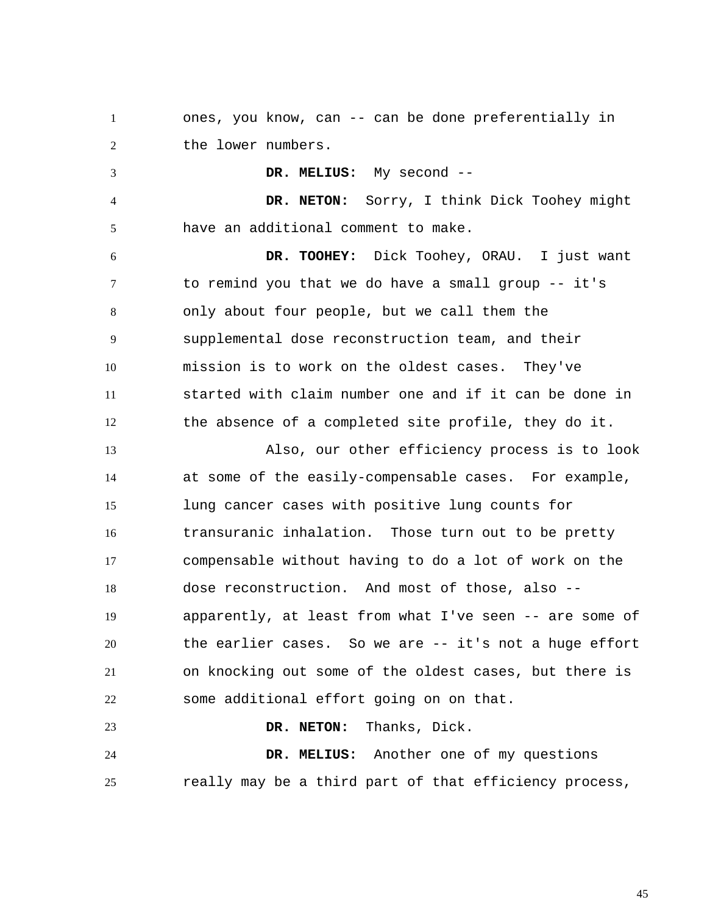1 2 ones, you know, can -- can be done preferentially in the lower numbers.

3 4 5 6 7 8 9 10 11 12 13 14 15 16 17 18 19 20  **DR. MELIUS:** My second --  **DR. NETON:** Sorry, I think Dick Toohey might have an additional comment to make.  **DR. TOOHEY:** Dick Toohey, ORAU. I just want to remind you that we do have a small group -- it's only about four people, but we call them the supplemental dose reconstruction team, and their mission is to work on the oldest cases. They've started with claim number one and if it can be done in the absence of a completed site profile, they do it. Also, our other efficiency process is to look at some of the easily-compensable cases. For example, lung cancer cases with positive lung counts for transuranic inhalation. Those turn out to be pretty compensable without having to do a lot of work on the dose reconstruction. And most of those, also - apparently, at least from what I've seen -- are some of the earlier cases. So we are -- it's not a huge effort

21 22 on knocking out some of the oldest cases, but there is some additional effort going on on that.

 **DR. NETON:** Thanks, Dick.

24 25  **DR. MELIUS:** Another one of my questions really may be a third part of that efficiency process,

23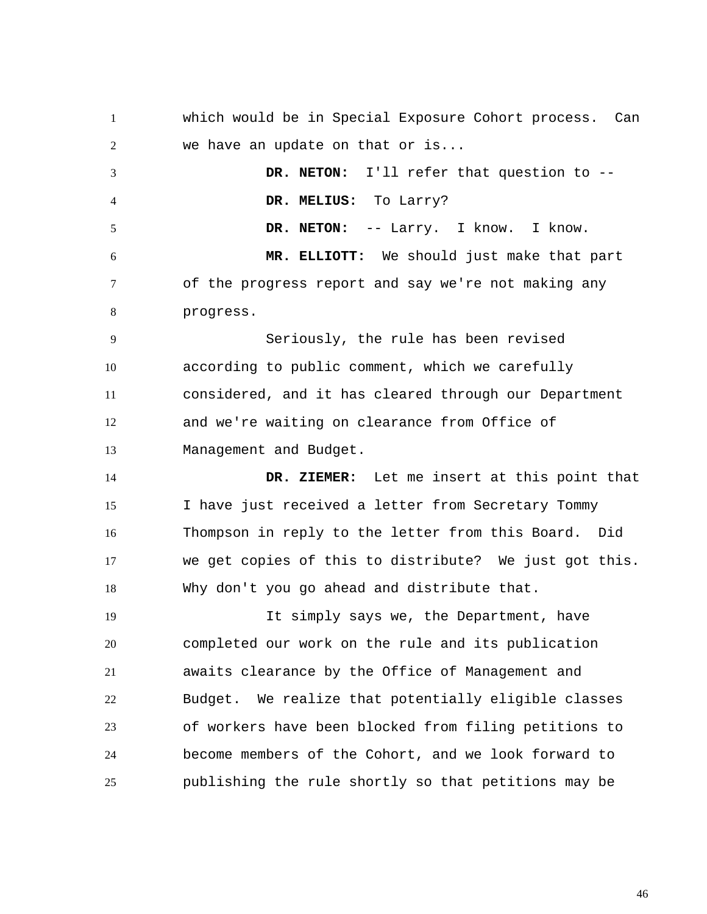1 2 3 4 5 6 7 8 9 10 11 12 13 14 15 16 17 18 19 20 21 22 23 24 25 which would be in Special Exposure Cohort process. Can we have an update on that or is...  **DR. NETON:** I'll refer that question to --  **DR. MELIUS:** To Larry?  **DR. NETON:** -- Larry. I know. I know.  **MR. ELLIOTT:** We should just make that part of the progress report and say we're not making any progress. Seriously, the rule has been revised according to public comment, which we carefully considered, and it has cleared through our Department and we're waiting on clearance from Office of Management and Budget.  **DR. ZIEMER:** Let me insert at this point that I have just received a letter from Secretary Tommy Thompson in reply to the letter from this Board. Did we get copies of this to distribute? We just got this. Why don't you go ahead and distribute that. It simply says we, the Department, have completed our work on the rule and its publication awaits clearance by the Office of Management and Budget. We realize that potentially eligible classes of workers have been blocked from filing petitions to become members of the Cohort, and we look forward to publishing the rule shortly so that petitions may be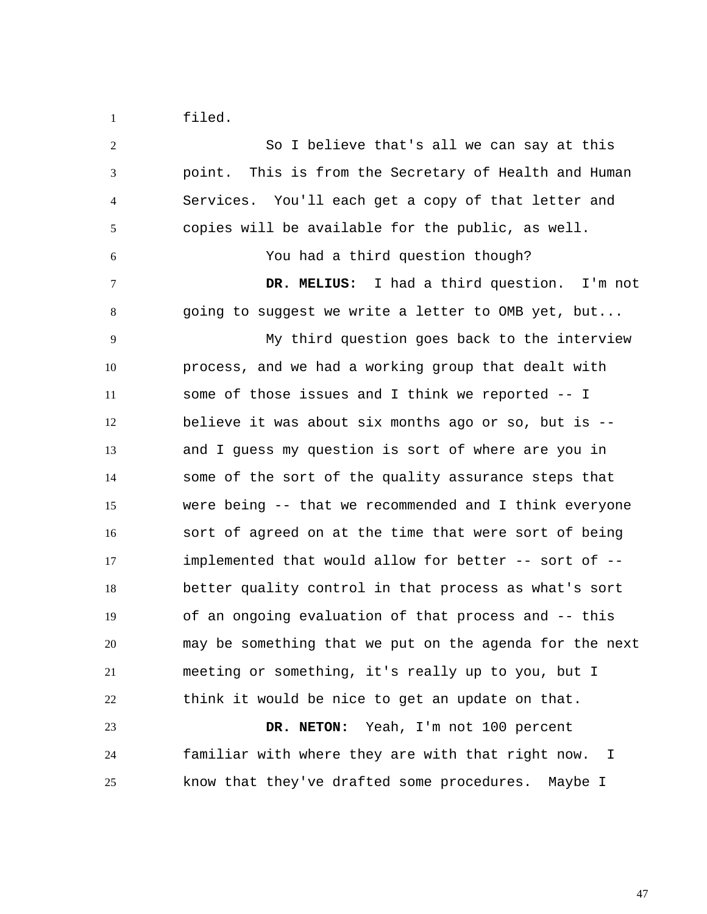1 filed.

2 3 4 5 6 7 8 9 10 11 12 13 14 15 16 17 18 19 20 21 22 23 24 25 So I believe that's all we can say at this point. This is from the Secretary of Health and Human Services. You'll each get a copy of that letter and copies will be available for the public, as well. You had a third question though?  **DR. MELIUS:** I had a third question. I'm not going to suggest we write a letter to OMB yet, but... My third question goes back to the interview process, and we had a working group that dealt with some of those issues and I think we reported -- I believe it was about six months ago or so, but is - and I guess my question is sort of where are you in some of the sort of the quality assurance steps that were being -- that we recommended and I think everyone sort of agreed on at the time that were sort of being implemented that would allow for better -- sort of - better quality control in that process as what's sort of an ongoing evaluation of that process and -- this may be something that we put on the agenda for the next meeting or something, it's really up to you, but I think it would be nice to get an update on that.  **DR. NETON:** Yeah, I'm not 100 percent familiar with where they are with that right now. I know that they've drafted some procedures. Maybe I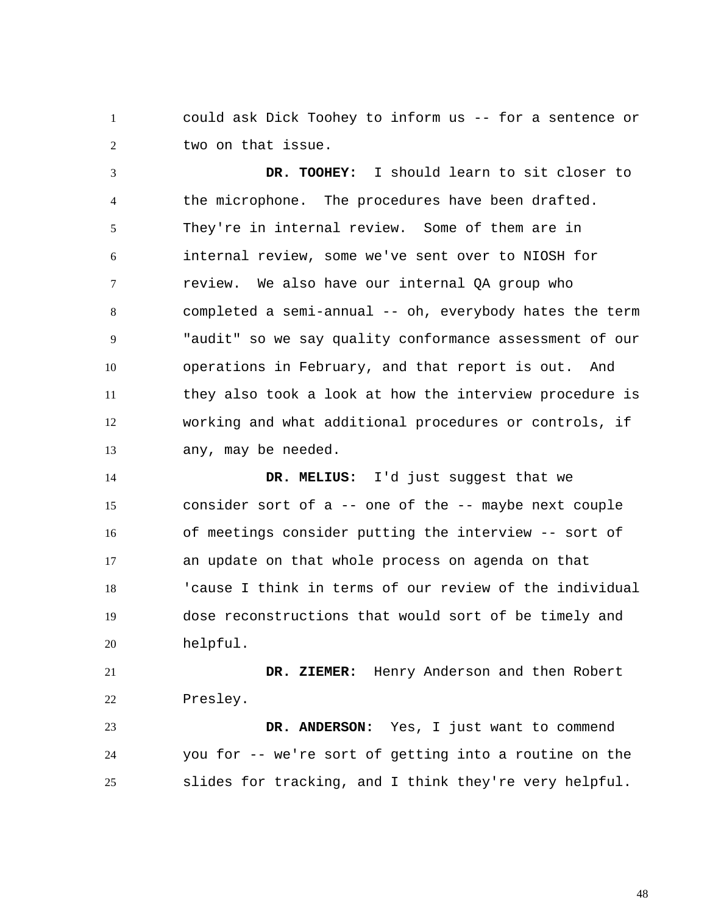1 2 could ask Dick Toohey to inform us -- for a sentence or two on that issue.

3 4 5 6 7 8 9 10 11 12 13  **DR. TOOHEY:** I should learn to sit closer to the microphone. The procedures have been drafted. They're in internal review. Some of them are in internal review, some we've sent over to NIOSH for review. We also have our internal QA group who completed a semi-annual -- oh, everybody hates the term "audit" so we say quality conformance assessment of our operations in February, and that report is out. And they also took a look at how the interview procedure is working and what additional procedures or controls, if any, may be needed.

14 15 16 17 18 19 20  **DR. MELIUS:** I'd just suggest that we consider sort of a -- one of the -- maybe next couple of meetings consider putting the interview -- sort of an update on that whole process on agenda on that 'cause I think in terms of our review of the individual dose reconstructions that would sort of be timely and helpful.

21 22  **DR. ZIEMER:** Henry Anderson and then Robert Presley.

23 24 25  **DR. ANDERSON:** Yes, I just want to commend you for -- we're sort of getting into a routine on the slides for tracking, and I think they're very helpful.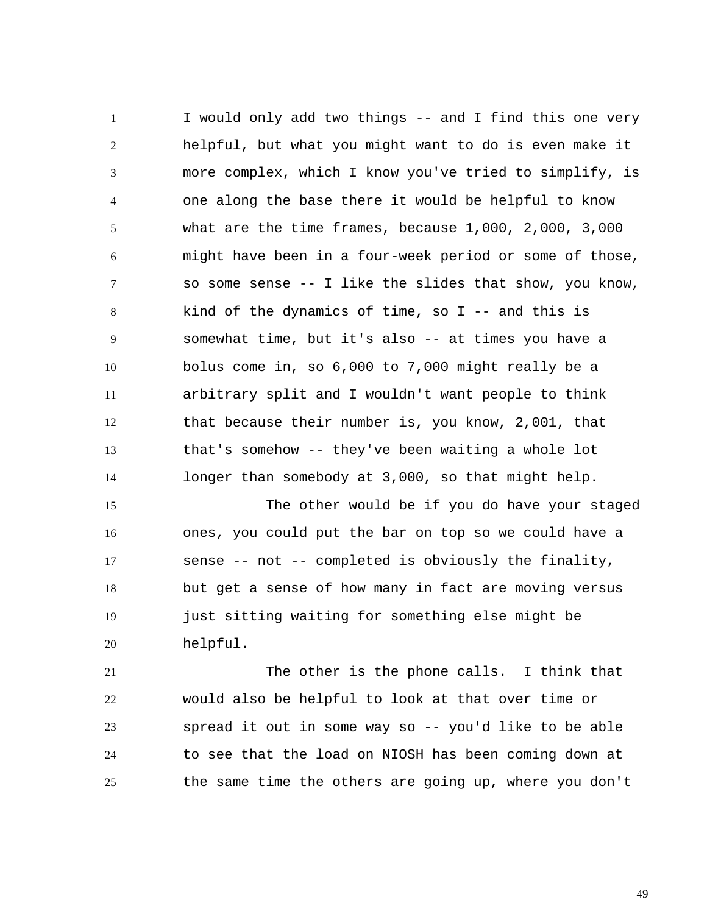1 2 3 4 5 6 7 8 9 10 11 12 13 14 I would only add two things -- and I find this one very helpful, but what you might want to do is even make it more complex, which I know you've tried to simplify, is one along the base there it would be helpful to know what are the time frames, because 1,000, 2,000, 3,000 might have been in a four-week period or some of those, so some sense -- I like the slides that show, you know, kind of the dynamics of time, so  $I$  -- and this is somewhat time, but it's also -- at times you have a bolus come in, so 6,000 to 7,000 might really be a arbitrary split and I wouldn't want people to think that because their number is, you know, 2,001, that that's somehow -- they've been waiting a whole lot longer than somebody at 3,000, so that might help.

15 16 17 18 19 20 The other would be if you do have your staged ones, you could put the bar on top so we could have a sense -- not -- completed is obviously the finality, but get a sense of how many in fact are moving versus just sitting waiting for something else might be helpful.

21 22 23 24 25 The other is the phone calls. I think that would also be helpful to look at that over time or spread it out in some way so -- you'd like to be able to see that the load on NIOSH has been coming down at the same time the others are going up, where you don't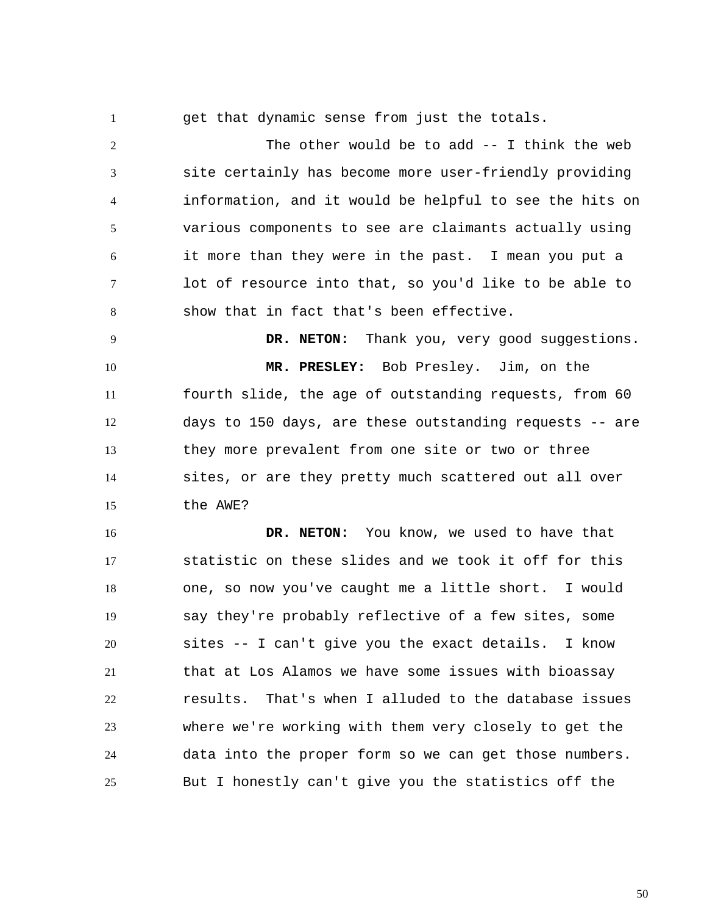1

get that dynamic sense from just the totals.

2 3 4 5 6 7 8 The other would be to add -- I think the web site certainly has become more user-friendly providing information, and it would be helpful to see the hits on various components to see are claimants actually using it more than they were in the past. I mean you put a lot of resource into that, so you'd like to be able to show that in fact that's been effective.

9 10 11 12 13 14 15  **DR. NETON:** Thank you, very good suggestions.  **MR. PRESLEY:** Bob Presley. Jim, on the fourth slide, the age of outstanding requests, from 60 days to 150 days, are these outstanding requests -- are they more prevalent from one site or two or three sites, or are they pretty much scattered out all over the AWE?

16 17 18 19 20 21 22 23 24 25  **DR. NETON:** You know, we used to have that statistic on these slides and we took it off for this one, so now you've caught me a little short. I would say they're probably reflective of a few sites, some sites -- I can't give you the exact details. I know that at Los Alamos we have some issues with bioassay results. That's when I alluded to the database issues where we're working with them very closely to get the data into the proper form so we can get those numbers. But I honestly can't give you the statistics off the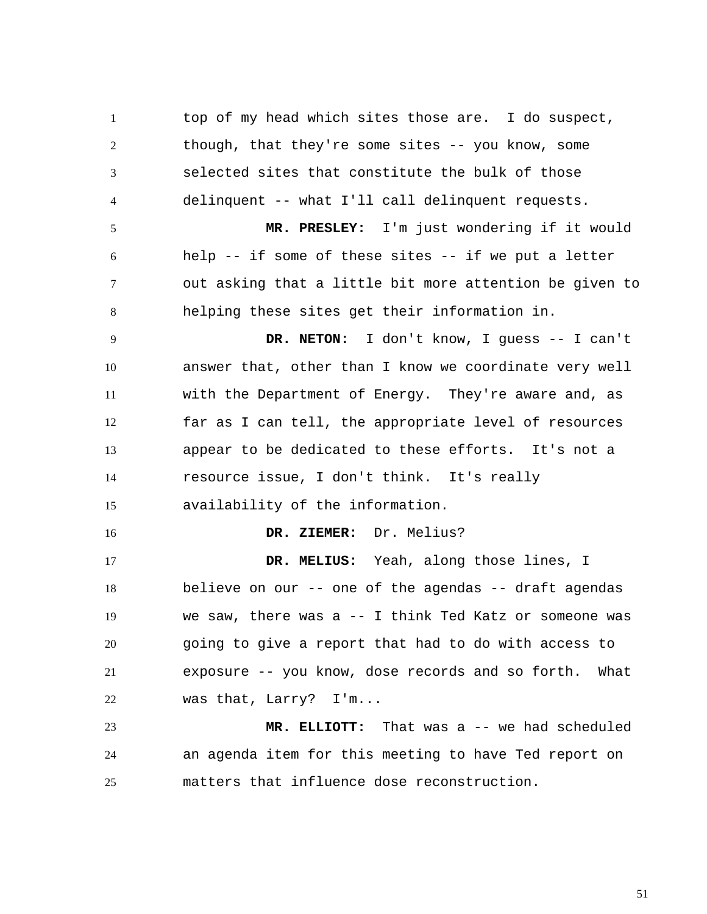1 2 3 4 top of my head which sites those are. I do suspect, though, that they're some sites -- you know, some selected sites that constitute the bulk of those delinquent -- what I'll call delinquent requests.

5 6 7 8  **MR. PRESLEY:** I'm just wondering if it would help  $-$ - if some of these sites  $-$ - if we put a letter out asking that a little bit more attention be given to helping these sites get their information in.

9 10 11 12 13 14 15  **DR. NETON:** I don't know, I guess -- I can't answer that, other than I know we coordinate very well with the Department of Energy. They're aware and, as far as I can tell, the appropriate level of resources appear to be dedicated to these efforts. It's not a resource issue, I don't think. It's really availability of the information.

16  **DR. ZIEMER:** Dr. Melius?

17 18 19 20 21 22  **DR. MELIUS:** Yeah, along those lines, I believe on our -- one of the agendas -- draft agendas we saw, there was a -- I think Ted Katz or someone was going to give a report that had to do with access to exposure -- you know, dose records and so forth. What was that, Larry? I'm...

23 24 25  **MR. ELLIOTT:** That was a -- we had scheduled an agenda item for this meeting to have Ted report on matters that influence dose reconstruction.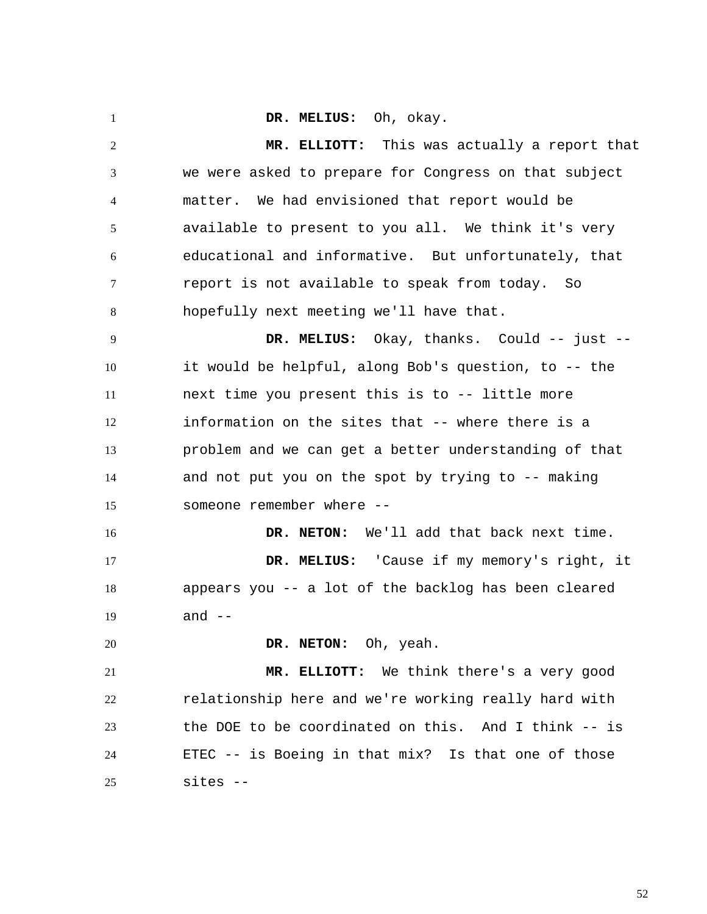1 2 3 4 5 6 7 8 9 10 11 12 13 14 15 16 17 18 19 20 21 22 23 24 25  **DR. MELIUS:** Oh, okay.  **MR. ELLIOTT:** This was actually a report that we were asked to prepare for Congress on that subject matter. We had envisioned that report would be available to present to you all. We think it's very educational and informative. But unfortunately, that report is not available to speak from today. So hopefully next meeting we'll have that.  **DR. MELIUS:** Okay, thanks. Could -- just - it would be helpful, along Bob's question, to -- the next time you present this is to -- little more information on the sites that -- where there is a problem and we can get a better understanding of that and not put you on the spot by trying to -- making someone remember where --  **DR. NETON:** We'll add that back next time.  **DR. MELIUS:** 'Cause if my memory's right, it appears you -- a lot of the backlog has been cleared and  $--$  **DR. NETON:** Oh, yeah.  **MR. ELLIOTT:** We think there's a very good relationship here and we're working really hard with the DOE to be coordinated on this. And I think -- is ETEC -- is Boeing in that mix? Is that one of those sites --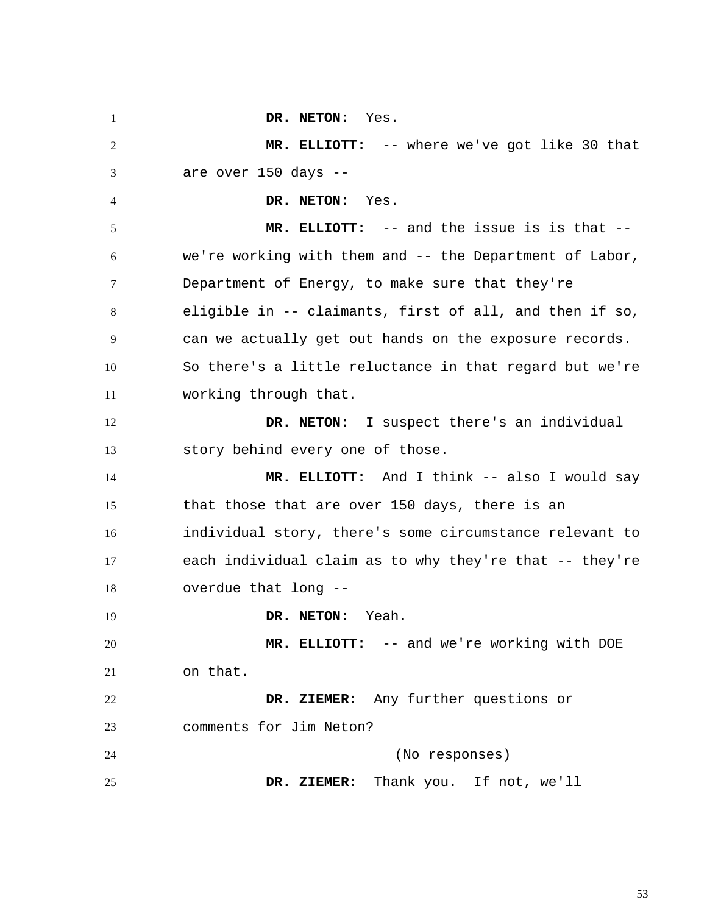1 2 3 4 5 6 7 8 9 10 11 12 13 14 15 16 17 18 19 20 21 22 23 24 25  **DR. NETON:** Yes.  **MR. ELLIOTT:** -- where we've got like 30 that are over 150 days --  **DR. NETON:** Yes.  **MR. ELLIOTT:** -- and the issue is is that - we're working with them and -- the Department of Labor, Department of Energy, to make sure that they're eligible in -- claimants, first of all, and then if so, can we actually get out hands on the exposure records. So there's a little reluctance in that regard but we're working through that.  **DR. NETON:** I suspect there's an individual story behind every one of those.  **MR. ELLIOTT:** And I think -- also I would say that those that are over 150 days, there is an individual story, there's some circumstance relevant to each individual claim as to why they're that -- they're overdue that long --  **DR. NETON:** Yeah.  **MR. ELLIOTT:** -- and we're working with DOE on that.  **DR. ZIEMER:** Any further questions or comments for Jim Neton? (No responses)  **DR. ZIEMER:** Thank you. If not, we'll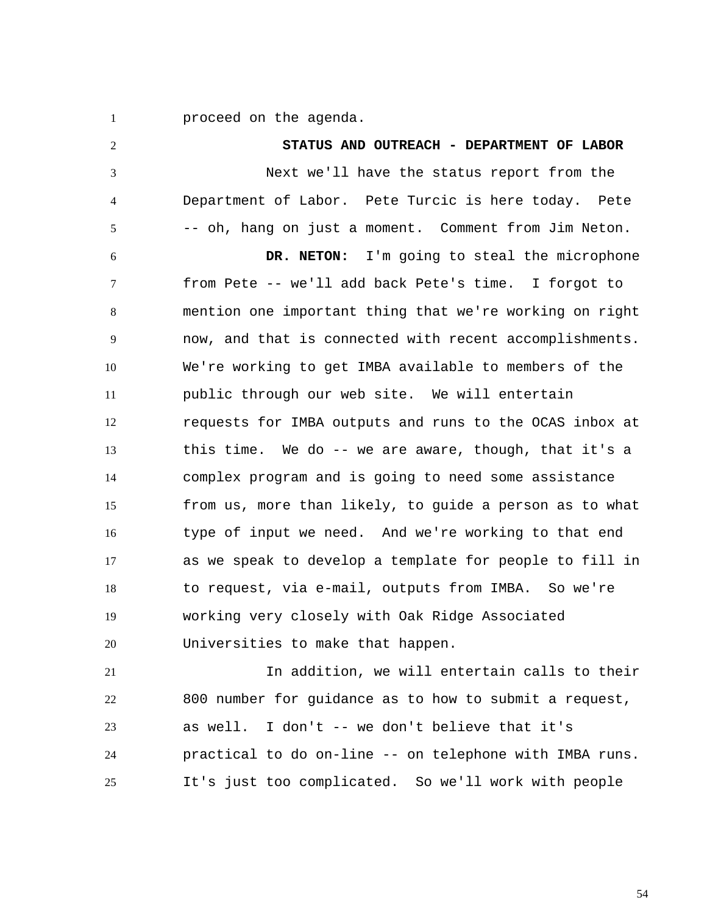1 proceed on the agenda.

2 3 4 5 6 7 8 9 10 11 12 13 14 15 16 17 18 19 20 21 22 23 24 **STATUS AND OUTREACH - DEPARTMENT OF LABOR**  Next we'll have the status report from the Department of Labor. Pete Turcic is here today. Pete -- oh, hang on just a moment. Comment from Jim Neton.  **DR. NETON:** I'm going to steal the microphone from Pete -- we'll add back Pete's time. I forgot to mention one important thing that we're working on right now, and that is connected with recent accomplishments. We're working to get IMBA available to members of the public through our web site. We will entertain requests for IMBA outputs and runs to the OCAS inbox at this time. We do -- we are aware, though, that it's a complex program and is going to need some assistance from us, more than likely, to guide a person as to what type of input we need. And we're working to that end as we speak to develop a template for people to fill in to request, via e-mail, outputs from IMBA. So we're working very closely with Oak Ridge Associated Universities to make that happen. In addition, we will entertain calls to their 800 number for guidance as to how to submit a request, as well. I don't -- we don't believe that it's practical to do on-line -- on telephone with IMBA runs.

25 It's just too complicated. So we'll work with people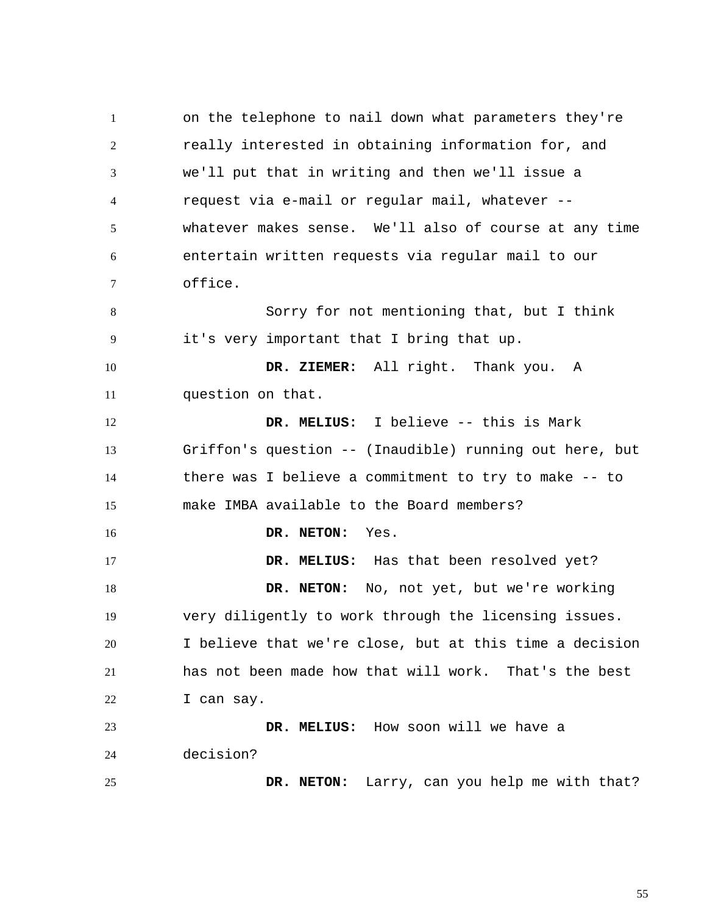1 2 3 4 5 6 7 8 9 10 11 12 13 14 15 16 17 18 19 20 21 22 23 24 25 on the telephone to nail down what parameters they're really interested in obtaining information for, and we'll put that in writing and then we'll issue a request via e-mail or regular mail, whatever - whatever makes sense. We'll also of course at any time entertain written requests via regular mail to our office. Sorry for not mentioning that, but I think it's very important that I bring that up.  **DR. ZIEMER:** All right. Thank you. A question on that.  **DR. MELIUS:** I believe -- this is Mark Griffon's question -- (Inaudible) running out here, but there was I believe a commitment to try to make -- to make IMBA available to the Board members?  **DR. NETON:** Yes.  **DR. MELIUS:** Has that been resolved yet?  **DR. NETON:** No, not yet, but we're working very diligently to work through the licensing issues. I believe that we're close, but at this time a decision has not been made how that will work. That's the best I can say.  **DR. MELIUS:** How soon will we have a decision?  **DR. NETON:** Larry, can you help me with that?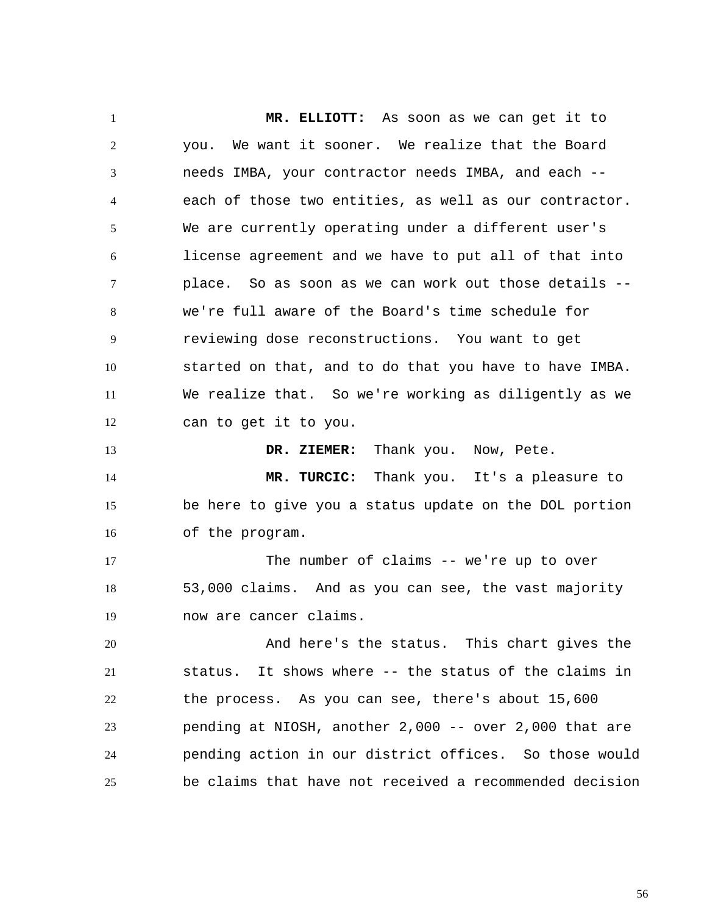1 2 3 4 5 6 7 8 9 10 11 12 13 14 15 16 17 18 19 20 21 22 23 24 25  **MR. ELLIOTT:** As soon as we can get it to you. We want it sooner. We realize that the Board needs IMBA, your contractor needs IMBA, and each - each of those two entities, as well as our contractor. We are currently operating under a different user's license agreement and we have to put all of that into place. So as soon as we can work out those details - we're full aware of the Board's time schedule for reviewing dose reconstructions. You want to get started on that, and to do that you have to have IMBA. We realize that. So we're working as diligently as we can to get it to you.  **DR. ZIEMER:** Thank you. Now, Pete.  **MR. TURCIC:** Thank you. It's a pleasure to be here to give you a status update on the DOL portion of the program. The number of claims -- we're up to over 53,000 claims. And as you can see, the vast majority now are cancer claims. And here's the status. This chart gives the status. It shows where -- the status of the claims in the process. As you can see, there's about 15,600 pending at NIOSH, another 2,000 -- over 2,000 that are pending action in our district offices. So those would be claims that have not received a recommended decision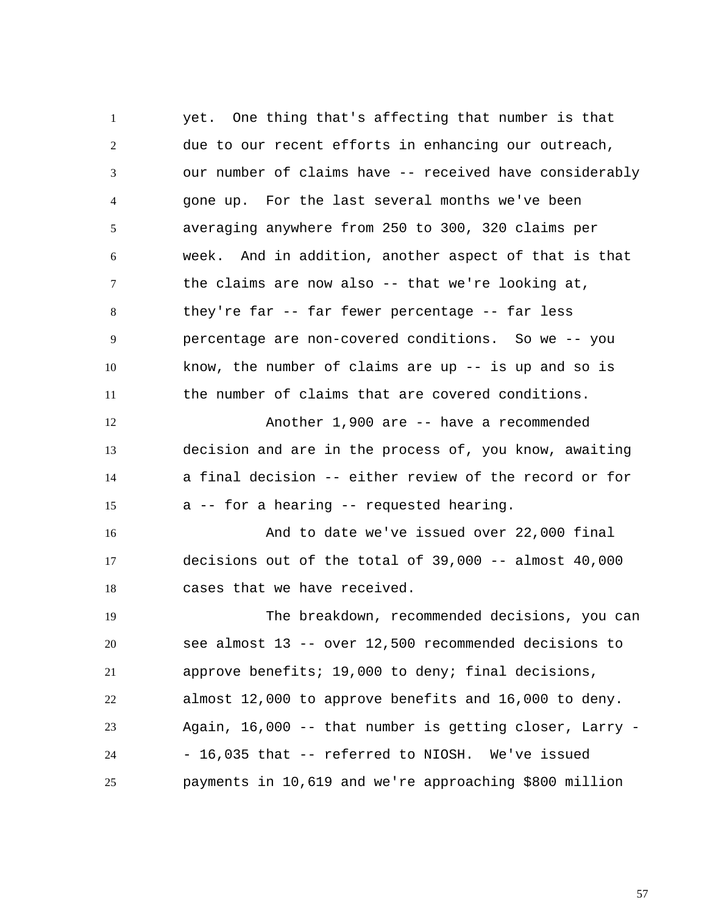1 2 3 4 5 6 7 8 9 10 11 12 13 14 15 16 17 18 19 20 21 22 23 24 25 yet. One thing that's affecting that number is that due to our recent efforts in enhancing our outreach, our number of claims have -- received have considerably gone up. For the last several months we've been averaging anywhere from 250 to 300, 320 claims per week. And in addition, another aspect of that is that the claims are now also -- that we're looking at, they're far -- far fewer percentage -- far less percentage are non-covered conditions. So we -- you know, the number of claims are up  $-$  is up and so is the number of claims that are covered conditions. Another 1,900 are -- have a recommended decision and are in the process of, you know, awaiting a final decision -- either review of the record or for a -- for a hearing -- requested hearing. And to date we've issued over 22,000 final decisions out of the total of 39,000 -- almost 40,000 cases that we have received. The breakdown, recommended decisions, you can see almost 13 -- over 12,500 recommended decisions to approve benefits; 19,000 to deny; final decisions, almost 12,000 to approve benefits and 16,000 to deny. Again, 16,000 -- that number is getting closer, Larry - - 16,035 that -- referred to NIOSH. We've issued payments in 10,619 and we're approaching \$800 million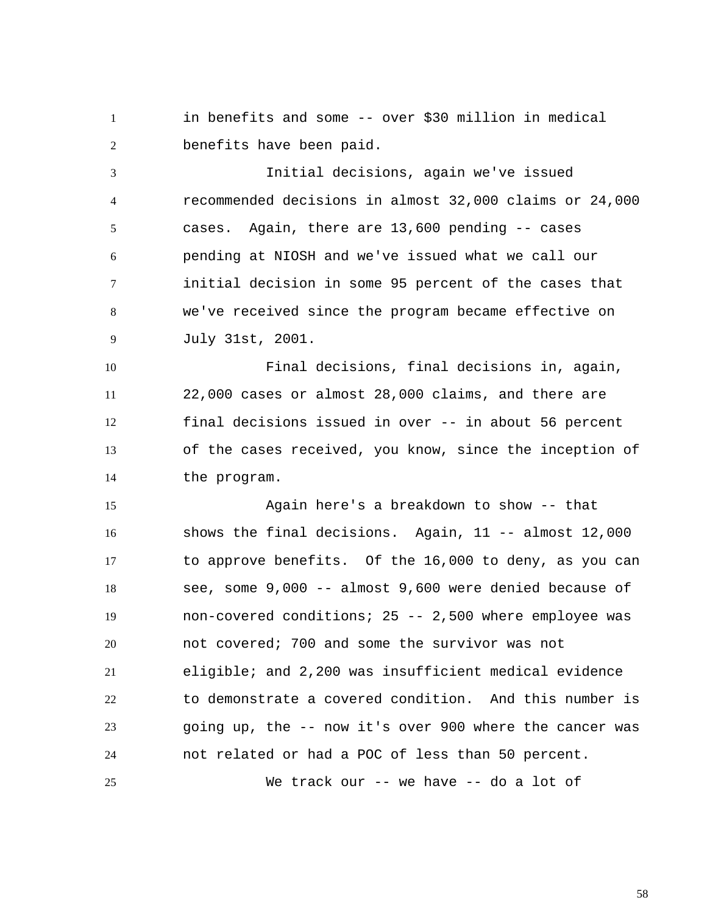1 2 in benefits and some -- over \$30 million in medical benefits have been paid.

3 4 5 6 7 8 9 Initial decisions, again we've issued recommended decisions in almost 32,000 claims or 24,000 cases. Again, there are 13,600 pending -- cases pending at NIOSH and we've issued what we call our initial decision in some 95 percent of the cases that we've received since the program became effective on July 31st, 2001.

10 11 12 13 14 Final decisions, final decisions in, again, 22,000 cases or almost 28,000 claims, and there are final decisions issued in over -- in about 56 percent of the cases received, you know, since the inception of the program.

15 16 17 18 19 20 21 22 23 24 Again here's a breakdown to show -- that shows the final decisions. Again, 11 -- almost 12,000 to approve benefits. Of the 16,000 to deny, as you can see, some 9,000 -- almost 9,600 were denied because of non-covered conditions; 25 -- 2,500 where employee was not covered; 700 and some the survivor was not eligible; and 2,200 was insufficient medical evidence to demonstrate a covered condition. And this number is going up, the -- now it's over 900 where the cancer was not related or had a POC of less than 50 percent. We track our -- we have -- do a lot of

25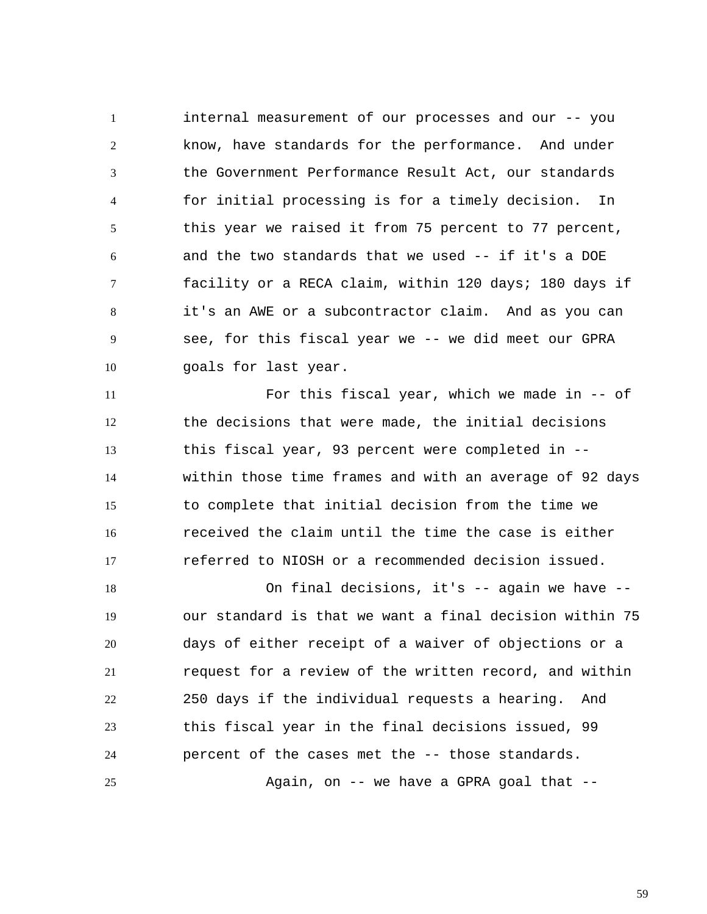1 2 3 4 5 6 7 8 9 10 internal measurement of our processes and our -- you know, have standards for the performance. And under the Government Performance Result Act, our standards for initial processing is for a timely decision. In this year we raised it from 75 percent to 77 percent, and the two standards that we used -- if it's a DOE facility or a RECA claim, within 120 days; 180 days if it's an AWE or a subcontractor claim. And as you can see, for this fiscal year we -- we did meet our GPRA goals for last year.

11 12 13 14 15 16 17 For this fiscal year, which we made in -- of the decisions that were made, the initial decisions this fiscal year, 93 percent were completed in - within those time frames and with an average of 92 days to complete that initial decision from the time we received the claim until the time the case is either referred to NIOSH or a recommended decision issued.

18 19 20 21 22 23 24 25 On final decisions, it's -- again we have - our standard is that we want a final decision within 75 days of either receipt of a waiver of objections or a request for a review of the written record, and within 250 days if the individual requests a hearing. And this fiscal year in the final decisions issued, 99 percent of the cases met the -- those standards. Again, on  $-$  we have a GPRA goal that  $-$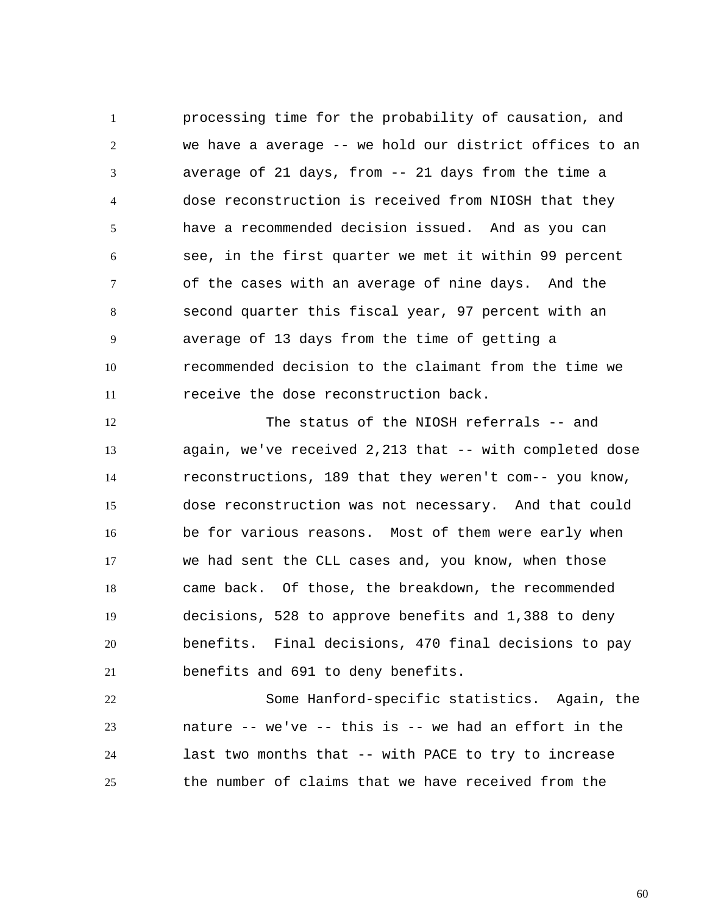1 2 3 4 5 6 7 8 9 10 11 processing time for the probability of causation, and we have a average -- we hold our district offices to an average of 21 days, from -- 21 days from the time a dose reconstruction is received from NIOSH that they have a recommended decision issued. And as you can see, in the first quarter we met it within 99 percent of the cases with an average of nine days. And the second quarter this fiscal year, 97 percent with an average of 13 days from the time of getting a recommended decision to the claimant from the time we receive the dose reconstruction back.

12 13 14 15 16 17 18 19 20 21 The status of the NIOSH referrals -- and again, we've received 2,213 that -- with completed dose reconstructions, 189 that they weren't com-- you know, dose reconstruction was not necessary. And that could be for various reasons. Most of them were early when we had sent the CLL cases and, you know, when those came back. Of those, the breakdown, the recommended decisions, 528 to approve benefits and 1,388 to deny benefits. Final decisions, 470 final decisions to pay benefits and 691 to deny benefits.

22 23 24 25 Some Hanford-specific statistics. Again, the nature -- we've -- this is -- we had an effort in the last two months that -- with PACE to try to increase the number of claims that we have received from the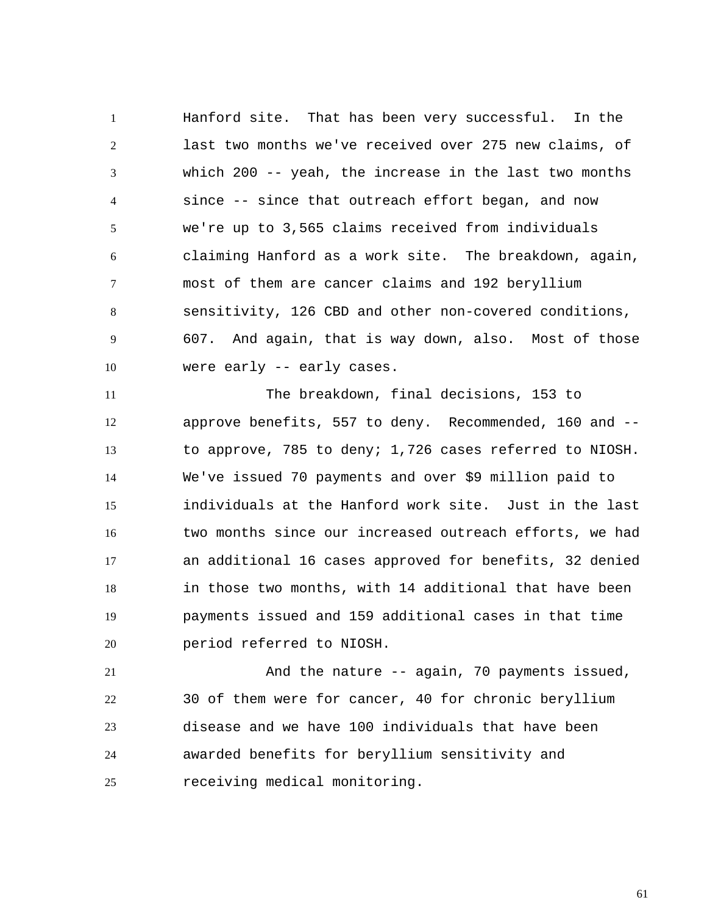1 2 3 4 5 6 7 8 9 10 Hanford site. That has been very successful. In the last two months we've received over 275 new claims, of which 200 -- yeah, the increase in the last two months since -- since that outreach effort began, and now we're up to 3,565 claims received from individuals claiming Hanford as a work site. The breakdown, again, most of them are cancer claims and 192 beryllium sensitivity, 126 CBD and other non-covered conditions, 607. And again, that is way down, also. Most of those were early -- early cases.

11 12 13 14 15 16 17 18 19 20 The breakdown, final decisions, 153 to approve benefits, 557 to deny. Recommended, 160 and - to approve, 785 to deny; 1,726 cases referred to NIOSH. We've issued 70 payments and over \$9 million paid to individuals at the Hanford work site. Just in the last two months since our increased outreach efforts, we had an additional 16 cases approved for benefits, 32 denied in those two months, with 14 additional that have been payments issued and 159 additional cases in that time period referred to NIOSH.

21 22 23 24 25 And the nature -- again, 70 payments issued, 30 of them were for cancer, 40 for chronic beryllium disease and we have 100 individuals that have been awarded benefits for beryllium sensitivity and receiving medical monitoring.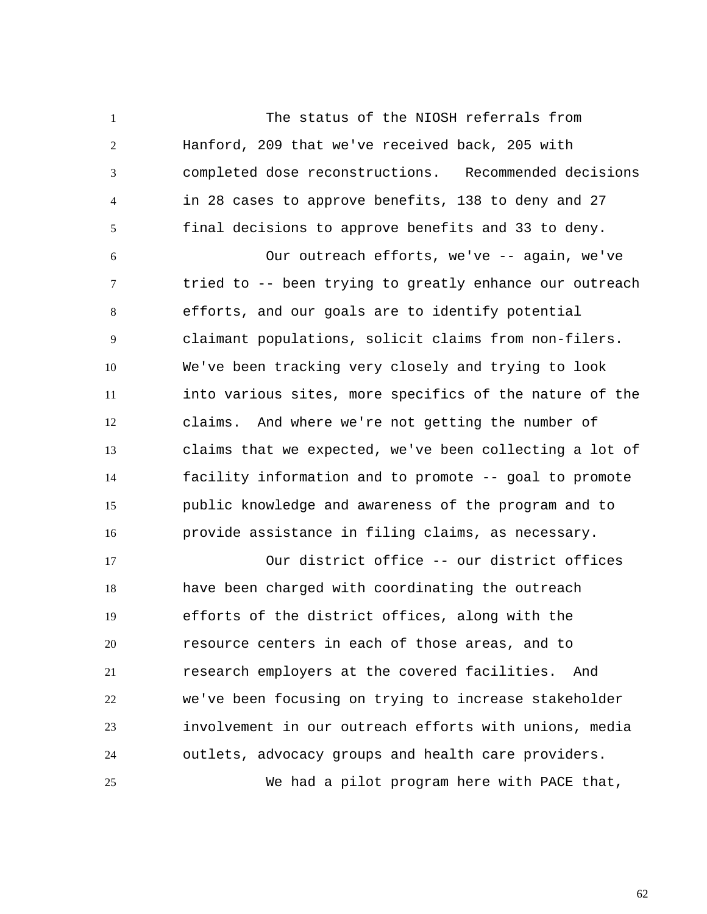The status of the NIOSH referrals from Hanford, 209 that we've received back, 205 with completed dose reconstructions. Recommended decisions in 28 cases to approve benefits, 138 to deny and 27 final decisions to approve benefits and 33 to deny.

1

2

3

4

5

6 7 8 9 10 11 12 13 14 15 16 Our outreach efforts, we've -- again, we've tried to -- been trying to greatly enhance our outreach efforts, and our goals are to identify potential claimant populations, solicit claims from non-filers. We've been tracking very closely and trying to look into various sites, more specifics of the nature of the claims. And where we're not getting the number of claims that we expected, we've been collecting a lot of facility information and to promote -- goal to promote public knowledge and awareness of the program and to provide assistance in filing claims, as necessary.

17 18 19 20 21 22 23 24 25 Our district office -- our district offices have been charged with coordinating the outreach efforts of the district offices, along with the resource centers in each of those areas, and to research employers at the covered facilities. And we've been focusing on trying to increase stakeholder involvement in our outreach efforts with unions, media outlets, advocacy groups and health care providers. We had a pilot program here with PACE that,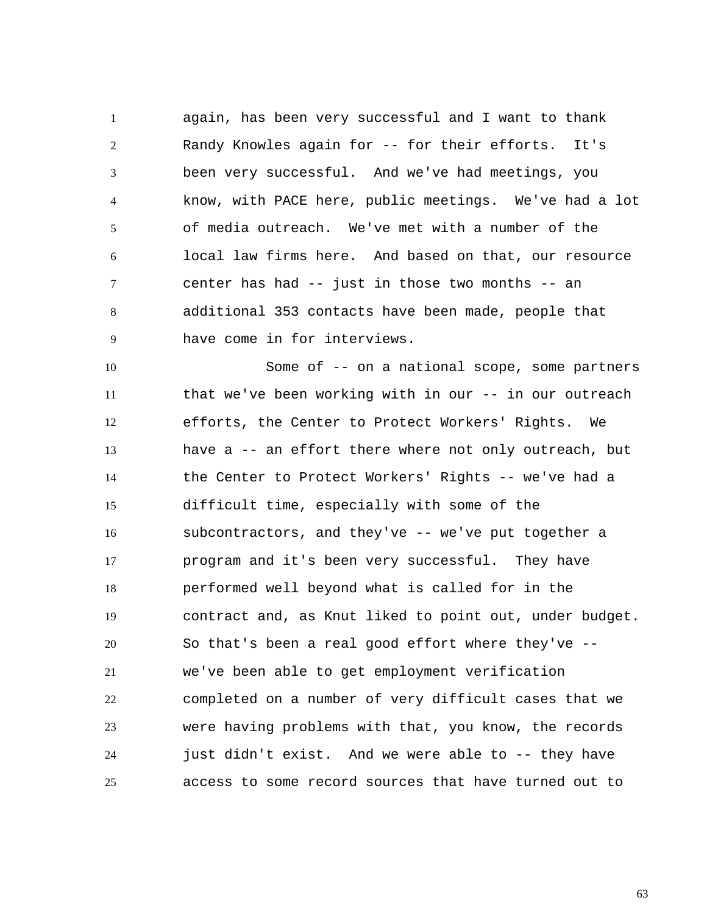1 2 3 4 5 6 7 8 9 again, has been very successful and I want to thank Randy Knowles again for -- for their efforts. It's been very successful. And we've had meetings, you know, with PACE here, public meetings. We've had a lot of media outreach. We've met with a number of the local law firms here. And based on that, our resource center has had -- just in those two months -- an additional 353 contacts have been made, people that have come in for interviews.

10 11 12 13 14 15 16 17 18 19 20 21 22 23 24 25 Some of -- on a national scope, some partners that we've been working with in our -- in our outreach efforts, the Center to Protect Workers' Rights. We have a -- an effort there where not only outreach, but the Center to Protect Workers' Rights -- we've had a difficult time, especially with some of the subcontractors, and they've -- we've put together a program and it's been very successful. They have performed well beyond what is called for in the contract and, as Knut liked to point out, under budget. So that's been a real good effort where they've - we've been able to get employment verification completed on a number of very difficult cases that we were having problems with that, you know, the records just didn't exist. And we were able to -- they have access to some record sources that have turned out to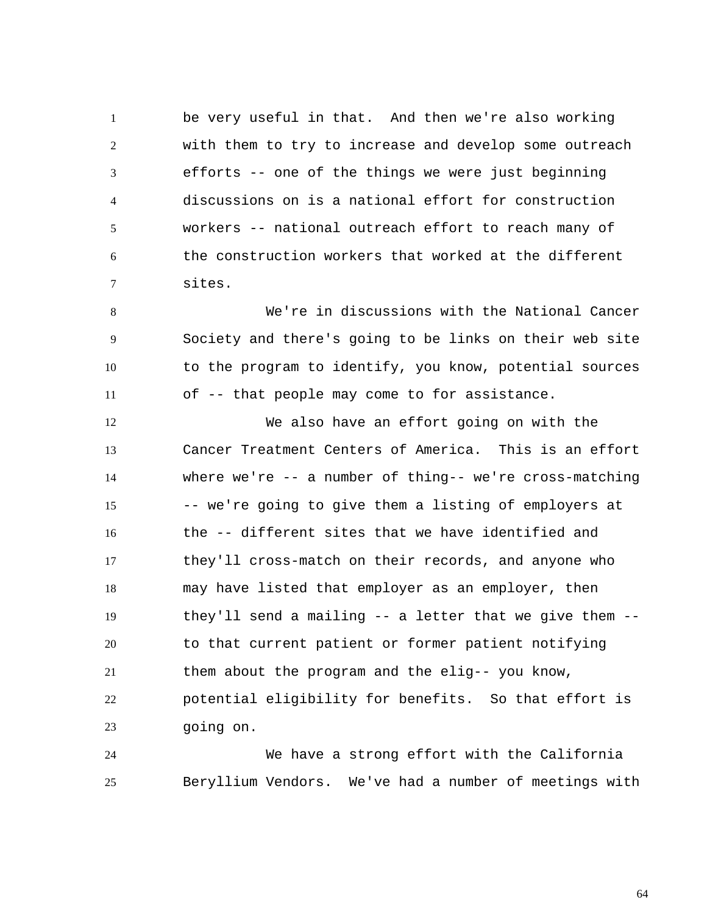1 2 3 4 5 6 7 be very useful in that. And then we're also working with them to try to increase and develop some outreach efforts -- one of the things we were just beginning discussions on is a national effort for construction workers -- national outreach effort to reach many of the construction workers that worked at the different sites.

8 9 10 11 We're in discussions with the National Cancer Society and there's going to be links on their web site to the program to identify, you know, potential sources of -- that people may come to for assistance.

12 13 14 15 16 17 18 19 20 21 22 23 We also have an effort going on with the Cancer Treatment Centers of America. This is an effort where we're -- a number of thing-- we're cross-matching -- we're going to give them a listing of employers at the -- different sites that we have identified and they'll cross-match on their records, and anyone who may have listed that employer as an employer, then they'll send a mailing -- a letter that we give them - to that current patient or former patient notifying them about the program and the elig-- you know, potential eligibility for benefits. So that effort is going on.

24 25 We have a strong effort with the California Beryllium Vendors. We've had a number of meetings with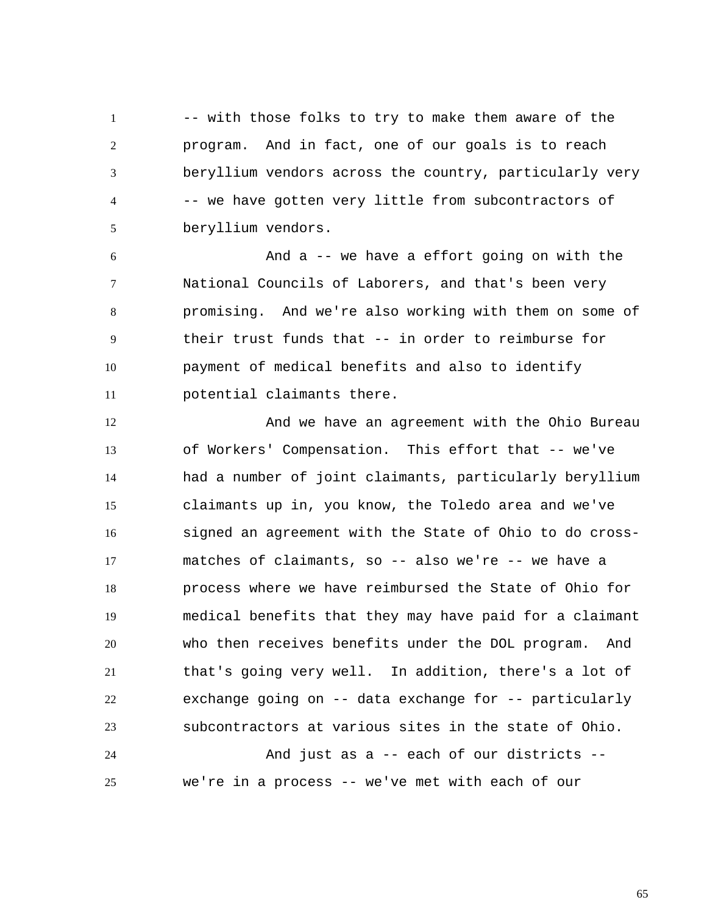1 2 3 4 5 -- with those folks to try to make them aware of the program. And in fact, one of our goals is to reach beryllium vendors across the country, particularly very -- we have gotten very little from subcontractors of beryllium vendors.

6 7 8 9 10 11 And a -- we have a effort going on with the National Councils of Laborers, and that's been very promising. And we're also working with them on some of their trust funds that -- in order to reimburse for payment of medical benefits and also to identify potential claimants there.

12 13 14 15 16 17 18 19 20 21 22 23 And we have an agreement with the Ohio Bureau of Workers' Compensation. This effort that -- we've had a number of joint claimants, particularly beryllium claimants up in, you know, the Toledo area and we've signed an agreement with the State of Ohio to do crossmatches of claimants, so -- also we're -- we have a process where we have reimbursed the State of Ohio for medical benefits that they may have paid for a claimant who then receives benefits under the DOL program. And that's going very well. In addition, there's a lot of exchange going on -- data exchange for -- particularly subcontractors at various sites in the state of Ohio.

24 25 And just as a -- each of our districts - we're in a process -- we've met with each of our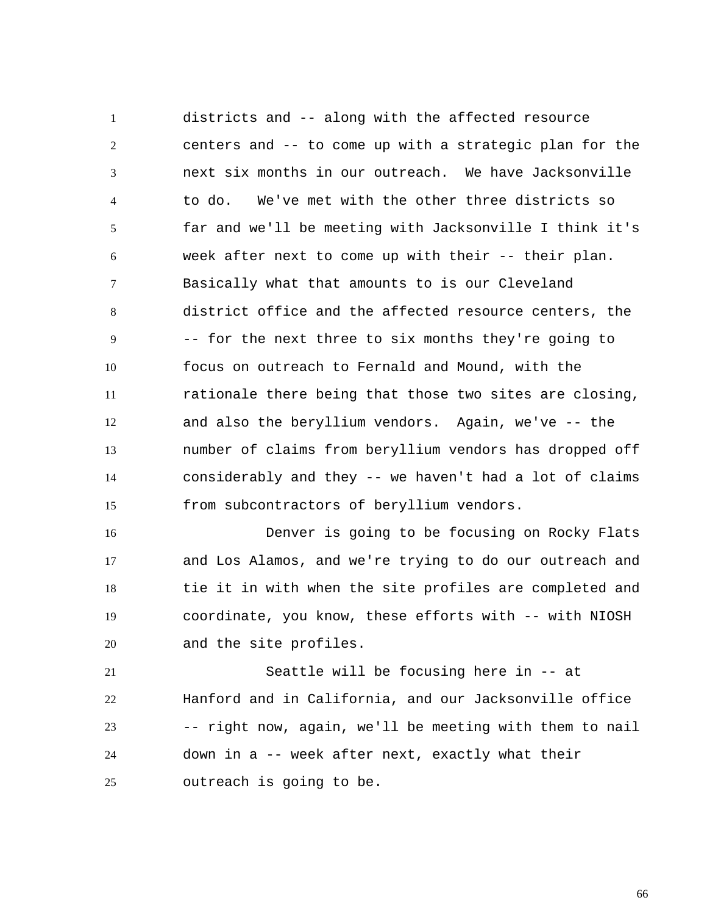1 2 3 4 5 6 7 8 9 10 11 12 13 14 15 districts and -- along with the affected resource centers and -- to come up with a strategic plan for the next six months in our outreach. We have Jacksonville to do. We've met with the other three districts so far and we'll be meeting with Jacksonville I think it's week after next to come up with their -- their plan. Basically what that amounts to is our Cleveland district office and the affected resource centers, the -- for the next three to six months they're going to focus on outreach to Fernald and Mound, with the rationale there being that those two sites are closing, and also the beryllium vendors. Again, we've -- the number of claims from beryllium vendors has dropped off considerably and they -- we haven't had a lot of claims from subcontractors of beryllium vendors.

16 17 18 19 20 Denver is going to be focusing on Rocky Flats and Los Alamos, and we're trying to do our outreach and tie it in with when the site profiles are completed and coordinate, you know, these efforts with -- with NIOSH and the site profiles.

21 22 23 24 25 Seattle will be focusing here in -- at Hanford and in California, and our Jacksonville office -- right now, again, we'll be meeting with them to nail down in a -- week after next, exactly what their outreach is going to be.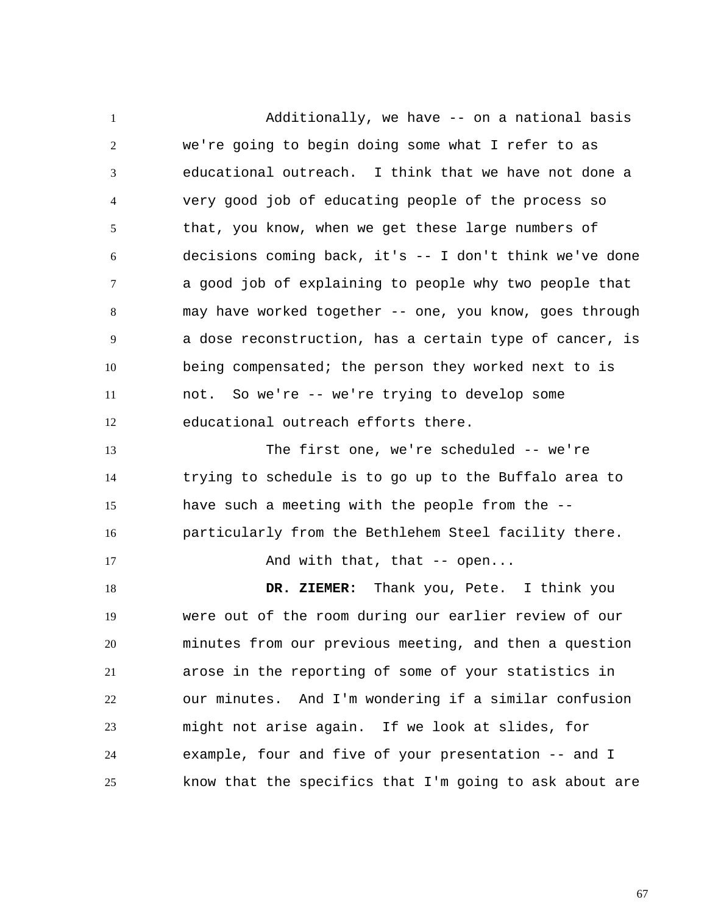1 2 3 4 5 6 7 8 9 10 11 12 13 14 15 16 17 18 19 20 21 22 23 24 25 Additionally, we have -- on a national basis we're going to begin doing some what I refer to as educational outreach. I think that we have not done a very good job of educating people of the process so that, you know, when we get these large numbers of decisions coming back, it's -- I don't think we've done a good job of explaining to people why two people that may have worked together -- one, you know, goes through a dose reconstruction, has a certain type of cancer, is being compensated; the person they worked next to is not. So we're -- we're trying to develop some educational outreach efforts there. The first one, we're scheduled -- we're trying to schedule is to go up to the Buffalo area to have such a meeting with the people from the - particularly from the Bethlehem Steel facility there. And with that, that -- open...  **DR. ZIEMER:** Thank you, Pete. I think you were out of the room during our earlier review of our minutes from our previous meeting, and then a question arose in the reporting of some of your statistics in our minutes. And I'm wondering if a similar confusion might not arise again. If we look at slides, for example, four and five of your presentation -- and I know that the specifics that I'm going to ask about are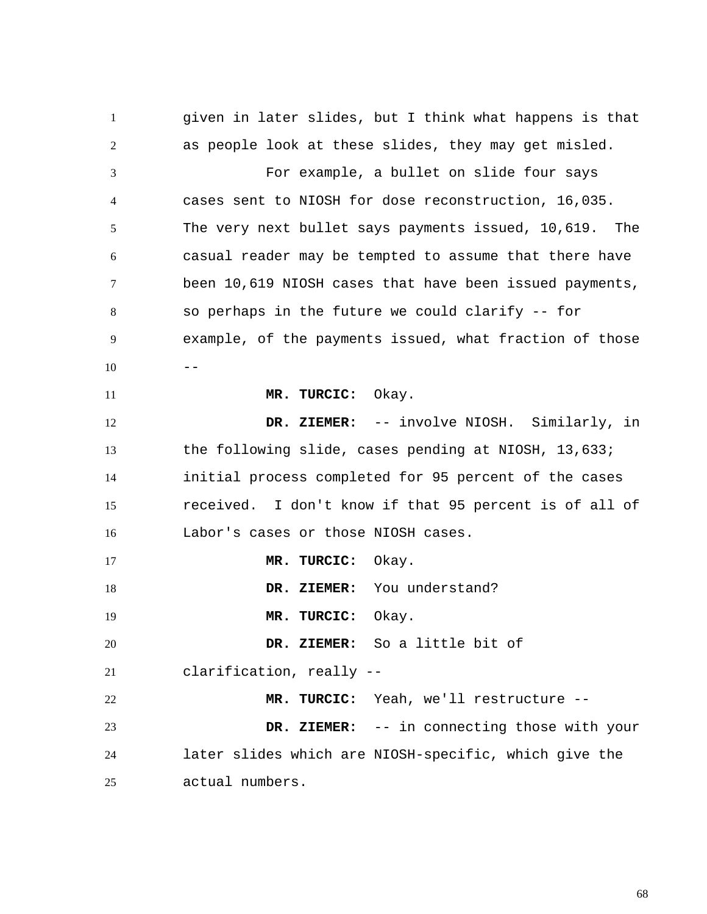1 2 3 4 5 6 7 8 9  $10$  --11 12 13 14 15 16 17 18 19 20 21 22 23 24 25 given in later slides, but I think what happens is that as people look at these slides, they may get misled. For example, a bullet on slide four says cases sent to NIOSH for dose reconstruction, 16,035. The very next bullet says payments issued, 10,619. The casual reader may be tempted to assume that there have been 10,619 NIOSH cases that have been issued payments, so perhaps in the future we could clarify -- for example, of the payments issued, what fraction of those  **MR. TURCIC:** Okay.  **DR. ZIEMER:** -- involve NIOSH. Similarly, in the following slide, cases pending at NIOSH, 13,633; initial process completed for 95 percent of the cases received. I don't know if that 95 percent is of all of Labor's cases or those NIOSH cases.  **MR. TURCIC:** Okay.  **DR. ZIEMER:** You understand?  **MR. TURCIC:** Okay.  **DR. ZIEMER:** So a little bit of clarification, really --  **MR. TURCIC:** Yeah, we'll restructure --  **DR. ZIEMER:** -- in connecting those with your later slides which are NIOSH-specific, which give the actual numbers.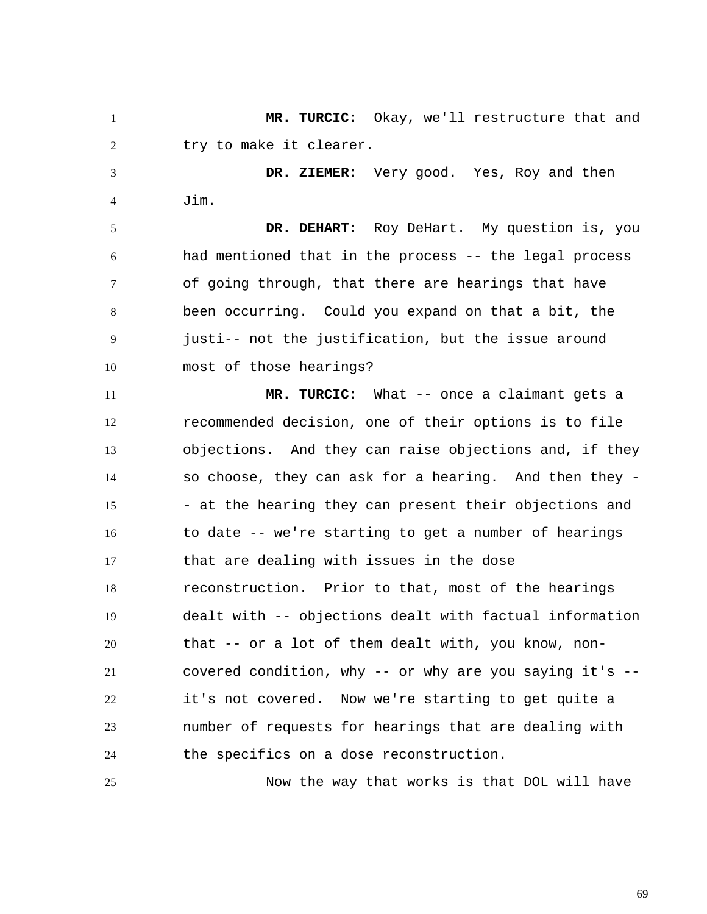1 2 3 4 5 6 7 8 9 10 11 12 13 14 15  **MR. TURCIC:** Okay, we'll restructure that and try to make it clearer.  **DR. ZIEMER:** Very good. Yes, Roy and then Jim.  **DR. DEHART:** Roy DeHart. My question is, you had mentioned that in the process -- the legal process of going through, that there are hearings that have been occurring. Could you expand on that a bit, the justi-- not the justification, but the issue around most of those hearings?  **MR. TURCIC:** What -- once a claimant gets a recommended decision, one of their options is to file objections. And they can raise objections and, if they so choose, they can ask for a hearing. And then they - - at the hearing they can present their objections and

16 17 18 19 20 21 22 23 24 to date -- we're starting to get a number of hearings that are dealing with issues in the dose reconstruction. Prior to that, most of the hearings dealt with -- objections dealt with factual information that -- or a lot of them dealt with, you know, noncovered condition, why -- or why are you saying it's - it's not covered. Now we're starting to get quite a number of requests for hearings that are dealing with the specifics on a dose reconstruction.

Now the way that works is that DOL will have

25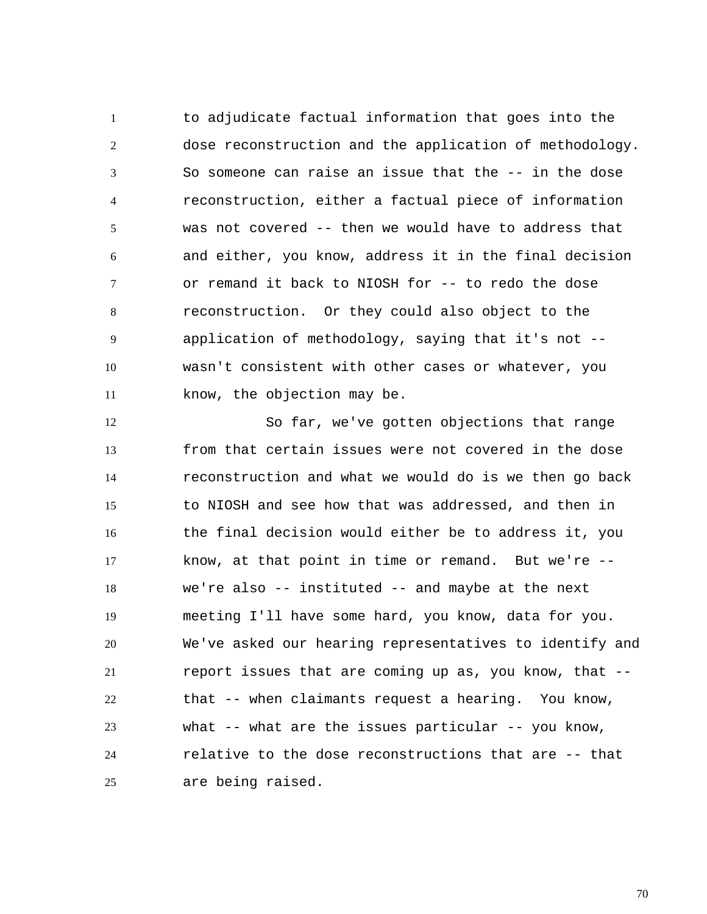1 2 3 4 5 6 7 8 9 10 11 to adjudicate factual information that goes into the dose reconstruction and the application of methodology. So someone can raise an issue that the -- in the dose reconstruction, either a factual piece of information was not covered -- then we would have to address that and either, you know, address it in the final decision or remand it back to NIOSH for -- to redo the dose reconstruction. Or they could also object to the application of methodology, saying that it's not - wasn't consistent with other cases or whatever, you know, the objection may be.

12 13 14 15 16 17 18 19 20 21 22 23 24 25 So far, we've gotten objections that range from that certain issues were not covered in the dose reconstruction and what we would do is we then go back to NIOSH and see how that was addressed, and then in the final decision would either be to address it, you know, at that point in time or remand. But we're - we're also -- instituted -- and maybe at the next meeting I'll have some hard, you know, data for you. We've asked our hearing representatives to identify and report issues that are coming up as, you know, that - that -- when claimants request a hearing. You know, what  $--$  what are the issues particular  $--$  you know, relative to the dose reconstructions that are -- that are being raised.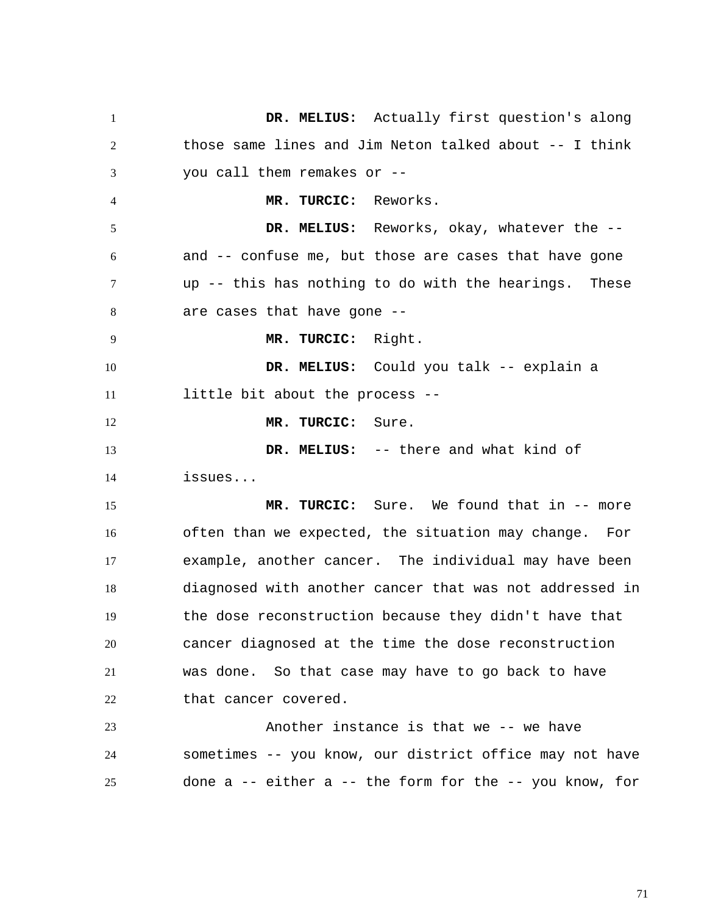1 2 3 4 5 6 7 8 9 10 11 12 13 14 15 16 17 18 19 20 21 22 23 24 25  **DR. MELIUS:** Actually first question's along those same lines and Jim Neton talked about -- I think you call them remakes or --  **MR. TURCIC:** Reworks.  **DR. MELIUS:** Reworks, okay, whatever the - and -- confuse me, but those are cases that have gone up -- this has nothing to do with the hearings. These are cases that have gone --  **MR. TURCIC:** Right.  **DR. MELIUS:** Could you talk -- explain a little bit about the process --  **MR. TURCIC:** Sure.  **DR. MELIUS:** -- there and what kind of issues...  **MR. TURCIC:** Sure. We found that in -- more often than we expected, the situation may change. For example, another cancer. The individual may have been diagnosed with another cancer that was not addressed in the dose reconstruction because they didn't have that cancer diagnosed at the time the dose reconstruction was done. So that case may have to go back to have that cancer covered. Another instance is that we -- we have sometimes -- you know, our district office may not have done a -- either a -- the form for the -- you know, for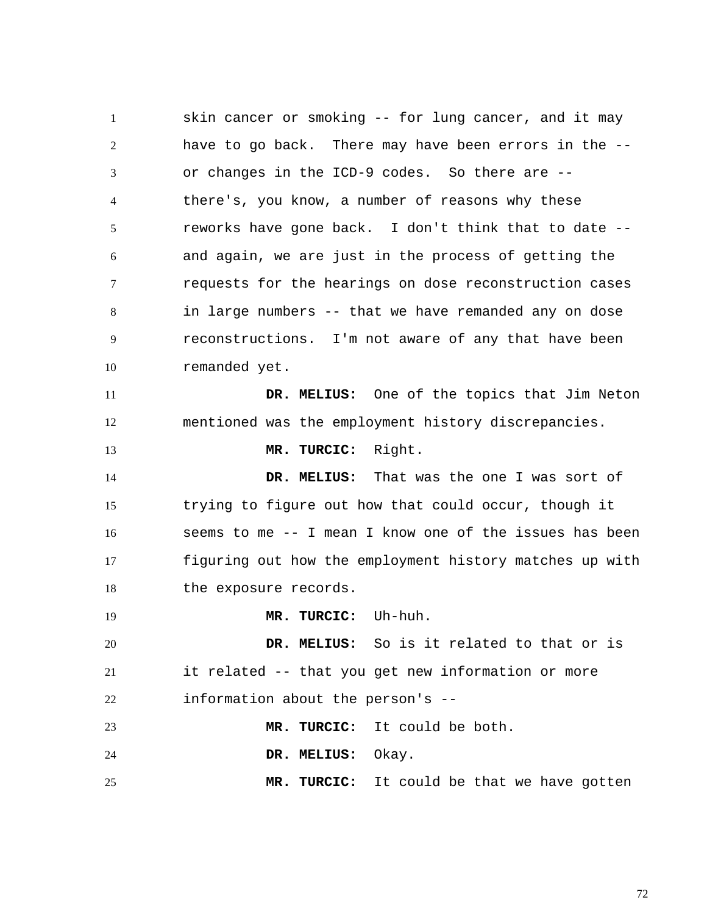1 2 3 4 5 6 7 8 9 10 11 12 13 14 15 16 17 18 19 20 21 22 23 24 25 skin cancer or smoking -- for lung cancer, and it may have to go back. There may have been errors in the - or changes in the ICD-9 codes. So there are - there's, you know, a number of reasons why these reworks have gone back. I don't think that to date - and again, we are just in the process of getting the requests for the hearings on dose reconstruction cases in large numbers -- that we have remanded any on dose reconstructions. I'm not aware of any that have been remanded yet.  **DR. MELIUS:** One of the topics that Jim Neton mentioned was the employment history discrepancies.  **MR. TURCIC:** Right.  **DR. MELIUS:** That was the one I was sort of trying to figure out how that could occur, though it seems to me -- I mean I know one of the issues has been figuring out how the employment history matches up with the exposure records.  **MR. TURCIC:** Uh-huh.  **DR. MELIUS:** So is it related to that or is it related -- that you get new information or more information about the person's --  **MR. TURCIC:** It could be both.  **DR. MELIUS:** Okay.  **MR. TURCIC:** It could be that we have gotten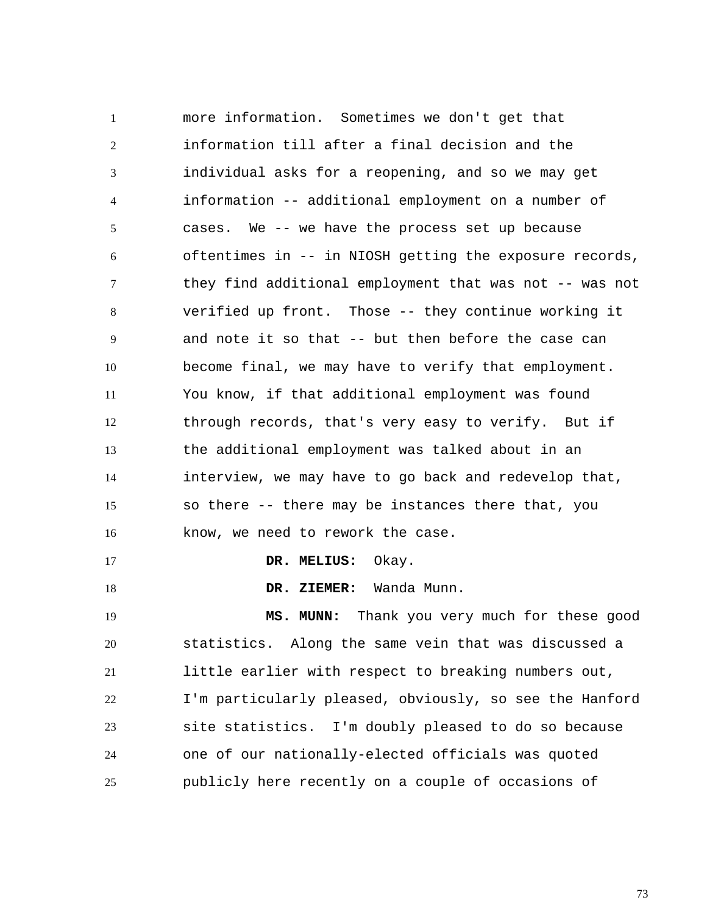1 2 3 4 5 6 7 8 9 10 11 12 13 14 15 16 17 18 19 20 21 22 23 24 more information. Sometimes we don't get that information till after a final decision and the individual asks for a reopening, and so we may get information -- additional employment on a number of cases. We -- we have the process set up because oftentimes in -- in NIOSH getting the exposure records, they find additional employment that was not -- was not verified up front. Those -- they continue working it and note it so that -- but then before the case can become final, we may have to verify that employment. You know, if that additional employment was found through records, that's very easy to verify. But if the additional employment was talked about in an interview, we may have to go back and redevelop that, so there -- there may be instances there that, you know, we need to rework the case.  **DR. MELIUS:** Okay.  **DR. ZIEMER:** Wanda Munn.  **MS. MUNN:** Thank you very much for these good statistics. Along the same vein that was discussed a little earlier with respect to breaking numbers out, I'm particularly pleased, obviously, so see the Hanford site statistics. I'm doubly pleased to do so because one of our nationally-elected officials was quoted

25 publicly here recently on a couple of occasions of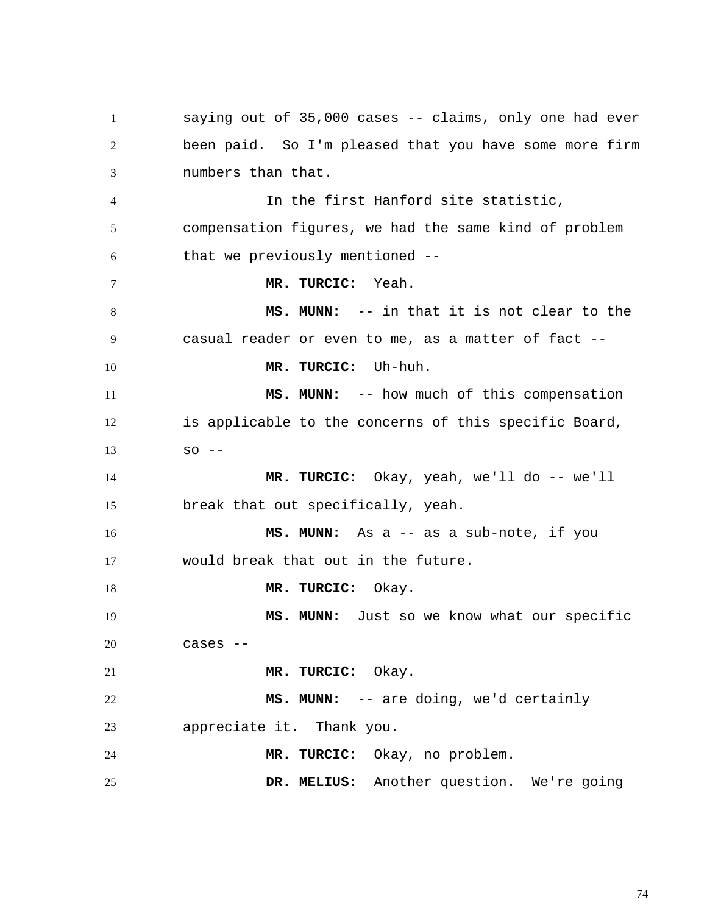1 2 3 4 5 6 7 8 9 10 11 12 13 14 15 16 17 18 19 20 21 22 23 24 25 saying out of 35,000 cases -- claims, only one had ever been paid. So I'm pleased that you have some more firm numbers than that. In the first Hanford site statistic, compensation figures, we had the same kind of problem that we previously mentioned --  **MR. TURCIC:** Yeah.  **MS. MUNN:** -- in that it is not clear to the casual reader or even to me, as a matter of fact --  **MR. TURCIC:** Uh-huh.  **MS. MUNN:** -- how much of this compensation is applicable to the concerns of this specific Board,  $SO - -$  **MR. TURCIC:** Okay, yeah, we'll do -- we'll break that out specifically, yeah.  **MS. MUNN:** As a -- as a sub-note, if you would break that out in the future.  **MR. TURCIC:** Okay.  **MS. MUNN:** Just so we know what our specific cases --  **MR. TURCIC:** Okay.  **MS. MUNN:** -- are doing, we'd certainly appreciate it. Thank you.  **MR. TURCIC:** Okay, no problem.  **DR. MELIUS:** Another question. We're going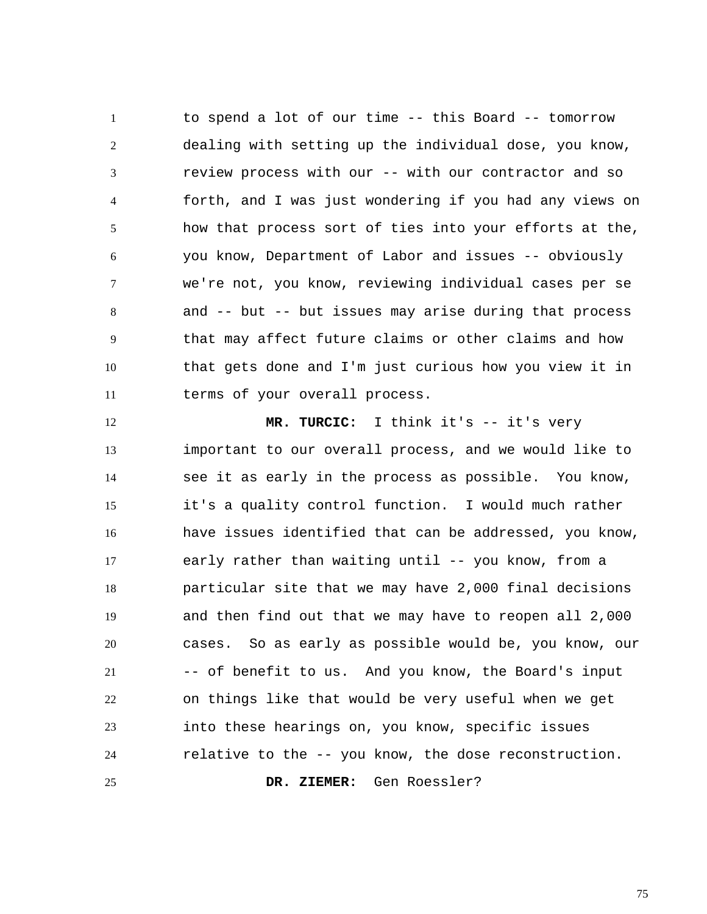1 2 3 4 5 6 7 8 9 10 11 to spend a lot of our time -- this Board -- tomorrow dealing with setting up the individual dose, you know, review process with our -- with our contractor and so forth, and I was just wondering if you had any views on how that process sort of ties into your efforts at the, you know, Department of Labor and issues -- obviously we're not, you know, reviewing individual cases per se and -- but -- but issues may arise during that process that may affect future claims or other claims and how that gets done and I'm just curious how you view it in terms of your overall process.

12 13 14 15 16 17 18 19 20 21 22 23 24 25  **MR. TURCIC:** I think it's -- it's very important to our overall process, and we would like to see it as early in the process as possible. You know, it's a quality control function. I would much rather have issues identified that can be addressed, you know, early rather than waiting until -- you know, from a particular site that we may have 2,000 final decisions and then find out that we may have to reopen all 2,000 cases. So as early as possible would be, you know, our -- of benefit to us. And you know, the Board's input on things like that would be very useful when we get into these hearings on, you know, specific issues relative to the -- you know, the dose reconstruction.  **DR. ZIEMER:** Gen Roessler?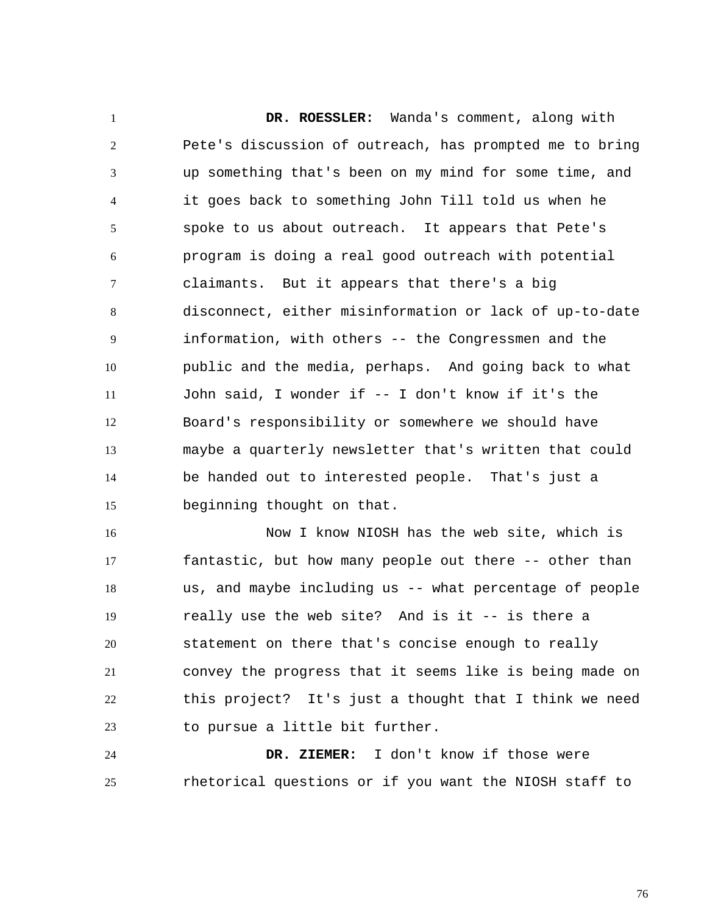1 2 3 4 5 6 7 8 9 10 11 12 13 14 15  **DR. ROESSLER:** Wanda's comment, along with Pete's discussion of outreach, has prompted me to bring up something that's been on my mind for some time, and it goes back to something John Till told us when he spoke to us about outreach. It appears that Pete's program is doing a real good outreach with potential claimants. But it appears that there's a big disconnect, either misinformation or lack of up-to-date information, with others -- the Congressmen and the public and the media, perhaps. And going back to what John said, I wonder if -- I don't know if it's the Board's responsibility or somewhere we should have maybe a quarterly newsletter that's written that could be handed out to interested people. That's just a beginning thought on that.

16 17 18 19 20 21 22 23 Now I know NIOSH has the web site, which is fantastic, but how many people out there -- other than us, and maybe including us -- what percentage of people really use the web site? And is it -- is there a statement on there that's concise enough to really convey the progress that it seems like is being made on this project? It's just a thought that I think we need to pursue a little bit further.

24 25  **DR. ZIEMER:** I don't know if those were rhetorical questions or if you want the NIOSH staff to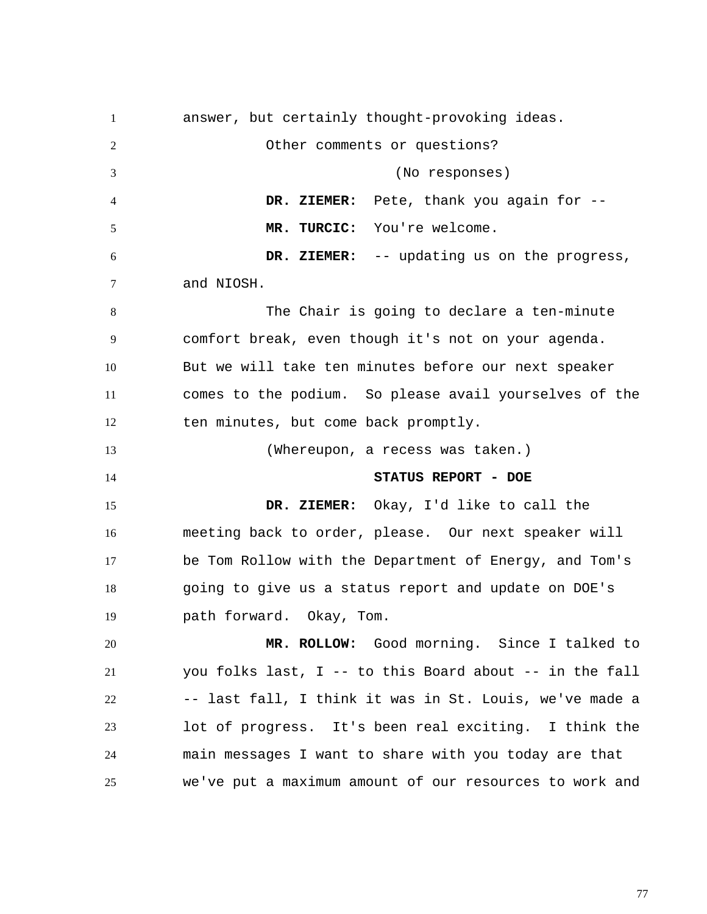1 2 3 4 5 6 7 8 9 10 11 12 13 14 15 16 17 18 19 20 21 22 23 24 25 answer, but certainly thought-provoking ideas. Other comments or questions? (No responses)  **DR. ZIEMER:** Pete, thank you again for --  **MR. TURCIC:** You're welcome.  **DR. ZIEMER:** -- updating us on the progress, and NIOSH. The Chair is going to declare a ten-minute comfort break, even though it's not on your agenda. But we will take ten minutes before our next speaker comes to the podium. So please avail yourselves of the ten minutes, but come back promptly. (Whereupon, a recess was taken.) **STATUS REPORT - DOE DR. ZIEMER:** Okay, I'd like to call the meeting back to order, please. Our next speaker will be Tom Rollow with the Department of Energy, and Tom's going to give us a status report and update on DOE's path forward. Okay, Tom.  **MR. ROLLOW:** Good morning. Since I talked to you folks last, I -- to this Board about -- in the fall -- last fall, I think it was in St. Louis, we've made a lot of progress. It's been real exciting. I think the main messages I want to share with you today are that we've put a maximum amount of our resources to work and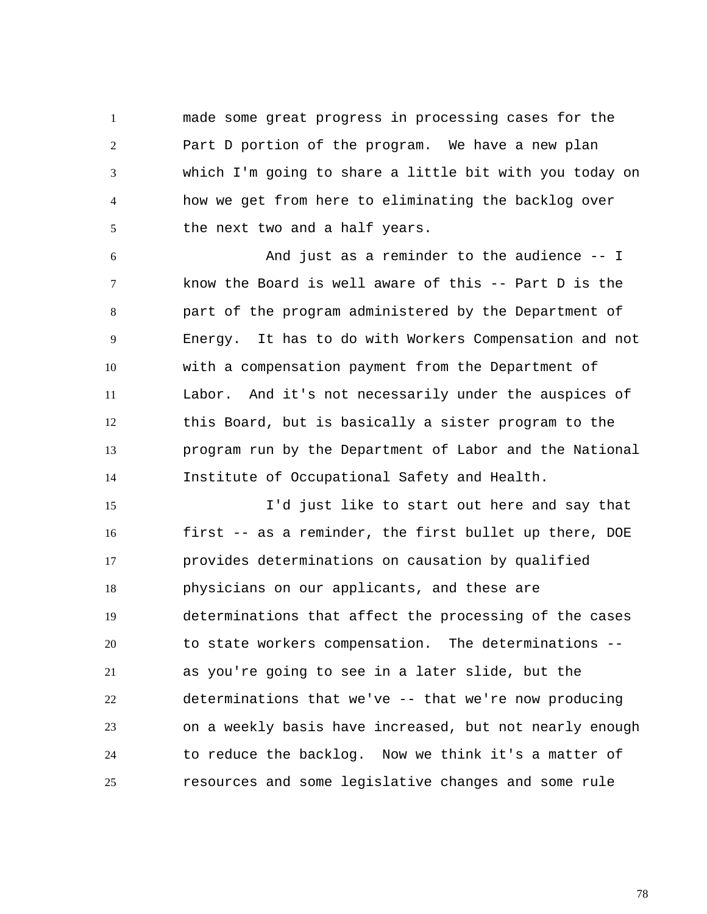1 2 3 4 5 made some great progress in processing cases for the Part D portion of the program. We have a new plan which I'm going to share a little bit with you today on how we get from here to eliminating the backlog over the next two and a half years.

6 7 8 9 10 11 12 13 14 And just as a reminder to the audience -- I know the Board is well aware of this -- Part D is the part of the program administered by the Department of Energy. It has to do with Workers Compensation and not with a compensation payment from the Department of Labor. And it's not necessarily under the auspices of this Board, but is basically a sister program to the program run by the Department of Labor and the National Institute of Occupational Safety and Health.

15 16 17 18 19 20 21 22 23 24 25 I'd just like to start out here and say that first -- as a reminder, the first bullet up there, DOE provides determinations on causation by qualified physicians on our applicants, and these are determinations that affect the processing of the cases to state workers compensation. The determinations - as you're going to see in a later slide, but the determinations that we've -- that we're now producing on a weekly basis have increased, but not nearly enough to reduce the backlog. Now we think it's a matter of resources and some legislative changes and some rule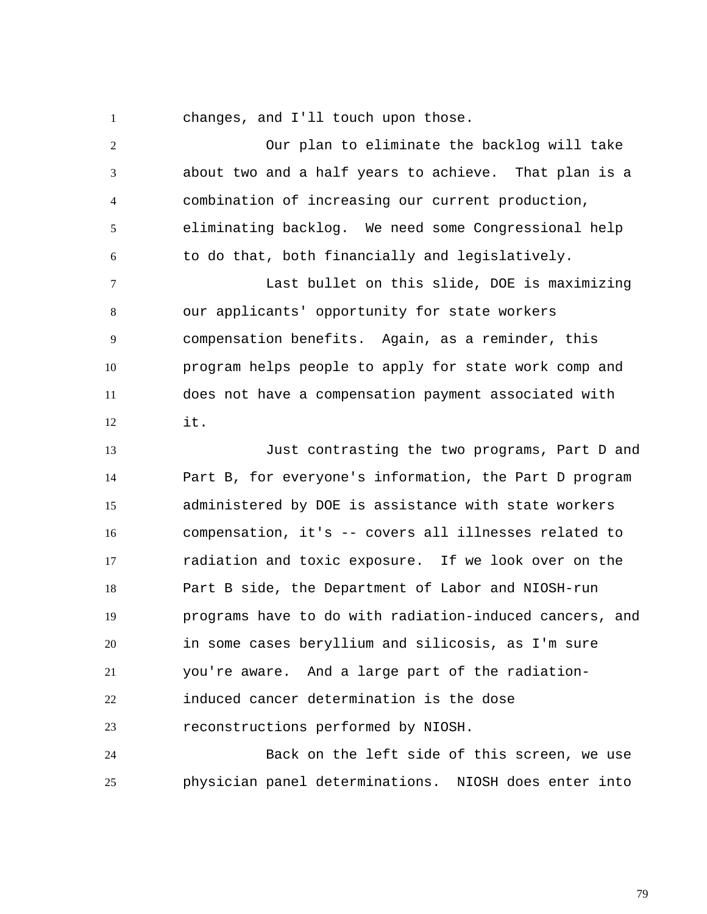changes, and I'll touch upon those.

1

2 3 4 5 6 7 8 9 10 11 12 Our plan to eliminate the backlog will take about two and a half years to achieve. That plan is a combination of increasing our current production, eliminating backlog. We need some Congressional help to do that, both financially and legislatively. Last bullet on this slide, DOE is maximizing our applicants' opportunity for state workers compensation benefits. Again, as a reminder, this program helps people to apply for state work comp and does not have a compensation payment associated with it.

13 14 15 16 17 18 19 20 21 22 23 Just contrasting the two programs, Part D and Part B, for everyone's information, the Part D program administered by DOE is assistance with state workers compensation, it's -- covers all illnesses related to radiation and toxic exposure. If we look over on the Part B side, the Department of Labor and NIOSH-run programs have to do with radiation-induced cancers, and in some cases beryllium and silicosis, as I'm sure you're aware. And a large part of the radiationinduced cancer determination is the dose reconstructions performed by NIOSH.

24 25 Back on the left side of this screen, we use physician panel determinations. NIOSH does enter into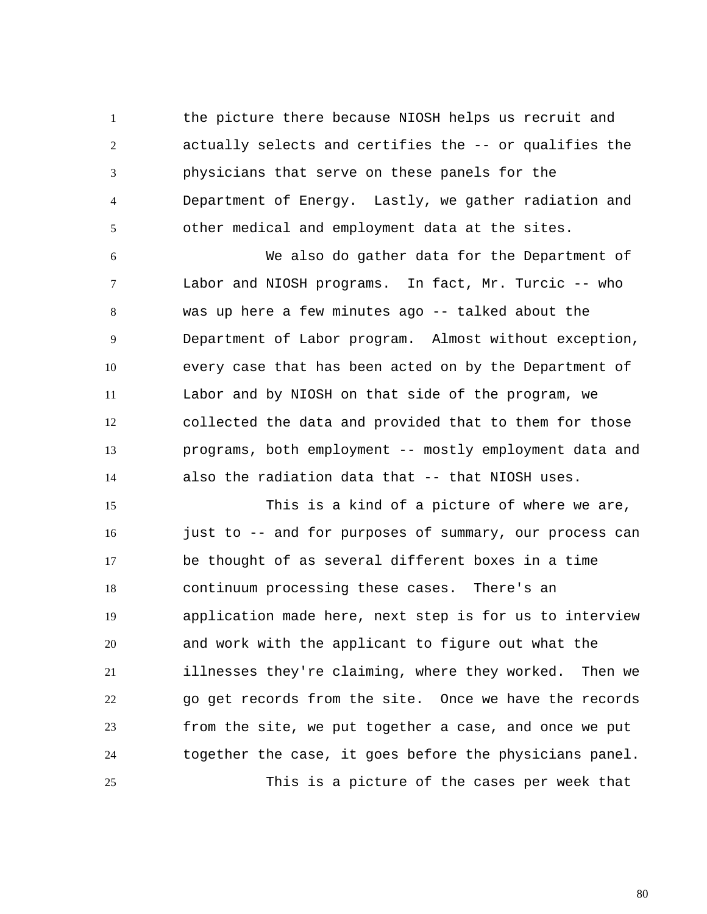1 2 3 4 5 the picture there because NIOSH helps us recruit and actually selects and certifies the -- or qualifies the physicians that serve on these panels for the Department of Energy. Lastly, we gather radiation and other medical and employment data at the sites.

6 7 8 9 10 11 12 13 14 We also do gather data for the Department of Labor and NIOSH programs. In fact, Mr. Turcic -- who was up here a few minutes ago -- talked about the Department of Labor program. Almost without exception, every case that has been acted on by the Department of Labor and by NIOSH on that side of the program, we collected the data and provided that to them for those programs, both employment -- mostly employment data and also the radiation data that -- that NIOSH uses.

15 16 17 18 19 20 21 22 23 24 25 This is a kind of a picture of where we are, just to -- and for purposes of summary, our process can be thought of as several different boxes in a time continuum processing these cases. There's an application made here, next step is for us to interview and work with the applicant to figure out what the illnesses they're claiming, where they worked. Then we go get records from the site. Once we have the records from the site, we put together a case, and once we put together the case, it goes before the physicians panel. This is a picture of the cases per week that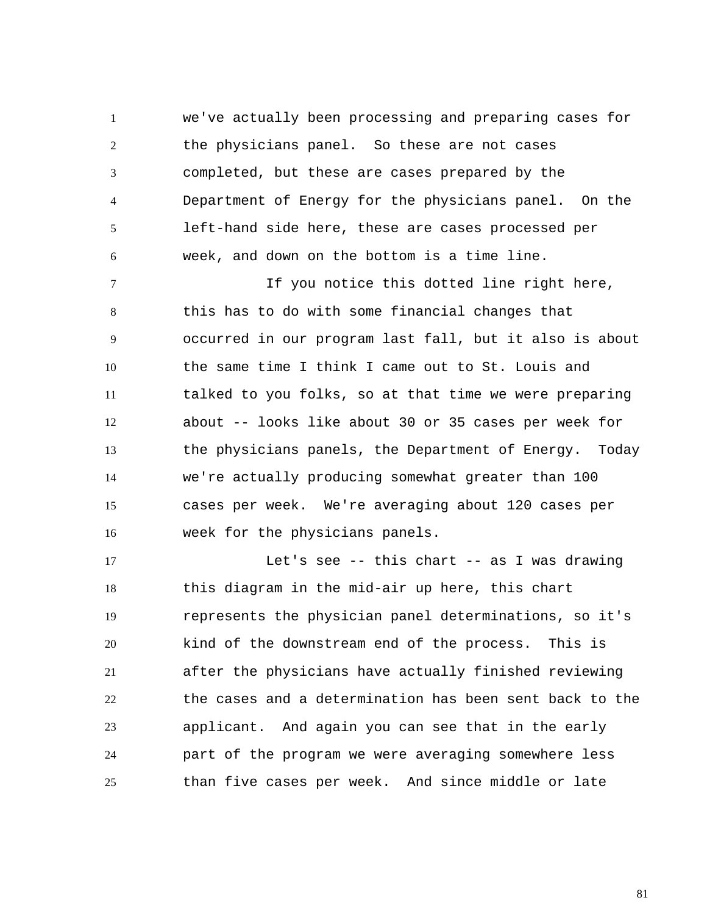1 2 3 4 5 6 we've actually been processing and preparing cases for the physicians panel. So these are not cases completed, but these are cases prepared by the Department of Energy for the physicians panel. On the left-hand side here, these are cases processed per week, and down on the bottom is a time line.

7 8 9 10 11 12 13 14 15 16 If you notice this dotted line right here, this has to do with some financial changes that occurred in our program last fall, but it also is about the same time I think I came out to St. Louis and talked to you folks, so at that time we were preparing about -- looks like about 30 or 35 cases per week for the physicians panels, the Department of Energy. Today we're actually producing somewhat greater than 100 cases per week. We're averaging about 120 cases per week for the physicians panels.

17 18 19 20 21 22 23 24 25 Let's see -- this chart -- as I was drawing this diagram in the mid-air up here, this chart represents the physician panel determinations, so it's kind of the downstream end of the process. This is after the physicians have actually finished reviewing the cases and a determination has been sent back to the applicant. And again you can see that in the early part of the program we were averaging somewhere less than five cases per week. And since middle or late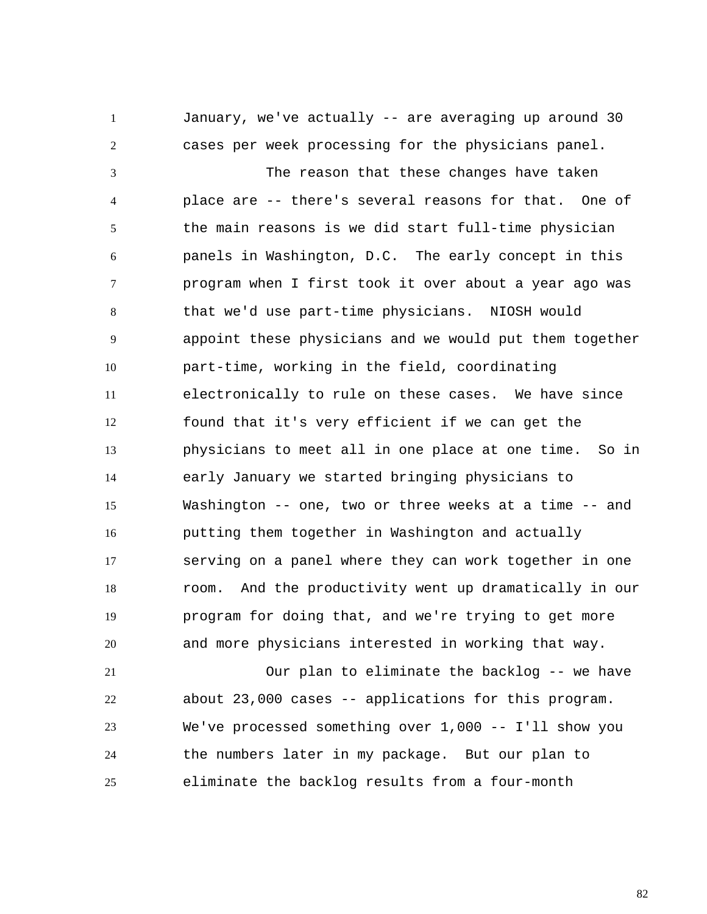2 January, we've actually -- are averaging up around 30 cases per week processing for the physicians panel.

1

3 4 5 6 7 8 9 10 11 12 13 14 15 16 17 18 19 20 The reason that these changes have taken place are -- there's several reasons for that. One of the main reasons is we did start full-time physician panels in Washington, D.C. The early concept in this program when I first took it over about a year ago was that we'd use part-time physicians. NIOSH would appoint these physicians and we would put them together part-time, working in the field, coordinating electronically to rule on these cases. We have since found that it's very efficient if we can get the physicians to meet all in one place at one time. So in early January we started bringing physicians to Washington -- one, two or three weeks at a time -- and putting them together in Washington and actually serving on a panel where they can work together in one room. And the productivity went up dramatically in our program for doing that, and we're trying to get more and more physicians interested in working that way.

21 22 23 24 25 Our plan to eliminate the backlog -- we have about 23,000 cases -- applications for this program. We've processed something over 1,000 -- I'll show you the numbers later in my package. But our plan to eliminate the backlog results from a four-month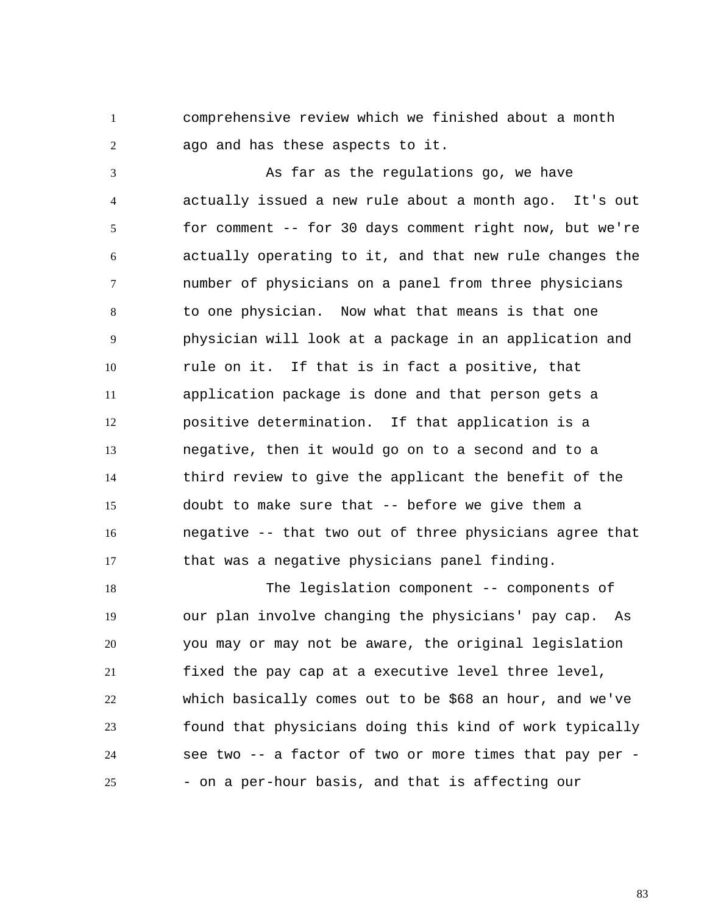1 2 comprehensive review which we finished about a month ago and has these aspects to it.

3 4 5 6 7 8 9 10 11 12 13 14 15 16 17 As far as the regulations go, we have actually issued a new rule about a month ago. It's out for comment -- for 30 days comment right now, but we're actually operating to it, and that new rule changes the number of physicians on a panel from three physicians to one physician. Now what that means is that one physician will look at a package in an application and rule on it. If that is in fact a positive, that application package is done and that person gets a positive determination. If that application is a negative, then it would go on to a second and to a third review to give the applicant the benefit of the doubt to make sure that -- before we give them a negative -- that two out of three physicians agree that that was a negative physicians panel finding.

18 19 20 21 22 23 24 25 The legislation component -- components of our plan involve changing the physicians' pay cap. As you may or may not be aware, the original legislation fixed the pay cap at a executive level three level, which basically comes out to be \$68 an hour, and we've found that physicians doing this kind of work typically see two -- a factor of two or more times that pay per - - on a per-hour basis, and that is affecting our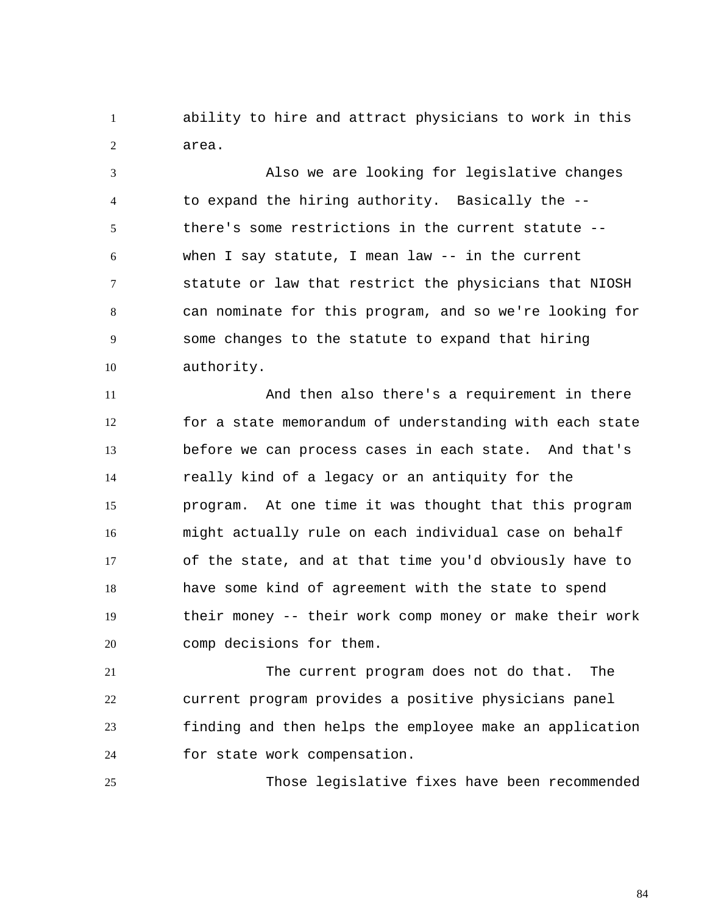1 2 ability to hire and attract physicians to work in this area.

3 4 5 6 7 8 9 10 Also we are looking for legislative changes to expand the hiring authority. Basically the - there's some restrictions in the current statute - when I say statute, I mean law -- in the current statute or law that restrict the physicians that NIOSH can nominate for this program, and so we're looking for some changes to the statute to expand that hiring authority.

11 12 13 14 15 16 17 18 19 20 And then also there's a requirement in there for a state memorandum of understanding with each state before we can process cases in each state. And that's really kind of a legacy or an antiquity for the program. At one time it was thought that this program might actually rule on each individual case on behalf of the state, and at that time you'd obviously have to have some kind of agreement with the state to spend their money -- their work comp money or make their work comp decisions for them.

21 22 23 24 The current program does not do that. The current program provides a positive physicians panel finding and then helps the employee make an application for state work compensation.

Those legislative fixes have been recommended

25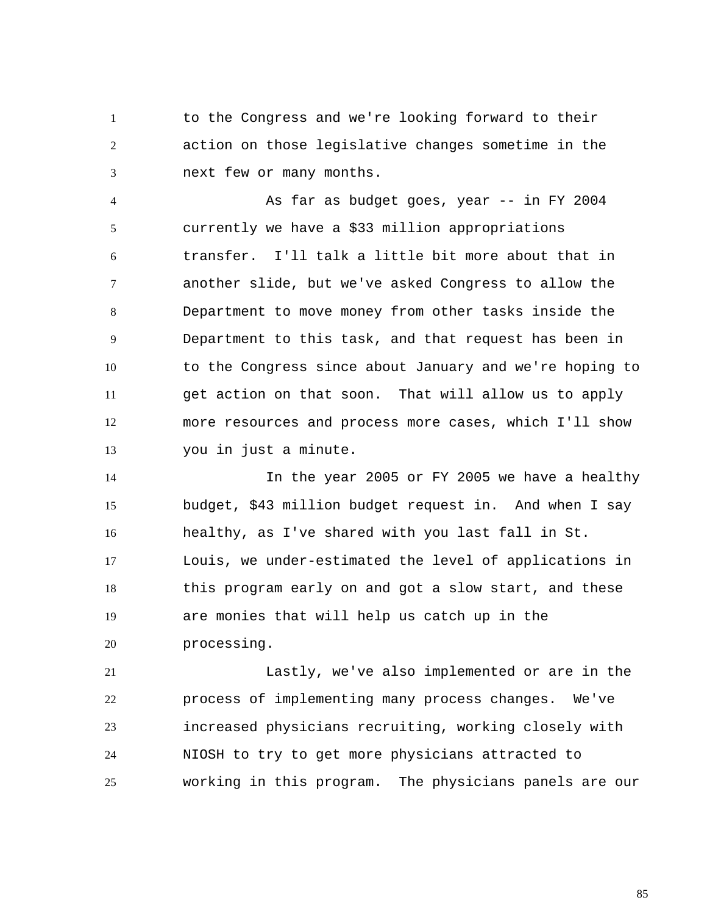1 2 3 to the Congress and we're looking forward to their action on those legislative changes sometime in the next few or many months.

4 5 6 7 8 9 10 11 12 13 As far as budget goes, year -- in FY 2004 currently we have a \$33 million appropriations transfer. I'll talk a little bit more about that in another slide, but we've asked Congress to allow the Department to move money from other tasks inside the Department to this task, and that request has been in to the Congress since about January and we're hoping to get action on that soon. That will allow us to apply more resources and process more cases, which I'll show you in just a minute.

14 15 16 17 18 19 20 In the year 2005 or FY 2005 we have a healthy budget, \$43 million budget request in. And when I say healthy, as I've shared with you last fall in St. Louis, we under-estimated the level of applications in this program early on and got a slow start, and these are monies that will help us catch up in the processing.

21 22 23 24 25 Lastly, we've also implemented or are in the process of implementing many process changes. We've increased physicians recruiting, working closely with NIOSH to try to get more physicians attracted to working in this program. The physicians panels are our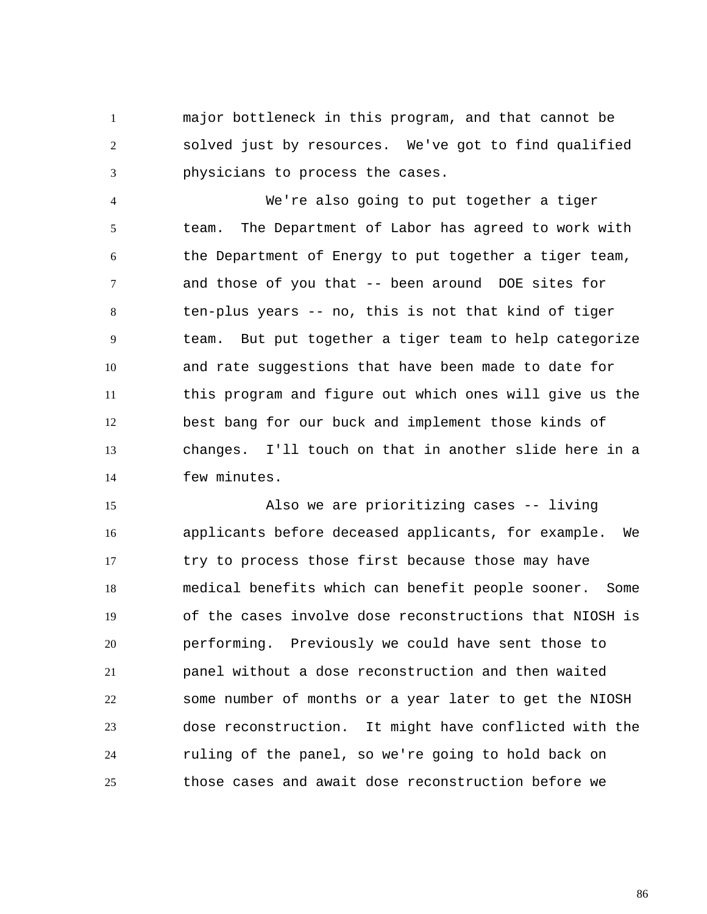1 2 3 major bottleneck in this program, and that cannot be solved just by resources. We've got to find qualified physicians to process the cases.

4 5 6 7 8 9 10 11 12 13 14 We're also going to put together a tiger team. The Department of Labor has agreed to work with the Department of Energy to put together a tiger team, and those of you that -- been around DOE sites for ten-plus years -- no, this is not that kind of tiger team. But put together a tiger team to help categorize and rate suggestions that have been made to date for this program and figure out which ones will give us the best bang for our buck and implement those kinds of changes. I'll touch on that in another slide here in a few minutes.

15 16 17 18 19 20 21 22 23 24 25 Also we are prioritizing cases -- living applicants before deceased applicants, for example. We try to process those first because those may have medical benefits which can benefit people sooner. Some of the cases involve dose reconstructions that NIOSH is performing. Previously we could have sent those to panel without a dose reconstruction and then waited some number of months or a year later to get the NIOSH dose reconstruction. It might have conflicted with the ruling of the panel, so we're going to hold back on those cases and await dose reconstruction before we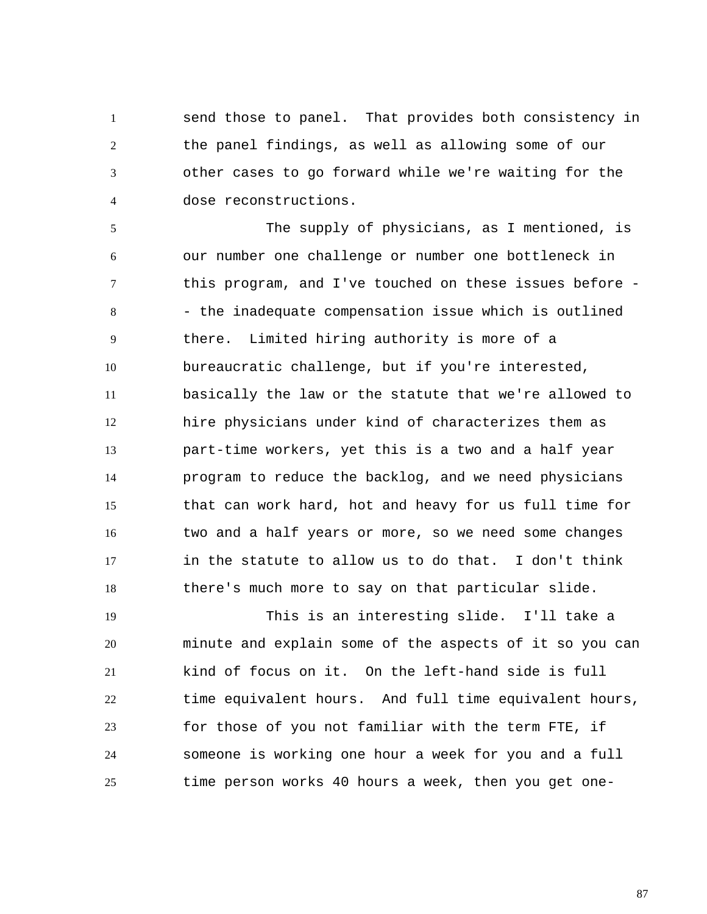1 2 3 4 send those to panel. That provides both consistency in the panel findings, as well as allowing some of our other cases to go forward while we're waiting for the dose reconstructions.

5 6 7 8 9 10 11 12 13 14 15 16 17 18 The supply of physicians, as I mentioned, is our number one challenge or number one bottleneck in this program, and I've touched on these issues before - - the inadequate compensation issue which is outlined there. Limited hiring authority is more of a bureaucratic challenge, but if you're interested, basically the law or the statute that we're allowed to hire physicians under kind of characterizes them as part-time workers, yet this is a two and a half year program to reduce the backlog, and we need physicians that can work hard, hot and heavy for us full time for two and a half years or more, so we need some changes in the statute to allow us to do that. I don't think there's much more to say on that particular slide.

19 20 21 22 23 24 25 This is an interesting slide. I'll take a minute and explain some of the aspects of it so you can kind of focus on it. On the left-hand side is full time equivalent hours. And full time equivalent hours, for those of you not familiar with the term FTE, if someone is working one hour a week for you and a full time person works 40 hours a week, then you get one-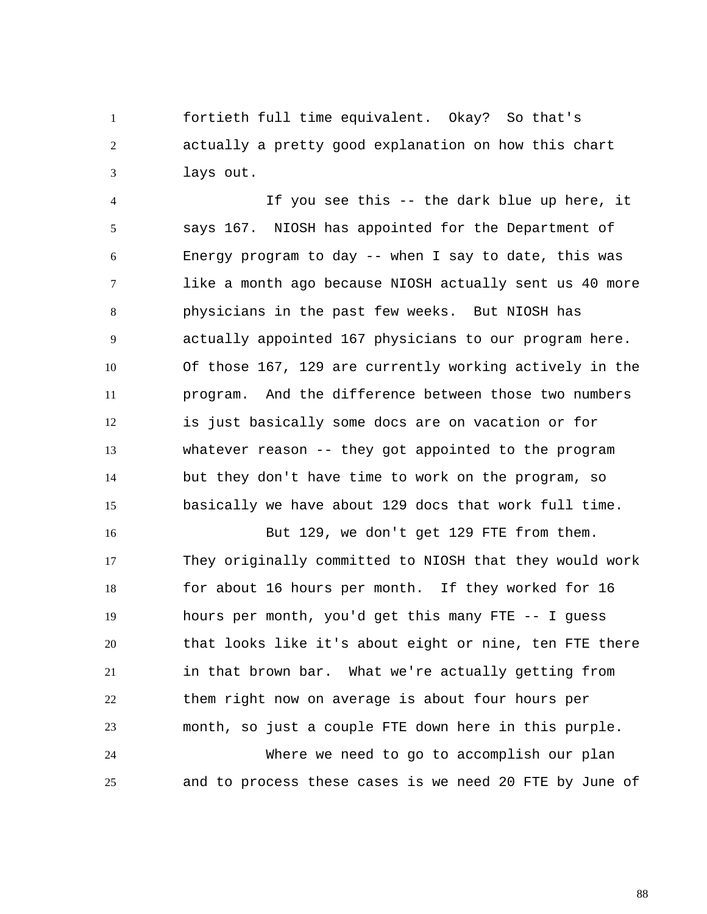1 2 3 fortieth full time equivalent. Okay? So that's actually a pretty good explanation on how this chart lays out.

4 5 6 7 8 9 10 11 12 13 14 15 If you see this -- the dark blue up here, it says 167. NIOSH has appointed for the Department of Energy program to day -- when I say to date, this was like a month ago because NIOSH actually sent us 40 more physicians in the past few weeks. But NIOSH has actually appointed 167 physicians to our program here. Of those 167, 129 are currently working actively in the program. And the difference between those two numbers is just basically some docs are on vacation or for whatever reason -- they got appointed to the program but they don't have time to work on the program, so basically we have about 129 docs that work full time.

16 17 18 19 20 21 22 23 24 But 129, we don't get 129 FTE from them. They originally committed to NIOSH that they would work for about 16 hours per month. If they worked for 16 hours per month, you'd get this many FTE -- I guess that looks like it's about eight or nine, ten FTE there in that brown bar. What we're actually getting from them right now on average is about four hours per month, so just a couple FTE down here in this purple. Where we need to go to accomplish our plan

25 and to process these cases is we need 20 FTE by June of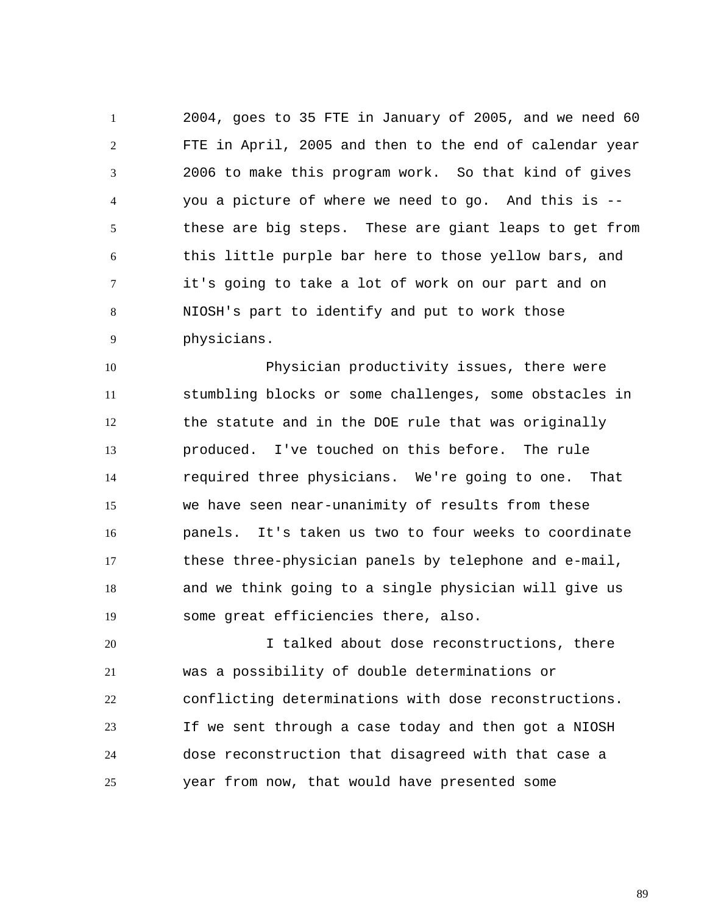1 2 3 4 5 6 7 8 9 2004, goes to 35 FTE in January of 2005, and we need 60 FTE in April, 2005 and then to the end of calendar year 2006 to make this program work. So that kind of gives you a picture of where we need to go. And this is - these are big steps. These are giant leaps to get from this little purple bar here to those yellow bars, and it's going to take a lot of work on our part and on NIOSH's part to identify and put to work those physicians.

10 11 12 13 14 15 16 17 18 19 Physician productivity issues, there were stumbling blocks or some challenges, some obstacles in the statute and in the DOE rule that was originally produced. I've touched on this before. The rule required three physicians. We're going to one. That we have seen near-unanimity of results from these panels. It's taken us two to four weeks to coordinate these three-physician panels by telephone and e-mail, and we think going to a single physician will give us some great efficiencies there, also.

20 21 22 23 24 25 I talked about dose reconstructions, there was a possibility of double determinations or conflicting determinations with dose reconstructions. If we sent through a case today and then got a NIOSH dose reconstruction that disagreed with that case a year from now, that would have presented some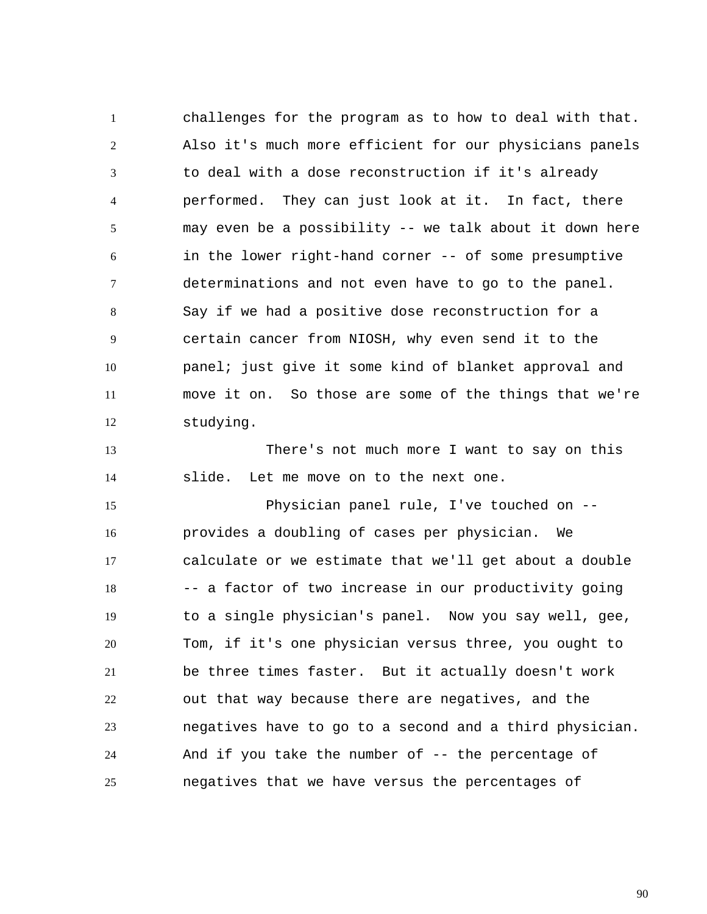1 2 3 4 5 6 7 8 9 10 11 12 challenges for the program as to how to deal with that. Also it's much more efficient for our physicians panels to deal with a dose reconstruction if it's already performed. They can just look at it. In fact, there may even be a possibility -- we talk about it down here in the lower right-hand corner -- of some presumptive determinations and not even have to go to the panel. Say if we had a positive dose reconstruction for a certain cancer from NIOSH, why even send it to the panel; just give it some kind of blanket approval and move it on. So those are some of the things that we're studying.

13 14 There's not much more I want to say on this slide. Let me move on to the next one.

15 16 17 18 19 20 21 22 23 24 25 Physician panel rule, I've touched on - provides a doubling of cases per physician. We calculate or we estimate that we'll get about a double -- a factor of two increase in our productivity going to a single physician's panel. Now you say well, gee, Tom, if it's one physician versus three, you ought to be three times faster. But it actually doesn't work out that way because there are negatives, and the negatives have to go to a second and a third physician. And if you take the number of -- the percentage of negatives that we have versus the percentages of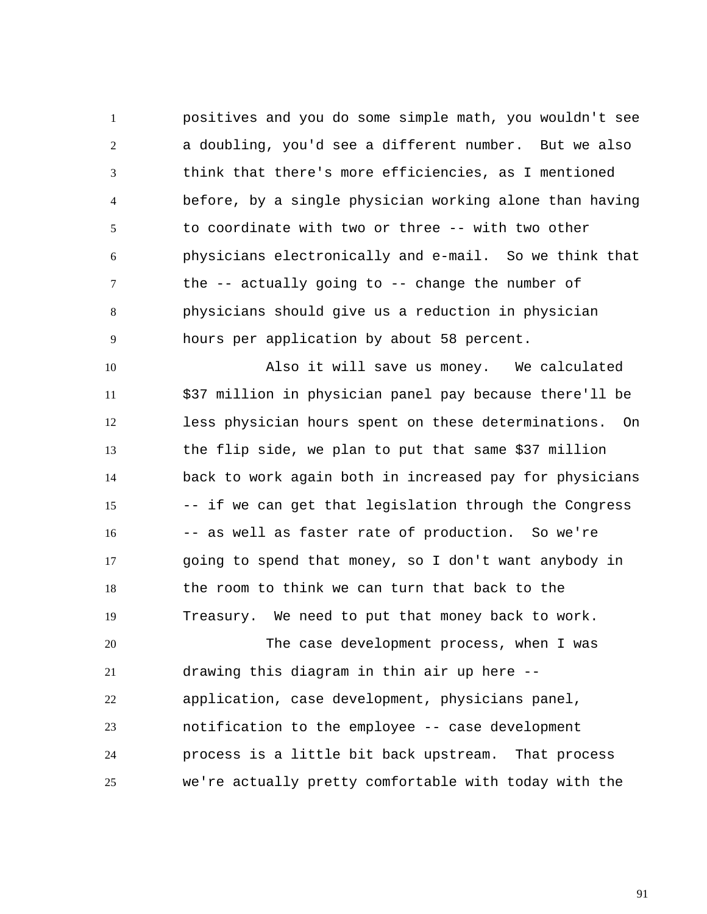1 2 3 4 5 6 7 8 9 positives and you do some simple math, you wouldn't see a doubling, you'd see a different number. But we also think that there's more efficiencies, as I mentioned before, by a single physician working alone than having to coordinate with two or three -- with two other physicians electronically and e-mail. So we think that the -- actually going to -- change the number of physicians should give us a reduction in physician hours per application by about 58 percent.

10 11 12 13 14 15 16 17 18 19 Also it will save us money. We calculated \$37 million in physician panel pay because there'll be less physician hours spent on these determinations. On the flip side, we plan to put that same \$37 million back to work again both in increased pay for physicians -- if we can get that legislation through the Congress -- as well as faster rate of production. So we're going to spend that money, so I don't want anybody in the room to think we can turn that back to the Treasury. We need to put that money back to work.

20 21 22 23 24 25 The case development process, when I was drawing this diagram in thin air up here - application, case development, physicians panel, notification to the employee -- case development process is a little bit back upstream. That process we're actually pretty comfortable with today with the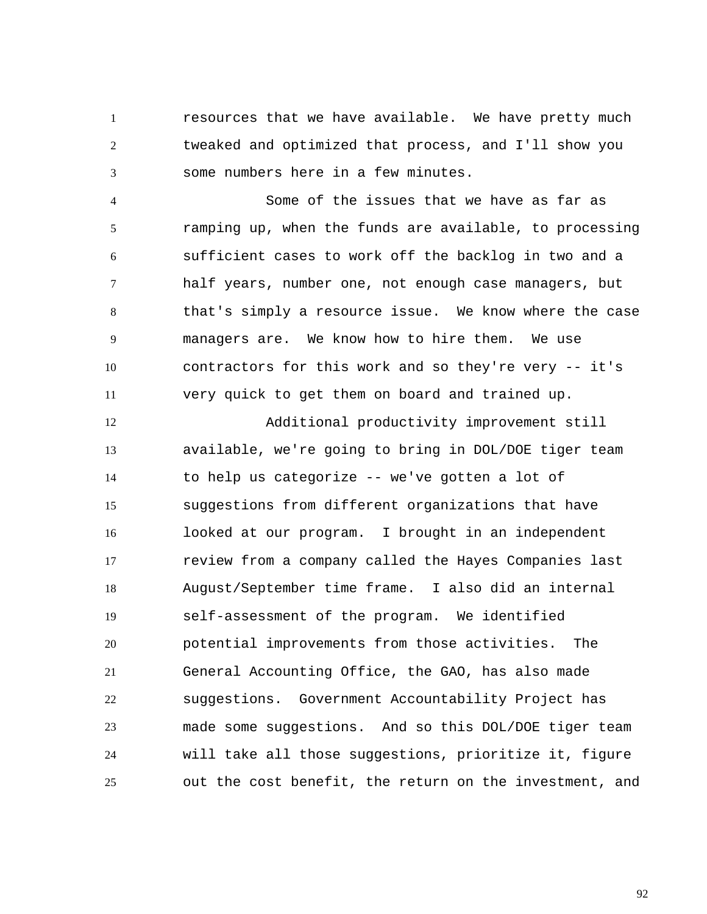1 2 3 resources that we have available. We have pretty much tweaked and optimized that process, and I'll show you some numbers here in a few minutes.

4 5 6 7 8 9 10 11 Some of the issues that we have as far as ramping up, when the funds are available, to processing sufficient cases to work off the backlog in two and a half years, number one, not enough case managers, but that's simply a resource issue. We know where the case managers are. We know how to hire them. We use contractors for this work and so they're very -- it's very quick to get them on board and trained up.

12 13 14 15 16 17 18 19 20 21 22 23 24 25 Additional productivity improvement still available, we're going to bring in DOL/DOE tiger team to help us categorize -- we've gotten a lot of suggestions from different organizations that have looked at our program. I brought in an independent review from a company called the Hayes Companies last August/September time frame. I also did an internal self-assessment of the program. We identified potential improvements from those activities. The General Accounting Office, the GAO, has also made suggestions. Government Accountability Project has made some suggestions. And so this DOL/DOE tiger team will take all those suggestions, prioritize it, figure out the cost benefit, the return on the investment, and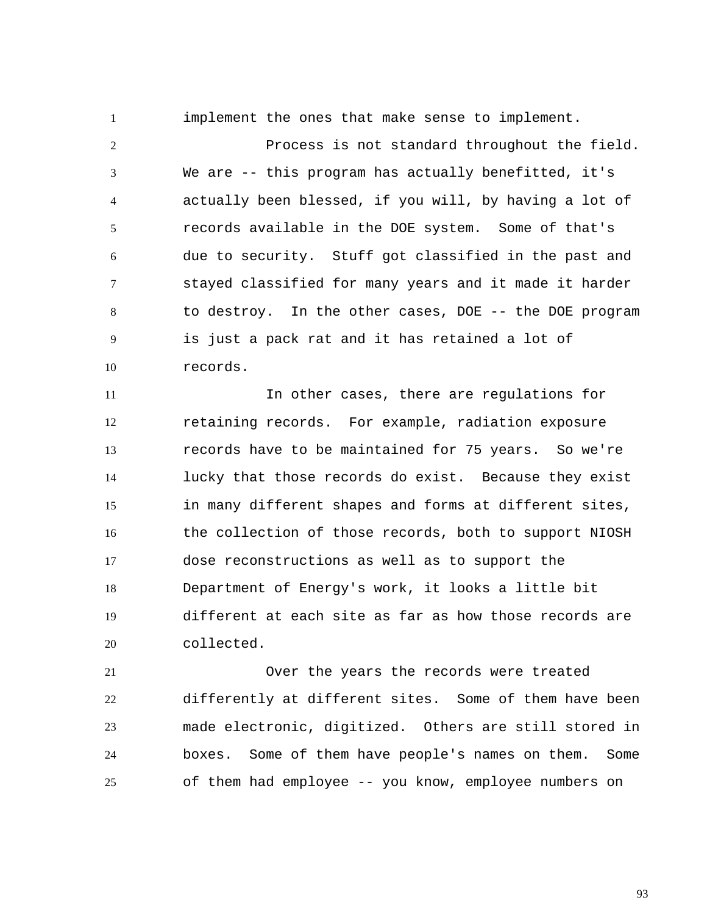implement the ones that make sense to implement.

1

2 3 4 5 6 7 8 9 10 Process is not standard throughout the field. We are -- this program has actually benefitted, it's actually been blessed, if you will, by having a lot of records available in the DOE system. Some of that's due to security. Stuff got classified in the past and stayed classified for many years and it made it harder to destroy. In the other cases, DOE -- the DOE program is just a pack rat and it has retained a lot of records.

11 12 13 14 15 16 17 18 19 20 In other cases, there are regulations for retaining records. For example, radiation exposure records have to be maintained for 75 years. So we're lucky that those records do exist. Because they exist in many different shapes and forms at different sites, the collection of those records, both to support NIOSH dose reconstructions as well as to support the Department of Energy's work, it looks a little bit different at each site as far as how those records are collected.

21 22 23 24 25 Over the years the records were treated differently at different sites. Some of them have been made electronic, digitized. Others are still stored in boxes. Some of them have people's names on them. Some of them had employee -- you know, employee numbers on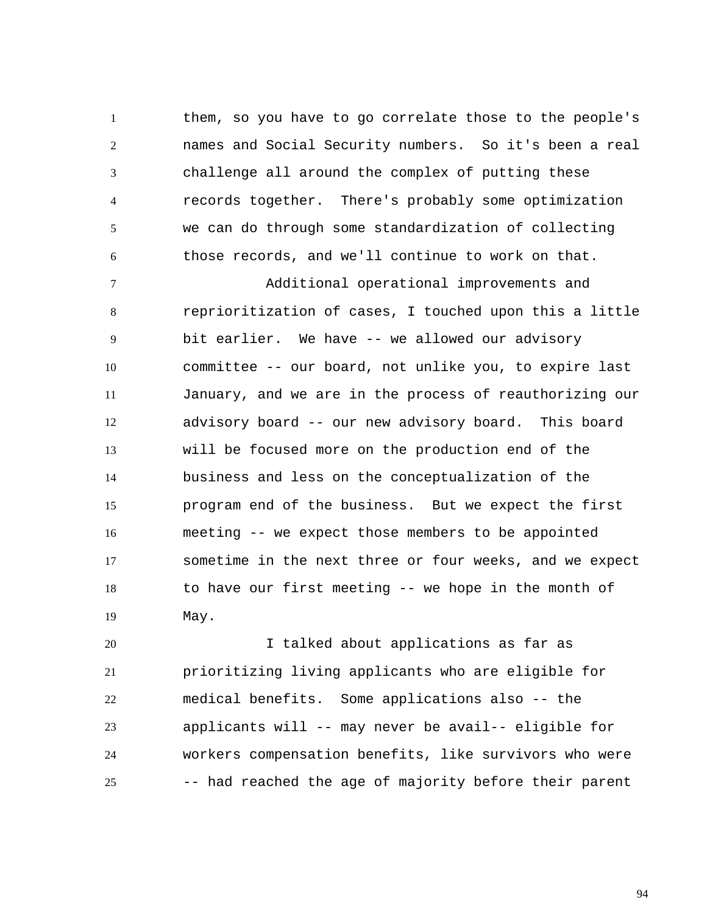1 2 3 4 5 6 them, so you have to go correlate those to the people's names and Social Security numbers. So it's been a real challenge all around the complex of putting these records together. There's probably some optimization we can do through some standardization of collecting those records, and we'll continue to work on that.

7 8 9 10 11 12 13 14 15 16 17 18 19 Additional operational improvements and reprioritization of cases, I touched upon this a little bit earlier. We have -- we allowed our advisory committee -- our board, not unlike you, to expire last January, and we are in the process of reauthorizing our advisory board -- our new advisory board. This board will be focused more on the production end of the business and less on the conceptualization of the program end of the business. But we expect the first meeting -- we expect those members to be appointed sometime in the next three or four weeks, and we expect to have our first meeting -- we hope in the month of May.

20 21 22 23 24 25 I talked about applications as far as prioritizing living applicants who are eligible for medical benefits. Some applications also -- the applicants will -- may never be avail-- eligible for workers compensation benefits, like survivors who were -- had reached the age of majority before their parent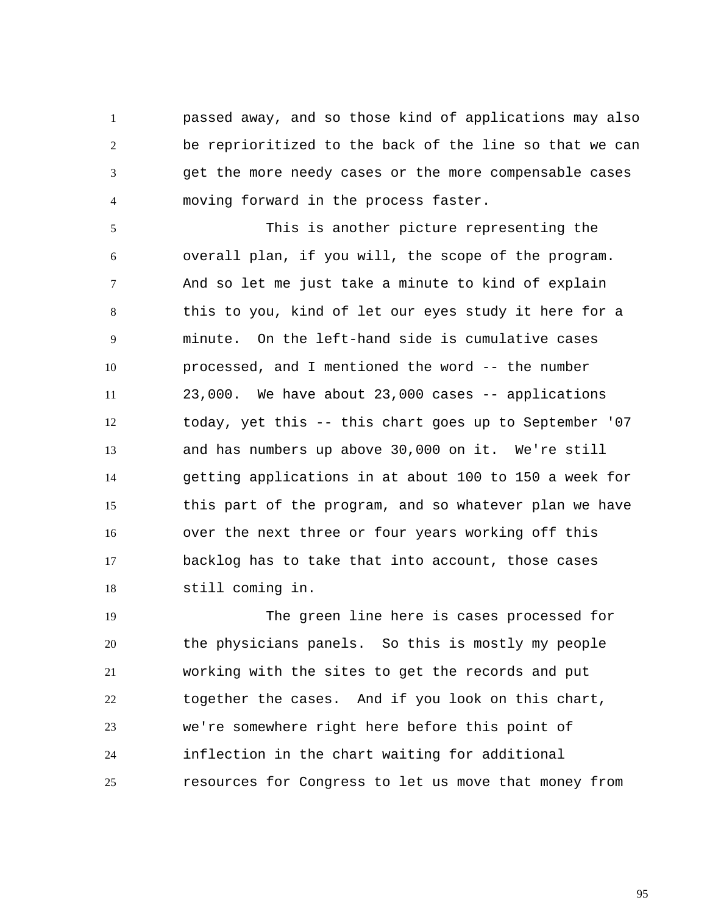1 2 3 4 passed away, and so those kind of applications may also be reprioritized to the back of the line so that we can get the more needy cases or the more compensable cases moving forward in the process faster.

5 6 7 8 9 10 11 12 13 14 15 16 17 18 This is another picture representing the overall plan, if you will, the scope of the program. And so let me just take a minute to kind of explain this to you, kind of let our eyes study it here for a minute. On the left-hand side is cumulative cases processed, and I mentioned the word -- the number 23,000. We have about 23,000 cases -- applications today, yet this -- this chart goes up to September '07 and has numbers up above 30,000 on it. We're still getting applications in at about 100 to 150 a week for this part of the program, and so whatever plan we have over the next three or four years working off this backlog has to take that into account, those cases still coming in.

19 20 21 22 23 24 25 The green line here is cases processed for the physicians panels. So this is mostly my people working with the sites to get the records and put together the cases. And if you look on this chart, we're somewhere right here before this point of inflection in the chart waiting for additional resources for Congress to let us move that money from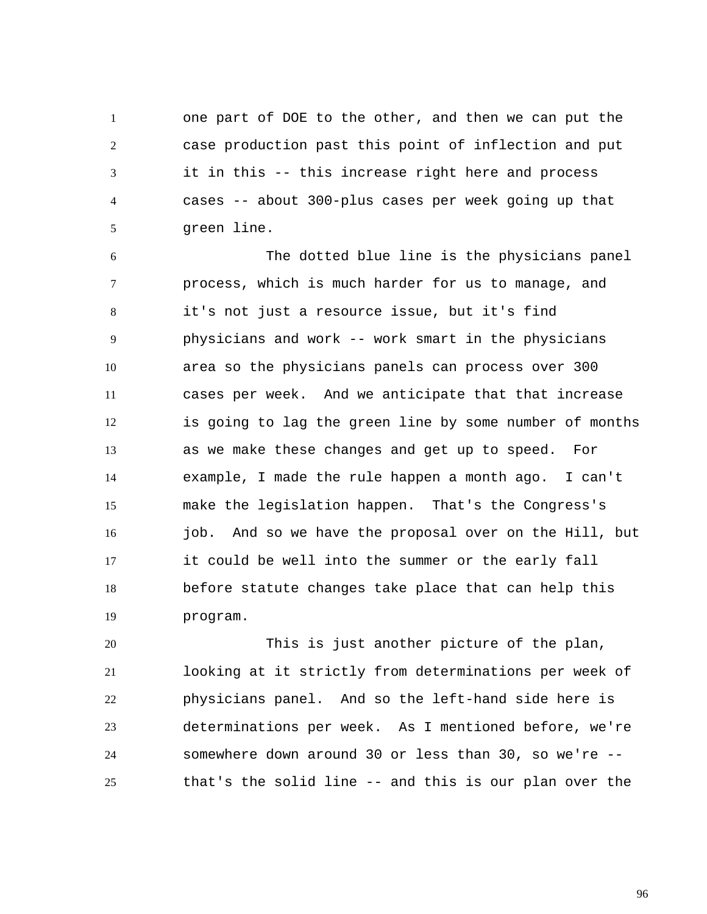1 2 3 4 5 one part of DOE to the other, and then we can put the case production past this point of inflection and put it in this -- this increase right here and process cases -- about 300-plus cases per week going up that green line.

6 7 8 9 10 11 12 13 14 15 16 17 18 19 The dotted blue line is the physicians panel process, which is much harder for us to manage, and it's not just a resource issue, but it's find physicians and work -- work smart in the physicians area so the physicians panels can process over 300 cases per week. And we anticipate that that increase is going to lag the green line by some number of months as we make these changes and get up to speed. For example, I made the rule happen a month ago. I can't make the legislation happen. That's the Congress's job. And so we have the proposal over on the Hill, but it could be well into the summer or the early fall before statute changes take place that can help this program.

20 21 22 23 24 25 This is just another picture of the plan, looking at it strictly from determinations per week of physicians panel. And so the left-hand side here is determinations per week. As I mentioned before, we're somewhere down around 30 or less than 30, so we're - that's the solid line -- and this is our plan over the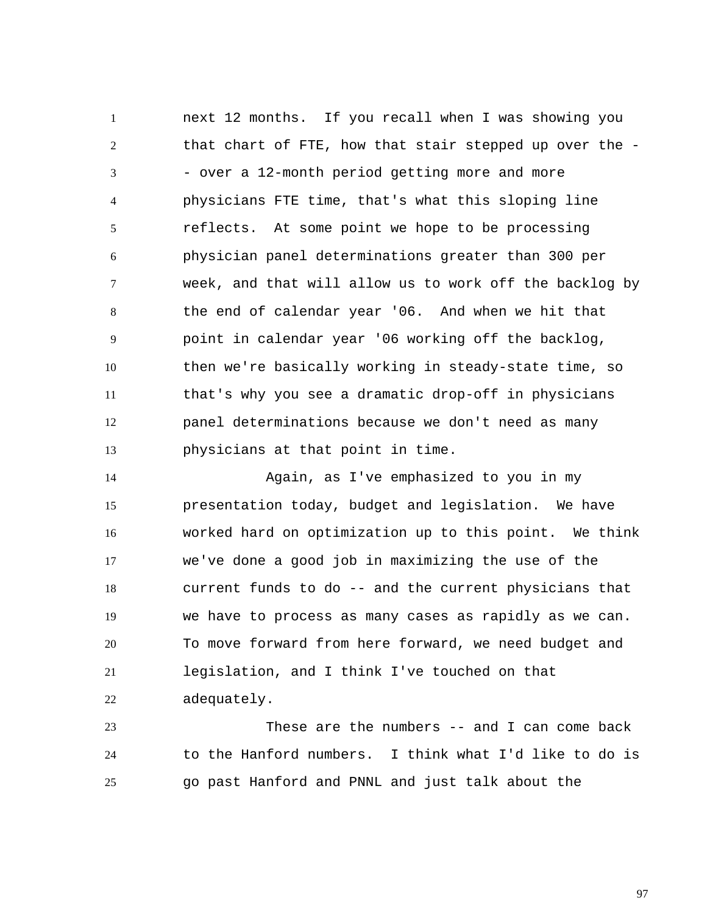1 2 3 4 5 6 7 8 9 10 11 12 13 next 12 months. If you recall when I was showing you that chart of FTE, how that stair stepped up over the - - over a 12-month period getting more and more physicians FTE time, that's what this sloping line reflects. At some point we hope to be processing physician panel determinations greater than 300 per week, and that will allow us to work off the backlog by the end of calendar year '06. And when we hit that point in calendar year '06 working off the backlog, then we're basically working in steady-state time, so that's why you see a dramatic drop-off in physicians panel determinations because we don't need as many physicians at that point in time.

14 15 16 17 18 19 20 21 22 Again, as I've emphasized to you in my presentation today, budget and legislation. We have worked hard on optimization up to this point. We think we've done a good job in maximizing the use of the current funds to do -- and the current physicians that we have to process as many cases as rapidly as we can. To move forward from here forward, we need budget and legislation, and I think I've touched on that adequately.

23 24 25 These are the numbers -- and I can come back to the Hanford numbers. I think what I'd like to do is go past Hanford and PNNL and just talk about the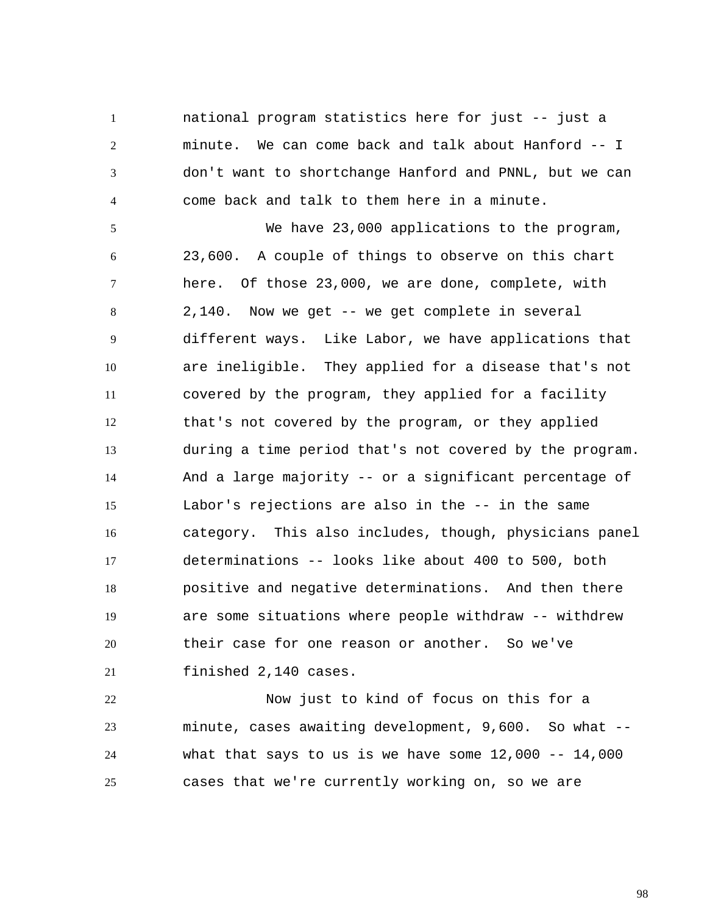1 2 3 4 national program statistics here for just -- just a minute. We can come back and talk about Hanford -- I don't want to shortchange Hanford and PNNL, but we can come back and talk to them here in a minute.

5 6 7 8 9 10 11 12 13 14 15 16 17 18 19 20 21 We have 23,000 applications to the program, 23,600. A couple of things to observe on this chart here. Of those 23,000, we are done, complete, with 2,140. Now we get -- we get complete in several different ways. Like Labor, we have applications that are ineligible. They applied for a disease that's not covered by the program, they applied for a facility that's not covered by the program, or they applied during a time period that's not covered by the program. And a large majority -- or a significant percentage of Labor's rejections are also in the -- in the same category. This also includes, though, physicians panel determinations -- looks like about 400 to 500, both positive and negative determinations. And then there are some situations where people withdraw -- withdrew their case for one reason or another. So we've finished 2,140 cases.

22 23 24 25 Now just to kind of focus on this for a minute, cases awaiting development, 9,600. So what - what that says to us is we have some  $12,000$  --  $14,000$ cases that we're currently working on, so we are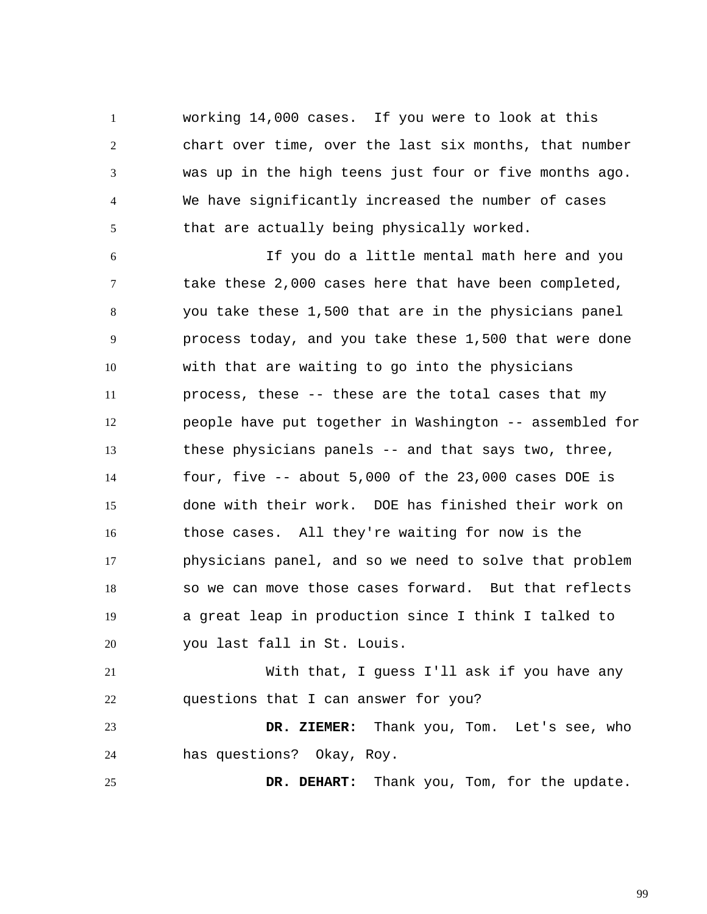1 2 3 4 5 working 14,000 cases. If you were to look at this chart over time, over the last six months, that number was up in the high teens just four or five months ago. We have significantly increased the number of cases that are actually being physically worked.

6 7 8 9 10 11 12 13 14 15 16 17 18 19 20 If you do a little mental math here and you take these 2,000 cases here that have been completed, you take these 1,500 that are in the physicians panel process today, and you take these 1,500 that were done with that are waiting to go into the physicians process, these -- these are the total cases that my people have put together in Washington -- assembled for these physicians panels -- and that says two, three, four, five -- about 5,000 of the 23,000 cases DOE is done with their work. DOE has finished their work on those cases. All they're waiting for now is the physicians panel, and so we need to solve that problem so we can move those cases forward. But that reflects a great leap in production since I think I talked to you last fall in St. Louis.

21 22 With that, I guess I'll ask if you have any questions that I can answer for you?

23 24  **DR. ZIEMER:** Thank you, Tom. Let's see, who has questions? Okay, Roy.

25  **DR. DEHART:** Thank you, Tom, for the update.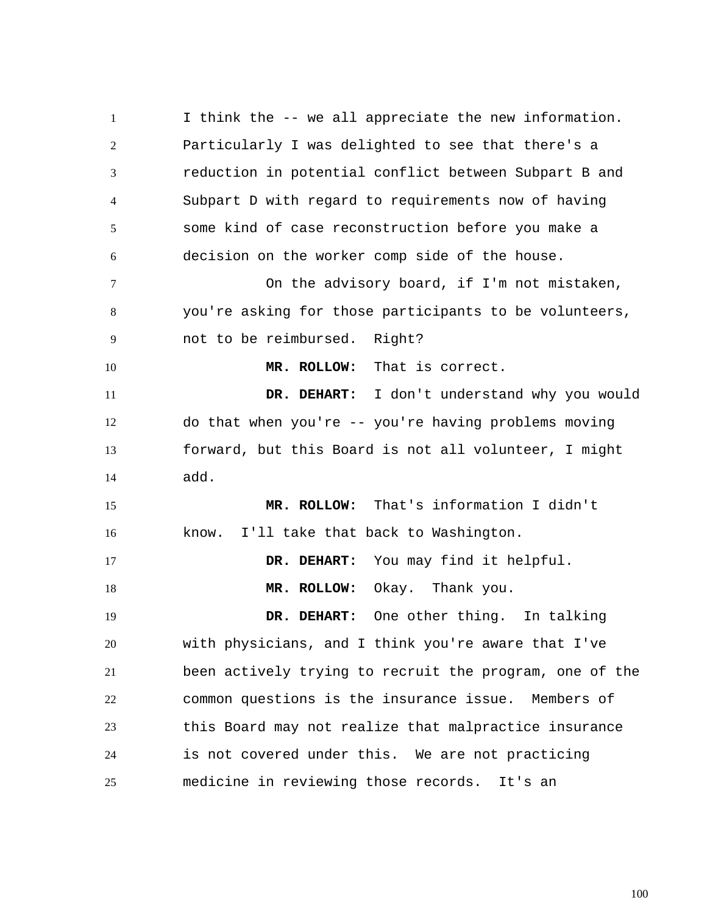1 2 3 4 5 6 7 8 9 10 11 12 13 14 15 16 17 18 19 20 21 22 23 24 25 I think the -- we all appreciate the new information. Particularly I was delighted to see that there's a reduction in potential conflict between Subpart B and Subpart D with regard to requirements now of having some kind of case reconstruction before you make a decision on the worker comp side of the house. On the advisory board, if I'm not mistaken, you're asking for those participants to be volunteers, not to be reimbursed. Right?  **MR. ROLLOW:** That is correct.  **DR. DEHART:** I don't understand why you would do that when you're -- you're having problems moving forward, but this Board is not all volunteer, I might add.  **MR. ROLLOW:** That's information I didn't know. I'll take that back to Washington.  **DR. DEHART:** You may find it helpful.  **MR. ROLLOW:** Okay. Thank you.  **DR. DEHART:** One other thing. In talking with physicians, and I think you're aware that I've been actively trying to recruit the program, one of the common questions is the insurance issue. Members of this Board may not realize that malpractice insurance is not covered under this. We are not practicing medicine in reviewing those records. It's an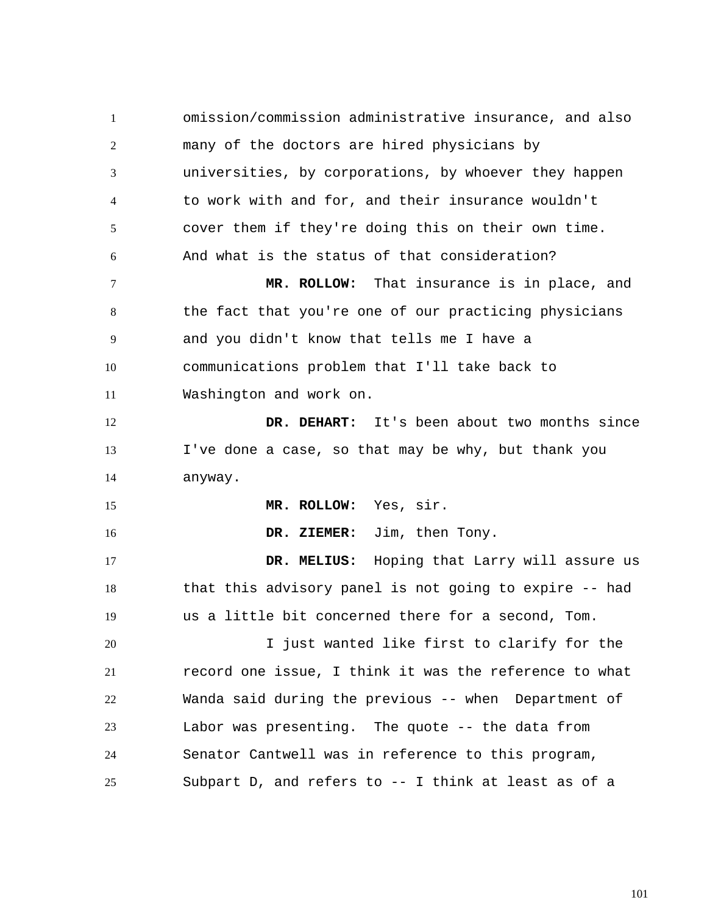1 2 3 4 5 6 7 8 9 10 11 12 13 14 15 16 17 18 19 20 21 22 23 24 25 omission/commission administrative insurance, and also many of the doctors are hired physicians by universities, by corporations, by whoever they happen to work with and for, and their insurance wouldn't cover them if they're doing this on their own time. And what is the status of that consideration?  **MR. ROLLOW:** That insurance is in place, and the fact that you're one of our practicing physicians and you didn't know that tells me I have a communications problem that I'll take back to Washington and work on.  **DR. DEHART:** It's been about two months since I've done a case, so that may be why, but thank you anyway.  **MR. ROLLOW:** Yes, sir.  **DR. ZIEMER:** Jim, then Tony.  **DR. MELIUS:** Hoping that Larry will assure us that this advisory panel is not going to expire -- had us a little bit concerned there for a second, Tom. I just wanted like first to clarify for the record one issue, I think it was the reference to what Wanda said during the previous -- when Department of Labor was presenting. The quote -- the data from Senator Cantwell was in reference to this program, Subpart D, and refers to -- I think at least as of a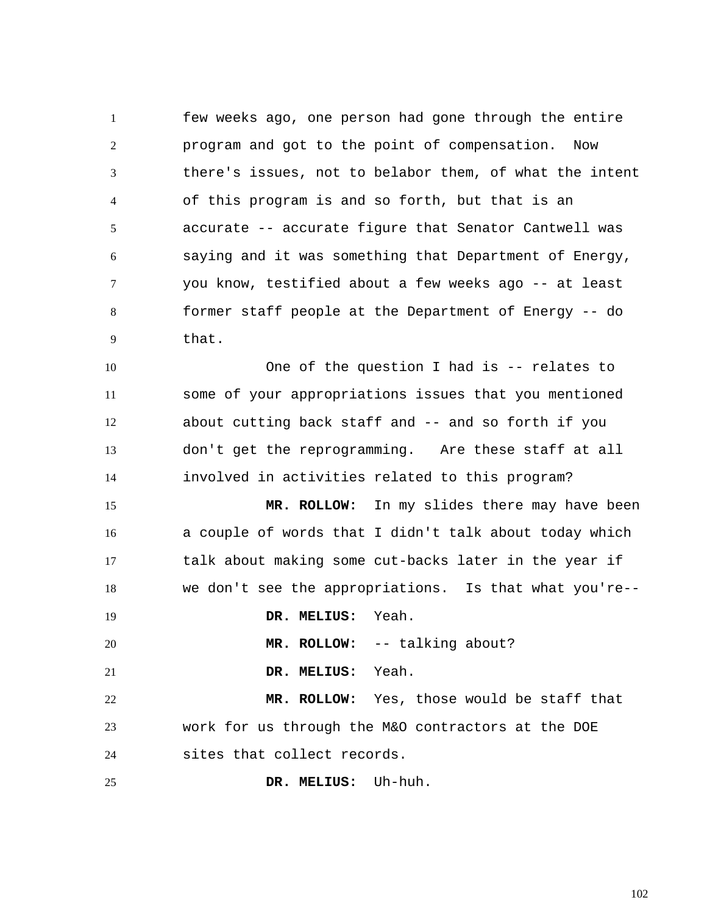1 2 3 4 5 6 7 8 9 few weeks ago, one person had gone through the entire program and got to the point of compensation. Now there's issues, not to belabor them, of what the intent of this program is and so forth, but that is an accurate -- accurate figure that Senator Cantwell was saying and it was something that Department of Energy, you know, testified about a few weeks ago -- at least former staff people at the Department of Energy -- do that.

10 11 12 13 14 One of the question I had is -- relates to some of your appropriations issues that you mentioned about cutting back staff and -- and so forth if you don't get the reprogramming. Are these staff at all involved in activities related to this program?

15 16 17 18  **MR. ROLLOW:** In my slides there may have been a couple of words that I didn't talk about today which talk about making some cut-backs later in the year if we don't see the appropriations. Is that what you're--

 **DR. MELIUS:** Yeah.

19

20

 **MR. ROLLOW:** -- talking about?

21  **DR. MELIUS:** Yeah.

22 23 24  **MR. ROLLOW:** Yes, those would be staff that work for us through the M&O contractors at the DOE sites that collect records.

25  **DR. MELIUS:** Uh-huh.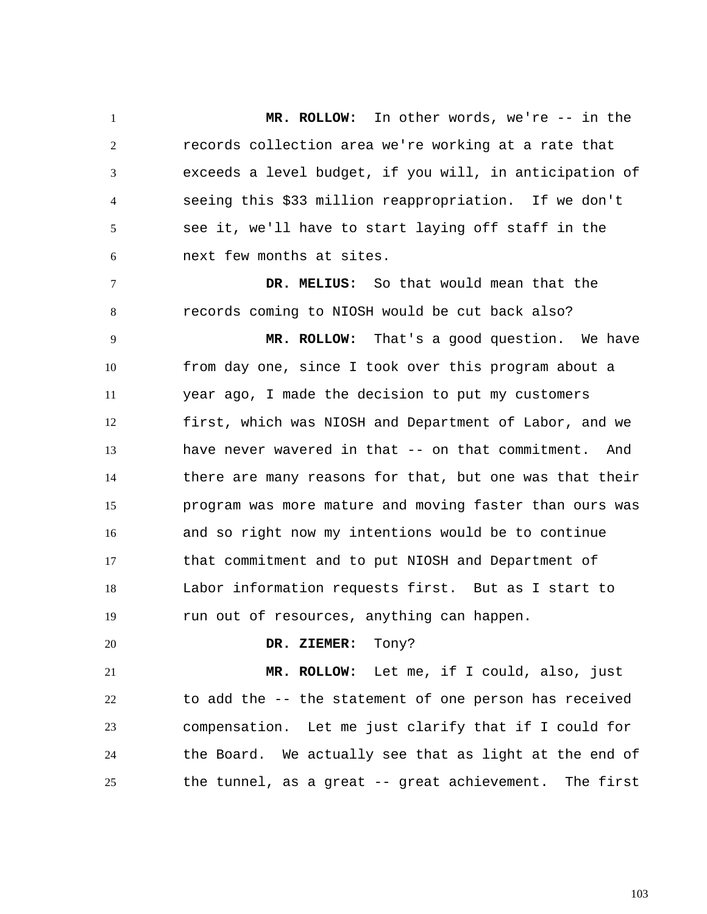1 2 3 4 5 6  **MR. ROLLOW:** In other words, we're -- in the records collection area we're working at a rate that exceeds a level budget, if you will, in anticipation of seeing this \$33 million reappropriation. If we don't see it, we'll have to start laying off staff in the next few months at sites.

 **DR. MELIUS:** So that would mean that the records coming to NIOSH would be cut back also?

9 10 11 12 13 14 15 16 17 18 19  **MR. ROLLOW:** That's a good question. We have from day one, since I took over this program about a year ago, I made the decision to put my customers first, which was NIOSH and Department of Labor, and we have never wavered in that -- on that commitment. And there are many reasons for that, but one was that their program was more mature and moving faster than ours was and so right now my intentions would be to continue that commitment and to put NIOSH and Department of Labor information requests first. But as I start to run out of resources, anything can happen.

20

7

8

 **DR. ZIEMER:** Tony?

21 22 23 24 25  **MR. ROLLOW:** Let me, if I could, also, just to add the -- the statement of one person has received compensation. Let me just clarify that if I could for the Board. We actually see that as light at the end of the tunnel, as a great -- great achievement. The first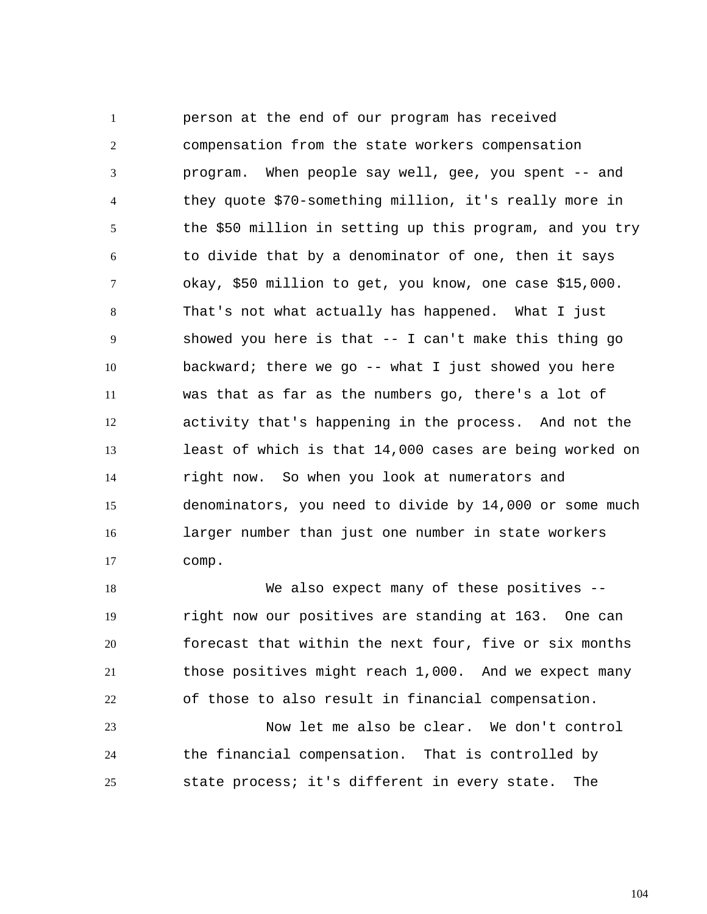1 2 3 4 5 6 7 8 9 10 11 12 13 14 15 16 17 person at the end of our program has received compensation from the state workers compensation program. When people say well, gee, you spent -- and they quote \$70-something million, it's really more in the \$50 million in setting up this program, and you try to divide that by a denominator of one, then it says okay, \$50 million to get, you know, one case \$15,000. That's not what actually has happened. What I just showed you here is that -- I can't make this thing go backward; there we go  $-$ - what I just showed you here was that as far as the numbers go, there's a lot of activity that's happening in the process. And not the least of which is that 14,000 cases are being worked on right now. So when you look at numerators and denominators, you need to divide by 14,000 or some much larger number than just one number in state workers comp.

18 19 20 21 22 We also expect many of these positives -right now our positives are standing at 163. One can forecast that within the next four, five or six months those positives might reach 1,000. And we expect many of those to also result in financial compensation.

23 24 25 Now let me also be clear. We don't control the financial compensation. That is controlled by state process; it's different in every state. The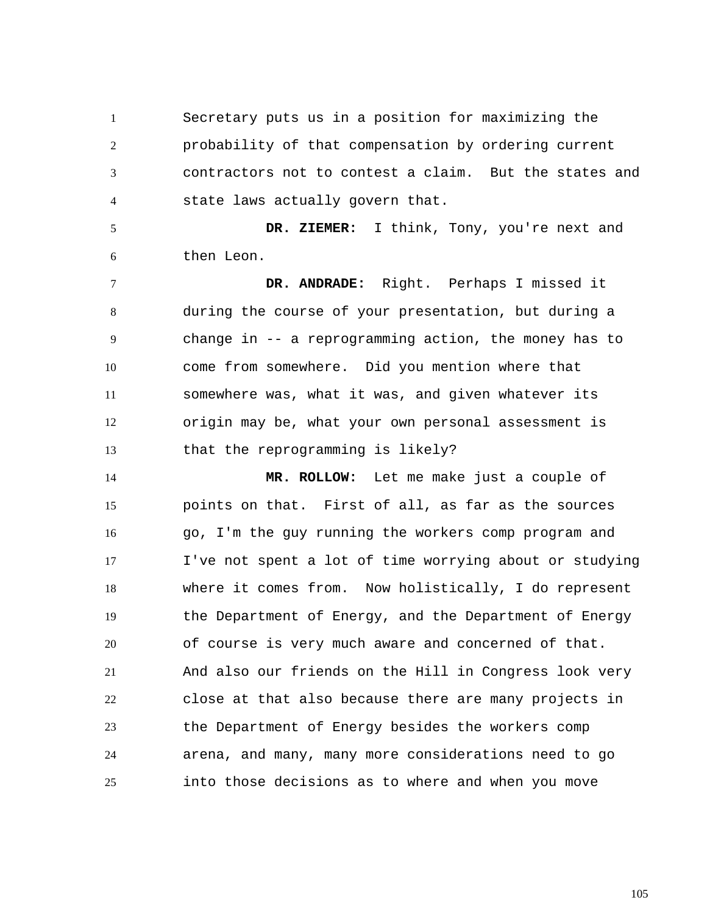1 2 3 4 Secretary puts us in a position for maximizing the probability of that compensation by ordering current contractors not to contest a claim. But the states and state laws actually govern that.

5 6  **DR. ZIEMER:** I think, Tony, you're next and then Leon.

7 8 9 10 11 12 13  **DR. ANDRADE:** Right. Perhaps I missed it during the course of your presentation, but during a change in -- a reprogramming action, the money has to come from somewhere. Did you mention where that somewhere was, what it was, and given whatever its origin may be, what your own personal assessment is that the reprogramming is likely?

14 15 16 17 18 19 20 21 22 23 24 25  **MR. ROLLOW:** Let me make just a couple of points on that. First of all, as far as the sources go, I'm the guy running the workers comp program and I've not spent a lot of time worrying about or studying where it comes from. Now holistically, I do represent the Department of Energy, and the Department of Energy of course is very much aware and concerned of that. And also our friends on the Hill in Congress look very close at that also because there are many projects in the Department of Energy besides the workers comp arena, and many, many more considerations need to go into those decisions as to where and when you move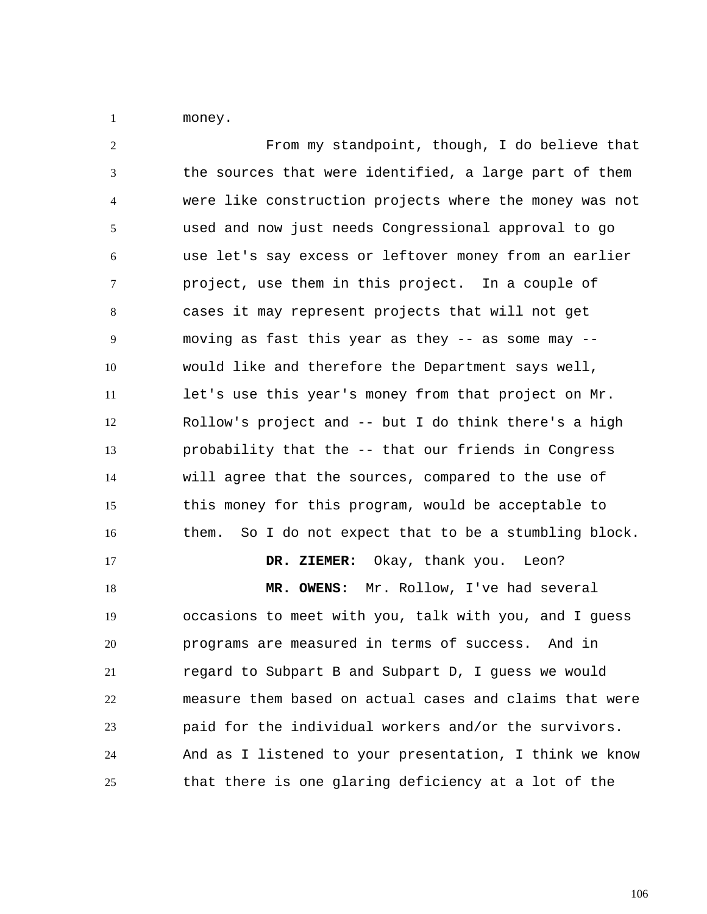1 money.

2 3 4 5 6 7 8 9 10 11 12 13 14 15 16 17 18 19 20 21 22 23 24 25 From my standpoint, though, I do believe that the sources that were identified, a large part of them were like construction projects where the money was not used and now just needs Congressional approval to go use let's say excess or leftover money from an earlier project, use them in this project. In a couple of cases it may represent projects that will not get moving as fast this year as they -- as some may - would like and therefore the Department says well, let's use this year's money from that project on Mr. Rollow's project and -- but I do think there's a high probability that the -- that our friends in Congress will agree that the sources, compared to the use of this money for this program, would be acceptable to them. So I do not expect that to be a stumbling block.  **DR. ZIEMER:** Okay, thank you. Leon?  **MR. OWENS:** Mr. Rollow, I've had several occasions to meet with you, talk with you, and I guess programs are measured in terms of success. And in regard to Subpart B and Subpart D, I guess we would measure them based on actual cases and claims that were paid for the individual workers and/or the survivors. And as I listened to your presentation, I think we know that there is one glaring deficiency at a lot of the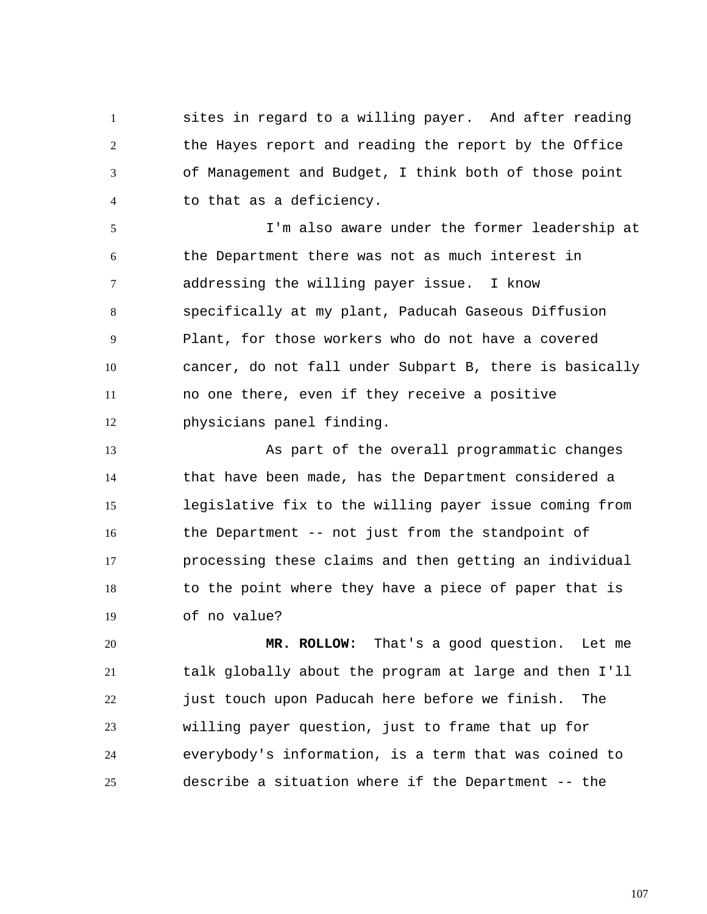1 2 3 4 sites in regard to a willing payer. And after reading the Hayes report and reading the report by the Office of Management and Budget, I think both of those point to that as a deficiency.

5 6 7 8 9 10 11 12 I'm also aware under the former leadership at the Department there was not as much interest in addressing the willing payer issue. I know specifically at my plant, Paducah Gaseous Diffusion Plant, for those workers who do not have a covered cancer, do not fall under Subpart B, there is basically no one there, even if they receive a positive physicians panel finding.

13 14 15 16 17 18 19 As part of the overall programmatic changes that have been made, has the Department considered a legislative fix to the willing payer issue coming from the Department -- not just from the standpoint of processing these claims and then getting an individual to the point where they have a piece of paper that is of no value?

20 21 22 23 24 25  **MR. ROLLOW:** That's a good question. Let me talk globally about the program at large and then I'll just touch upon Paducah here before we finish. The willing payer question, just to frame that up for everybody's information, is a term that was coined to describe a situation where if the Department -- the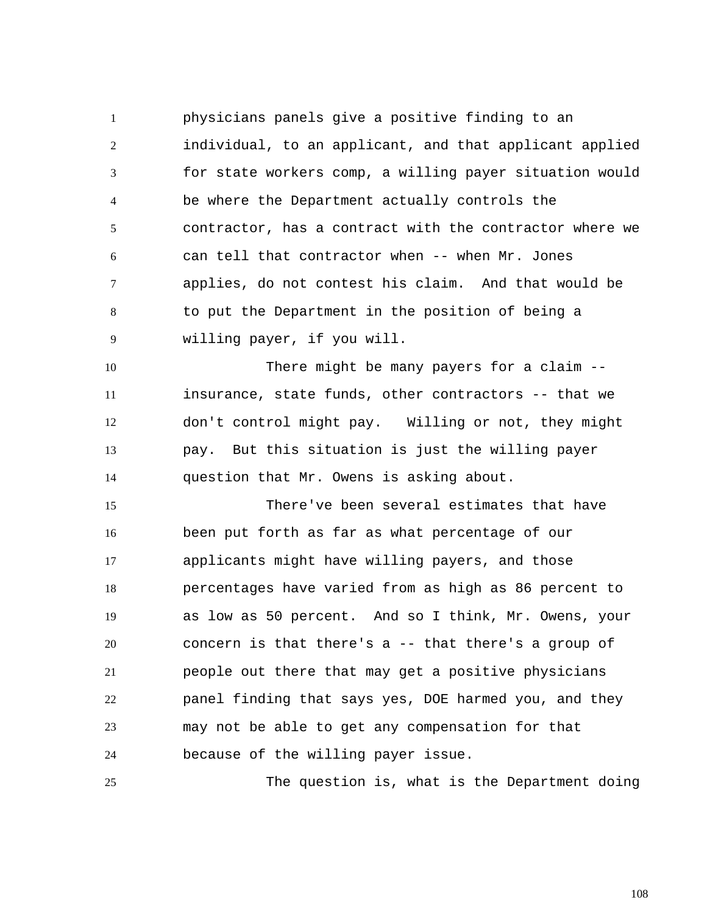1 2 3 4 5 6 7 8 9 physicians panels give a positive finding to an individual, to an applicant, and that applicant applied for state workers comp, a willing payer situation would be where the Department actually controls the contractor, has a contract with the contractor where we can tell that contractor when -- when Mr. Jones applies, do not contest his claim. And that would be to put the Department in the position of being a willing payer, if you will.

10 11 12 13 14 There might be many payers for a claim - insurance, state funds, other contractors -- that we don't control might pay. Willing or not, they might pay. But this situation is just the willing payer question that Mr. Owens is asking about.

15 16 17 18 19 20 21 22 23 24 There've been several estimates that have been put forth as far as what percentage of our applicants might have willing payers, and those percentages have varied from as high as 86 percent to as low as 50 percent. And so I think, Mr. Owens, your concern is that there's a -- that there's a group of people out there that may get a positive physicians panel finding that says yes, DOE harmed you, and they may not be able to get any compensation for that because of the willing payer issue.

25 The question is, what is the Department doing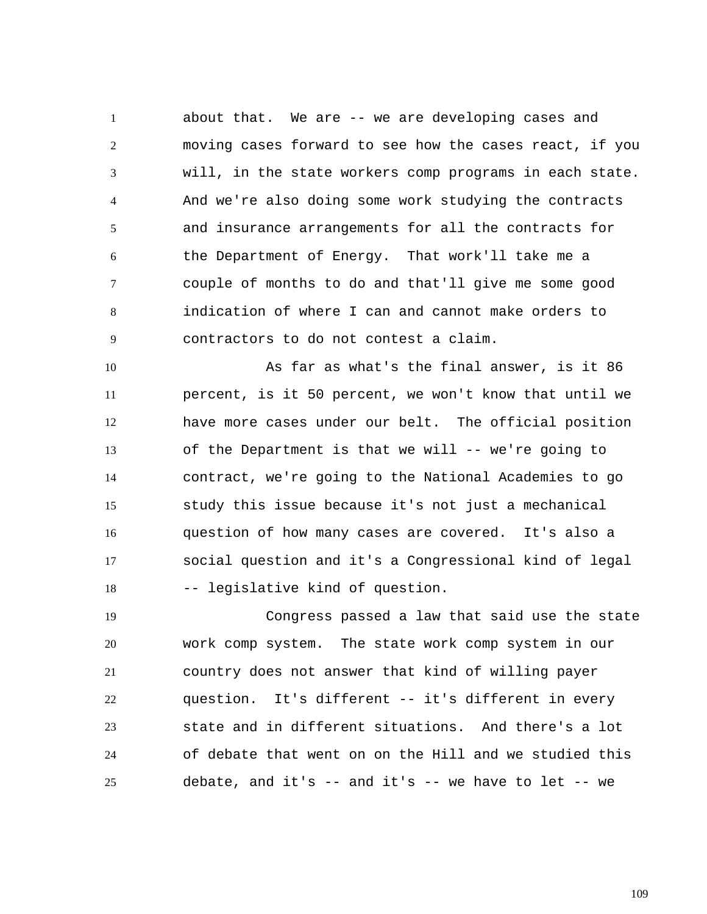1 2 3 4 5 6 7 8 9 about that. We are -- we are developing cases and moving cases forward to see how the cases react, if you will, in the state workers comp programs in each state. And we're also doing some work studying the contracts and insurance arrangements for all the contracts for the Department of Energy. That work'll take me a couple of months to do and that'll give me some good indication of where I can and cannot make orders to contractors to do not contest a claim.

10 11 12 13 14 15 16 17 18 As far as what's the final answer, is it 86 percent, is it 50 percent, we won't know that until we have more cases under our belt. The official position of the Department is that we will -- we're going to contract, we're going to the National Academies to go study this issue because it's not just a mechanical question of how many cases are covered. It's also a social question and it's a Congressional kind of legal -- legislative kind of question.

19 20 21 22 23 24 25 Congress passed a law that said use the state work comp system. The state work comp system in our country does not answer that kind of willing payer question. It's different -- it's different in every state and in different situations. And there's a lot of debate that went on on the Hill and we studied this debate, and it's  $-$  and it's  $-$  we have to let  $-$ - we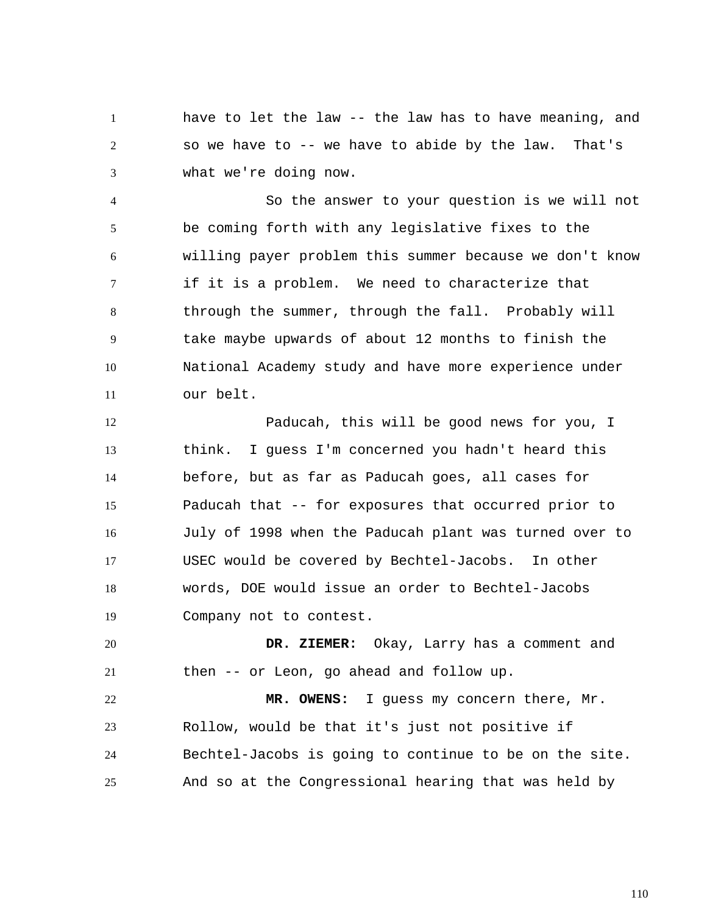1 2 3 have to let the law -- the law has to have meaning, and so we have to -- we have to abide by the law. That's what we're doing now.

4 5 6 7 8 9 10 11 So the answer to your question is we will not be coming forth with any legislative fixes to the willing payer problem this summer because we don't know if it is a problem. We need to characterize that through the summer, through the fall. Probably will take maybe upwards of about 12 months to finish the National Academy study and have more experience under our belt.

12 13 14 15 16 17 18 19 Paducah, this will be good news for you, I think. I guess I'm concerned you hadn't heard this before, but as far as Paducah goes, all cases for Paducah that -- for exposures that occurred prior to July of 1998 when the Paducah plant was turned over to USEC would be covered by Bechtel-Jacobs. In other words, DOE would issue an order to Bechtel-Jacobs Company not to contest.

20 21  **DR. ZIEMER:** Okay, Larry has a comment and then -- or Leon, go ahead and follow up.

22 23 24 25  **MR. OWENS:** I guess my concern there, Mr. Rollow, would be that it's just not positive if Bechtel-Jacobs is going to continue to be on the site. And so at the Congressional hearing that was held by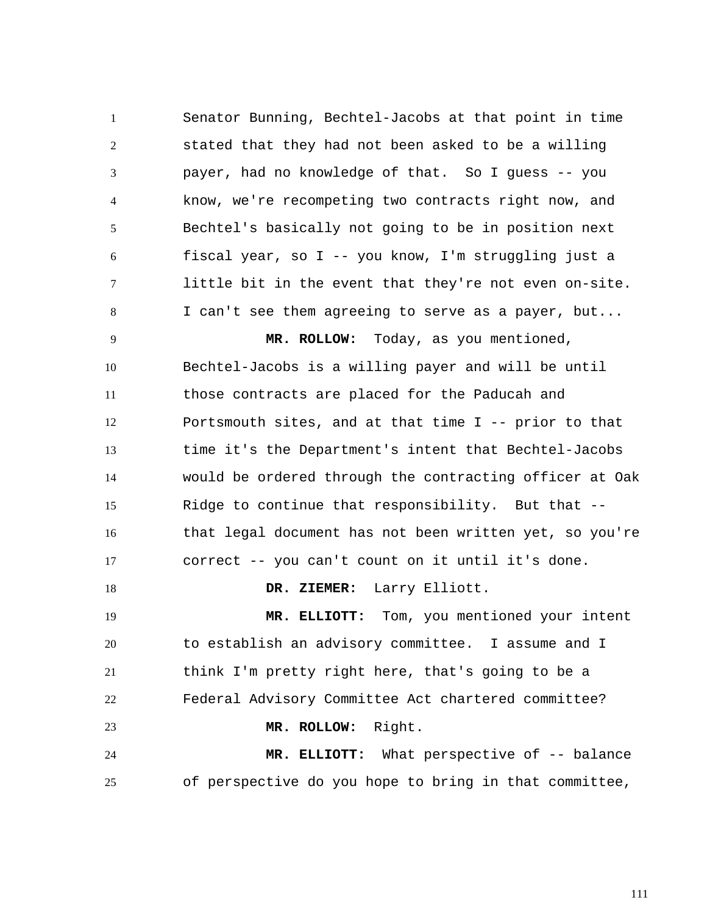1 2 3 4 5 6 7 8 Senator Bunning, Bechtel-Jacobs at that point in time stated that they had not been asked to be a willing payer, had no knowledge of that. So I guess -- you know, we're recompeting two contracts right now, and Bechtel's basically not going to be in position next fiscal year, so I -- you know, I'm struggling just a little bit in the event that they're not even on-site. I can't see them agreeing to serve as a payer, but...

9 10 11 12 13 14 15 16 17  **MR. ROLLOW:** Today, as you mentioned, Bechtel-Jacobs is a willing payer and will be until those contracts are placed for the Paducah and Portsmouth sites, and at that time I -- prior to that time it's the Department's intent that Bechtel-Jacobs would be ordered through the contracting officer at Oak Ridge to continue that responsibility. But that - that legal document has not been written yet, so you're correct -- you can't count on it until it's done.

19 20 21 22 23 24 25  **MR. ELLIOTT:** Tom, you mentioned your intent to establish an advisory committee. I assume and I think I'm pretty right here, that's going to be a Federal Advisory Committee Act chartered committee?  **MR. ROLLOW:** Right.  **MR. ELLIOTT:** What perspective of -- balance of perspective do you hope to bring in that committee,

 **DR. ZIEMER:** Larry Elliott.

18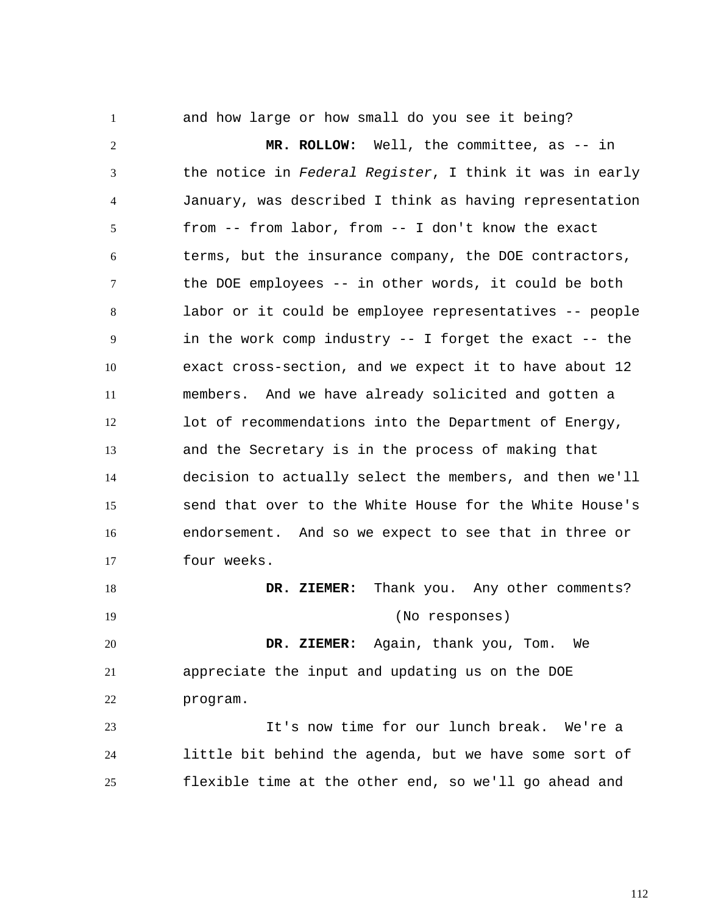and how large or how small do you see it being?

1

2 3 4 5 6 7 8 9 10 11 12 13 14 15 16 17  **MR. ROLLOW:** Well, the committee, as -- in the notice in *Federal Register*, I think it was in early January, was described I think as having representation from -- from labor, from -- I don't know the exact terms, but the insurance company, the DOE contractors, the DOE employees -- in other words, it could be both labor or it could be employee representatives -- people in the work comp industry -- I forget the exact -- the exact cross-section, and we expect it to have about 12 members. And we have already solicited and gotten a lot of recommendations into the Department of Energy, and the Secretary is in the process of making that decision to actually select the members, and then we'll send that over to the White House for the White House's endorsement. And so we expect to see that in three or four weeks.

18 19  **DR. ZIEMER:** Thank you. Any other comments? (No responses)

20 21 22  **DR. ZIEMER:** Again, thank you, Tom. We appreciate the input and updating us on the DOE program.

23 24 25 It's now time for our lunch break. We're a little bit behind the agenda, but we have some sort of flexible time at the other end, so we'll go ahead and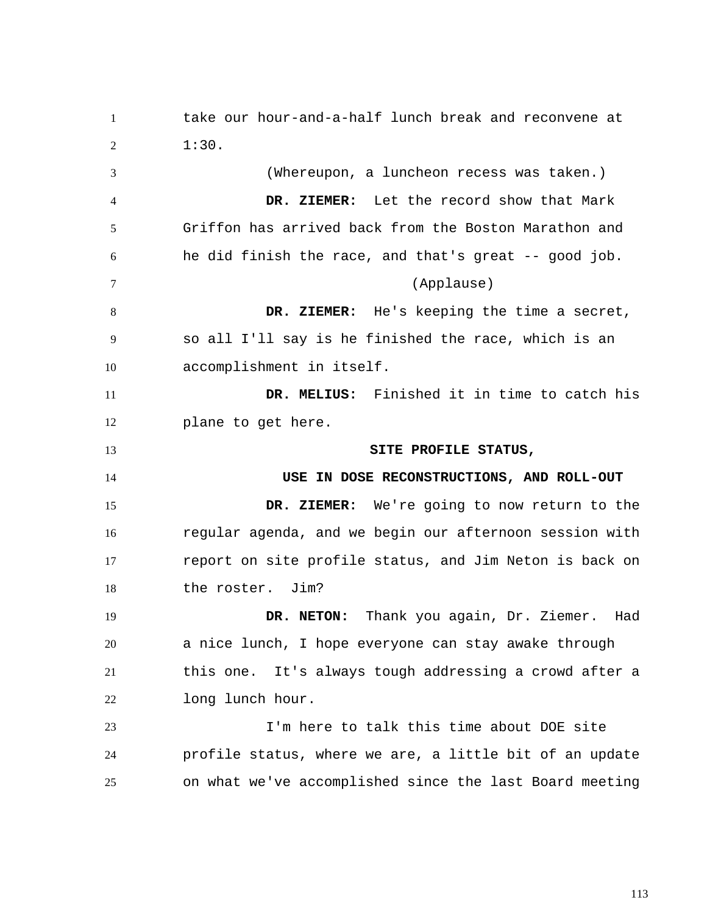1 2 3 4 5 6 7 8 9 10 11 12 13 14 15 16 17 18 19 20 21 22 23 24 25 take our hour-and-a-half lunch break and reconvene at 1:30. (Whereupon, a luncheon recess was taken.)  **DR. ZIEMER:** Let the record show that Mark Griffon has arrived back from the Boston Marathon and he did finish the race, and that's great -- good job. (Applause)  **DR. ZIEMER:** He's keeping the time a secret, so all I'll say is he finished the race, which is an accomplishment in itself.  **DR. MELIUS:** Finished it in time to catch his plane to get here. **SITE PROFILE STATUS, USE IN DOSE RECONSTRUCTIONS, AND ROLL-OUT DR. ZIEMER:** We're going to now return to the regular agenda, and we begin our afternoon session with report on site profile status, and Jim Neton is back on the roster. Jim?  **DR. NETON:** Thank you again, Dr. Ziemer. Had a nice lunch, I hope everyone can stay awake through this one. It's always tough addressing a crowd after a long lunch hour. I'm here to talk this time about DOE site profile status, where we are, a little bit of an update on what we've accomplished since the last Board meeting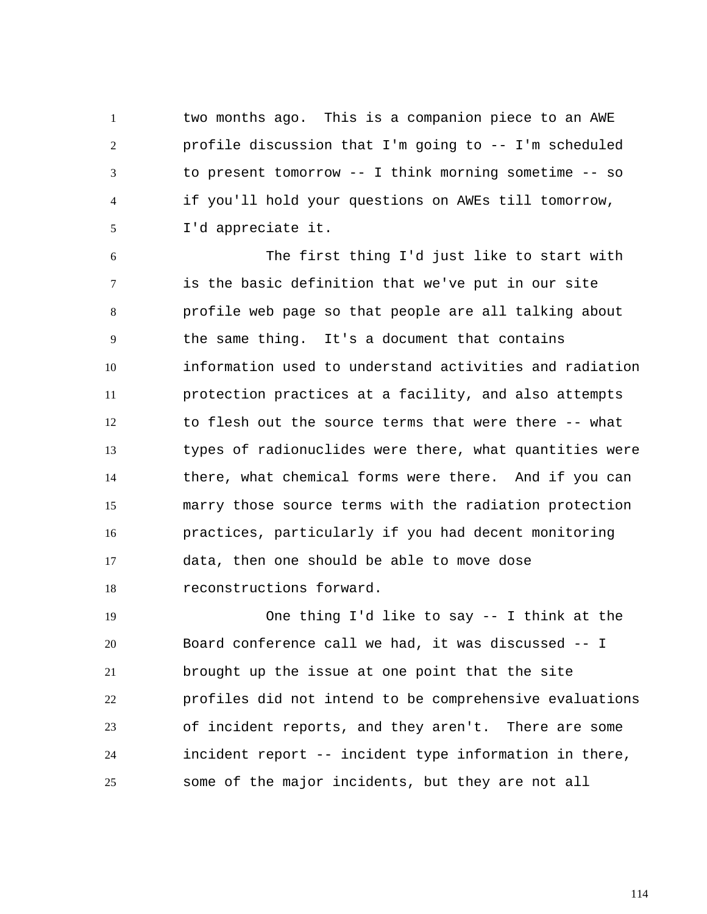1 2 3 4 5 two months ago. This is a companion piece to an AWE profile discussion that I'm going to -- I'm scheduled to present tomorrow -- I think morning sometime -- so if you'll hold your questions on AWEs till tomorrow, I'd appreciate it.

6 7 8 9 10 11 12 13 14 15 16 17 18 The first thing I'd just like to start with is the basic definition that we've put in our site profile web page so that people are all talking about the same thing. It's a document that contains information used to understand activities and radiation protection practices at a facility, and also attempts to flesh out the source terms that were there -- what types of radionuclides were there, what quantities were there, what chemical forms were there. And if you can marry those source terms with the radiation protection practices, particularly if you had decent monitoring data, then one should be able to move dose reconstructions forward.

19 20 21 22 23 24 25 One thing I'd like to say -- I think at the Board conference call we had, it was discussed -- I brought up the issue at one point that the site profiles did not intend to be comprehensive evaluations of incident reports, and they aren't. There are some incident report -- incident type information in there, some of the major incidents, but they are not all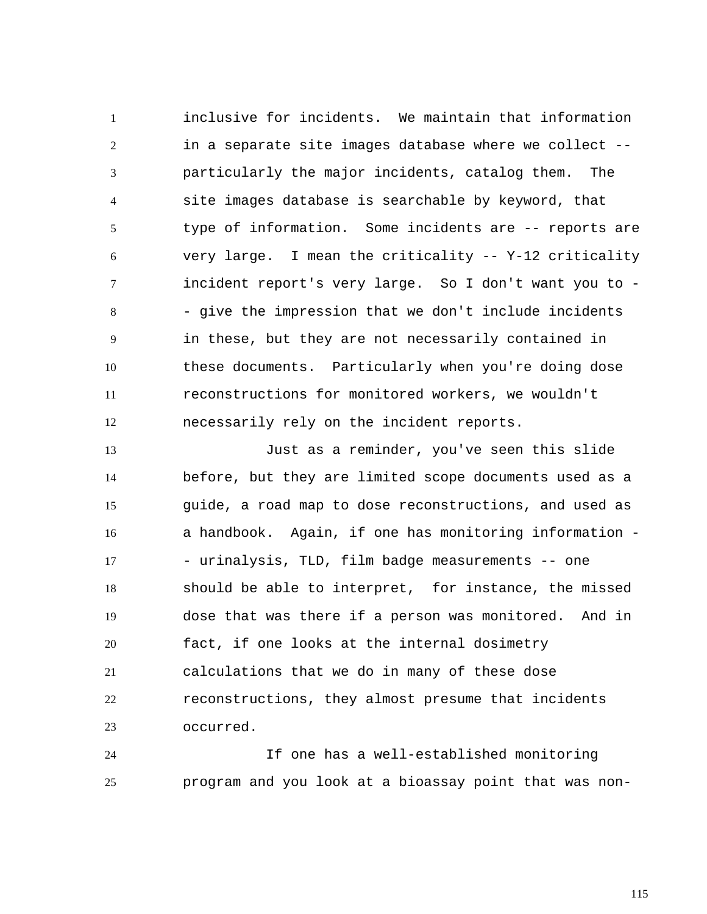1 2 3 4 5 6 7 8 9 10 11 12 inclusive for incidents. We maintain that information in a separate site images database where we collect - particularly the major incidents, catalog them. The site images database is searchable by keyword, that type of information. Some incidents are -- reports are very large. I mean the criticality -- Y-12 criticality incident report's very large. So I don't want you to - - give the impression that we don't include incidents in these, but they are not necessarily contained in these documents. Particularly when you're doing dose reconstructions for monitored workers, we wouldn't necessarily rely on the incident reports.

13 14 15 16 17 18 19 20 21 22 23 Just as a reminder, you've seen this slide before, but they are limited scope documents used as a guide, a road map to dose reconstructions, and used as a handbook. Again, if one has monitoring information - - urinalysis, TLD, film badge measurements -- one should be able to interpret, for instance, the missed dose that was there if a person was monitored. And in fact, if one looks at the internal dosimetry calculations that we do in many of these dose reconstructions, they almost presume that incidents occurred.

24 25 If one has a well-established monitoring program and you look at a bioassay point that was non-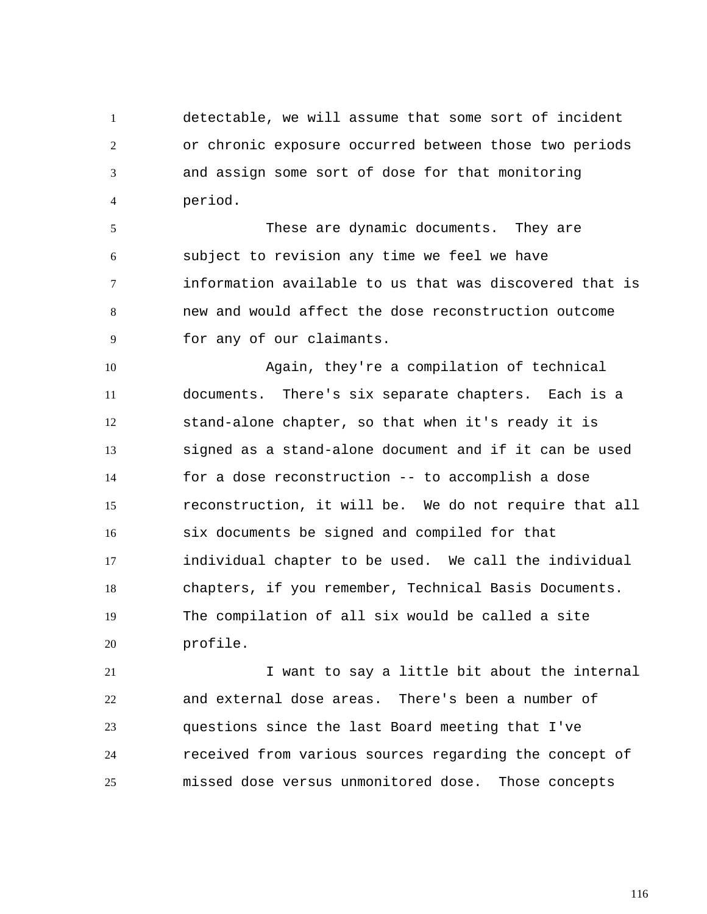1 2 3 4 detectable, we will assume that some sort of incident or chronic exposure occurred between those two periods and assign some sort of dose for that monitoring period.

5 6 7 8 9 These are dynamic documents. They are subject to revision any time we feel we have information available to us that was discovered that is new and would affect the dose reconstruction outcome for any of our claimants.

10 11 12 13 14 15 16 17 18 19 20 Again, they're a compilation of technical documents. There's six separate chapters. Each is a stand-alone chapter, so that when it's ready it is signed as a stand-alone document and if it can be used for a dose reconstruction -- to accomplish a dose reconstruction, it will be. We do not require that all six documents be signed and compiled for that individual chapter to be used. We call the individual chapters, if you remember, Technical Basis Documents. The compilation of all six would be called a site profile.

21 22 23 24 25 I want to say a little bit about the internal and external dose areas. There's been a number of questions since the last Board meeting that I've received from various sources regarding the concept of missed dose versus unmonitored dose. Those concepts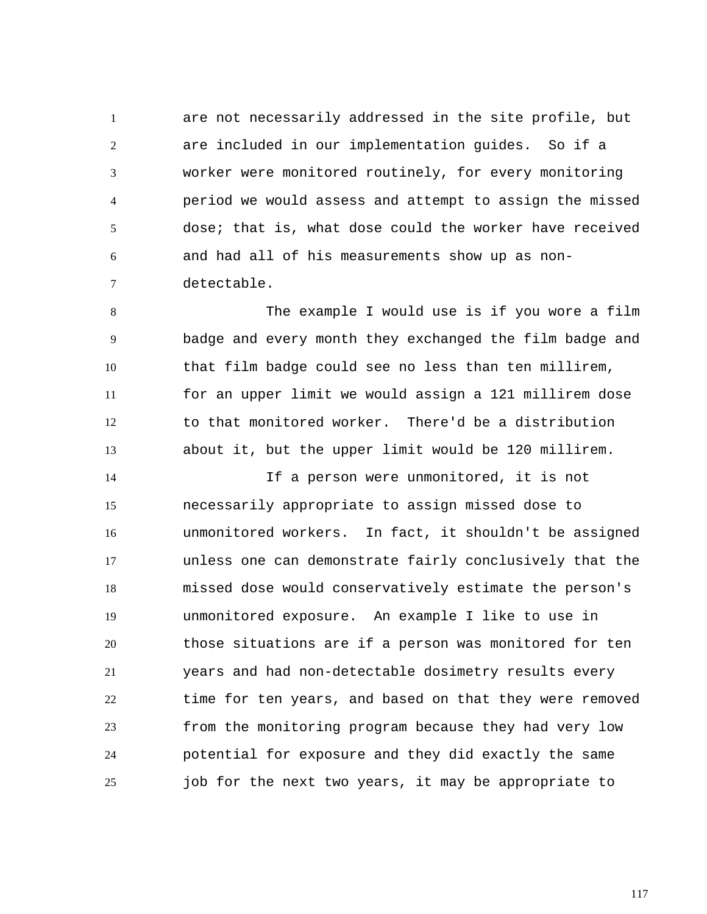1 2 3 4 5 6 7 are not necessarily addressed in the site profile, but are included in our implementation guides. So if a worker were monitored routinely, for every monitoring period we would assess and attempt to assign the missed dose; that is, what dose could the worker have received and had all of his measurements show up as nondetectable.

8 9 10 11 12 13 The example I would use is if you wore a film badge and every month they exchanged the film badge and that film badge could see no less than ten millirem, for an upper limit we would assign a 121 millirem dose to that monitored worker. There'd be a distribution about it, but the upper limit would be 120 millirem.

14 15 16 17 18 19 20 21 22 23 24 25 If a person were unmonitored, it is not necessarily appropriate to assign missed dose to unmonitored workers. In fact, it shouldn't be assigned unless one can demonstrate fairly conclusively that the missed dose would conservatively estimate the person's unmonitored exposure. An example I like to use in those situations are if a person was monitored for ten years and had non-detectable dosimetry results every time for ten years, and based on that they were removed from the monitoring program because they had very low potential for exposure and they did exactly the same job for the next two years, it may be appropriate to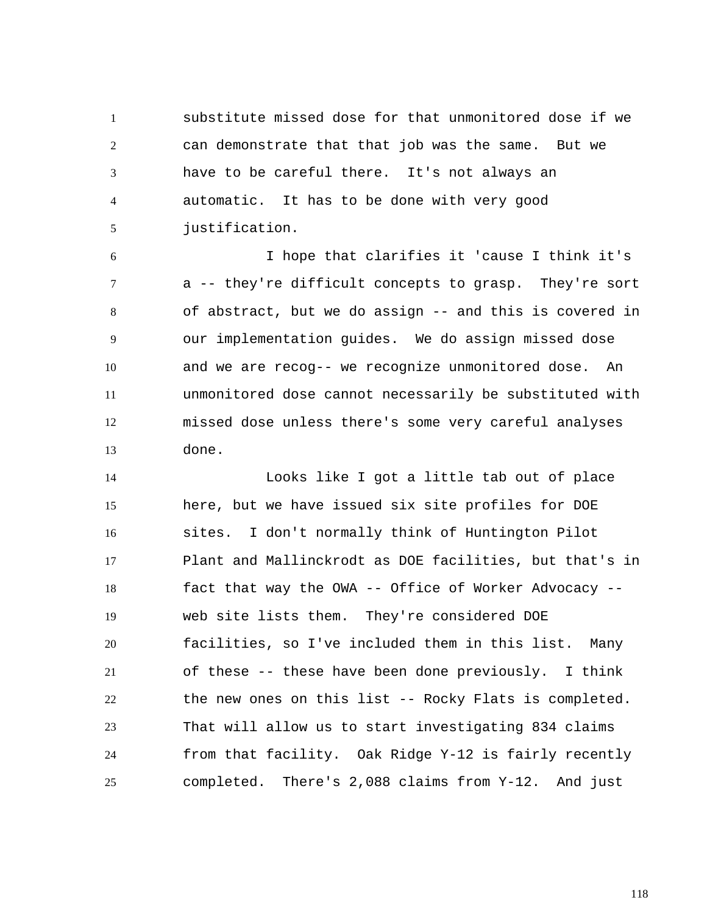1 2 3 4 5 substitute missed dose for that unmonitored dose if we can demonstrate that that job was the same. But we have to be careful there. It's not always an automatic. It has to be done with very good justification.

6 7 8 9 10 11 12 13 I hope that clarifies it 'cause I think it's a -- they're difficult concepts to grasp. They're sort of abstract, but we do assign -- and this is covered in our implementation guides. We do assign missed dose and we are recog-- we recognize unmonitored dose. An unmonitored dose cannot necessarily be substituted with missed dose unless there's some very careful analyses done.

14 15 16 17 18 19 20 21 22 23 24 25 Looks like I got a little tab out of place here, but we have issued six site profiles for DOE sites. I don't normally think of Huntington Pilot Plant and Mallinckrodt as DOE facilities, but that's in fact that way the OWA -- Office of Worker Advocacy - web site lists them. They're considered DOE facilities, so I've included them in this list. Many of these -- these have been done previously. I think the new ones on this list -- Rocky Flats is completed. That will allow us to start investigating 834 claims from that facility. Oak Ridge Y-12 is fairly recently completed. There's 2,088 claims from Y-12. And just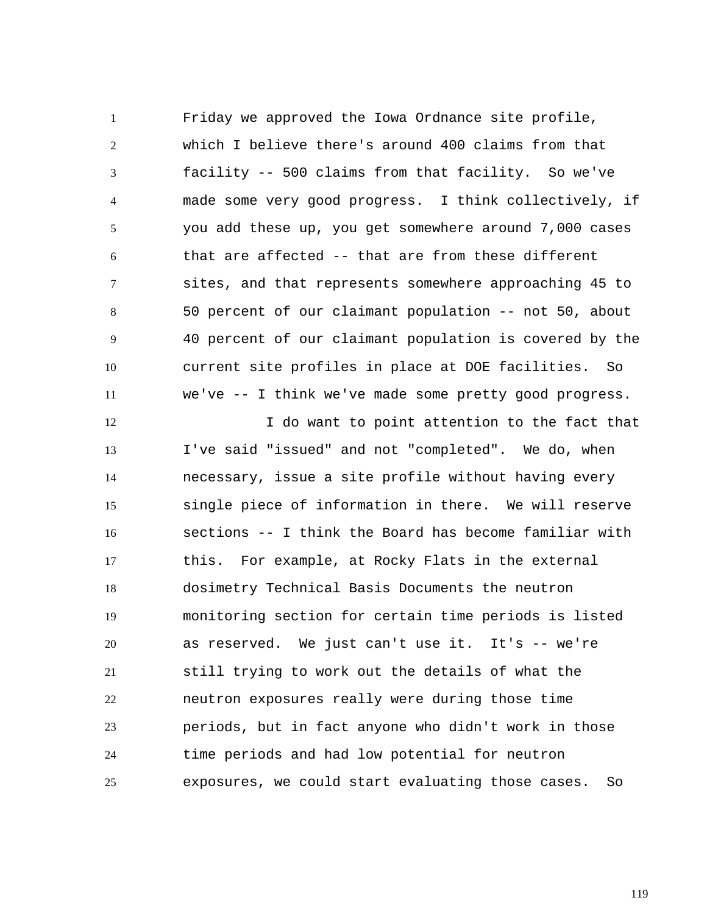1 2 3 4 5 6 7 8 9 10 11 Friday we approved the Iowa Ordnance site profile, which I believe there's around 400 claims from that facility -- 500 claims from that facility. So we've made some very good progress. I think collectively, if you add these up, you get somewhere around 7,000 cases that are affected -- that are from these different sites, and that represents somewhere approaching 45 to 50 percent of our claimant population -- not 50, about 40 percent of our claimant population is covered by the current site profiles in place at DOE facilities. So we've -- I think we've made some pretty good progress.

12 13 14 15 16 17 18 19 20 21 22 23 24 25 I do want to point attention to the fact that I've said "issued" and not "completed". We do, when necessary, issue a site profile without having every single piece of information in there. We will reserve sections -- I think the Board has become familiar with this. For example, at Rocky Flats in the external dosimetry Technical Basis Documents the neutron monitoring section for certain time periods is listed as reserved. We just can't use it. It's -- we're still trying to work out the details of what the neutron exposures really were during those time periods, but in fact anyone who didn't work in those time periods and had low potential for neutron exposures, we could start evaluating those cases. So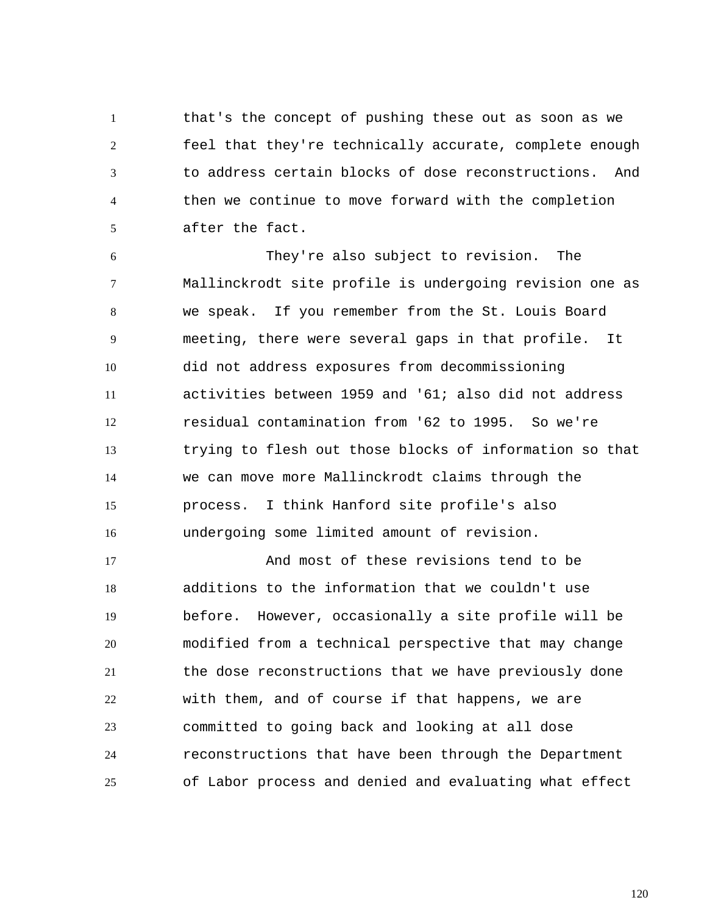1 2 3 4 5 that's the concept of pushing these out as soon as we feel that they're technically accurate, complete enough to address certain blocks of dose reconstructions. And then we continue to move forward with the completion after the fact.

6 7 8 9 10 11 12 13 14 15 16 They're also subject to revision. The Mallinckrodt site profile is undergoing revision one as we speak. If you remember from the St. Louis Board meeting, there were several gaps in that profile. It did not address exposures from decommissioning activities between 1959 and '61; also did not address residual contamination from '62 to 1995. So we're trying to flesh out those blocks of information so that we can move more Mallinckrodt claims through the process. I think Hanford site profile's also undergoing some limited amount of revision.

17 18 19 20 21 22 23 24 25 And most of these revisions tend to be additions to the information that we couldn't use before. However, occasionally a site profile will be modified from a technical perspective that may change the dose reconstructions that we have previously done with them, and of course if that happens, we are committed to going back and looking at all dose reconstructions that have been through the Department of Labor process and denied and evaluating what effect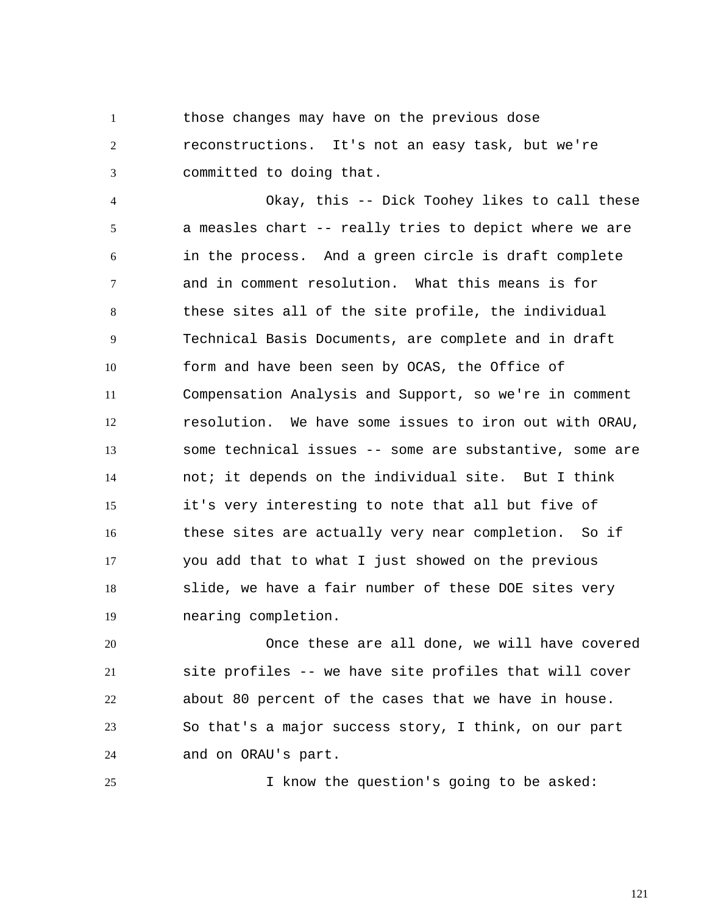1 2 3 those changes may have on the previous dose reconstructions. It's not an easy task, but we're committed to doing that.

4 5 6 7 8 9 10 11 12 13 14 15 16 17 18 19 Okay, this -- Dick Toohey likes to call these a measles chart -- really tries to depict where we are in the process. And a green circle is draft complete and in comment resolution. What this means is for these sites all of the site profile, the individual Technical Basis Documents, are complete and in draft form and have been seen by OCAS, the Office of Compensation Analysis and Support, so we're in comment resolution. We have some issues to iron out with ORAU, some technical issues -- some are substantive, some are not; it depends on the individual site. But I think it's very interesting to note that all but five of these sites are actually very near completion. So if you add that to what I just showed on the previous slide, we have a fair number of these DOE sites very nearing completion.

20 21 22 23 24 Once these are all done, we will have covered site profiles -- we have site profiles that will cover about 80 percent of the cases that we have in house. So that's a major success story, I think, on our part and on ORAU's part.

25

I know the question's going to be asked: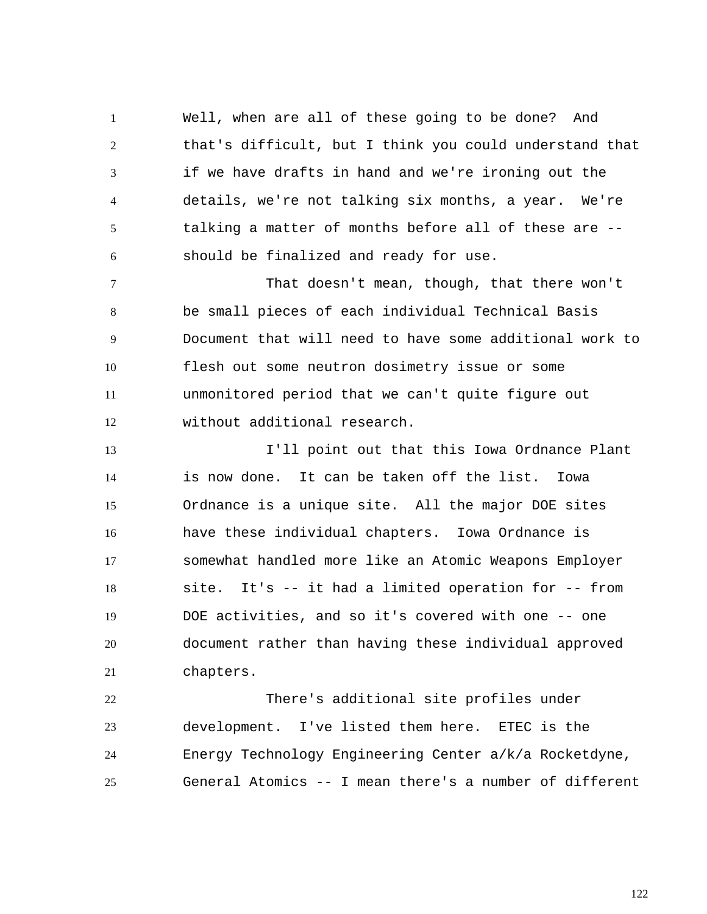1 2 3 4 5 6 Well, when are all of these going to be done? And that's difficult, but I think you could understand that if we have drafts in hand and we're ironing out the details, we're not talking six months, a year. We're talking a matter of months before all of these are - should be finalized and ready for use.

7 8 9 10 11 12 That doesn't mean, though, that there won't be small pieces of each individual Technical Basis Document that will need to have some additional work to flesh out some neutron dosimetry issue or some unmonitored period that we can't quite figure out without additional research.

13 14 15 16 17 18 19 20 21 I'll point out that this Iowa Ordnance Plant is now done. It can be taken off the list. Iowa Ordnance is a unique site. All the major DOE sites have these individual chapters. Iowa Ordnance is somewhat handled more like an Atomic Weapons Employer site. It's -- it had a limited operation for -- from DOE activities, and so it's covered with one -- one document rather than having these individual approved chapters.

22 23 24 25 There's additional site profiles under development. I've listed them here. ETEC is the Energy Technology Engineering Center a/k/a Rocketdyne, General Atomics -- I mean there's a number of different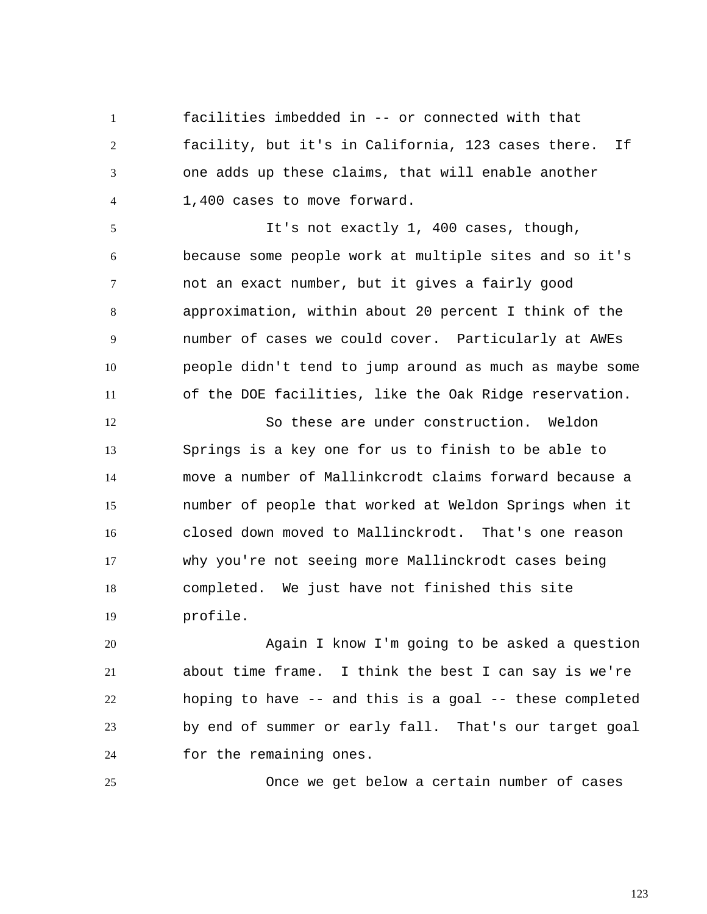1 2 3 4 facilities imbedded in -- or connected with that facility, but it's in California, 123 cases there. If one adds up these claims, that will enable another 1,400 cases to move forward.

5 6 7 8 9 10 11 It's not exactly 1, 400 cases, though, because some people work at multiple sites and so it's not an exact number, but it gives a fairly good approximation, within about 20 percent I think of the number of cases we could cover. Particularly at AWEs people didn't tend to jump around as much as maybe some of the DOE facilities, like the Oak Ridge reservation.

12 13 14 15 16 17 18 19 So these are under construction. Weldon Springs is a key one for us to finish to be able to move a number of Mallinkcrodt claims forward because a number of people that worked at Weldon Springs when it closed down moved to Mallinckrodt. That's one reason why you're not seeing more Mallinckrodt cases being completed. We just have not finished this site profile.

20 21 22 23 24 Again I know I'm going to be asked a question about time frame. I think the best I can say is we're hoping to have -- and this is a goal -- these completed by end of summer or early fall. That's our target goal for the remaining ones.

25

Once we get below a certain number of cases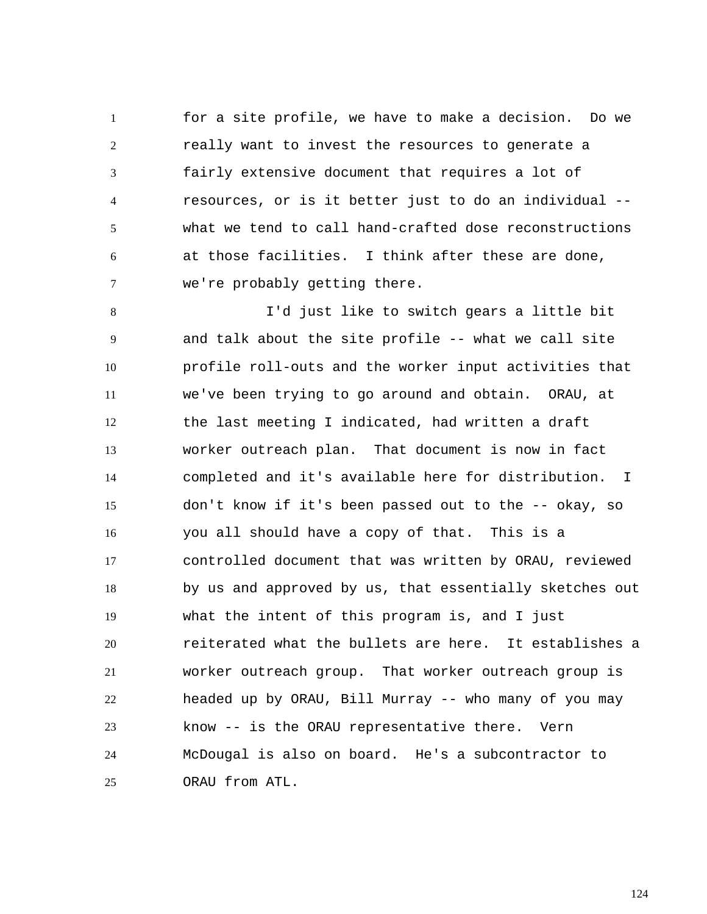1 2 3 4 5 6 7 for a site profile, we have to make a decision. Do we really want to invest the resources to generate a fairly extensive document that requires a lot of resources, or is it better just to do an individual - what we tend to call hand-crafted dose reconstructions at those facilities. I think after these are done, we're probably getting there.

8 9 10 11 12 13 14 15 16 17 18 19 20 21 22 23 24 25 I'd just like to switch gears a little bit and talk about the site profile -- what we call site profile roll-outs and the worker input activities that we've been trying to go around and obtain. ORAU, at the last meeting I indicated, had written a draft worker outreach plan. That document is now in fact completed and it's available here for distribution. I don't know if it's been passed out to the -- okay, so you all should have a copy of that. This is a controlled document that was written by ORAU, reviewed by us and approved by us, that essentially sketches out what the intent of this program is, and I just reiterated what the bullets are here. It establishes a worker outreach group. That worker outreach group is headed up by ORAU, Bill Murray -- who many of you may know -- is the ORAU representative there. Vern McDougal is also on board. He's a subcontractor to ORAU from ATL.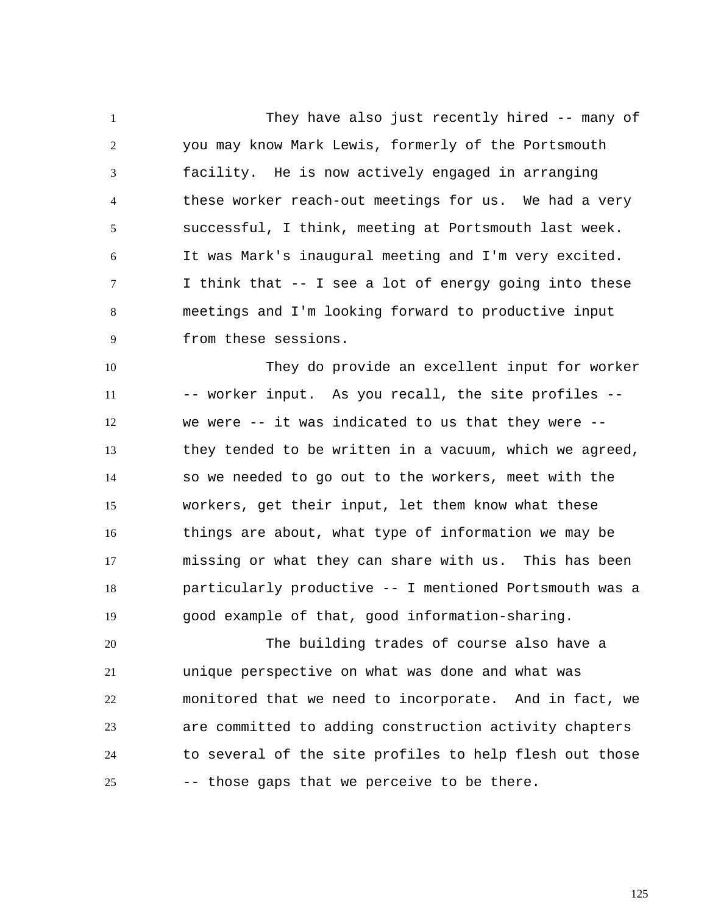1 2 3 4 5 6 7 8 9 They have also just recently hired -- many of you may know Mark Lewis, formerly of the Portsmouth facility. He is now actively engaged in arranging these worker reach-out meetings for us. We had a very successful, I think, meeting at Portsmouth last week. It was Mark's inaugural meeting and I'm very excited. I think that -- I see a lot of energy going into these meetings and I'm looking forward to productive input from these sessions.

10 11 12 13 14 15 16 17 18 19 They do provide an excellent input for worker -- worker input. As you recall, the site profiles - we were -- it was indicated to us that they were - they tended to be written in a vacuum, which we agreed, so we needed to go out to the workers, meet with the workers, get their input, let them know what these things are about, what type of information we may be missing or what they can share with us. This has been particularly productive -- I mentioned Portsmouth was a good example of that, good information-sharing.

20 21 22 23 24 25 The building trades of course also have a unique perspective on what was done and what was monitored that we need to incorporate. And in fact, we are committed to adding construction activity chapters to several of the site profiles to help flesh out those -- those gaps that we perceive to be there.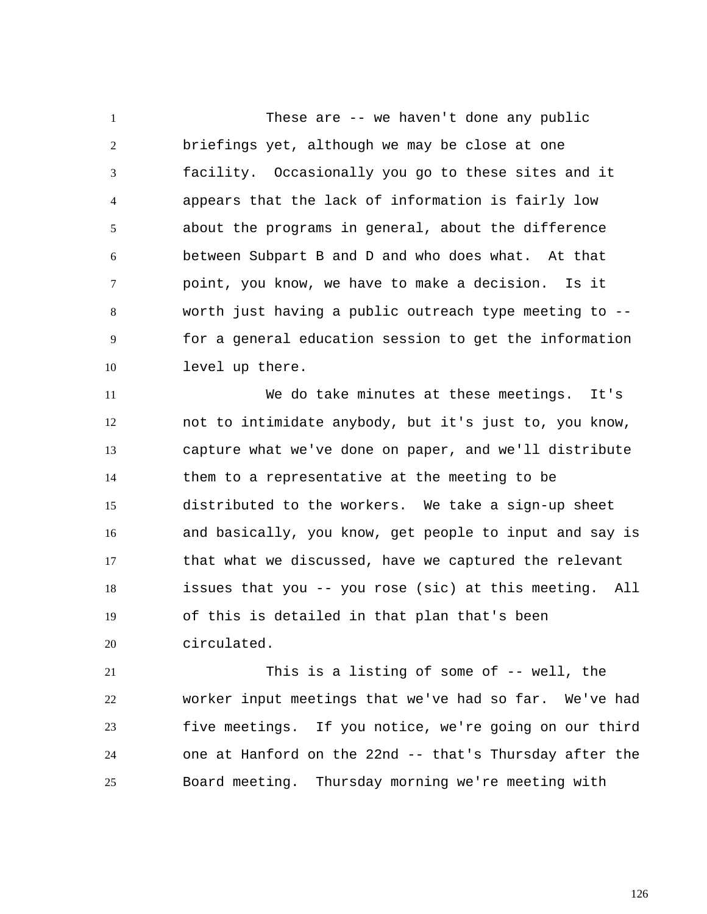1 2 3 4 5 6 7 8 9 10 These are -- we haven't done any public briefings yet, although we may be close at one facility. Occasionally you go to these sites and it appears that the lack of information is fairly low about the programs in general, about the difference between Subpart B and D and who does what. At that point, you know, we have to make a decision. Is it worth just having a public outreach type meeting to - for a general education session to get the information level up there.

11 12 13 14 15 16 17 18 19 20 We do take minutes at these meetings. It's not to intimidate anybody, but it's just to, you know, capture what we've done on paper, and we'll distribute them to a representative at the meeting to be distributed to the workers. We take a sign-up sheet and basically, you know, get people to input and say is that what we discussed, have we captured the relevant issues that you -- you rose (sic) at this meeting. All of this is detailed in that plan that's been circulated.

21 22 23 24 25 This is a listing of some of -- well, the worker input meetings that we've had so far. We've had five meetings. If you notice, we're going on our third one at Hanford on the 22nd -- that's Thursday after the Board meeting. Thursday morning we're meeting with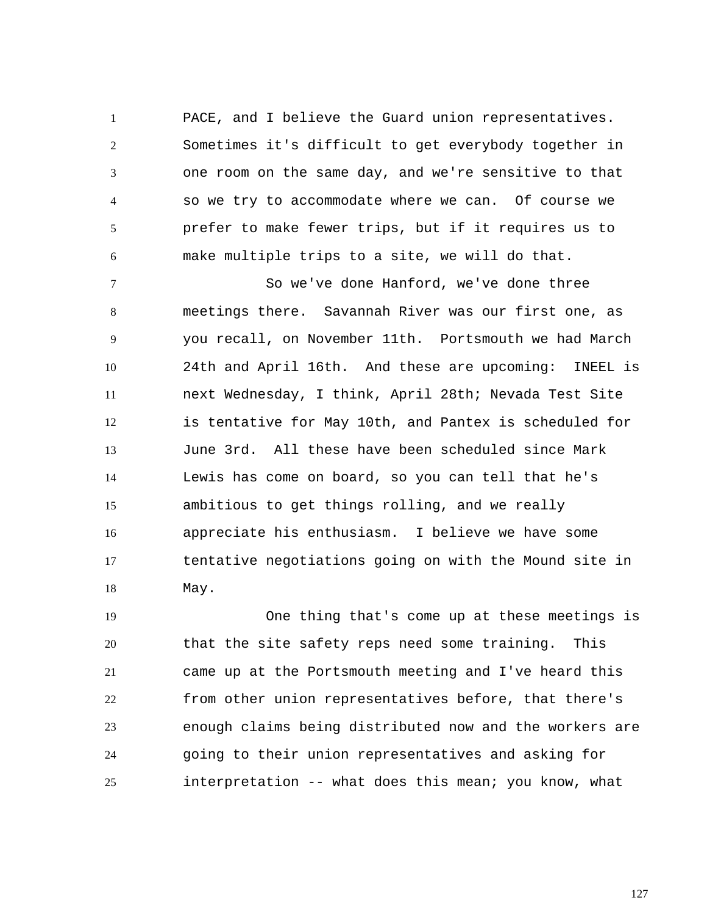1 2 3 4 5 6 PACE, and I believe the Guard union representatives. Sometimes it's difficult to get everybody together in one room on the same day, and we're sensitive to that so we try to accommodate where we can. Of course we prefer to make fewer trips, but if it requires us to make multiple trips to a site, we will do that.

7 8 9 10 11 12 13 14 15 16 17 18 So we've done Hanford, we've done three meetings there. Savannah River was our first one, as you recall, on November 11th. Portsmouth we had March 24th and April 16th. And these are upcoming: INEEL is next Wednesday, I think, April 28th; Nevada Test Site is tentative for May 10th, and Pantex is scheduled for June 3rd. All these have been scheduled since Mark Lewis has come on board, so you can tell that he's ambitious to get things rolling, and we really appreciate his enthusiasm. I believe we have some tentative negotiations going on with the Mound site in May.

19 20 21 22 23 24 25 One thing that's come up at these meetings is that the site safety reps need some training. This came up at the Portsmouth meeting and I've heard this from other union representatives before, that there's enough claims being distributed now and the workers are going to their union representatives and asking for interpretation -- what does this mean; you know, what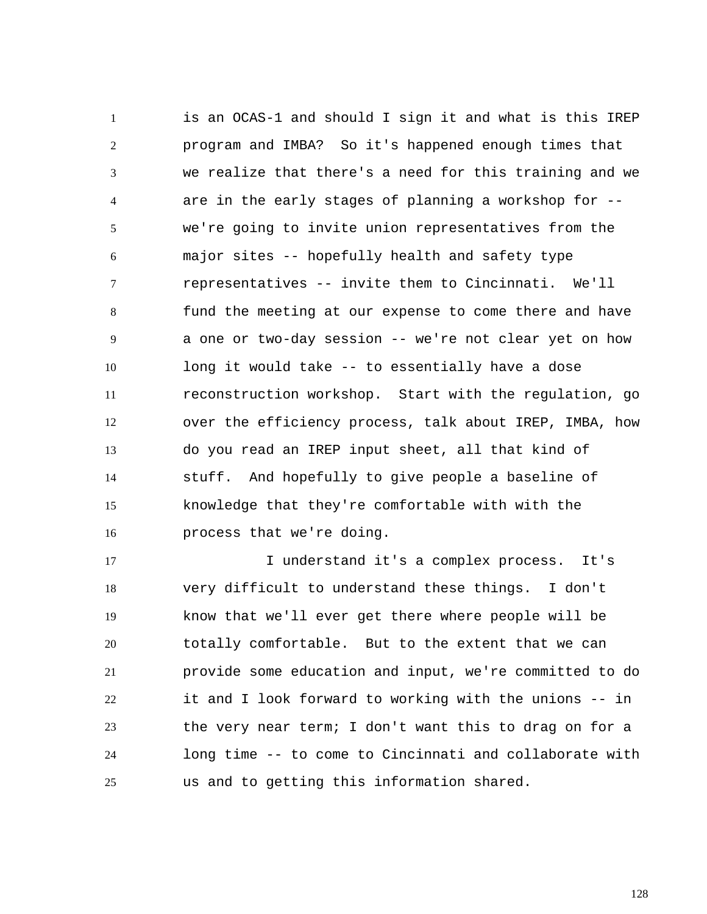1 2 3 4 5 6 7 8 9 10 11 12 13 14 15 16 is an OCAS-1 and should I sign it and what is this IREP program and IMBA? So it's happened enough times that we realize that there's a need for this training and we are in the early stages of planning a workshop for - we're going to invite union representatives from the major sites -- hopefully health and safety type representatives -- invite them to Cincinnati. We'll fund the meeting at our expense to come there and have a one or two-day session -- we're not clear yet on how long it would take -- to essentially have a dose reconstruction workshop. Start with the regulation, go over the efficiency process, talk about IREP, IMBA, how do you read an IREP input sheet, all that kind of stuff. And hopefully to give people a baseline of knowledge that they're comfortable with with the process that we're doing.

17 18 19 20 21 22 23 24 25 I understand it's a complex process. It's very difficult to understand these things. I don't know that we'll ever get there where people will be totally comfortable. But to the extent that we can provide some education and input, we're committed to do it and I look forward to working with the unions -- in the very near term; I don't want this to drag on for a long time -- to come to Cincinnati and collaborate with us and to getting this information shared.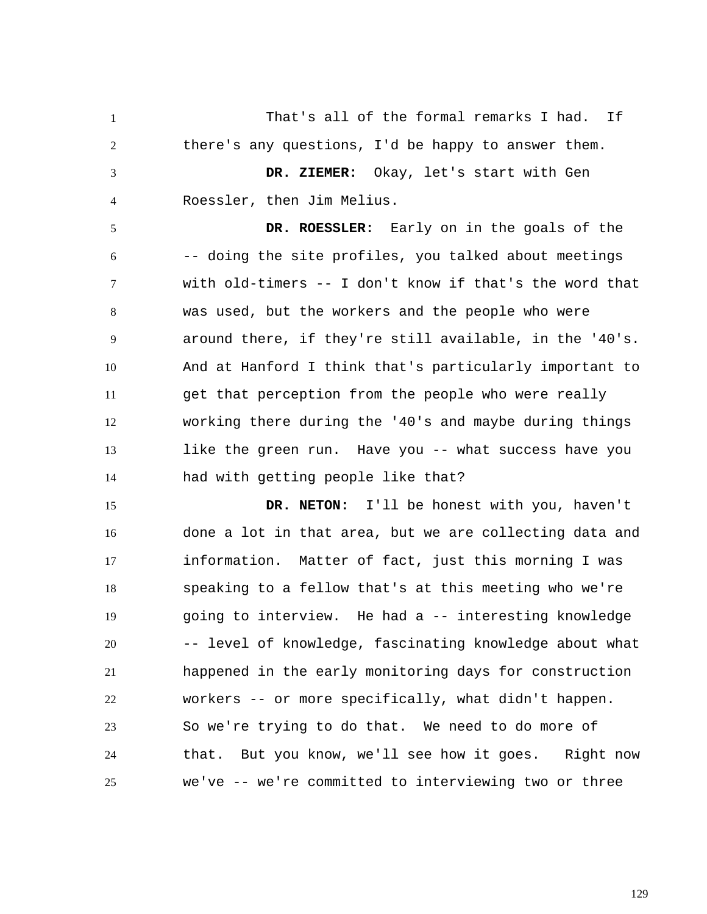1 2 3 4 5 That's all of the formal remarks I had. If there's any questions, I'd be happy to answer them.  **DR. ZIEMER:** Okay, let's start with Gen Roessler, then Jim Melius.

6 7 8 9 10 11 12 13 14  **DR. ROESSLER:** Early on in the goals of the -- doing the site profiles, you talked about meetings with old-timers -- I don't know if that's the word that was used, but the workers and the people who were around there, if they're still available, in the '40's. And at Hanford I think that's particularly important to get that perception from the people who were really working there during the '40's and maybe during things like the green run. Have you -- what success have you had with getting people like that?

15 16 17 18 19 20 21 22 23 24 25  **DR. NETON:** I'll be honest with you, haven't done a lot in that area, but we are collecting data and information. Matter of fact, just this morning I was speaking to a fellow that's at this meeting who we're going to interview. He had a -- interesting knowledge -- level of knowledge, fascinating knowledge about what happened in the early monitoring days for construction workers -- or more specifically, what didn't happen. So we're trying to do that. We need to do more of that. But you know, we'll see how it goes. Right now we've -- we're committed to interviewing two or three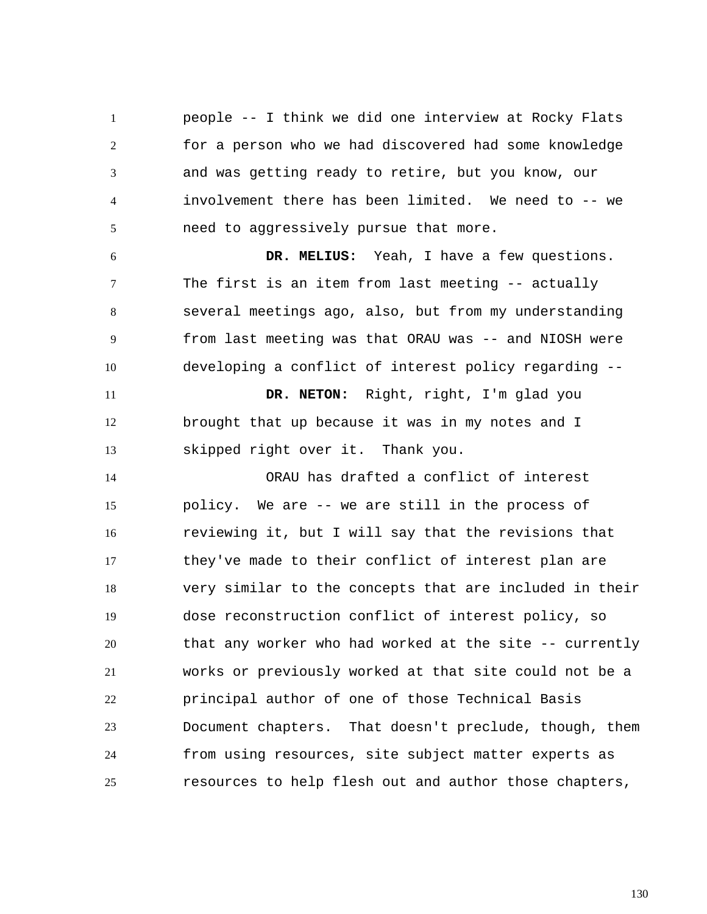1 2 3 4 5 people -- I think we did one interview at Rocky Flats for a person who we had discovered had some knowledge and was getting ready to retire, but you know, our involvement there has been limited. We need to -- we need to aggressively pursue that more.

6 7 8 9 10  **DR. MELIUS:** Yeah, I have a few questions. The first is an item from last meeting -- actually several meetings ago, also, but from my understanding from last meeting was that ORAU was -- and NIOSH were developing a conflict of interest policy regarding --

11 12 13  **DR. NETON:** Right, right, I'm glad you brought that up because it was in my notes and I skipped right over it. Thank you.

14 15 16 17 18 19 20 21 22 23 24 25 ORAU has drafted a conflict of interest policy. We are -- we are still in the process of reviewing it, but I will say that the revisions that they've made to their conflict of interest plan are very similar to the concepts that are included in their dose reconstruction conflict of interest policy, so that any worker who had worked at the site -- currently works or previously worked at that site could not be a principal author of one of those Technical Basis Document chapters. That doesn't preclude, though, them from using resources, site subject matter experts as resources to help flesh out and author those chapters,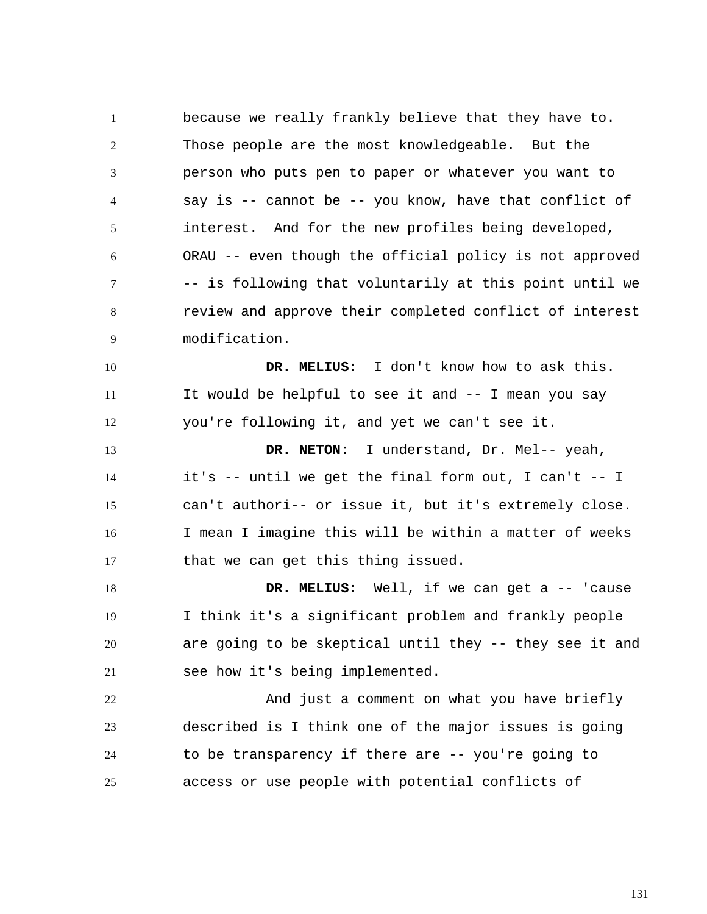1 2 3 4 5 6 7 8 9 because we really frankly believe that they have to. Those people are the most knowledgeable. But the person who puts pen to paper or whatever you want to say is -- cannot be -- you know, have that conflict of interest. And for the new profiles being developed, ORAU -- even though the official policy is not approved -- is following that voluntarily at this point until we review and approve their completed conflict of interest modification.

10 11 12  **DR. MELIUS:** I don't know how to ask this. It would be helpful to see it and -- I mean you say you're following it, and yet we can't see it.

13 14 15 16 17  **DR. NETON:** I understand, Dr. Mel-- yeah, it's -- until we get the final form out, I can't -- I can't authori-- or issue it, but it's extremely close. I mean I imagine this will be within a matter of weeks that we can get this thing issued.

18 19 20 21  **DR. MELIUS:** Well, if we can get a -- 'cause I think it's a significant problem and frankly people are going to be skeptical until they -- they see it and see how it's being implemented.

22 23 24 25 And just a comment on what you have briefly described is I think one of the major issues is going to be transparency if there are -- you're going to access or use people with potential conflicts of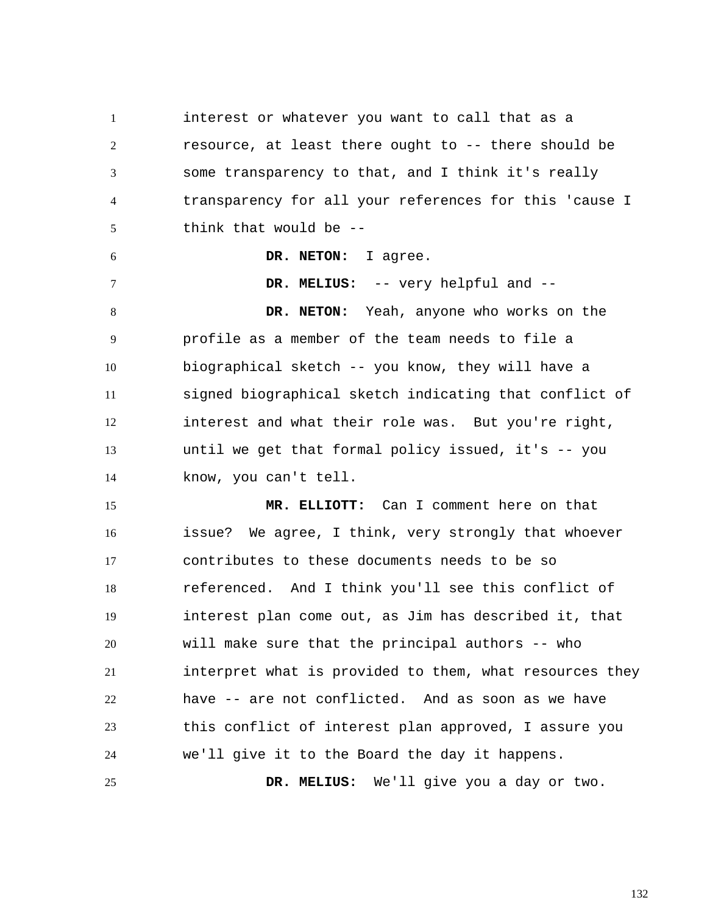1 2 3 4 5 interest or whatever you want to call that as a resource, at least there ought to -- there should be some transparency to that, and I think it's really transparency for all your references for this 'cause I think that would be --

 **DR. MELIUS:** -- very helpful and --

 **DR. NETON:** I agree.

6

7

8 9 10 11 12 13 14  **DR. NETON:** Yeah, anyone who works on the profile as a member of the team needs to file a biographical sketch -- you know, they will have a signed biographical sketch indicating that conflict of interest and what their role was. But you're right, until we get that formal policy issued, it's -- you know, you can't tell.

15 16 17 18 19 20 21 22 23 24 25  **MR. ELLIOTT:** Can I comment here on that issue? We agree, I think, very strongly that whoever contributes to these documents needs to be so referenced. And I think you'll see this conflict of interest plan come out, as Jim has described it, that will make sure that the principal authors -- who interpret what is provided to them, what resources they have -- are not conflicted. And as soon as we have this conflict of interest plan approved, I assure you we'll give it to the Board the day it happens.  **DR. MELIUS:** We'll give you a day or two.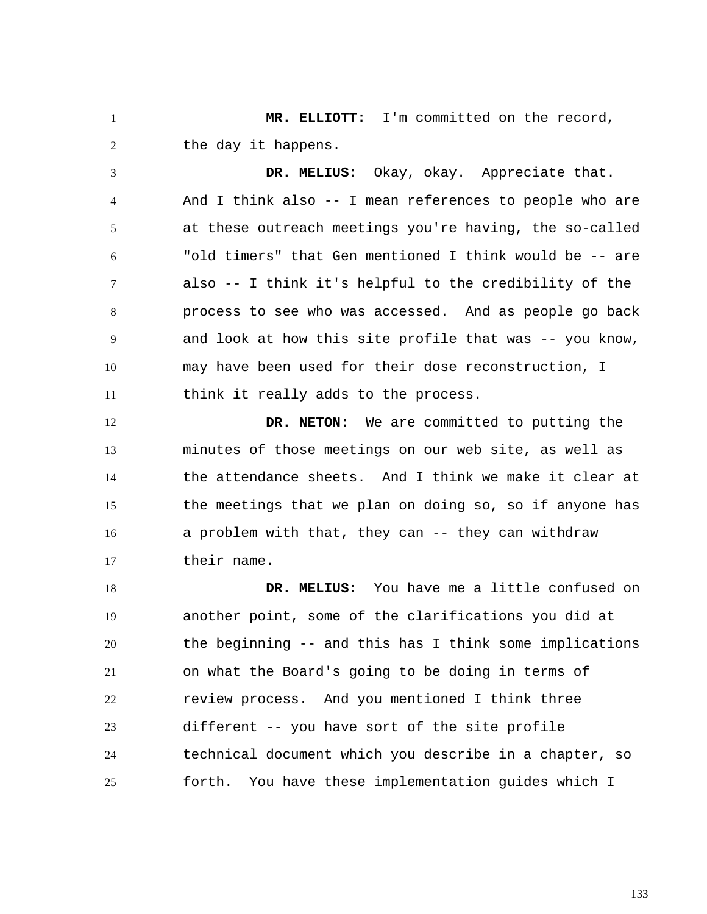1 2  **MR. ELLIOTT:** I'm committed on the record, the day it happens.

3 4 5 6 7 8 9 10 11  **DR. MELIUS:** Okay, okay. Appreciate that. And I think also -- I mean references to people who are at these outreach meetings you're having, the so-called "old timers" that Gen mentioned I think would be -- are also -- I think it's helpful to the credibility of the process to see who was accessed. And as people go back and look at how this site profile that was -- you know, may have been used for their dose reconstruction, I think it really adds to the process.

12 13 14 15 16 17  **DR. NETON:** We are committed to putting the minutes of those meetings on our web site, as well as the attendance sheets. And I think we make it clear at the meetings that we plan on doing so, so if anyone has a problem with that, they can -- they can withdraw their name.

18 19 20 21 22 23 24 25  **DR. MELIUS:** You have me a little confused on another point, some of the clarifications you did at the beginning -- and this has I think some implications on what the Board's going to be doing in terms of review process. And you mentioned I think three different -- you have sort of the site profile technical document which you describe in a chapter, so forth. You have these implementation guides which I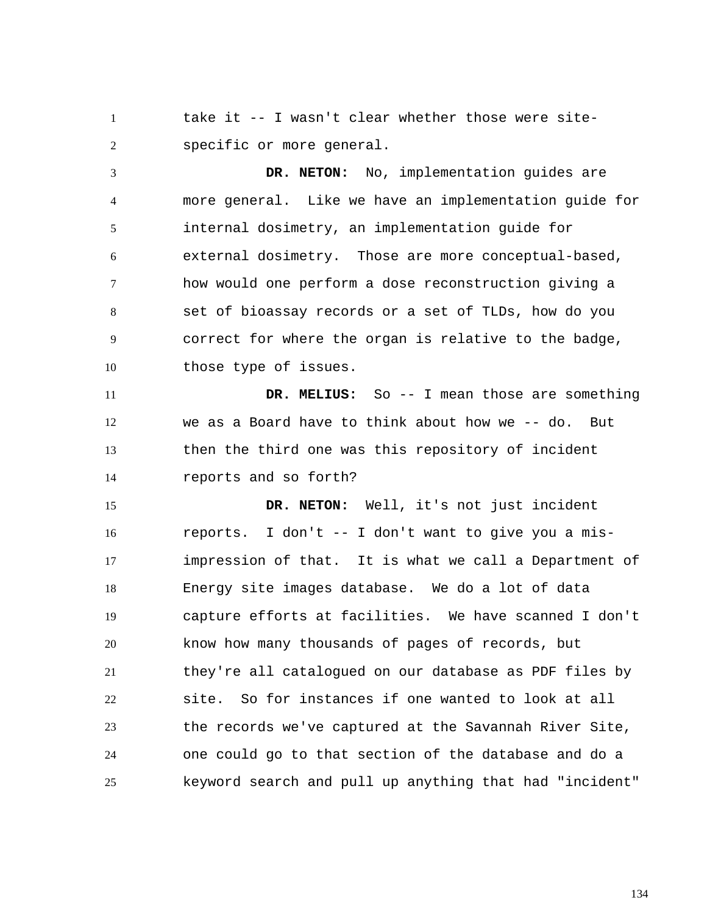1 2 take it -- I wasn't clear whether those were sitespecific or more general.

3 4 5 6 7 8 9 10  **DR. NETON:** No, implementation guides are more general. Like we have an implementation guide for internal dosimetry, an implementation guide for external dosimetry. Those are more conceptual-based, how would one perform a dose reconstruction giving a set of bioassay records or a set of TLDs, how do you correct for where the organ is relative to the badge, those type of issues.

11 12 13 14  **DR. MELIUS:** So -- I mean those are something we as a Board have to think about how we -- do. But then the third one was this repository of incident reports and so forth?

15 16 17 18 19 20 21 22 23 24 25  **DR. NETON:** Well, it's not just incident reports. I don't -- I don't want to give you a misimpression of that. It is what we call a Department of Energy site images database. We do a lot of data capture efforts at facilities. We have scanned I don't know how many thousands of pages of records, but they're all catalogued on our database as PDF files by site. So for instances if one wanted to look at all the records we've captured at the Savannah River Site, one could go to that section of the database and do a keyword search and pull up anything that had "incident"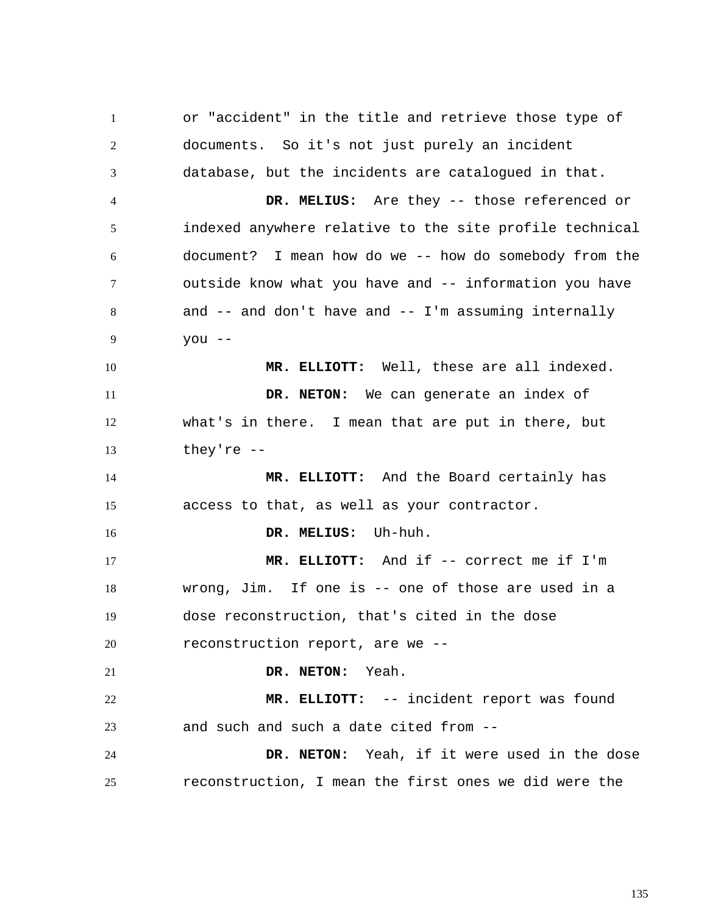1 2 3 4 5 6 7 8 9 10 11 12 13 14 15 16 17 18 19 20 21 22 23 24 25 or "accident" in the title and retrieve those type of documents. So it's not just purely an incident database, but the incidents are catalogued in that.  **DR. MELIUS:** Are they -- those referenced or indexed anywhere relative to the site profile technical document? I mean how do we -- how do somebody from the outside know what you have and -- information you have and  $--$  and don't have and  $--$  I'm assuming internally you --  **MR. ELLIOTT:** Well, these are all indexed.  **DR. NETON:** We can generate an index of what's in there. I mean that are put in there, but they're --  **MR. ELLIOTT:** And the Board certainly has access to that, as well as your contractor.  **DR. MELIUS:** Uh-huh.  **MR. ELLIOTT:** And if -- correct me if I'm wrong, Jim. If one is -- one of those are used in a dose reconstruction, that's cited in the dose reconstruction report, are we --  **DR. NETON:** Yeah.  **MR. ELLIOTT:** -- incident report was found and such and such a date cited from --  **DR. NETON:** Yeah, if it were used in the dose reconstruction, I mean the first ones we did were the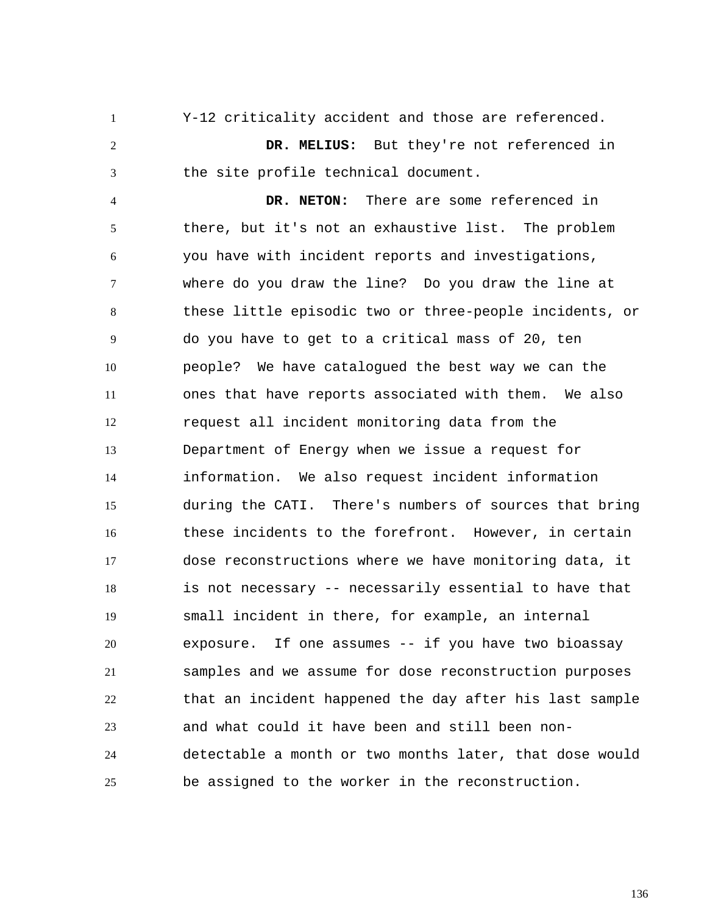1 2 3 4 5 6 7 8 9 10 11 12 13 14 15 16 17 18 19 20 21 22 23 24 25 Y-12 criticality accident and those are referenced.  **DR. MELIUS:** But they're not referenced in the site profile technical document.  **DR. NETON:** There are some referenced in there, but it's not an exhaustive list. The problem you have with incident reports and investigations, where do you draw the line? Do you draw the line at these little episodic two or three-people incidents, or do you have to get to a critical mass of 20, ten people? We have catalogued the best way we can the ones that have reports associated with them. We also request all incident monitoring data from the Department of Energy when we issue a request for information. We also request incident information during the CATI. There's numbers of sources that bring these incidents to the forefront. However, in certain dose reconstructions where we have monitoring data, it is not necessary -- necessarily essential to have that small incident in there, for example, an internal exposure. If one assumes -- if you have two bioassay samples and we assume for dose reconstruction purposes that an incident happened the day after his last sample and what could it have been and still been nondetectable a month or two months later, that dose would be assigned to the worker in the reconstruction.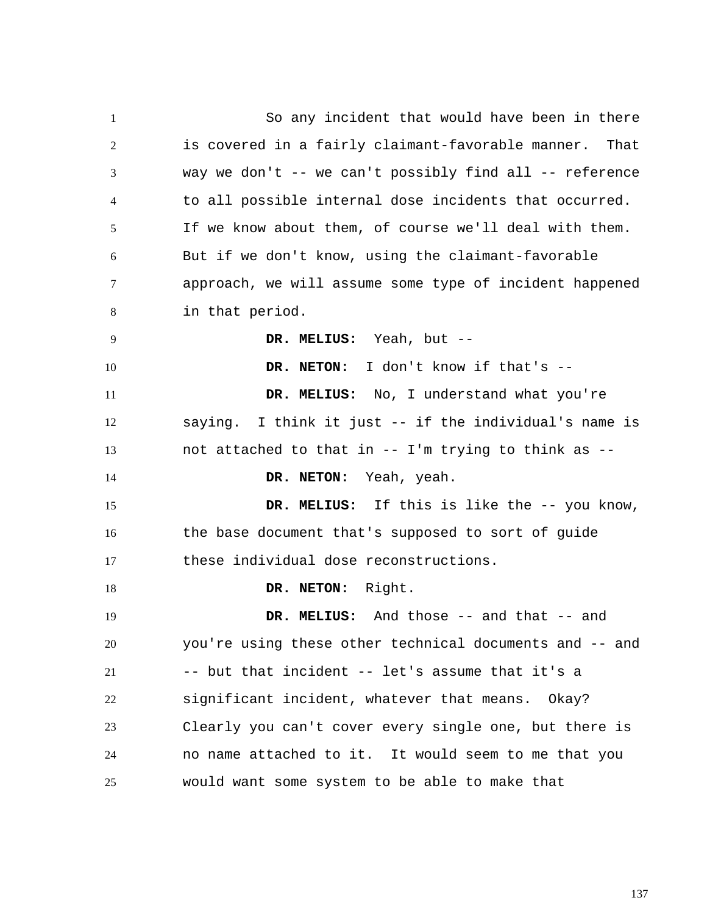1 2 3 4 5 6 7 8 9 10 11 12 13 14 15 16 17 18 19 20 21 22 23 24 25 So any incident that would have been in there is covered in a fairly claimant-favorable manner. That way we don't -- we can't possibly find all -- reference to all possible internal dose incidents that occurred. If we know about them, of course we'll deal with them. But if we don't know, using the claimant-favorable approach, we will assume some type of incident happened in that period.  **DR. MELIUS:** Yeah, but --  **DR. NETON:** I don't know if that's --  **DR. MELIUS:** No, I understand what you're saying. I think it just -- if the individual's name is not attached to that in -- I'm trying to think as --  **DR. NETON:** Yeah, yeah.  **DR. MELIUS:** If this is like the -- you know, the base document that's supposed to sort of guide these individual dose reconstructions.  **DR. NETON:** Right.  **DR. MELIUS:** And those -- and that -- and you're using these other technical documents and -- and -- but that incident -- let's assume that it's a significant incident, whatever that means. Okay? Clearly you can't cover every single one, but there is no name attached to it. It would seem to me that you would want some system to be able to make that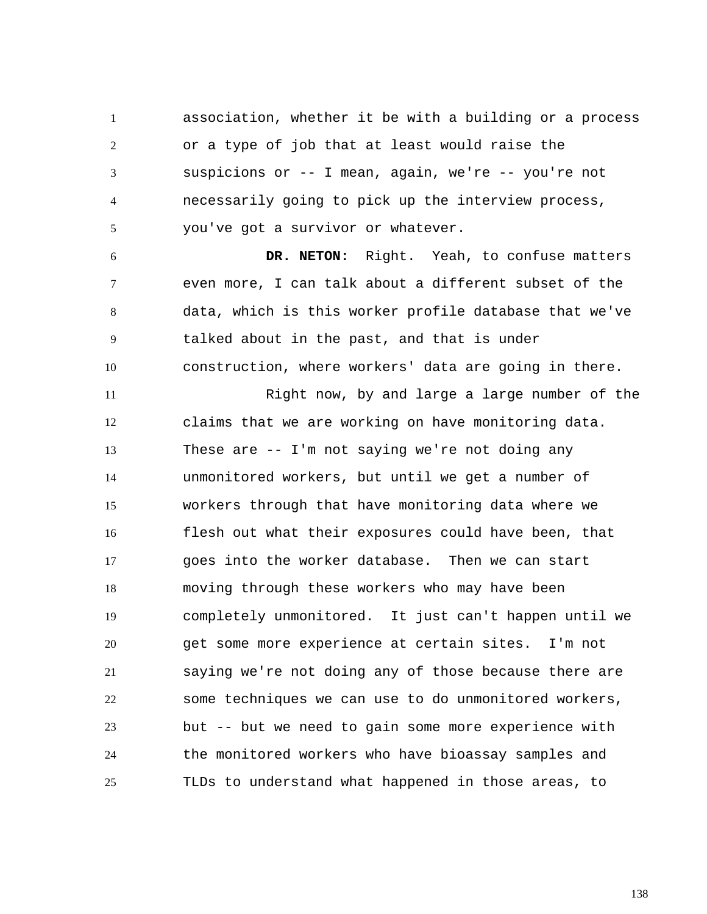1 2 3 4 5 association, whether it be with a building or a process or a type of job that at least would raise the suspicions or -- I mean, again, we're -- you're not necessarily going to pick up the interview process, you've got a survivor or whatever.

6 7 8 9 10  **DR. NETON:** Right. Yeah, to confuse matters even more, I can talk about a different subset of the data, which is this worker profile database that we've talked about in the past, and that is under construction, where workers' data are going in there.

11 12 13 14 15 16 17 18 19 20 21 22 23 24 25 Right now, by and large a large number of the claims that we are working on have monitoring data. These are -- I'm not saying we're not doing any unmonitored workers, but until we get a number of workers through that have monitoring data where we flesh out what their exposures could have been, that goes into the worker database. Then we can start moving through these workers who may have been completely unmonitored. It just can't happen until we get some more experience at certain sites. I'm not saying we're not doing any of those because there are some techniques we can use to do unmonitored workers, but -- but we need to gain some more experience with the monitored workers who have bioassay samples and TLDs to understand what happened in those areas, to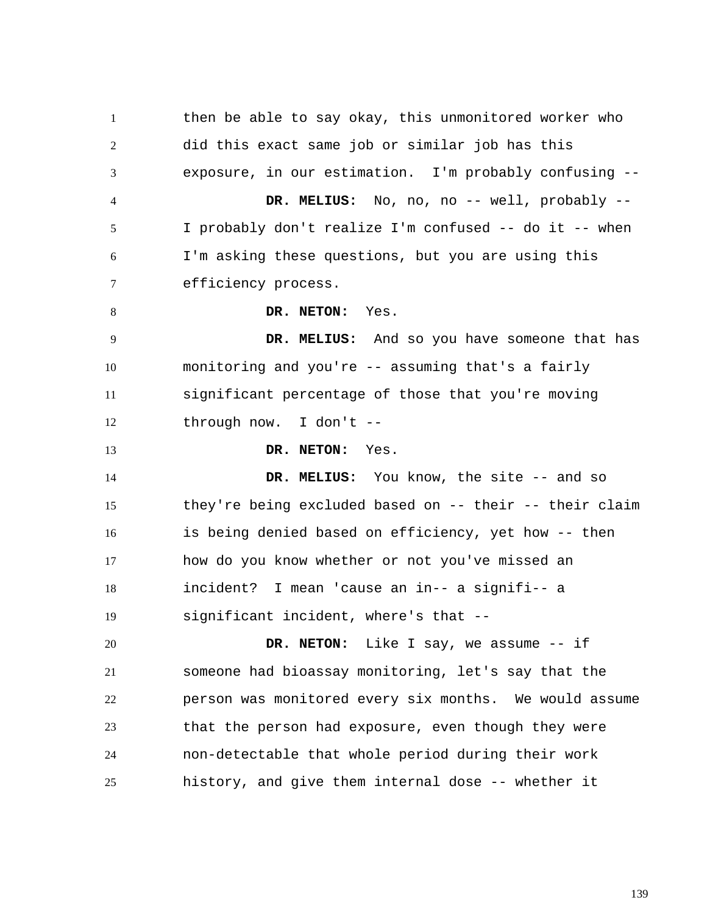1 2 3 4 5 6 7 8 9 10 11 12 13 14 15 16 17 18 19 20 21 22 23 24 25 then be able to say okay, this unmonitored worker who did this exact same job or similar job has this exposure, in our estimation. I'm probably confusing --  **DR. MELIUS:** No, no, no -- well, probably -- I probably don't realize I'm confused -- do it -- when I'm asking these questions, but you are using this efficiency process.  **DR. NETON:** Yes.  **DR. MELIUS:** And so you have someone that has monitoring and you're -- assuming that's a fairly significant percentage of those that you're moving through now. I don't --  **DR. NETON:** Yes.  **DR. MELIUS:** You know, the site -- and so they're being excluded based on -- their -- their claim is being denied based on efficiency, yet how -- then how do you know whether or not you've missed an incident? I mean 'cause an in-- a signifi-- a significant incident, where's that --  **DR. NETON:** Like I say, we assume -- if someone had bioassay monitoring, let's say that the person was monitored every six months. We would assume that the person had exposure, even though they were non-detectable that whole period during their work history, and give them internal dose -- whether it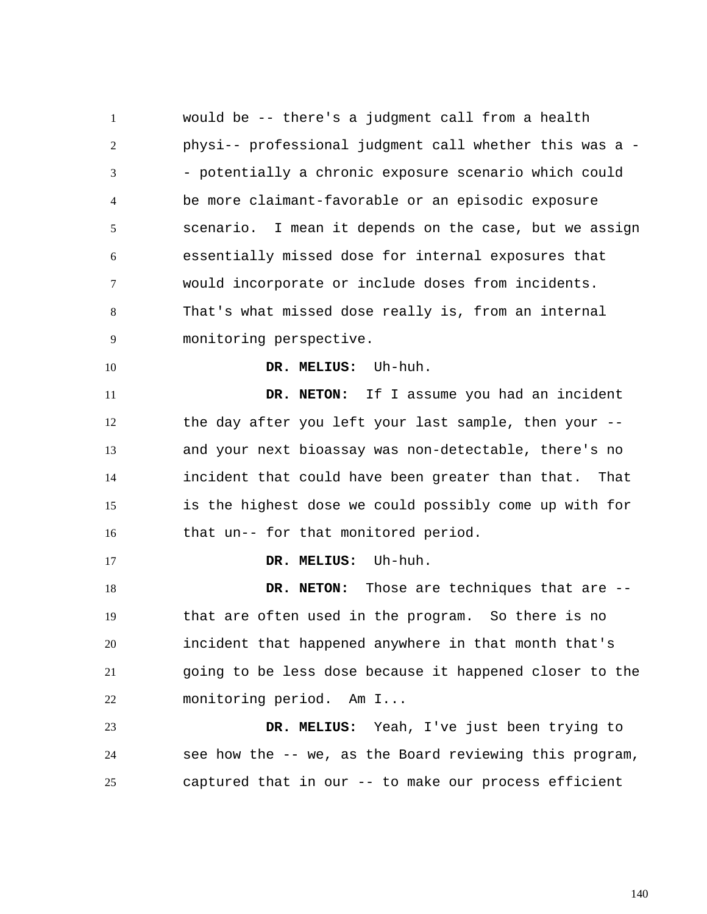1 2 3 4 5 6 7 8 9 10 11 12 13 14 15 16 17 18 19 20 21 22 23 24 25 would be -- there's a judgment call from a health physi-- professional judgment call whether this was a - - potentially a chronic exposure scenario which could be more claimant-favorable or an episodic exposure scenario. I mean it depends on the case, but we assign essentially missed dose for internal exposures that would incorporate or include doses from incidents. That's what missed dose really is, from an internal monitoring perspective.  **DR. MELIUS:** Uh-huh.  **DR. NETON:** If I assume you had an incident the day after you left your last sample, then your - and your next bioassay was non-detectable, there's no incident that could have been greater than that. That is the highest dose we could possibly come up with for that un-- for that monitored period.  **DR. MELIUS:** Uh-huh.  **DR. NETON:** Those are techniques that are - that are often used in the program. So there is no incident that happened anywhere in that month that's going to be less dose because it happened closer to the monitoring period. Am I...  **DR. MELIUS:** Yeah, I've just been trying to see how the -- we, as the Board reviewing this program, captured that in our -- to make our process efficient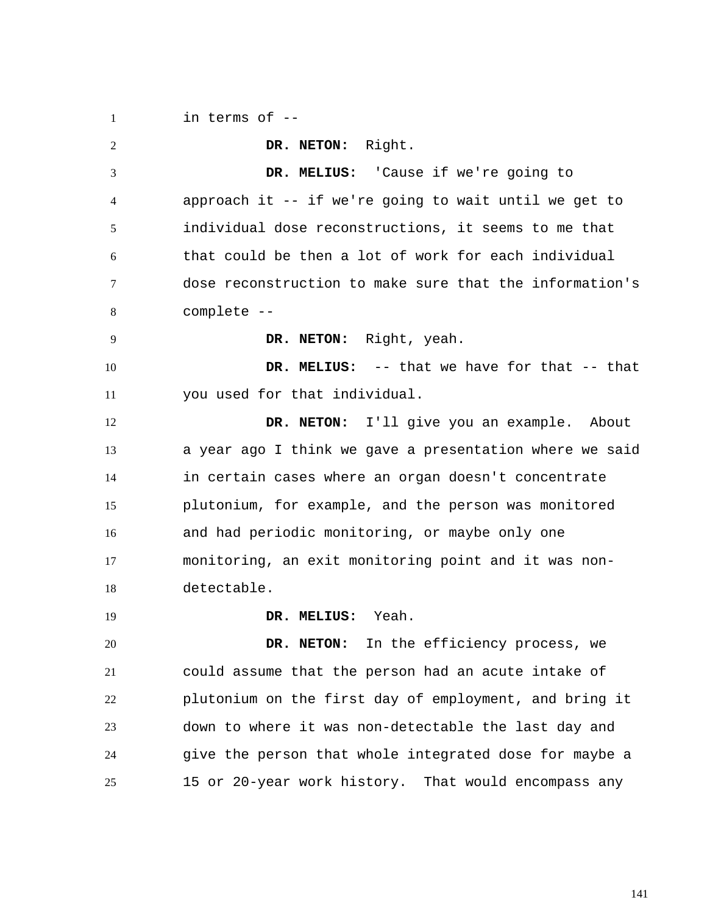1 in terms of --

2 3 4 5 6 7 8 9 10 11 12 13 14 15 16 17 18 19 20 21 22 23 24 25  **DR. NETON:** Right.  **DR. MELIUS:** 'Cause if we're going to approach it -- if we're going to wait until we get to individual dose reconstructions, it seems to me that that could be then a lot of work for each individual dose reconstruction to make sure that the information's complete --  **DR. NETON:** Right, yeah.  **DR. MELIUS:** -- that we have for that -- that you used for that individual.  **DR. NETON:** I'll give you an example. About a year ago I think we gave a presentation where we said in certain cases where an organ doesn't concentrate plutonium, for example, and the person was monitored and had periodic monitoring, or maybe only one monitoring, an exit monitoring point and it was nondetectable.  **DR. MELIUS:** Yeah.  **DR. NETON:** In the efficiency process, we could assume that the person had an acute intake of plutonium on the first day of employment, and bring it down to where it was non-detectable the last day and give the person that whole integrated dose for maybe a 15 or 20-year work history. That would encompass any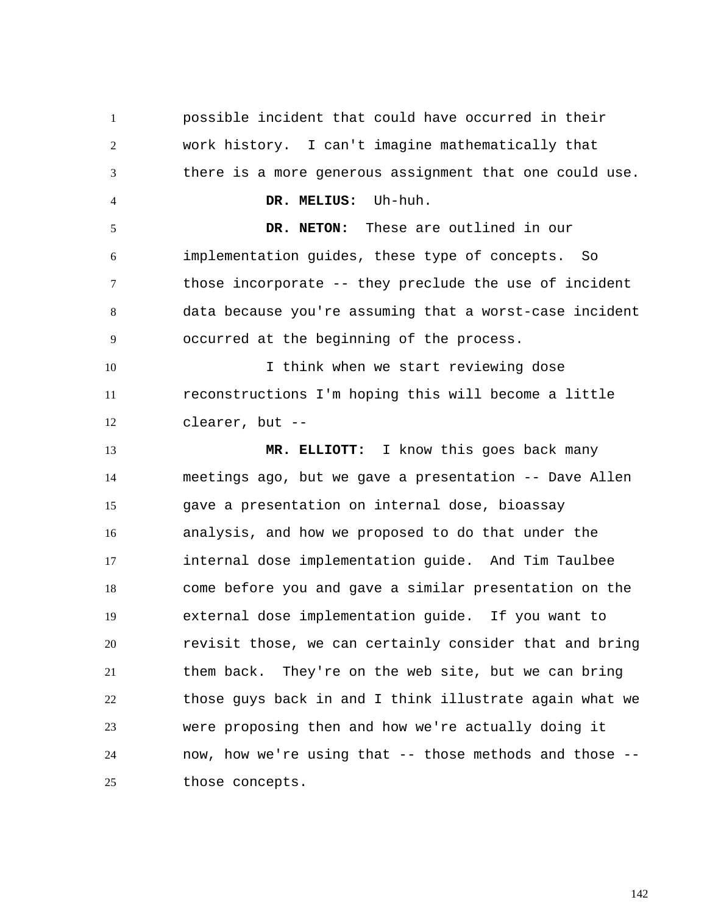1 2 3 4 5 6 7 8 9 10 11 12 13 14 15 16 17 18 19 20 21 22 23 24 25 possible incident that could have occurred in their work history. I can't imagine mathematically that there is a more generous assignment that one could use.  **DR. MELIUS:** Uh-huh.  **DR. NETON:** These are outlined in our implementation guides, these type of concepts. So those incorporate -- they preclude the use of incident data because you're assuming that a worst-case incident occurred at the beginning of the process. I think when we start reviewing dose reconstructions I'm hoping this will become a little clearer, but --  **MR. ELLIOTT:** I know this goes back many meetings ago, but we gave a presentation -- Dave Allen gave a presentation on internal dose, bioassay analysis, and how we proposed to do that under the internal dose implementation guide. And Tim Taulbee come before you and gave a similar presentation on the external dose implementation guide. If you want to revisit those, we can certainly consider that and bring them back. They're on the web site, but we can bring those guys back in and I think illustrate again what we were proposing then and how we're actually doing it now, how we're using that -- those methods and those - those concepts.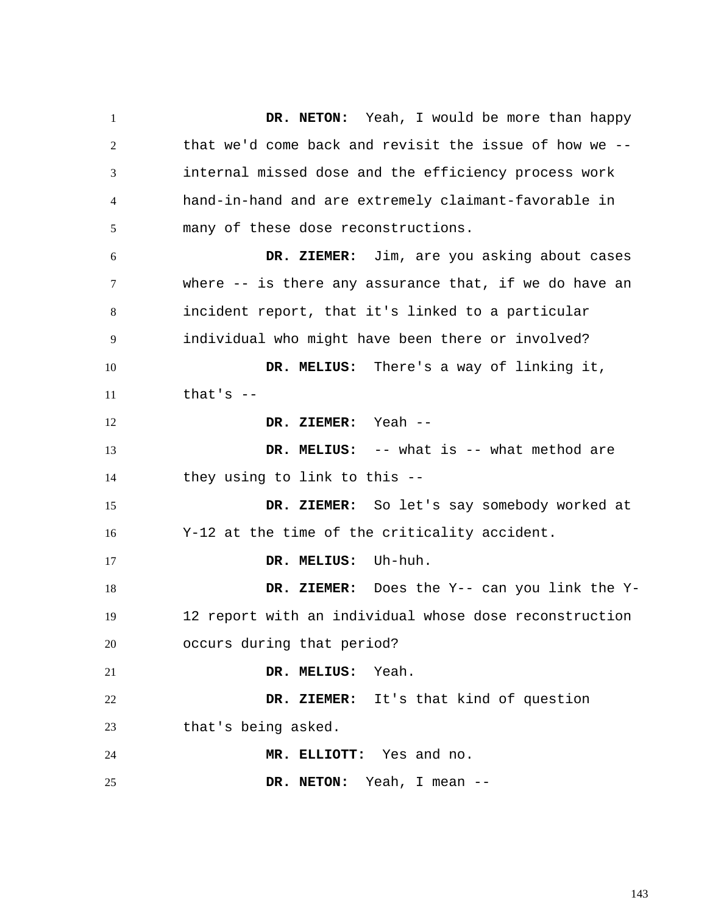1 2 3 4 5 6 7 8 9 10 11 12 13 14 15 16 17 18 19 20 21 22 23 24 25  **DR. NETON:** Yeah, I would be more than happy that we'd come back and revisit the issue of how we - internal missed dose and the efficiency process work hand-in-hand and are extremely claimant-favorable in many of these dose reconstructions.  **DR. ZIEMER:** Jim, are you asking about cases where -- is there any assurance that, if we do have an incident report, that it's linked to a particular individual who might have been there or involved?  **DR. MELIUS:** There's a way of linking it, that's --  **DR. ZIEMER:** Yeah --  **DR. MELIUS:** -- what is -- what method are they using to link to this --  **DR. ZIEMER:** So let's say somebody worked at Y-12 at the time of the criticality accident.  **DR. MELIUS:** Uh-huh.  **DR. ZIEMER:** Does the Y-- can you link the Y-12 report with an individual whose dose reconstruction occurs during that period?  **DR. MELIUS:** Yeah.  **DR. ZIEMER:** It's that kind of question that's being asked.  **MR. ELLIOTT:** Yes and no.  **DR. NETON:** Yeah, I mean --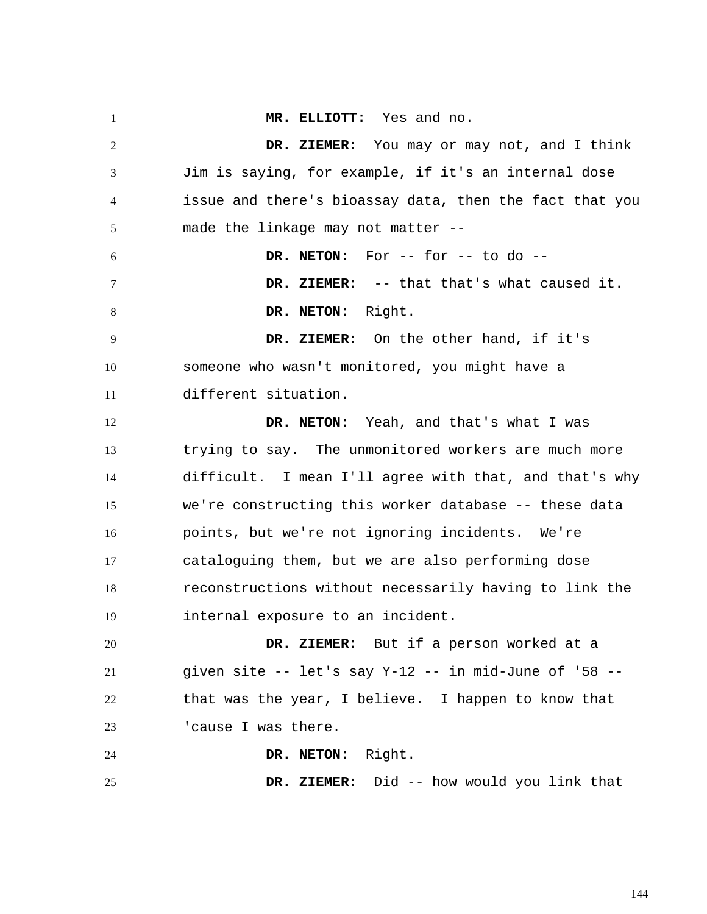1 2 3 4 5 6 7 8 9 10 11 12 13 14 15 16 17 18 19 20 21 22 23 24 25  **MR. ELLIOTT:** Yes and no.  **DR. ZIEMER:** You may or may not, and I think Jim is saying, for example, if it's an internal dose issue and there's bioassay data, then the fact that you made the linkage may not matter --  **DR. NETON:** For -- for -- to do --  **DR. ZIEMER:** -- that that's what caused it.  **DR. NETON:** Right.  **DR. ZIEMER:** On the other hand, if it's someone who wasn't monitored, you might have a different situation.  **DR. NETON:** Yeah, and that's what I was trying to say. The unmonitored workers are much more difficult. I mean I'll agree with that, and that's why we're constructing this worker database -- these data points, but we're not ignoring incidents. We're cataloguing them, but we are also performing dose reconstructions without necessarily having to link the internal exposure to an incident.  **DR. ZIEMER:** But if a person worked at a given site  $--$  let's say Y-12  $--$  in mid-June of '58  $-$ that was the year, I believe. I happen to know that 'cause I was there.  **DR. NETON:** Right.  **DR. ZIEMER:** Did -- how would you link that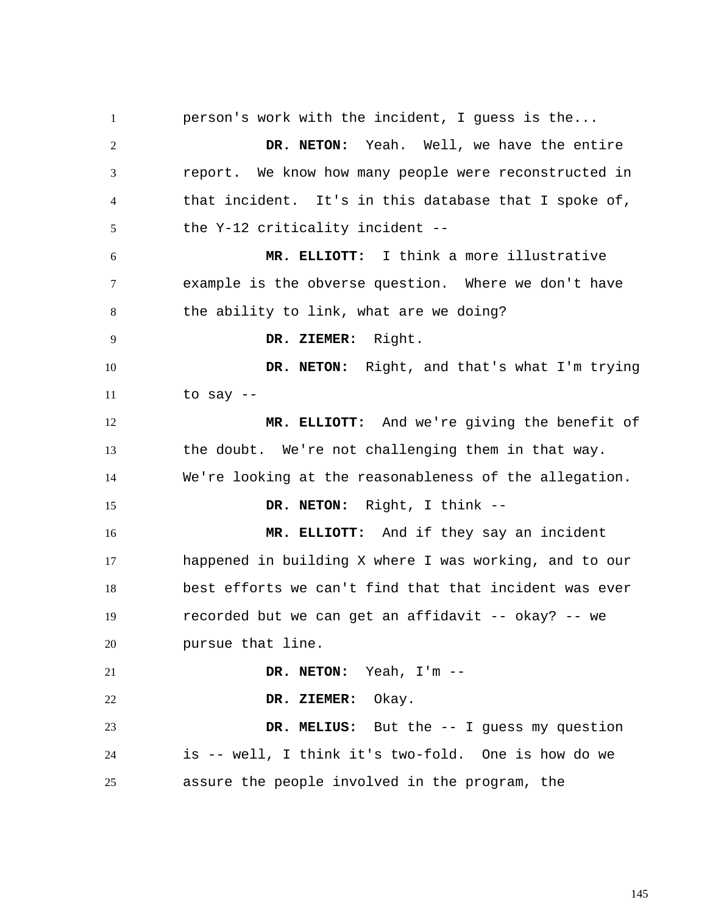1 2 3 4 5 6 7 8 9 10 11 12 13 14 15 16 17 18 19 20 21 22 23 24 25 person's work with the incident, I guess is the...  **DR. NETON:** Yeah. Well, we have the entire report. We know how many people were reconstructed in that incident. It's in this database that I spoke of, the Y-12 criticality incident --  **MR. ELLIOTT:** I think a more illustrative example is the obverse question. Where we don't have the ability to link, what are we doing?  **DR. ZIEMER:** Right.  **DR. NETON:** Right, and that's what I'm trying to say --  **MR. ELLIOTT:** And we're giving the benefit of the doubt. We're not challenging them in that way. We're looking at the reasonableness of the allegation. DR. NETON: Right, I think -- **MR. ELLIOTT:** And if they say an incident happened in building X where I was working, and to our best efforts we can't find that that incident was ever recorded but we can get an affidavit -- okay? -- we pursue that line.  **DR. NETON:** Yeah, I'm --  **DR. ZIEMER:** Okay.  **DR. MELIUS:** But the -- I guess my question is -- well, I think it's two-fold. One is how do we assure the people involved in the program, the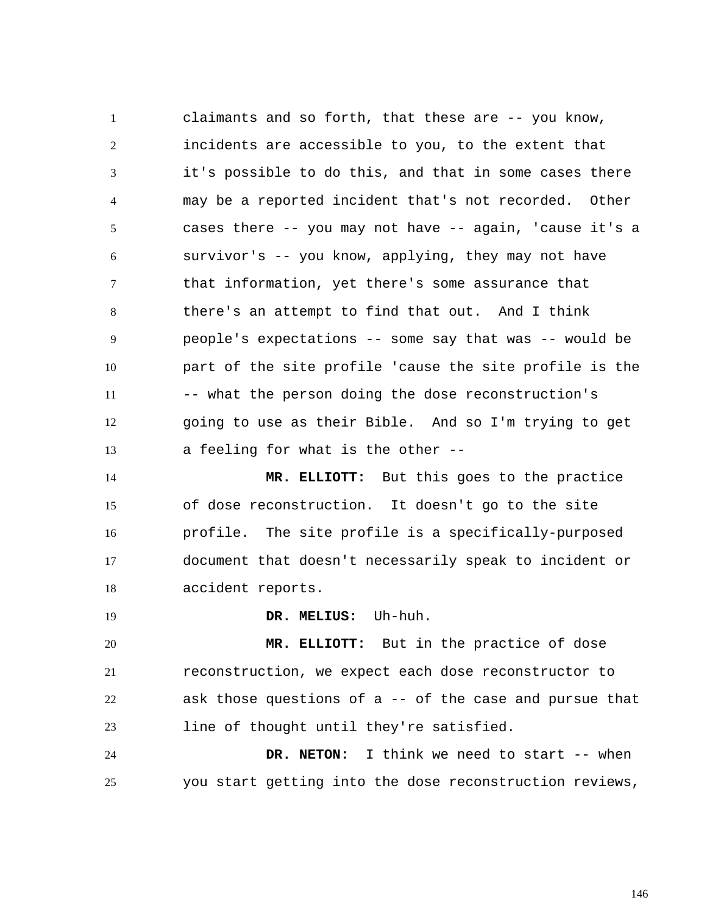1 2 3 4 5 6 7 8 9 10 11 12 13 claimants and so forth, that these are -- you know, incidents are accessible to you, to the extent that it's possible to do this, and that in some cases there may be a reported incident that's not recorded. Other cases there -- you may not have -- again, 'cause it's a survivor's -- you know, applying, they may not have that information, yet there's some assurance that there's an attempt to find that out. And I think people's expectations -- some say that was -- would be part of the site profile 'cause the site profile is the -- what the person doing the dose reconstruction's going to use as their Bible. And so I'm trying to get a feeling for what is the other --

14 15 16 17 18  **MR. ELLIOTT:** But this goes to the practice of dose reconstruction. It doesn't go to the site profile. The site profile is a specifically-purposed document that doesn't necessarily speak to incident or accident reports.

 **DR. MELIUS:** Uh-huh.

19

20 21 22 23  **MR. ELLIOTT:** But in the practice of dose reconstruction, we expect each dose reconstructor to ask those questions of a -- of the case and pursue that line of thought until they're satisfied.

24 25  **DR. NETON:** I think we need to start -- when you start getting into the dose reconstruction reviews,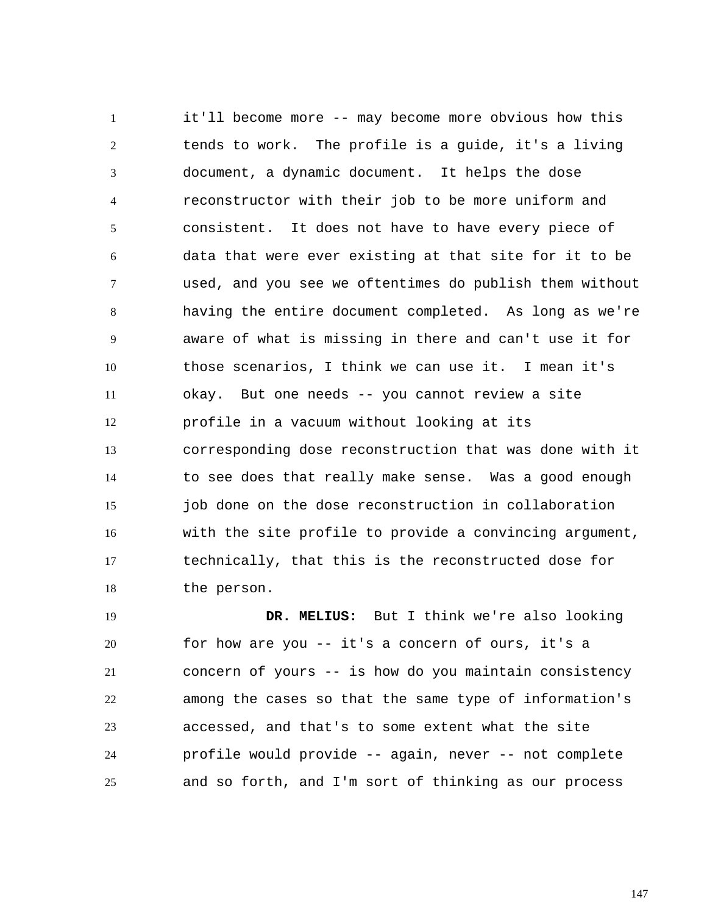1 2 3 4 5 6 7 8 9 10 11 12 13 14 15 16 17 18 it'll become more -- may become more obvious how this tends to work. The profile is a guide, it's a living document, a dynamic document. It helps the dose reconstructor with their job to be more uniform and consistent. It does not have to have every piece of data that were ever existing at that site for it to be used, and you see we oftentimes do publish them without having the entire document completed. As long as we're aware of what is missing in there and can't use it for those scenarios, I think we can use it. I mean it's okay. But one needs -- you cannot review a site profile in a vacuum without looking at its corresponding dose reconstruction that was done with it to see does that really make sense. Was a good enough job done on the dose reconstruction in collaboration with the site profile to provide a convincing argument, technically, that this is the reconstructed dose for the person.

19 20 21 22 23 24 25  **DR. MELIUS:** But I think we're also looking for how are you -- it's a concern of ours, it's a concern of yours -- is how do you maintain consistency among the cases so that the same type of information's accessed, and that's to some extent what the site profile would provide -- again, never -- not complete and so forth, and I'm sort of thinking as our process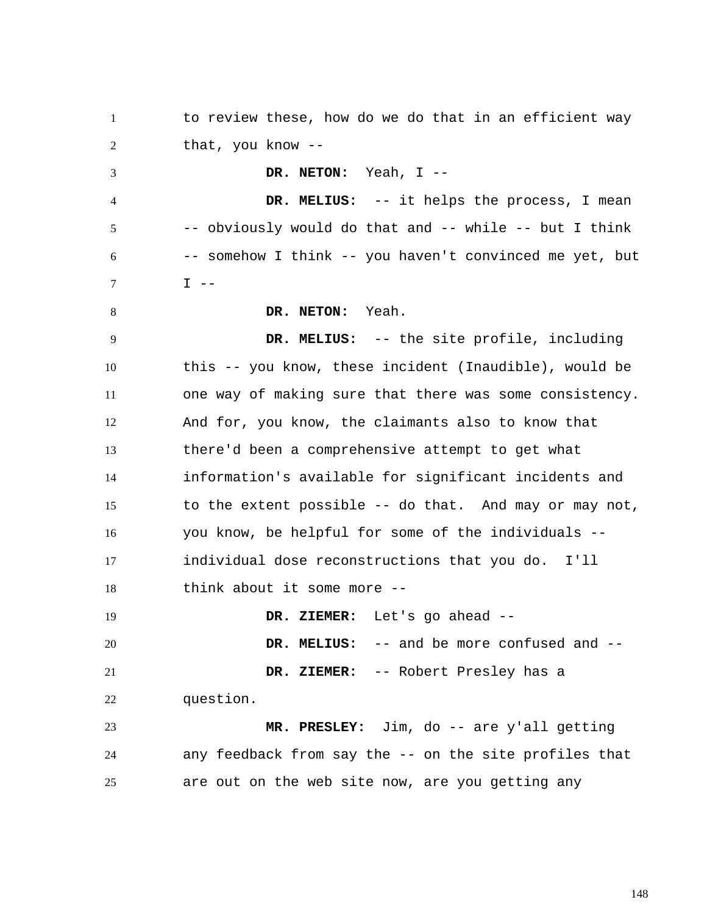1 2 3 4 5 6 7 8 9 10 11 12 13 14 15 16 17 18 19 20 21 22 23 24 25 to review these, how do we do that in an efficient way that, you know --  **DR. NETON:** Yeah, I --  **DR. MELIUS:** -- it helps the process, I mean -- obviously would do that and -- while -- but I think -- somehow I think -- you haven't convinced me yet, but  $I$   $-$  **DR. NETON:** Yeah.  **DR. MELIUS:** -- the site profile, including this -- you know, these incident (Inaudible), would be one way of making sure that there was some consistency. And for, you know, the claimants also to know that there'd been a comprehensive attempt to get what information's available for significant incidents and to the extent possible -- do that. And may or may not, you know, be helpful for some of the individuals - individual dose reconstructions that you do. I'll think about it some more --  **DR. ZIEMER:** Let's go ahead --  **DR. MELIUS:** -- and be more confused and --  **DR. ZIEMER:** -- Robert Presley has a question.  **MR. PRESLEY:** Jim, do -- are y'all getting any feedback from say the -- on the site profiles that are out on the web site now, are you getting any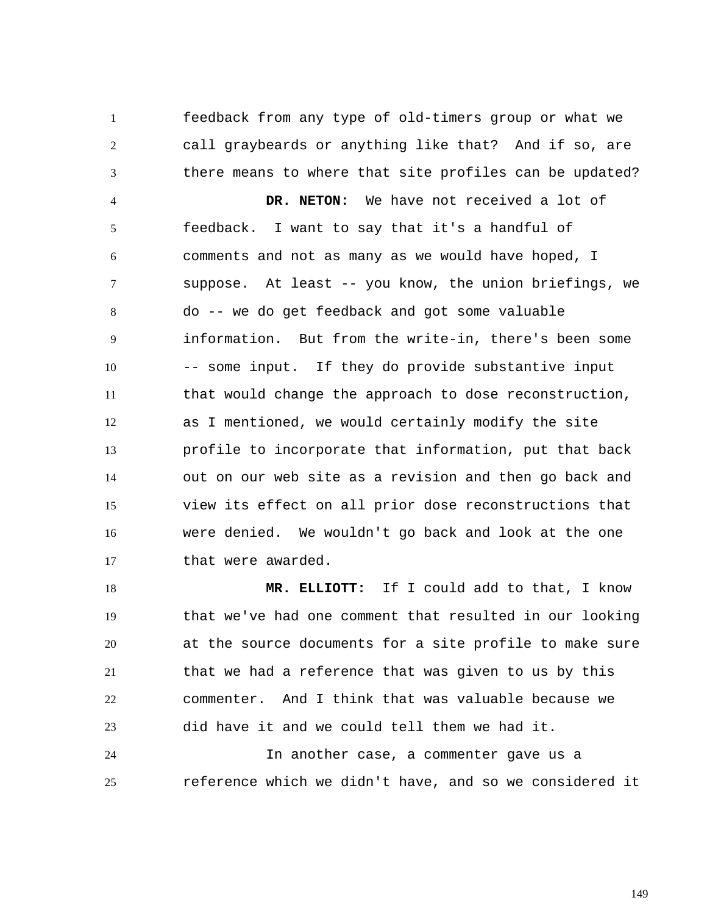1 2 3 4 feedback from any type of old-timers group or what we call graybeards or anything like that? And if so, are there means to where that site profiles can be updated?  **DR. NETON:** We have not received a lot of

5 6 7 8 9 10 11 12 13 14 15 16 17 feedback. I want to say that it's a handful of comments and not as many as we would have hoped, I suppose. At least -- you know, the union briefings, we do -- we do get feedback and got some valuable information. But from the write-in, there's been some -- some input. If they do provide substantive input that would change the approach to dose reconstruction, as I mentioned, we would certainly modify the site profile to incorporate that information, put that back out on our web site as a revision and then go back and view its effect on all prior dose reconstructions that were denied. We wouldn't go back and look at the one that were awarded.

18 19 20 21 22 23  **MR. ELLIOTT:** If I could add to that, I know that we've had one comment that resulted in our looking at the source documents for a site profile to make sure that we had a reference that was given to us by this commenter. And I think that was valuable because we did have it and we could tell them we had it.

24 25 In another case, a commenter gave us a reference which we didn't have, and so we considered it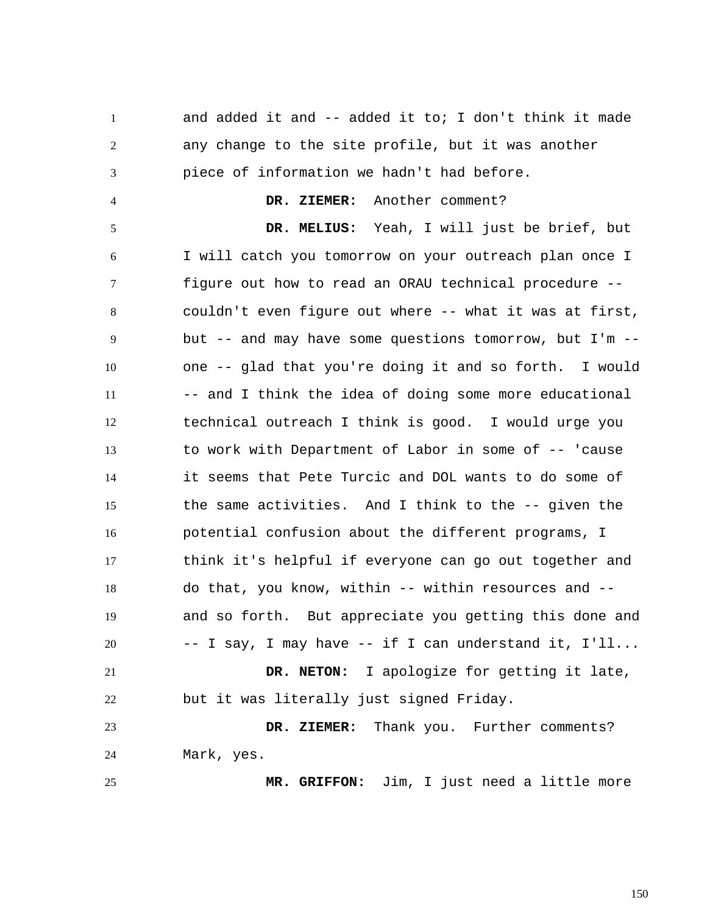1 2 3 4 5 6 7 8 9 10 11 12 13 14 15 16 17 18 19 20 21 22 23 24 25 and added it and -- added it to; I don't think it made any change to the site profile, but it was another piece of information we hadn't had before.  **DR. ZIEMER:** Another comment?  **DR. MELIUS:** Yeah, I will just be brief, but I will catch you tomorrow on your outreach plan once I figure out how to read an ORAU technical procedure - couldn't even figure out where -- what it was at first, but -- and may have some questions tomorrow, but I'm - one -- glad that you're doing it and so forth. I would -- and I think the idea of doing some more educational technical outreach I think is good. I would urge you to work with Department of Labor in some of -- 'cause it seems that Pete Turcic and DOL wants to do some of the same activities. And I think to the -- given the potential confusion about the different programs, I think it's helpful if everyone can go out together and do that, you know, within -- within resources and - and so forth. But appreciate you getting this done and -- I say, I may have -- if I can understand it, I'll...  **DR. NETON:** I apologize for getting it late, but it was literally just signed Friday.  **DR. ZIEMER:** Thank you. Further comments? Mark, yes.  **MR. GRIFFON:** Jim, I just need a little more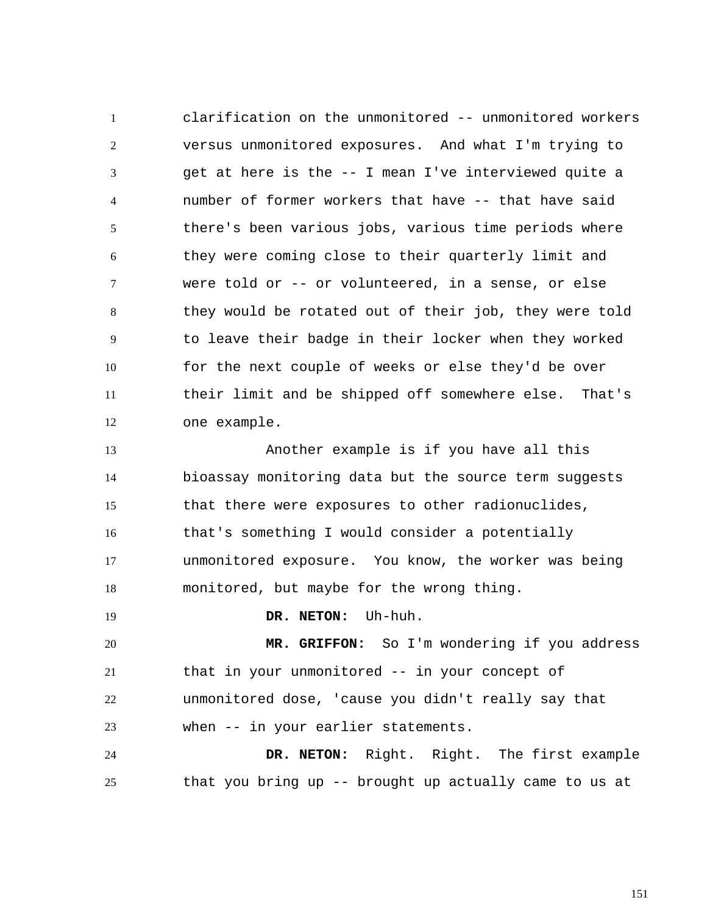1 2 3 4 5 6 7 8 9 10 11 12 clarification on the unmonitored -- unmonitored workers versus unmonitored exposures. And what I'm trying to get at here is the -- I mean I've interviewed quite a number of former workers that have -- that have said there's been various jobs, various time periods where they were coming close to their quarterly limit and were told or -- or volunteered, in a sense, or else they would be rotated out of their job, they were told to leave their badge in their locker when they worked for the next couple of weeks or else they'd be over their limit and be shipped off somewhere else. That's one example.

13 14 15 16 17 18 Another example is if you have all this bioassay monitoring data but the source term suggests that there were exposures to other radionuclides, that's something I would consider a potentially unmonitored exposure. You know, the worker was being monitored, but maybe for the wrong thing.

## **DR. NETON:** Uh-huh.

19

20 21 22 23  **MR. GRIFFON:** So I'm wondering if you address that in your unmonitored -- in your concept of unmonitored dose, 'cause you didn't really say that when -- in your earlier statements.

24 25  **DR. NETON:** Right. Right. The first example that you bring up -- brought up actually came to us at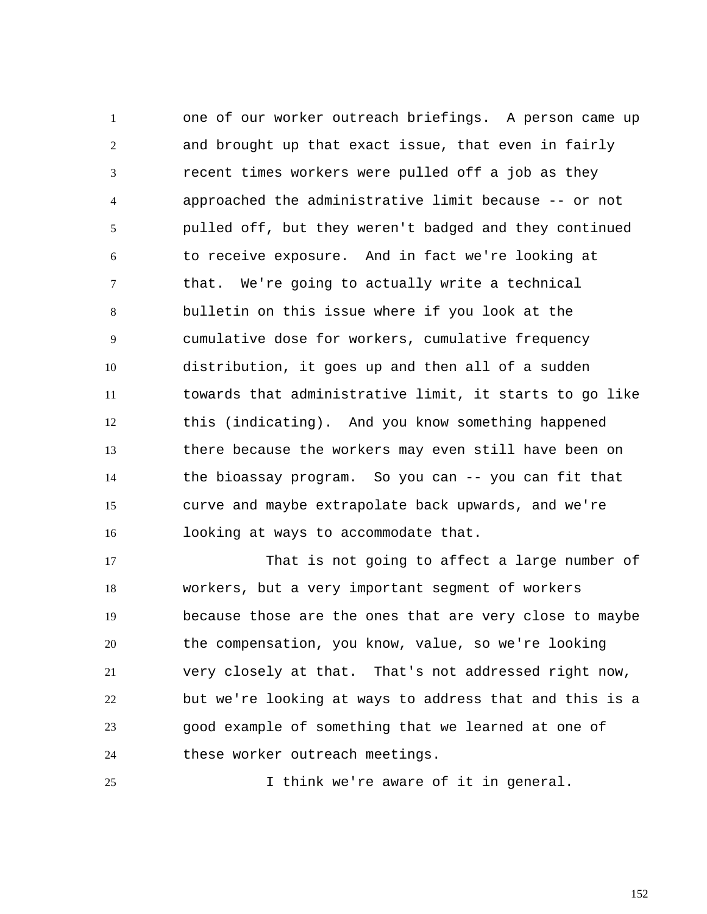1 2 3 4 5 6 7 8 9 10 11 12 13 14 15 16 one of our worker outreach briefings. A person came up and brought up that exact issue, that even in fairly recent times workers were pulled off a job as they approached the administrative limit because -- or not pulled off, but they weren't badged and they continued to receive exposure. And in fact we're looking at that. We're going to actually write a technical bulletin on this issue where if you look at the cumulative dose for workers, cumulative frequency distribution, it goes up and then all of a sudden towards that administrative limit, it starts to go like this (indicating). And you know something happened there because the workers may even still have been on the bioassay program. So you can -- you can fit that curve and maybe extrapolate back upwards, and we're looking at ways to accommodate that.

17 18 19 20 21 22 23 24 That is not going to affect a large number of workers, but a very important segment of workers because those are the ones that are very close to maybe the compensation, you know, value, so we're looking very closely at that. That's not addressed right now, but we're looking at ways to address that and this is a good example of something that we learned at one of these worker outreach meetings.

25 I think we're aware of it in general.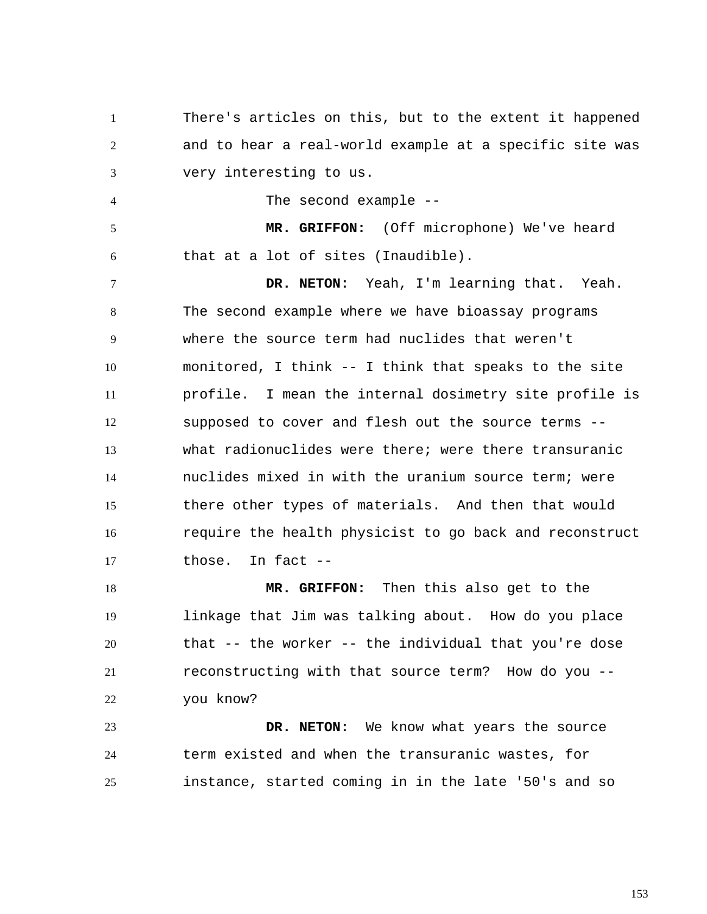1 2 3 There's articles on this, but to the extent it happened and to hear a real-world example at a specific site was very interesting to us.

The second example --

4

5 6  **MR. GRIFFON:** (Off microphone) We've heard that at a lot of sites (Inaudible).

7 8 9 10 11 12 13 14 15 16 17  **DR. NETON:** Yeah, I'm learning that. Yeah. The second example where we have bioassay programs where the source term had nuclides that weren't monitored, I think -- I think that speaks to the site profile. I mean the internal dosimetry site profile is supposed to cover and flesh out the source terms - what radionuclides were there; were there transuranic nuclides mixed in with the uranium source term; were there other types of materials. And then that would require the health physicist to go back and reconstruct those. In fact --

18 19 20 21 22  **MR. GRIFFON:** Then this also get to the linkage that Jim was talking about. How do you place that -- the worker -- the individual that you're dose reconstructing with that source term? How do you - you know?

23 24 25  **DR. NETON:** We know what years the source term existed and when the transuranic wastes, for instance, started coming in in the late '50's and so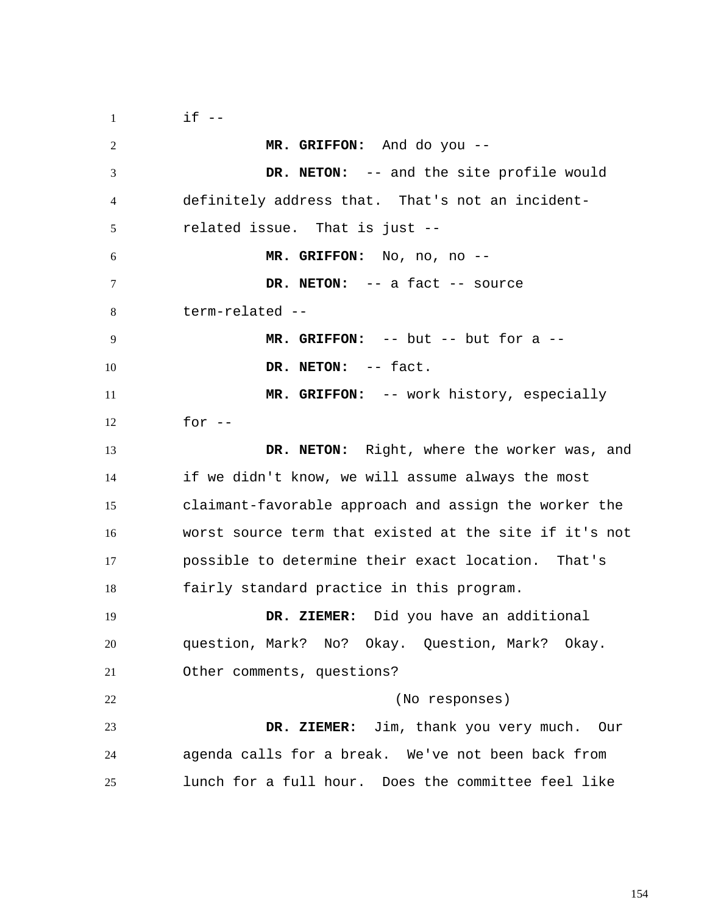1 2 3 4 5 6 7 8 9 10 11 12 13 14 15 16 17 18 19 20 21 22 23 24 25  $if --$  **MR. GRIFFON:** And do you --  **DR. NETON:** -- and the site profile would definitely address that. That's not an incidentrelated issue. That is just --  **MR. GRIFFON:** No, no, no --  **DR. NETON:** -- a fact -- source term-related --  **MR. GRIFFON:** -- but -- but for a --  **DR. NETON:** -- fact.  **MR. GRIFFON:** -- work history, especially for  $--$  **DR. NETON:** Right, where the worker was, and if we didn't know, we will assume always the most claimant-favorable approach and assign the worker the worst source term that existed at the site if it's not possible to determine their exact location. That's fairly standard practice in this program.  **DR. ZIEMER:** Did you have an additional question, Mark? No? Okay. Question, Mark? Okay. Other comments, questions? (No responses)  **DR. ZIEMER:** Jim, thank you very much. Our agenda calls for a break. We've not been back from lunch for a full hour. Does the committee feel like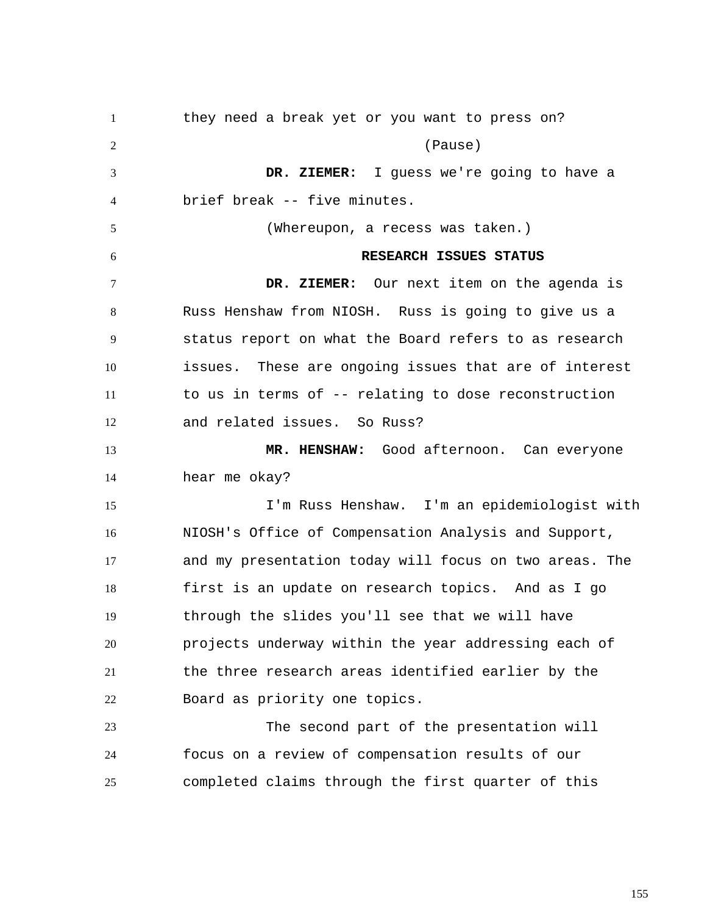1 2 3 4 5 6 7 8 9 10 11 12 13 14 15 16 17 18 19 20 21 22 23 24 25 they need a break yet or you want to press on? (Pause)  **DR. ZIEMER:** I guess we're going to have a brief break -- five minutes. (Whereupon, a recess was taken.) **RESEARCH ISSUES STATUS DR. ZIEMER:** Our next item on the agenda is Russ Henshaw from NIOSH. Russ is going to give us a status report on what the Board refers to as research issues. These are ongoing issues that are of interest to us in terms of -- relating to dose reconstruction and related issues. So Russ?  **MR. HENSHAW:** Good afternoon. Can everyone hear me okay? I'm Russ Henshaw. I'm an epidemiologist with NIOSH's Office of Compensation Analysis and Support, and my presentation today will focus on two areas. The first is an update on research topics. And as I go through the slides you'll see that we will have projects underway within the year addressing each of the three research areas identified earlier by the Board as priority one topics. The second part of the presentation will focus on a review of compensation results of our completed claims through the first quarter of this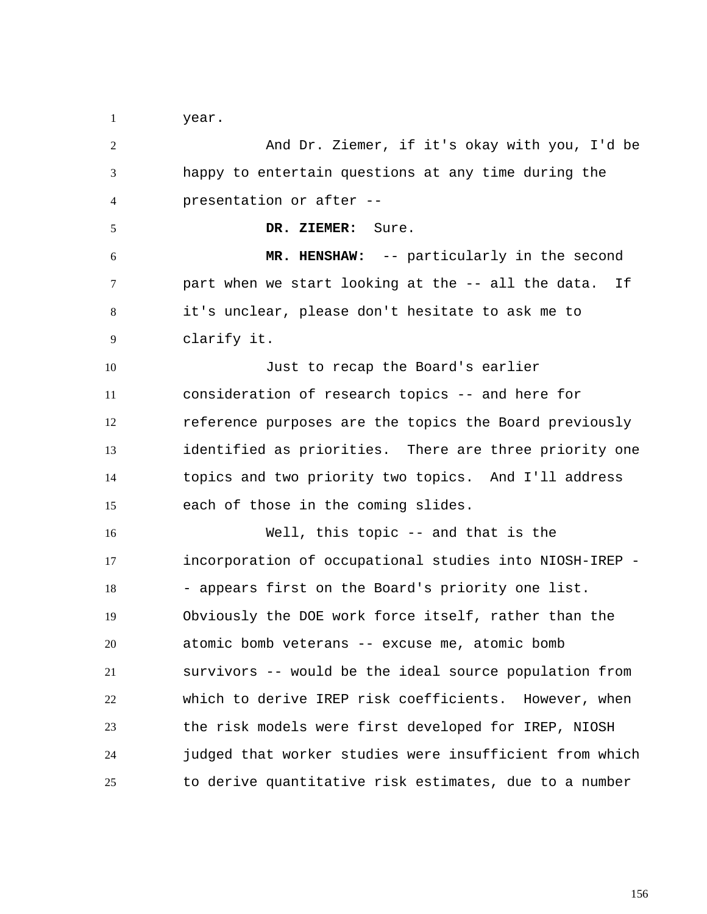1 year.

2 3 4 5 6 7 8 9 10 11 12 13 14 15 16 17 18 19 20 21 22 23 24 25 And Dr. Ziemer, if it's okay with you, I'd be happy to entertain questions at any time during the presentation or after --  **DR. ZIEMER:** Sure.  **MR. HENSHAW:** -- particularly in the second part when we start looking at the -- all the data. If it's unclear, please don't hesitate to ask me to clarify it. Just to recap the Board's earlier consideration of research topics -- and here for reference purposes are the topics the Board previously identified as priorities. There are three priority one topics and two priority two topics. And I'll address each of those in the coming slides. Well, this topic -- and that is the incorporation of occupational studies into NIOSH-IREP - - appears first on the Board's priority one list. Obviously the DOE work force itself, rather than the atomic bomb veterans -- excuse me, atomic bomb survivors -- would be the ideal source population from which to derive IREP risk coefficients. However, when the risk models were first developed for IREP, NIOSH judged that worker studies were insufficient from which to derive quantitative risk estimates, due to a number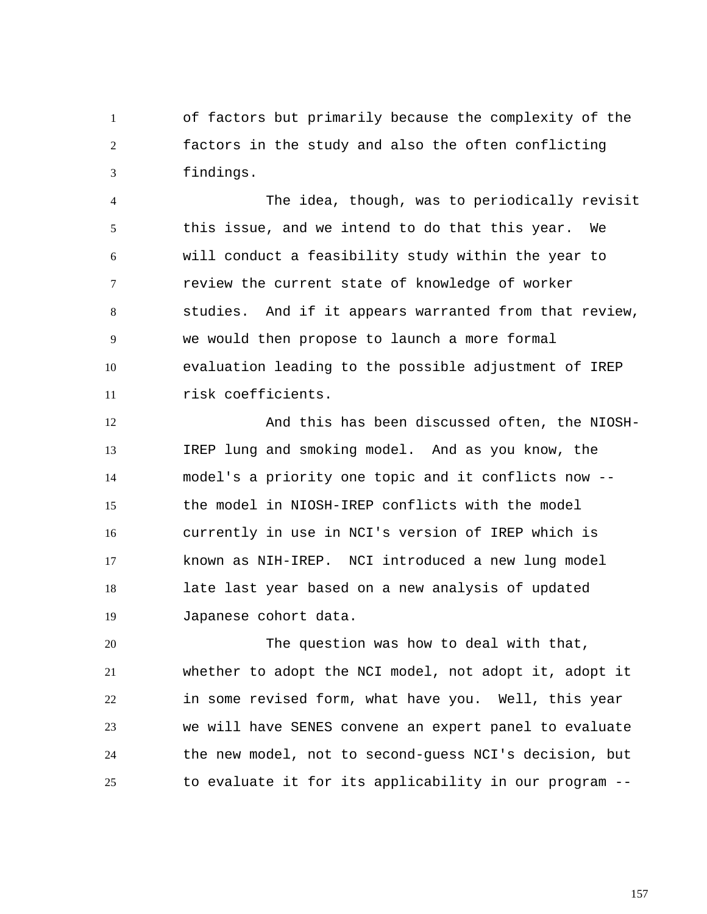1 2 3 of factors but primarily because the complexity of the factors in the study and also the often conflicting findings.

4 5 6 7 8 9 10 11 The idea, though, was to periodically revisit this issue, and we intend to do that this year. We will conduct a feasibility study within the year to review the current state of knowledge of worker studies. And if it appears warranted from that review, we would then propose to launch a more formal evaluation leading to the possible adjustment of IREP risk coefficients.

12 13 14 15 16 17 18 19 And this has been discussed often, the NIOSH-IREP lung and smoking model. And as you know, the model's a priority one topic and it conflicts now - the model in NIOSH-IREP conflicts with the model currently in use in NCI's version of IREP which is known as NIH-IREP. NCI introduced a new lung model late last year based on a new analysis of updated Japanese cohort data.

20 21 22 23 24 25 The question was how to deal with that, whether to adopt the NCI model, not adopt it, adopt it in some revised form, what have you. Well, this year we will have SENES convene an expert panel to evaluate the new model, not to second-guess NCI's decision, but to evaluate it for its applicability in our program --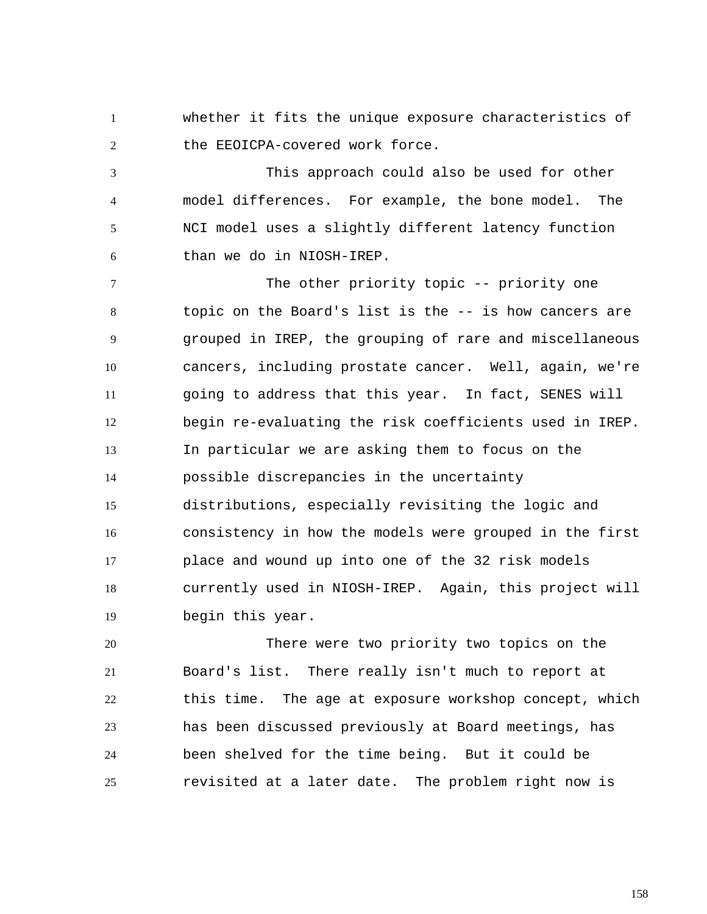1 2 whether it fits the unique exposure characteristics of the EEOICPA-covered work force.

3 4 5 6 This approach could also be used for other model differences. For example, the bone model. The NCI model uses a slightly different latency function than we do in NIOSH-IREP.

7 8 9 10 11 12 13 14 15 16 17 18 19 The other priority topic -- priority one topic on the Board's list is the -- is how cancers are grouped in IREP, the grouping of rare and miscellaneous cancers, including prostate cancer. Well, again, we're going to address that this year. In fact, SENES will begin re-evaluating the risk coefficients used in IREP. In particular we are asking them to focus on the possible discrepancies in the uncertainty distributions, especially revisiting the logic and consistency in how the models were grouped in the first place and wound up into one of the 32 risk models currently used in NIOSH-IREP. Again, this project will begin this year.

20 21 22 23 24 25 There were two priority two topics on the Board's list. There really isn't much to report at this time. The age at exposure workshop concept, which has been discussed previously at Board meetings, has been shelved for the time being. But it could be revisited at a later date. The problem right now is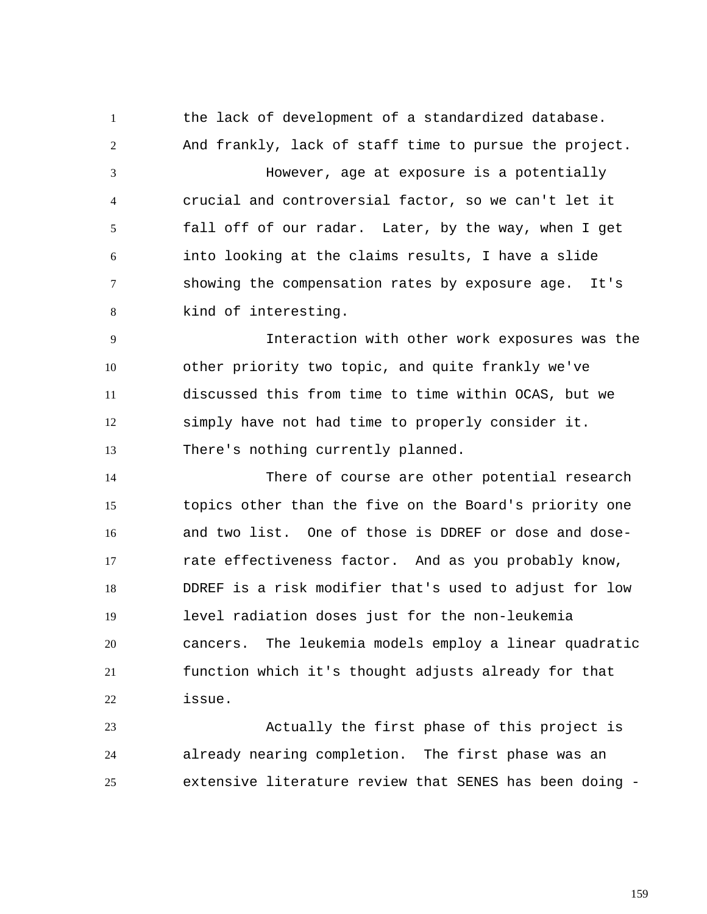1 2 3 4 5 6 7 8 the lack of development of a standardized database. And frankly, lack of staff time to pursue the project. However, age at exposure is a potentially crucial and controversial factor, so we can't let it fall off of our radar. Later, by the way, when I get into looking at the claims results, I have a slide showing the compensation rates by exposure age. It's kind of interesting.

9 10 11 12 13 Interaction with other work exposures was the other priority two topic, and quite frankly we've discussed this from time to time within OCAS, but we simply have not had time to properly consider it. There's nothing currently planned.

14 15 16 17 18 19 20 21 22 There of course are other potential research topics other than the five on the Board's priority one and two list. One of those is DDREF or dose and doserate effectiveness factor. And as you probably know, DDREF is a risk modifier that's used to adjust for low level radiation doses just for the non-leukemia cancers. The leukemia models employ a linear quadratic function which it's thought adjusts already for that issue.

23 24 25 Actually the first phase of this project is already nearing completion. The first phase was an extensive literature review that SENES has been doing -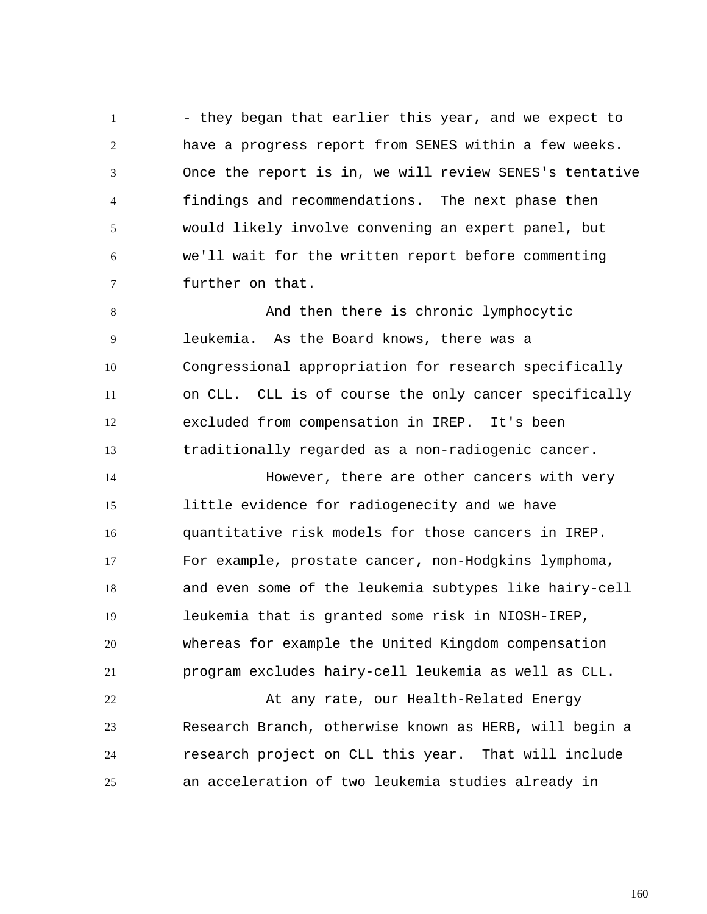1 2 3 4 5 6 7 - they began that earlier this year, and we expect to have a progress report from SENES within a few weeks. Once the report is in, we will review SENES's tentative findings and recommendations. The next phase then would likely involve convening an expert panel, but we'll wait for the written report before commenting further on that.

8 9 10 11 12 13 And then there is chronic lymphocytic leukemia. As the Board knows, there was a Congressional appropriation for research specifically on CLL. CLL is of course the only cancer specifically excluded from compensation in IREP. It's been traditionally regarded as a non-radiogenic cancer.

14 15 16 17 18 19 20 21 However, there are other cancers with very little evidence for radiogenecity and we have quantitative risk models for those cancers in IREP. For example, prostate cancer, non-Hodgkins lymphoma, and even some of the leukemia subtypes like hairy-cell leukemia that is granted some risk in NIOSH-IREP, whereas for example the United Kingdom compensation program excludes hairy-cell leukemia as well as CLL.

22 23 24 25 At any rate, our Health-Related Energy Research Branch, otherwise known as HERB, will begin a research project on CLL this year. That will include an acceleration of two leukemia studies already in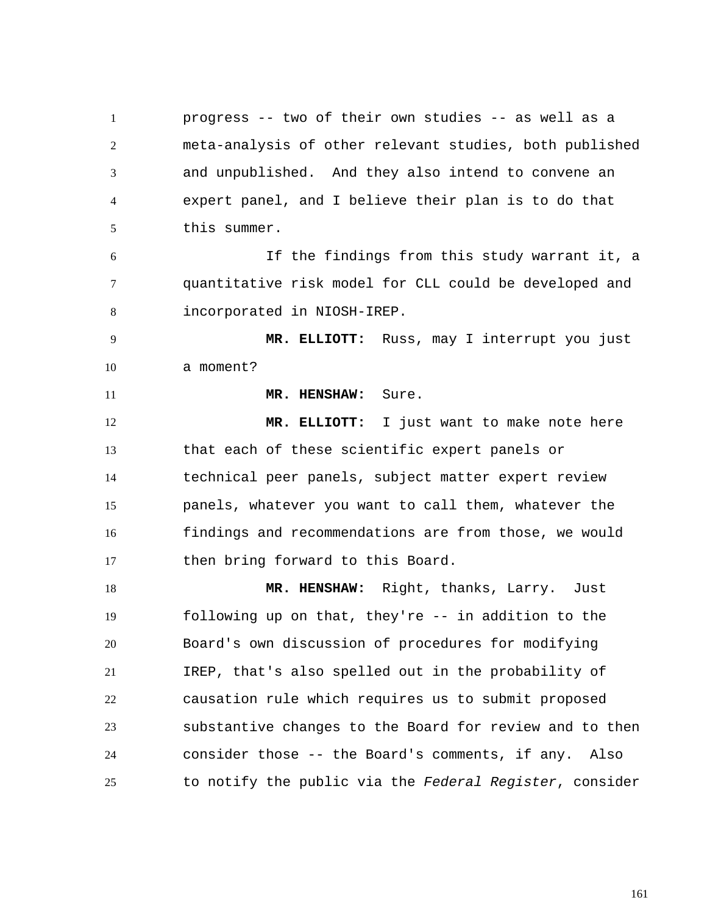1 2 3 4 5 6 7 8 9 10 11 12 13 14 15 16 progress -- two of their own studies -- as well as a meta-analysis of other relevant studies, both published and unpublished. And they also intend to convene an expert panel, and I believe their plan is to do that this summer. If the findings from this study warrant it, a quantitative risk model for CLL could be developed and incorporated in NIOSH-IREP.  **MR. ELLIOTT:** Russ, may I interrupt you just a moment?  **MR. HENSHAW:** Sure.  **MR. ELLIOTT:** I just want to make note here that each of these scientific expert panels or technical peer panels, subject matter expert review panels, whatever you want to call them, whatever the findings and recommendations are from those, we would

18 19 20 21 22 23 24 25  **MR. HENSHAW:** Right, thanks, Larry. Just following up on that, they're -- in addition to the Board's own discussion of procedures for modifying IREP, that's also spelled out in the probability of causation rule which requires us to submit proposed substantive changes to the Board for review and to then consider those -- the Board's comments, if any. Also to notify the public via the *Federal Register*, consider

then bring forward to this Board.

17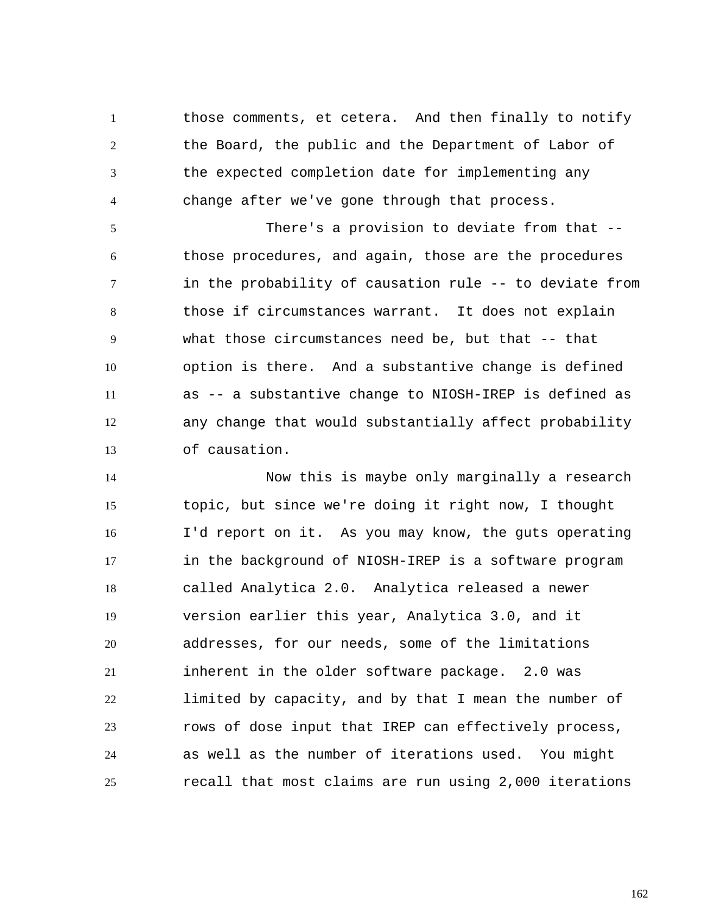1 2 3 4 those comments, et cetera. And then finally to notify the Board, the public and the Department of Labor of the expected completion date for implementing any change after we've gone through that process.

5 6 7 8 9 10 11 12 13 There's a provision to deviate from that - those procedures, and again, those are the procedures in the probability of causation rule -- to deviate from those if circumstances warrant. It does not explain what those circumstances need be, but that -- that option is there. And a substantive change is defined as -- a substantive change to NIOSH-IREP is defined as any change that would substantially affect probability of causation.

14 15 16 17 18 19 20 21 22 23 24 25 Now this is maybe only marginally a research topic, but since we're doing it right now, I thought I'd report on it. As you may know, the guts operating in the background of NIOSH-IREP is a software program called Analytica 2.0. Analytica released a newer version earlier this year, Analytica 3.0, and it addresses, for our needs, some of the limitations inherent in the older software package. 2.0 was limited by capacity, and by that I mean the number of rows of dose input that IREP can effectively process, as well as the number of iterations used. You might recall that most claims are run using 2,000 iterations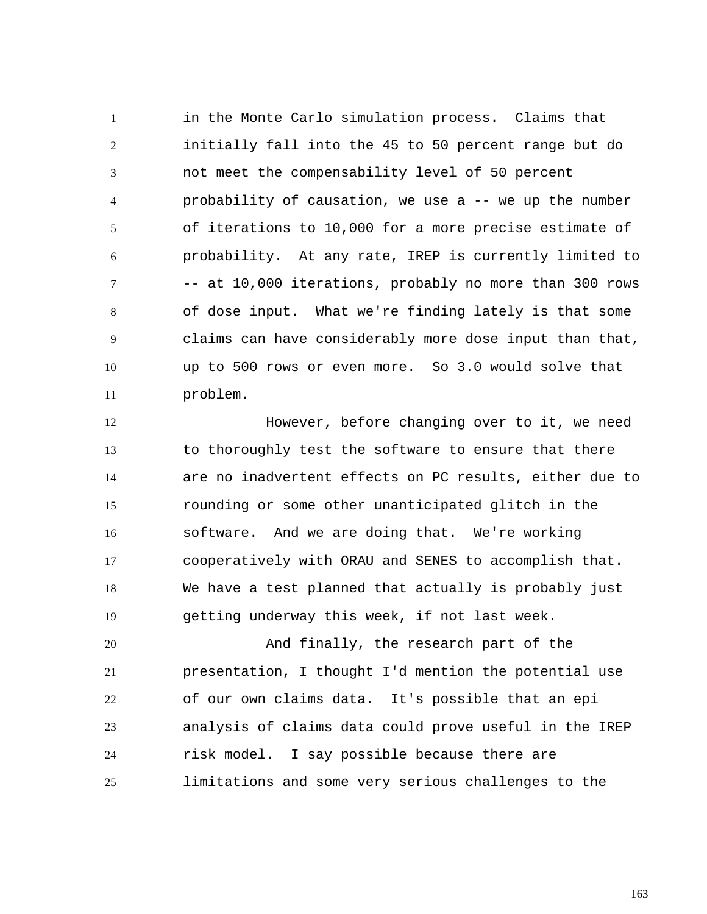1 2 3 4 5 6 7 8 9 10 11 in the Monte Carlo simulation process. Claims that initially fall into the 45 to 50 percent range but do not meet the compensability level of 50 percent probability of causation, we use a -- we up the number of iterations to 10,000 for a more precise estimate of probability. At any rate, IREP is currently limited to -- at 10,000 iterations, probably no more than 300 rows of dose input. What we're finding lately is that some claims can have considerably more dose input than that, up to 500 rows or even more. So 3.0 would solve that problem.

12 13 14 15 16 17 18 19 However, before changing over to it, we need to thoroughly test the software to ensure that there are no inadvertent effects on PC results, either due to rounding or some other unanticipated glitch in the software. And we are doing that. We're working cooperatively with ORAU and SENES to accomplish that. We have a test planned that actually is probably just getting underway this week, if not last week.

20 21 22 23 24 25 And finally, the research part of the presentation, I thought I'd mention the potential use of our own claims data. It's possible that an epi analysis of claims data could prove useful in the IREP risk model. I say possible because there are limitations and some very serious challenges to the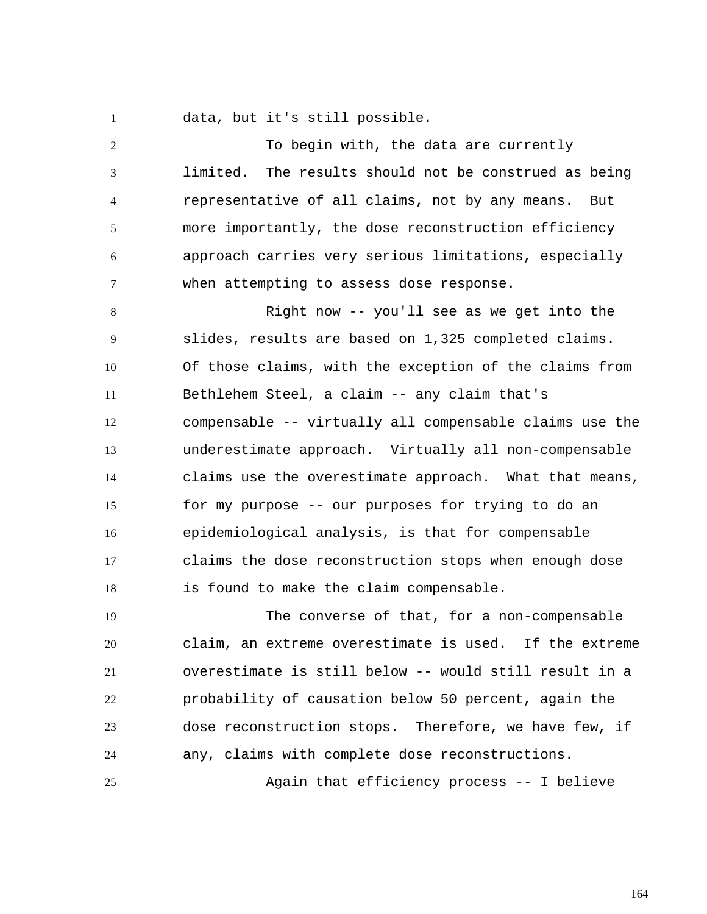1 data, but it's still possible.

2 3 4 5 6 7 To begin with, the data are currently limited. The results should not be construed as being representative of all claims, not by any means. But more importantly, the dose reconstruction efficiency approach carries very serious limitations, especially when attempting to assess dose response.

8 9 10 11 12 13 14 15 16 17 18 Right now -- you'll see as we get into the slides, results are based on 1,325 completed claims. Of those claims, with the exception of the claims from Bethlehem Steel, a claim -- any claim that's compensable -- virtually all compensable claims use the underestimate approach. Virtually all non-compensable claims use the overestimate approach. What that means, for my purpose -- our purposes for trying to do an epidemiological analysis, is that for compensable claims the dose reconstruction stops when enough dose is found to make the claim compensable.

19 20 21 22 23 24 The converse of that, for a non-compensable claim, an extreme overestimate is used. If the extreme overestimate is still below -- would still result in a probability of causation below 50 percent, again the dose reconstruction stops. Therefore, we have few, if any, claims with complete dose reconstructions.

Again that efficiency process -- I believe

25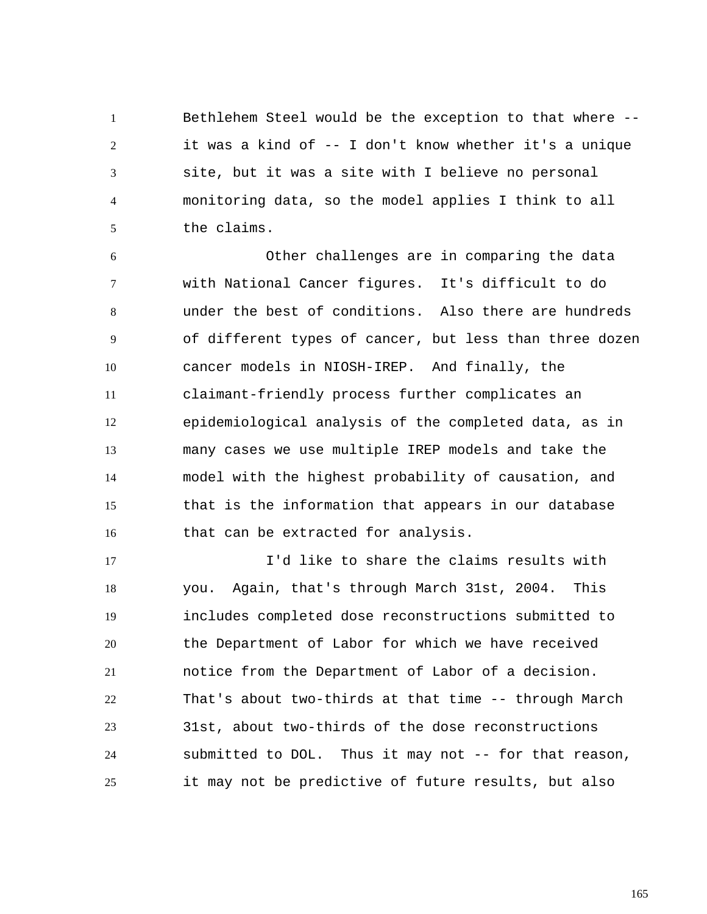1 2 3 4 5 Bethlehem Steel would be the exception to that where - it was a kind of -- I don't know whether it's a unique site, but it was a site with I believe no personal monitoring data, so the model applies I think to all the claims.

6 7 8 9 10 11 12 13 14 15 16 Other challenges are in comparing the data with National Cancer figures. It's difficult to do under the best of conditions. Also there are hundreds of different types of cancer, but less than three dozen cancer models in NIOSH-IREP. And finally, the claimant-friendly process further complicates an epidemiological analysis of the completed data, as in many cases we use multiple IREP models and take the model with the highest probability of causation, and that is the information that appears in our database that can be extracted for analysis.

17 18 19 20 21 22 23 24 25 I'd like to share the claims results with you. Again, that's through March 31st, 2004. This includes completed dose reconstructions submitted to the Department of Labor for which we have received notice from the Department of Labor of a decision. That's about two-thirds at that time -- through March 31st, about two-thirds of the dose reconstructions submitted to DOL. Thus it may not -- for that reason, it may not be predictive of future results, but also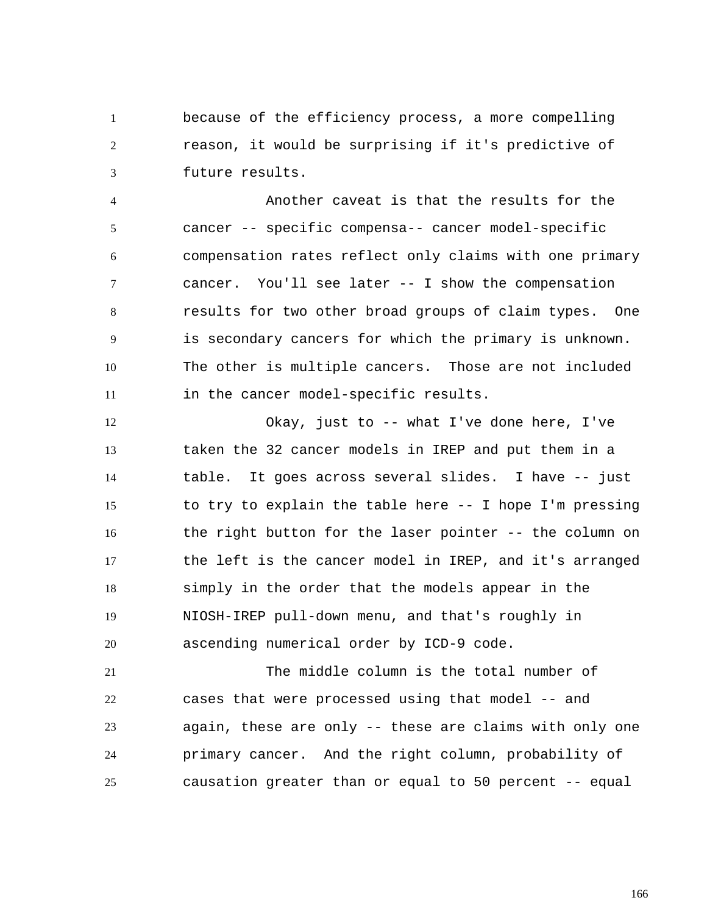1 2 3 because of the efficiency process, a more compelling reason, it would be surprising if it's predictive of future results.

4 5 6 7 8 9 10 11 Another caveat is that the results for the cancer -- specific compensa-- cancer model-specific compensation rates reflect only claims with one primary cancer. You'll see later -- I show the compensation results for two other broad groups of claim types. One is secondary cancers for which the primary is unknown. The other is multiple cancers. Those are not included in the cancer model-specific results.

12 13 14 15 16 17 18 19 20 Okay, just to -- what I've done here, I've taken the 32 cancer models in IREP and put them in a table. It goes across several slides. I have -- just to try to explain the table here -- I hope I'm pressing the right button for the laser pointer -- the column on the left is the cancer model in IREP, and it's arranged simply in the order that the models appear in the NIOSH-IREP pull-down menu, and that's roughly in ascending numerical order by ICD-9 code.

21 22 23 24 25 The middle column is the total number of cases that were processed using that model -- and again, these are only -- these are claims with only one primary cancer. And the right column, probability of causation greater than or equal to 50 percent -- equal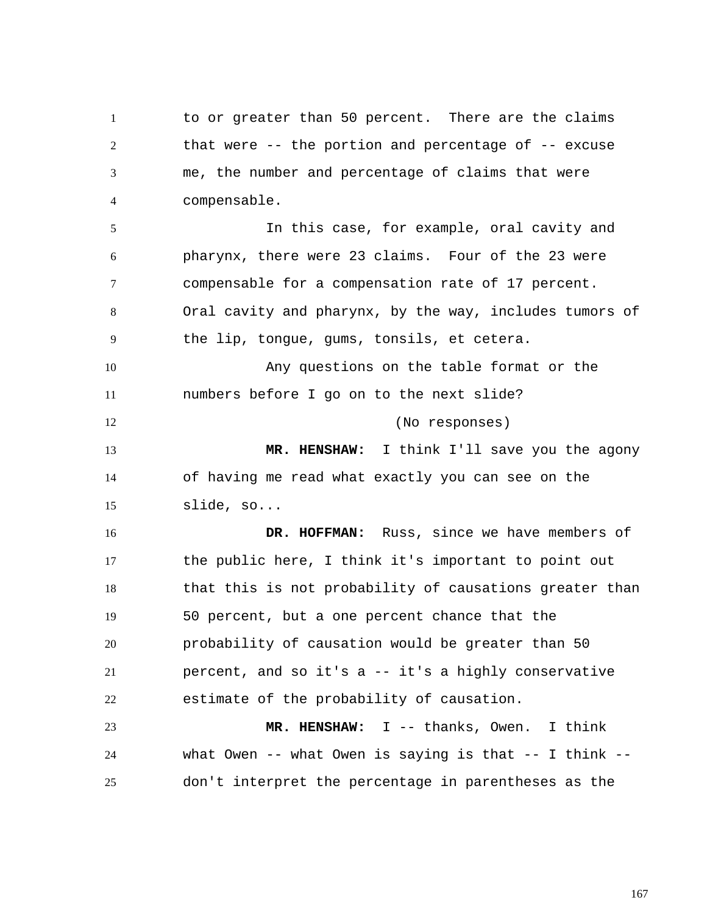1 2 3 4 to or greater than 50 percent. There are the claims that were -- the portion and percentage of -- excuse me, the number and percentage of claims that were compensable.

5 6 7 8 9 In this case, for example, oral cavity and pharynx, there were 23 claims. Four of the 23 were compensable for a compensation rate of 17 percent. Oral cavity and pharynx, by the way, includes tumors of the lip, tongue, gums, tonsils, et cetera.

10 11 12 Any questions on the table format or the numbers before I go on to the next slide? (No responses)

13 14 15  **MR. HENSHAW:** I think I'll save you the agony of having me read what exactly you can see on the slide, so...

16 17 18 19 20 21 22  **DR. HOFFMAN:** Russ, since we have members of the public here, I think it's important to point out that this is not probability of causations greater than 50 percent, but a one percent chance that the probability of causation would be greater than 50 percent, and so it's a -- it's a highly conservative estimate of the probability of causation.

23 24 25  **MR. HENSHAW:** I -- thanks, Owen. I think what Owen -- what Owen is saying is that -- I think -don't interpret the percentage in parentheses as the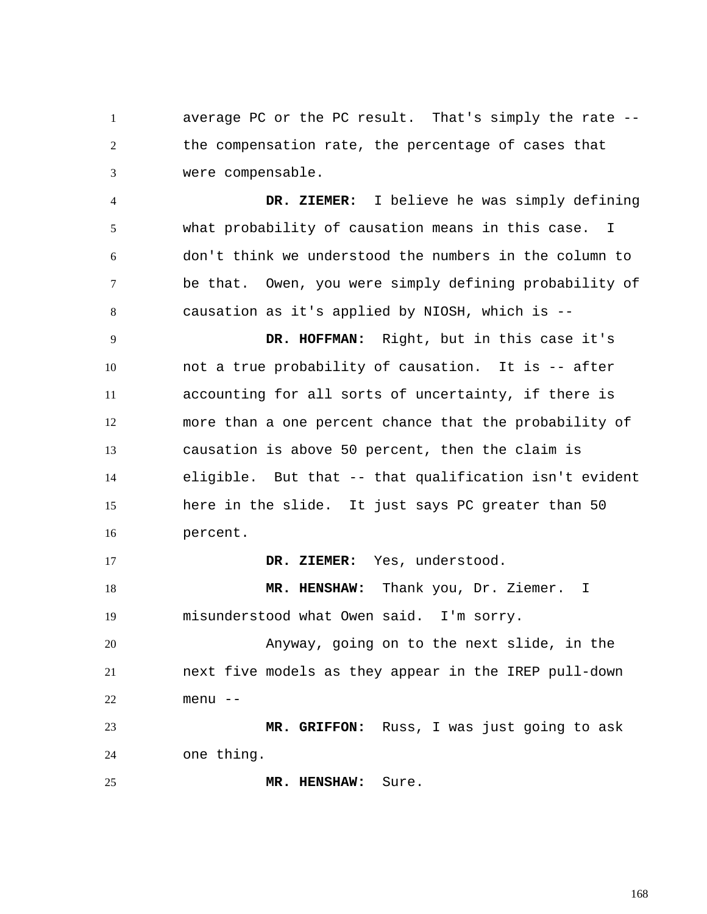1 2 3 average PC or the PC result. That's simply the rate - the compensation rate, the percentage of cases that were compensable.

4 5 6 7 8  **DR. ZIEMER:** I believe he was simply defining what probability of causation means in this case. I don't think we understood the numbers in the column to be that. Owen, you were simply defining probability of causation as it's applied by NIOSH, which is --

9 10 11 12 13 14 15 16  **DR. HOFFMAN:** Right, but in this case it's not a true probability of causation. It is -- after accounting for all sorts of uncertainty, if there is more than a one percent chance that the probability of causation is above 50 percent, then the claim is eligible. But that -- that qualification isn't evident here in the slide. It just says PC greater than 50 percent.

17  **DR. ZIEMER:** Yes, understood.

18 19  **MR. HENSHAW:** Thank you, Dr. Ziemer. I misunderstood what Owen said. I'm sorry.

20 21 22 Anyway, going on to the next slide, in the next five models as they appear in the IREP pull-down menu --

23 24  **MR. GRIFFON:** Russ, I was just going to ask one thing.

25  **MR. HENSHAW:** Sure.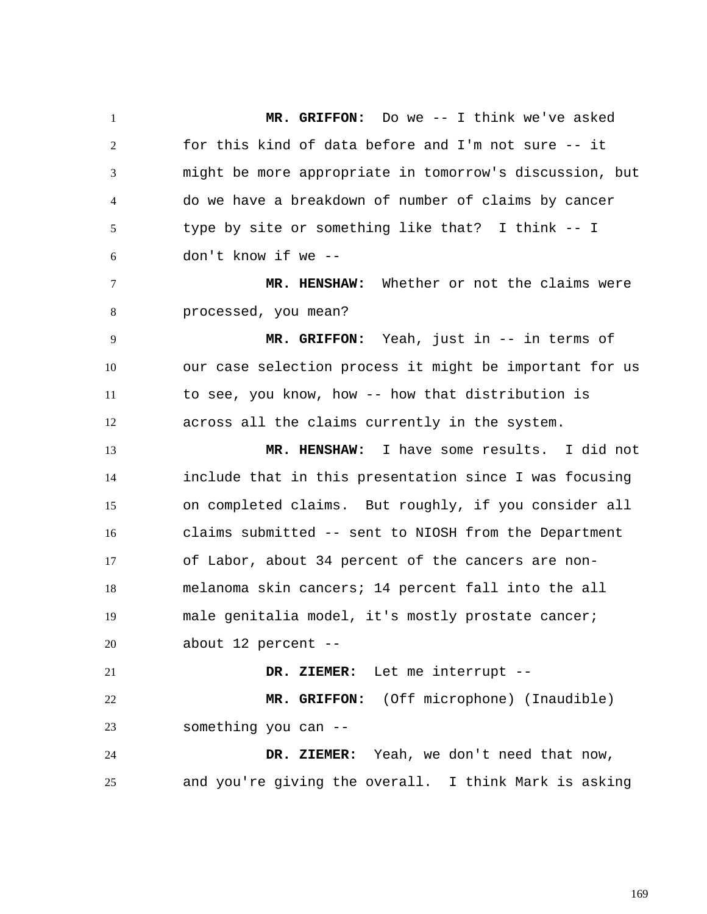1 2 3 4 5 6 7 8 9 10 11 12 13 14 15 16 17 18 19 20 21 22 23 24 25  **MR. GRIFFON:** Do we -- I think we've asked for this kind of data before and I'm not sure -- it might be more appropriate in tomorrow's discussion, but do we have a breakdown of number of claims by cancer type by site or something like that? I think -- I don't know if we --  **MR. HENSHAW:** Whether or not the claims were processed, you mean?  **MR. GRIFFON:** Yeah, just in -- in terms of our case selection process it might be important for us to see, you know, how -- how that distribution is across all the claims currently in the system.  **MR. HENSHAW:** I have some results. I did not include that in this presentation since I was focusing on completed claims. But roughly, if you consider all claims submitted -- sent to NIOSH from the Department of Labor, about 34 percent of the cancers are nonmelanoma skin cancers; 14 percent fall into the all male genitalia model, it's mostly prostate cancer; about 12 percent --  **DR. ZIEMER:** Let me interrupt --  **MR. GRIFFON:** (Off microphone) (Inaudible) something you can --  **DR. ZIEMER:** Yeah, we don't need that now, and you're giving the overall. I think Mark is asking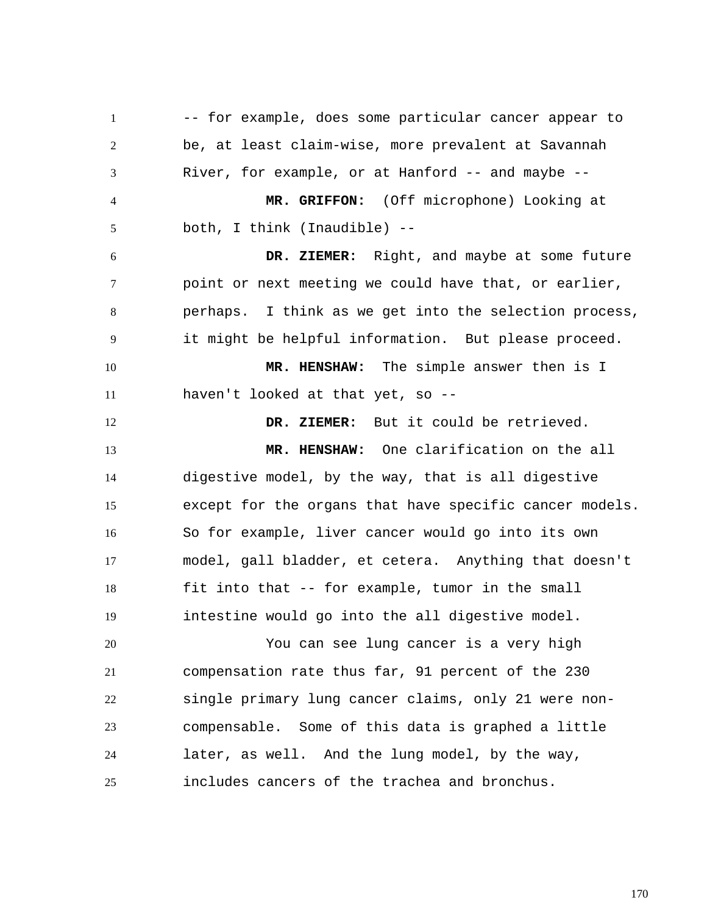1 2 3 4 5 6 7 8 9 10 11 12 13 14 15 16 17 18 19 20 21 22 23 24 25 -- for example, does some particular cancer appear to be, at least claim-wise, more prevalent at Savannah River, for example, or at Hanford -- and maybe --  **MR. GRIFFON:** (Off microphone) Looking at both, I think (Inaudible) --  **DR. ZIEMER:** Right, and maybe at some future point or next meeting we could have that, or earlier, perhaps. I think as we get into the selection process, it might be helpful information. But please proceed.  **MR. HENSHAW:** The simple answer then is I haven't looked at that yet, so --  **DR. ZIEMER:** But it could be retrieved.  **MR. HENSHAW:** One clarification on the all digestive model, by the way, that is all digestive except for the organs that have specific cancer models. So for example, liver cancer would go into its own model, gall bladder, et cetera. Anything that doesn't fit into that -- for example, tumor in the small intestine would go into the all digestive model. You can see lung cancer is a very high compensation rate thus far, 91 percent of the 230 single primary lung cancer claims, only 21 were noncompensable. Some of this data is graphed a little later, as well. And the lung model, by the way, includes cancers of the trachea and bronchus.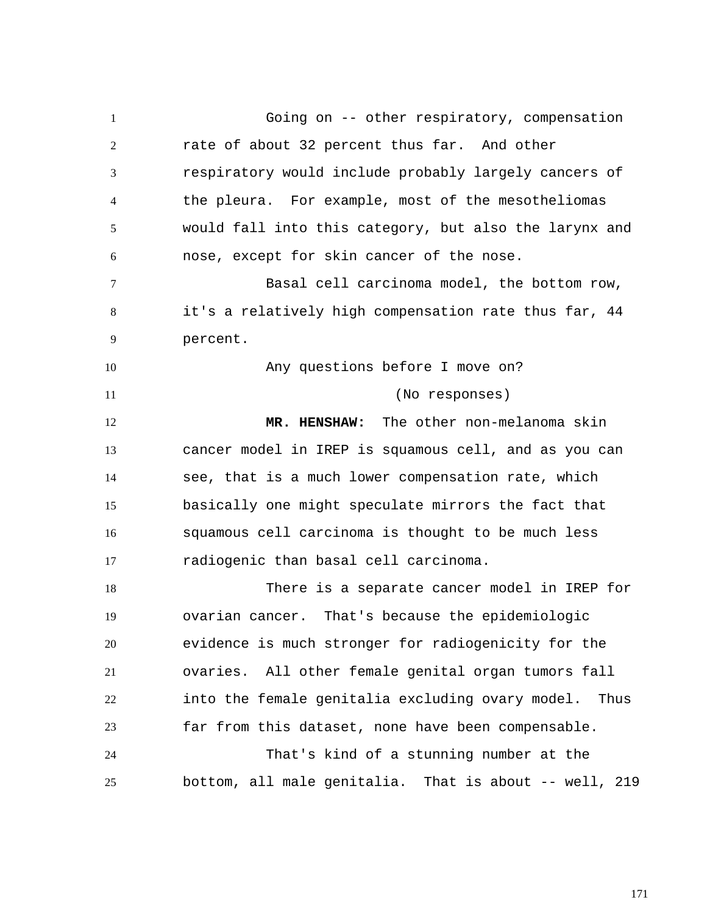1 2 3 4 5 6 7 8 9 10 11 12 13 14 15 16 17 18 19 20 21 22 23 24 25 Going on -- other respiratory, compensation rate of about 32 percent thus far. And other respiratory would include probably largely cancers of the pleura. For example, most of the mesotheliomas would fall into this category, but also the larynx and nose, except for skin cancer of the nose. Basal cell carcinoma model, the bottom row, it's a relatively high compensation rate thus far, 44 percent. Any questions before I move on? (No responses)  **MR. HENSHAW:** The other non-melanoma skin cancer model in IREP is squamous cell, and as you can see, that is a much lower compensation rate, which basically one might speculate mirrors the fact that squamous cell carcinoma is thought to be much less radiogenic than basal cell carcinoma. There is a separate cancer model in IREP for ovarian cancer. That's because the epidemiologic evidence is much stronger for radiogenicity for the ovaries. All other female genital organ tumors fall into the female genitalia excluding ovary model. Thus far from this dataset, none have been compensable. That's kind of a stunning number at the bottom, all male genitalia. That is about -- well, 219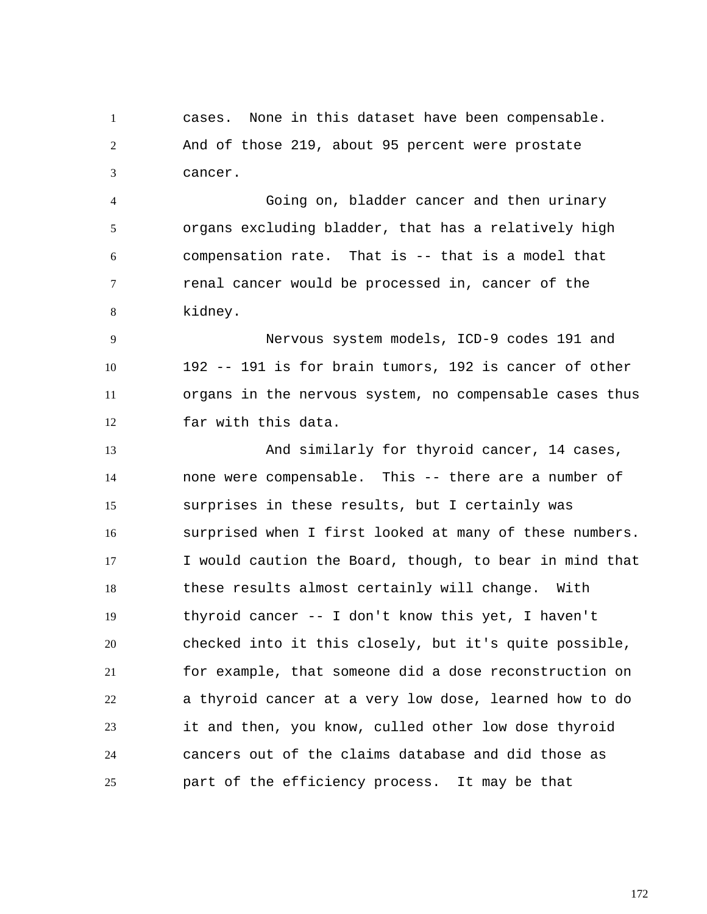1 2 3 cases. None in this dataset have been compensable. And of those 219, about 95 percent were prostate cancer.

4 5 6 7 8 Going on, bladder cancer and then urinary organs excluding bladder, that has a relatively high compensation rate. That is -- that is a model that renal cancer would be processed in, cancer of the kidney.

9 10 11 12 Nervous system models, ICD-9 codes 191 and 192 -- 191 is for brain tumors, 192 is cancer of other organs in the nervous system, no compensable cases thus far with this data.

13 14 15 16 17 18 19 20 21 22 23 24 25 And similarly for thyroid cancer, 14 cases, none were compensable. This -- there are a number of surprises in these results, but I certainly was surprised when I first looked at many of these numbers. I would caution the Board, though, to bear in mind that these results almost certainly will change. With thyroid cancer -- I don't know this yet, I haven't checked into it this closely, but it's quite possible, for example, that someone did a dose reconstruction on a thyroid cancer at a very low dose, learned how to do it and then, you know, culled other low dose thyroid cancers out of the claims database and did those as part of the efficiency process. It may be that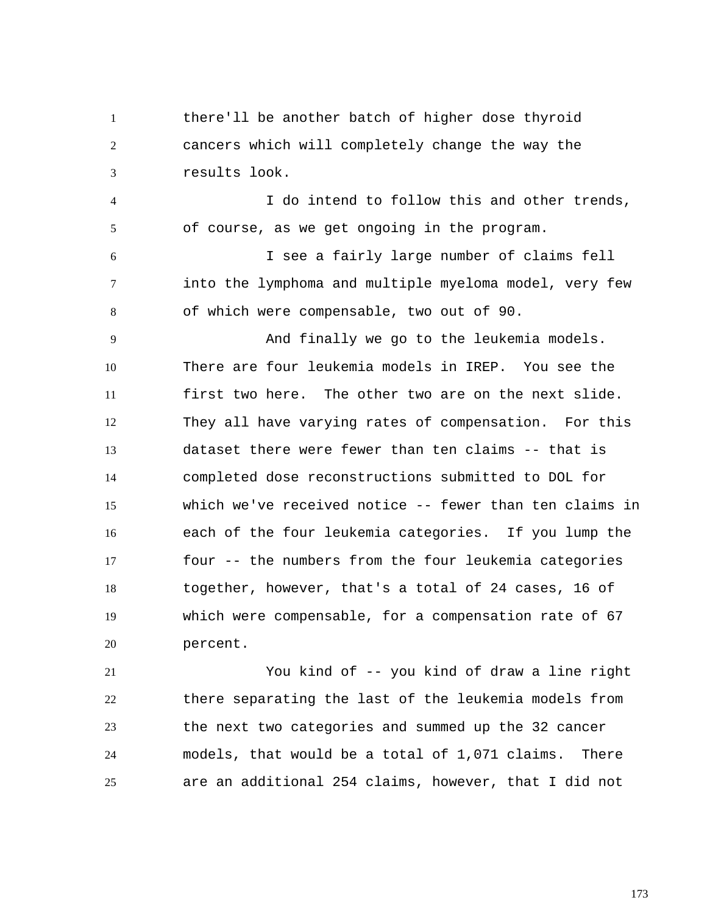1 2 3 4 5 6 7 8 9 10 11 12 13 14 15 16 17 18 19 20 there'll be another batch of higher dose thyroid cancers which will completely change the way the results look. I do intend to follow this and other trends, of course, as we get ongoing in the program. I see a fairly large number of claims fell into the lymphoma and multiple myeloma model, very few of which were compensable, two out of 90. And finally we go to the leukemia models. There are four leukemia models in IREP. You see the first two here. The other two are on the next slide. They all have varying rates of compensation. For this dataset there were fewer than ten claims -- that is completed dose reconstructions submitted to DOL for which we've received notice -- fewer than ten claims in each of the four leukemia categories. If you lump the four -- the numbers from the four leukemia categories together, however, that's a total of 24 cases, 16 of which were compensable, for a compensation rate of 67 percent.

21 22 23 24 25 You kind of -- you kind of draw a line right there separating the last of the leukemia models from the next two categories and summed up the 32 cancer models, that would be a total of 1,071 claims. There are an additional 254 claims, however, that I did not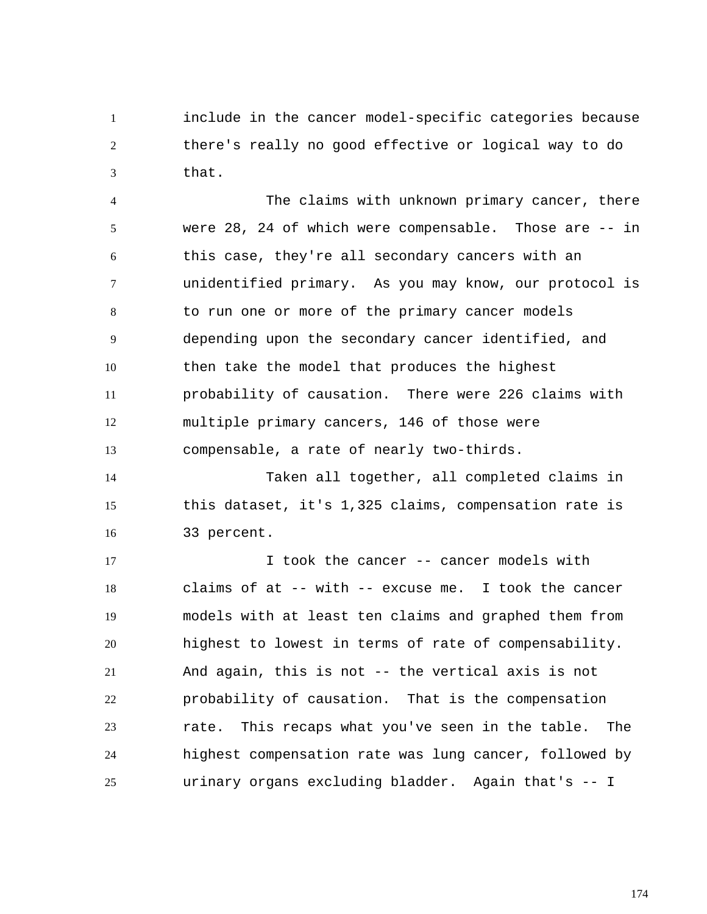1 2 3 include in the cancer model-specific categories because there's really no good effective or logical way to do that.

4 5 6 7 8 9 10 11 12 13 The claims with unknown primary cancer, there were 28, 24 of which were compensable. Those are -- in this case, they're all secondary cancers with an unidentified primary. As you may know, our protocol is to run one or more of the primary cancer models depending upon the secondary cancer identified, and then take the model that produces the highest probability of causation. There were 226 claims with multiple primary cancers, 146 of those were compensable, a rate of nearly two-thirds.

14 15 16 Taken all together, all completed claims in this dataset, it's 1,325 claims, compensation rate is 33 percent.

17 18 19 20 21 22 23 24 25 I took the cancer -- cancer models with claims of at -- with -- excuse me. I took the cancer models with at least ten claims and graphed them from highest to lowest in terms of rate of compensability. And again, this is not -- the vertical axis is not probability of causation. That is the compensation rate. This recaps what you've seen in the table. The highest compensation rate was lung cancer, followed by urinary organs excluding bladder. Again that's -- I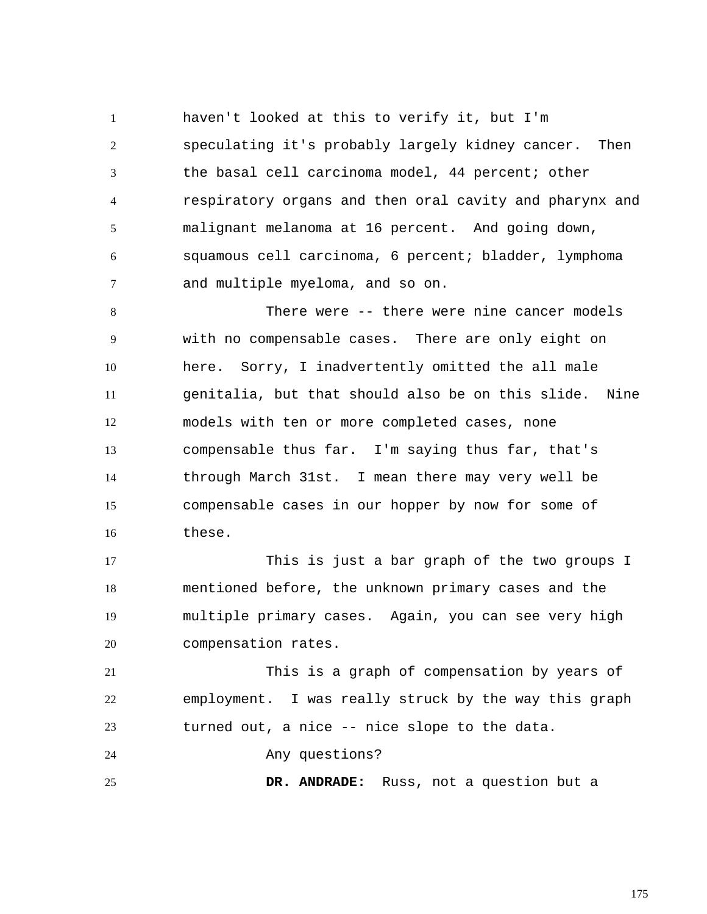1 2 3 4 5 6 7 haven't looked at this to verify it, but I'm speculating it's probably largely kidney cancer. Then the basal cell carcinoma model, 44 percent; other respiratory organs and then oral cavity and pharynx and malignant melanoma at 16 percent. And going down, squamous cell carcinoma, 6 percent; bladder, lymphoma and multiple myeloma, and so on.

8 9 10 11 12 13 14 15 16 There were -- there were nine cancer models with no compensable cases. There are only eight on here. Sorry, I inadvertently omitted the all male genitalia, but that should also be on this slide. Nine models with ten or more completed cases, none compensable thus far. I'm saying thus far, that's through March 31st. I mean there may very well be compensable cases in our hopper by now for some of these.

17 18 19 20 This is just a bar graph of the two groups I mentioned before, the unknown primary cases and the multiple primary cases. Again, you can see very high compensation rates.

21 22 23 This is a graph of compensation by years of employment. I was really struck by the way this graph turned out, a nice -- nice slope to the data.

24 Any questions?

25  **DR. ANDRADE:** Russ, not a question but a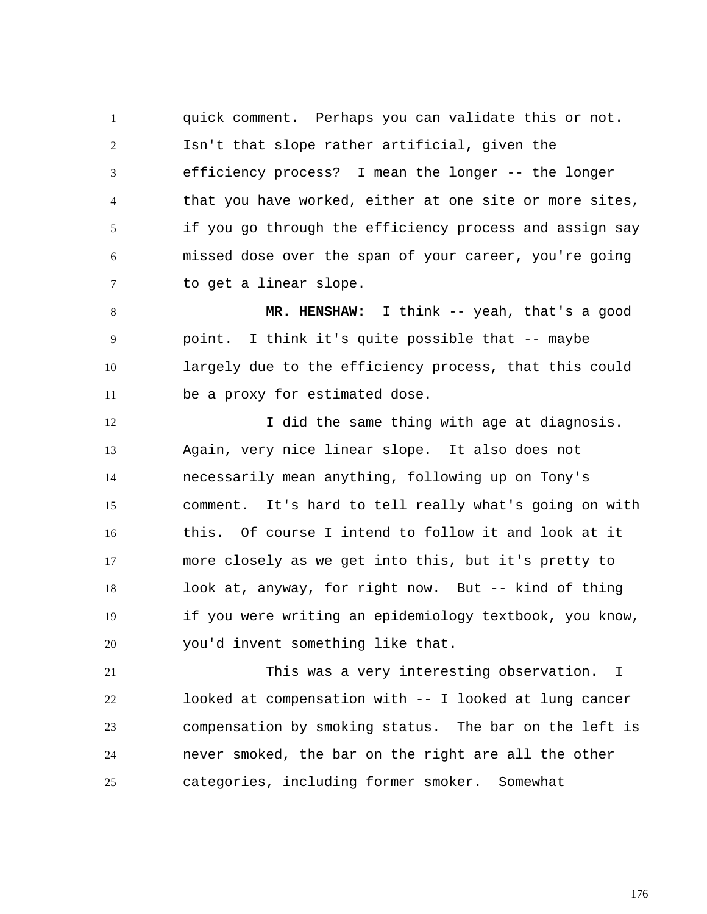1 2 3 4 5 6 7 quick comment. Perhaps you can validate this or not. Isn't that slope rather artificial, given the efficiency process? I mean the longer -- the longer that you have worked, either at one site or more sites, if you go through the efficiency process and assign say missed dose over the span of your career, you're going to get a linear slope.

8 9 10 11  **MR. HENSHAW:** I think -- yeah, that's a good point. I think it's quite possible that -- maybe largely due to the efficiency process, that this could be a proxy for estimated dose.

12 13 14 15 16 17 18 19 20 I did the same thing with age at diagnosis. Again, very nice linear slope. It also does not necessarily mean anything, following up on Tony's comment. It's hard to tell really what's going on with this. Of course I intend to follow it and look at it more closely as we get into this, but it's pretty to look at, anyway, for right now. But -- kind of thing if you were writing an epidemiology textbook, you know, you'd invent something like that.

21 22 23 24 25 This was a very interesting observation. I looked at compensation with -- I looked at lung cancer compensation by smoking status. The bar on the left is never smoked, the bar on the right are all the other categories, including former smoker. Somewhat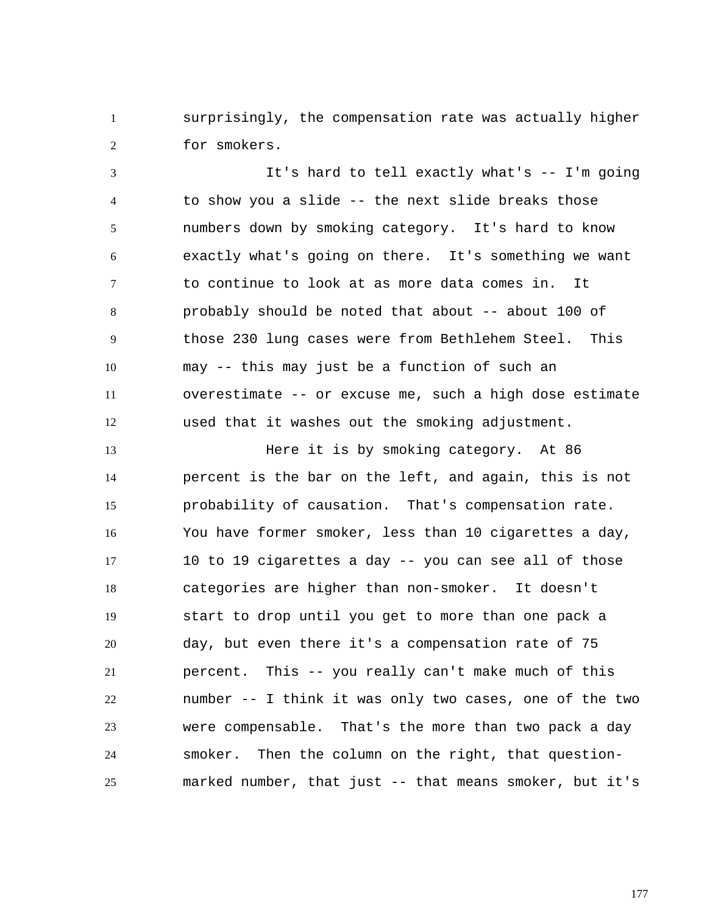1 2 surprisingly, the compensation rate was actually higher for smokers.

3 4 5 6 7 8 9 10 11 12 It's hard to tell exactly what's -- I'm going to show you a slide -- the next slide breaks those numbers down by smoking category. It's hard to know exactly what's going on there. It's something we want to continue to look at as more data comes in. It probably should be noted that about -- about 100 of those 230 lung cases were from Bethlehem Steel. This may -- this may just be a function of such an overestimate -- or excuse me, such a high dose estimate used that it washes out the smoking adjustment.

13 14 15 16 17 18 19 20 21 22 23 24 25 Here it is by smoking category. At 86 percent is the bar on the left, and again, this is not probability of causation. That's compensation rate. You have former smoker, less than 10 cigarettes a day, 10 to 19 cigarettes a day -- you can see all of those categories are higher than non-smoker. It doesn't start to drop until you get to more than one pack a day, but even there it's a compensation rate of 75 percent. This -- you really can't make much of this number -- I think it was only two cases, one of the two were compensable. That's the more than two pack a day smoker. Then the column on the right, that questionmarked number, that just -- that means smoker, but it's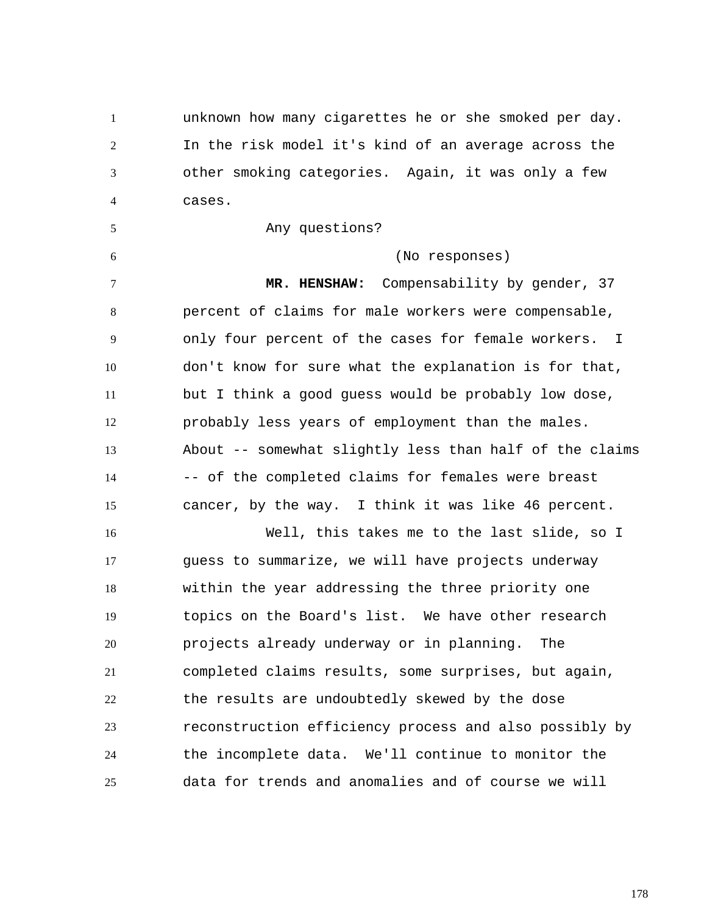1 2 3 4 unknown how many cigarettes he or she smoked per day. In the risk model it's kind of an average across the other smoking categories. Again, it was only a few cases.

Any questions?

5

6

(No responses)

7 8 9 10 11 12 13 14 15  **MR. HENSHAW:** Compensability by gender, 37 percent of claims for male workers were compensable, only four percent of the cases for female workers. I don't know for sure what the explanation is for that, but I think a good guess would be probably low dose, probably less years of employment than the males. About -- somewhat slightly less than half of the claims -- of the completed claims for females were breast cancer, by the way. I think it was like 46 percent.

16 17 18 19 20 21 22 23 24 25 Well, this takes me to the last slide, so I guess to summarize, we will have projects underway within the year addressing the three priority one topics on the Board's list. We have other research projects already underway or in planning. The completed claims results, some surprises, but again, the results are undoubtedly skewed by the dose reconstruction efficiency process and also possibly by the incomplete data. We'll continue to monitor the data for trends and anomalies and of course we will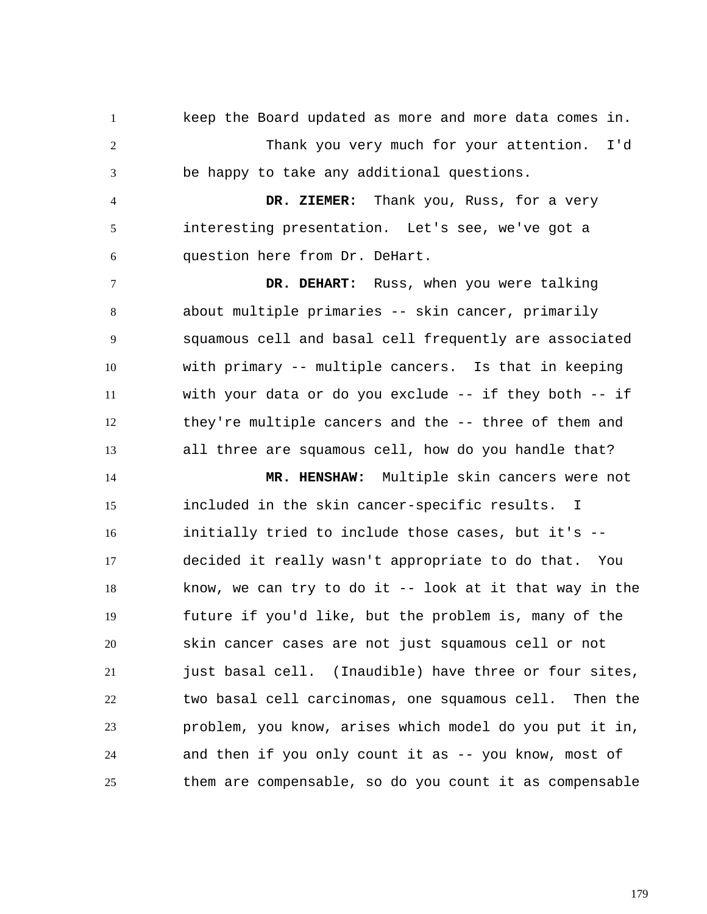1 2 3 keep the Board updated as more and more data comes in. Thank you very much for your attention. I'd be happy to take any additional questions.

4 5 6  **DR. ZIEMER:** Thank you, Russ, for a very interesting presentation. Let's see, we've got a question here from Dr. DeHart.

7 8 9 10 11 12 13  **DR. DEHART:** Russ, when you were talking about multiple primaries -- skin cancer, primarily squamous cell and basal cell frequently are associated with primary -- multiple cancers. Is that in keeping with your data or do you exclude -- if they both -- if they're multiple cancers and the -- three of them and all three are squamous cell, how do you handle that?

14 15 16 17 18 19 20 21 22 23 24 25  **MR. HENSHAW:** Multiple skin cancers were not included in the skin cancer-specific results. I initially tried to include those cases, but it's - decided it really wasn't appropriate to do that. You know, we can try to do it -- look at it that way in the future if you'd like, but the problem is, many of the skin cancer cases are not just squamous cell or not just basal cell. (Inaudible) have three or four sites, two basal cell carcinomas, one squamous cell. Then the problem, you know, arises which model do you put it in, and then if you only count it as -- you know, most of them are compensable, so do you count it as compensable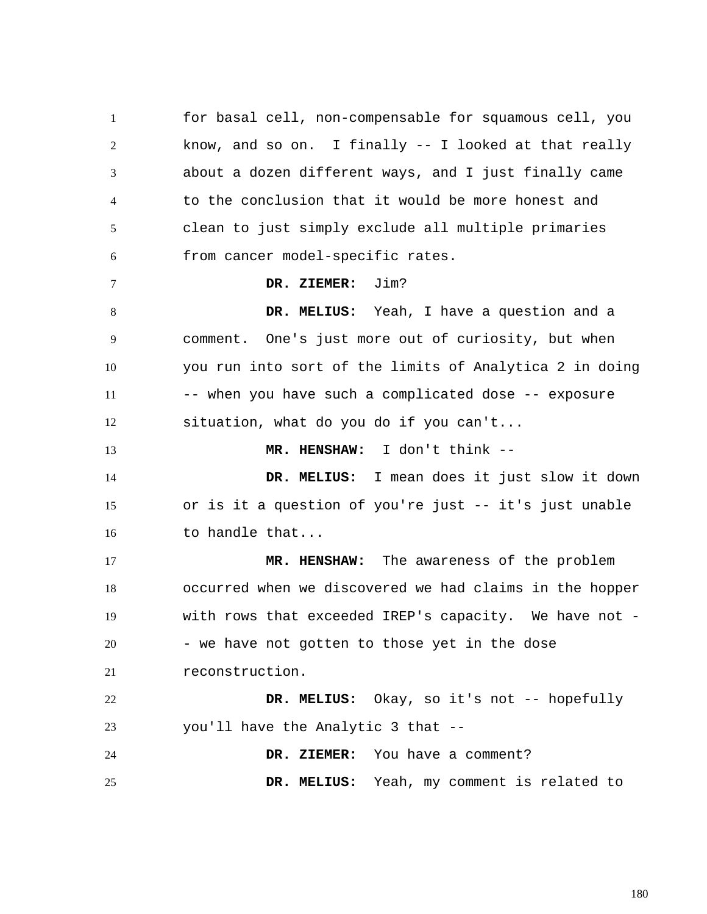1 2 3 4 5 6 7 8 9 10 11 12 13 14 15 16 17 18 19 20 21 22 23 24 25 for basal cell, non-compensable for squamous cell, you know, and so on. I finally -- I looked at that really about a dozen different ways, and I just finally came to the conclusion that it would be more honest and clean to just simply exclude all multiple primaries from cancer model-specific rates.  **DR. ZIEMER:** Jim?  **DR. MELIUS:** Yeah, I have a question and a comment. One's just more out of curiosity, but when you run into sort of the limits of Analytica 2 in doing -- when you have such a complicated dose -- exposure situation, what do you do if you can't...  **MR. HENSHAW:** I don't think --  **DR. MELIUS:** I mean does it just slow it down or is it a question of you're just -- it's just unable to handle that...  **MR. HENSHAW:** The awareness of the problem occurred when we discovered we had claims in the hopper with rows that exceeded IREP's capacity. We have not - - we have not gotten to those yet in the dose reconstruction.  **DR. MELIUS:** Okay, so it's not -- hopefully you'll have the Analytic 3 that --  **DR. ZIEMER:** You have a comment?  **DR. MELIUS:** Yeah, my comment is related to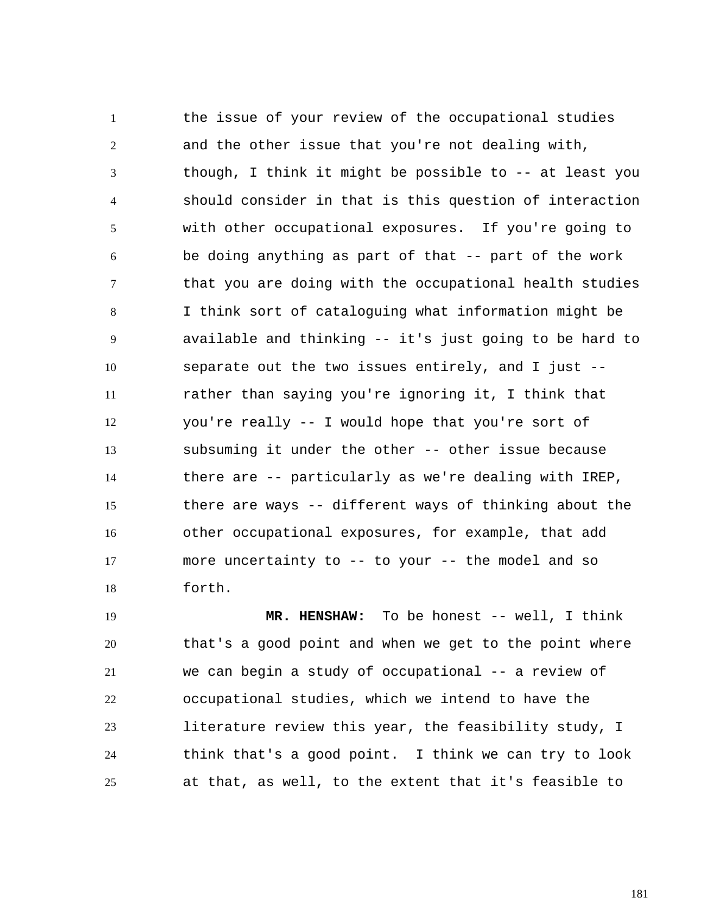1 2 3 4 5 6 7 8 9 10 11 12 13 14 15 16 17 18 the issue of your review of the occupational studies and the other issue that you're not dealing with, though, I think it might be possible to -- at least you should consider in that is this question of interaction with other occupational exposures. If you're going to be doing anything as part of that -- part of the work that you are doing with the occupational health studies I think sort of cataloguing what information might be available and thinking -- it's just going to be hard to separate out the two issues entirely, and I just - rather than saying you're ignoring it, I think that you're really -- I would hope that you're sort of subsuming it under the other -- other issue because there are -- particularly as we're dealing with IREP, there are ways -- different ways of thinking about the other occupational exposures, for example, that add more uncertainty to -- to your -- the model and so forth.

19 20 21 22 23 24 25  **MR. HENSHAW:** To be honest -- well, I think that's a good point and when we get to the point where we can begin a study of occupational -- a review of occupational studies, which we intend to have the literature review this year, the feasibility study, I think that's a good point. I think we can try to look at that, as well, to the extent that it's feasible to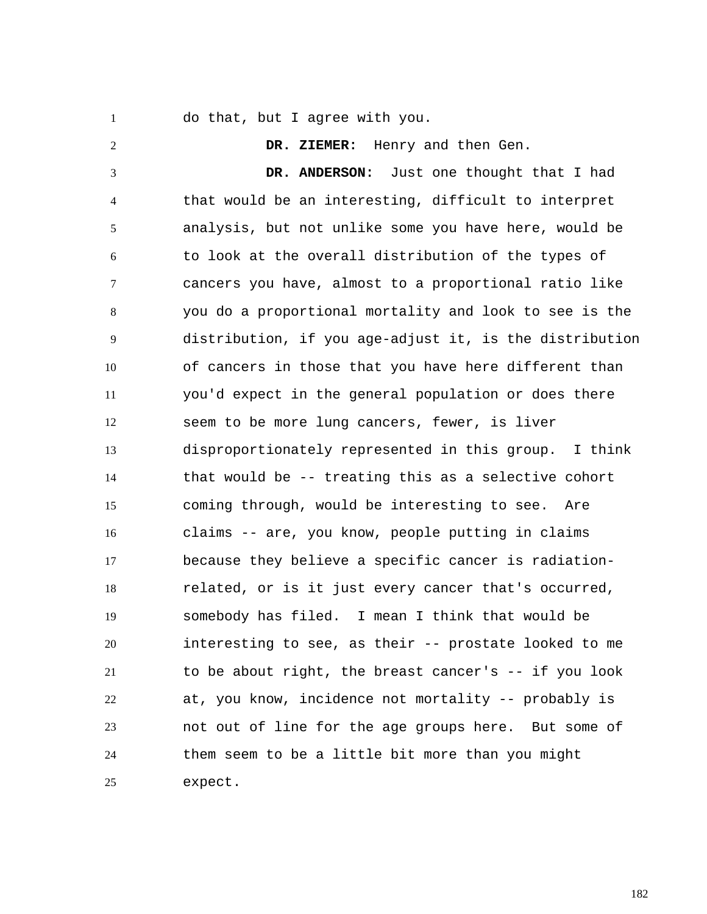1

do that, but I agree with you.

2 3 4 5 6 7 8 9 10 11 12 13 14 15 16 17 18 19 20 21 22 23 24 25  **DR. ZIEMER:** Henry and then Gen.  **DR. ANDERSON:** Just one thought that I had that would be an interesting, difficult to interpret analysis, but not unlike some you have here, would be to look at the overall distribution of the types of cancers you have, almost to a proportional ratio like you do a proportional mortality and look to see is the distribution, if you age-adjust it, is the distribution of cancers in those that you have here different than you'd expect in the general population or does there seem to be more lung cancers, fewer, is liver disproportionately represented in this group. I think that would be -- treating this as a selective cohort coming through, would be interesting to see. Are claims -- are, you know, people putting in claims because they believe a specific cancer is radiationrelated, or is it just every cancer that's occurred, somebody has filed. I mean I think that would be interesting to see, as their -- prostate looked to me to be about right, the breast cancer's -- if you look at, you know, incidence not mortality -- probably is not out of line for the age groups here. But some of them seem to be a little bit more than you might expect.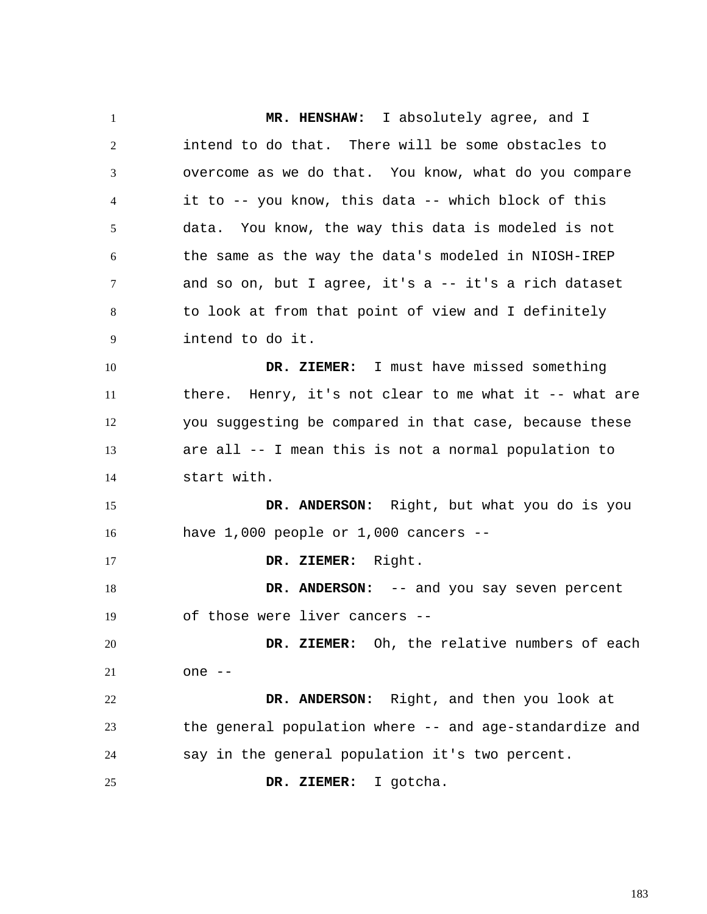1 2 3 4 5 6 7 8 9 10 11 12 13 14 15 16 17 18 19 20 21 22 23 24 25  **MR. HENSHAW:** I absolutely agree, and I intend to do that. There will be some obstacles to overcome as we do that. You know, what do you compare it to -- you know, this data -- which block of this data. You know, the way this data is modeled is not the same as the way the data's modeled in NIOSH-IREP and so on, but I agree, it's  $a - -$  it's a rich dataset to look at from that point of view and I definitely intend to do it.  **DR. ZIEMER:** I must have missed something there. Henry, it's not clear to me what it -- what are you suggesting be compared in that case, because these are all -- I mean this is not a normal population to start with.  **DR. ANDERSON:** Right, but what you do is you have  $1,000$  people or  $1,000$  cancers  $-$  **DR. ZIEMER:** Right. DR. ANDERSON: -- and you say seven percent of those were liver cancers --  **DR. ZIEMER:** Oh, the relative numbers of each one --  **DR. ANDERSON:** Right, and then you look at the general population where -- and age-standardize and say in the general population it's two percent.  **DR. ZIEMER:** I gotcha.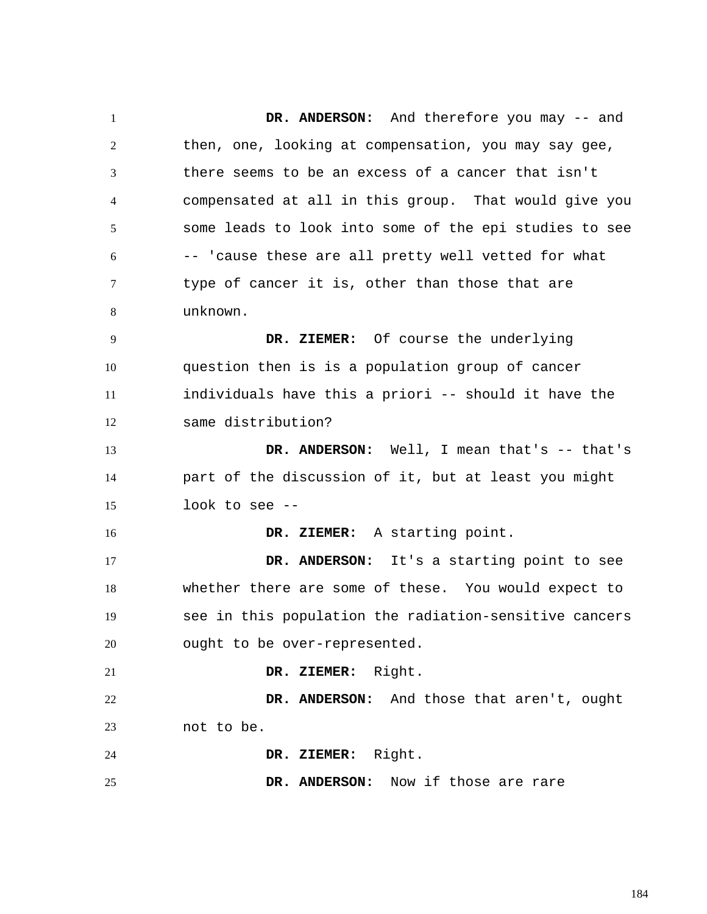1 2 3 4 5 6 7 8 9 10 11 12 13 14 15 16 17 18 19 20 21 22 23 24 25  **DR. ANDERSON:** And therefore you may -- and then, one, looking at compensation, you may say gee, there seems to be an excess of a cancer that isn't compensated at all in this group. That would give you some leads to look into some of the epi studies to see -- 'cause these are all pretty well vetted for what type of cancer it is, other than those that are unknown.  **DR. ZIEMER:** Of course the underlying question then is is a population group of cancer individuals have this a priori -- should it have the same distribution?  **DR. ANDERSON:** Well, I mean that's -- that's part of the discussion of it, but at least you might look to see --  **DR. ZIEMER:** A starting point.  **DR. ANDERSON:** It's a starting point to see whether there are some of these. You would expect to see in this population the radiation-sensitive cancers ought to be over-represented.  **DR. ZIEMER:** Right.  **DR. ANDERSON:** And those that aren't, ought not to be.  **DR. ZIEMER:** Right.  **DR. ANDERSON:** Now if those are rare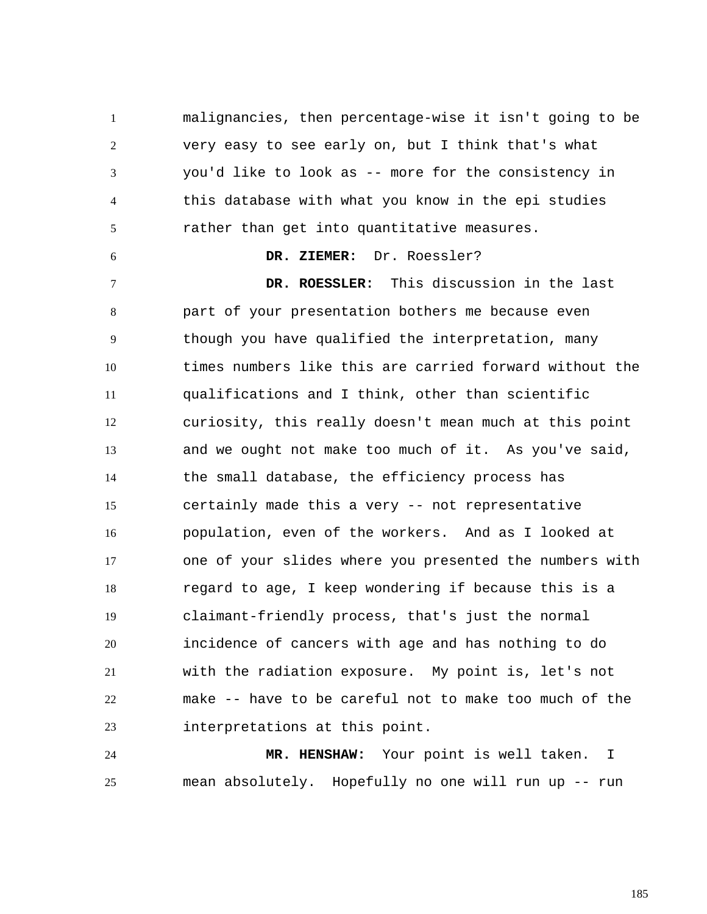1 2 3 4 5 malignancies, then percentage-wise it isn't going to be very easy to see early on, but I think that's what you'd like to look as -- more for the consistency in this database with what you know in the epi studies rather than get into quantitative measures.

## **DR. ZIEMER:** Dr. Roessler?

6

7 8 9 10 11 12 13 14 15 16 17 18 19 20 21 22 23  **DR. ROESSLER:** This discussion in the last part of your presentation bothers me because even though you have qualified the interpretation, many times numbers like this are carried forward without the qualifications and I think, other than scientific curiosity, this really doesn't mean much at this point and we ought not make too much of it. As you've said, the small database, the efficiency process has certainly made this a very -- not representative population, even of the workers. And as I looked at one of your slides where you presented the numbers with regard to age, I keep wondering if because this is a claimant-friendly process, that's just the normal incidence of cancers with age and has nothing to do with the radiation exposure. My point is, let's not make -- have to be careful not to make too much of the interpretations at this point.

24 25  **MR. HENSHAW:** Your point is well taken. I mean absolutely. Hopefully no one will run up -- run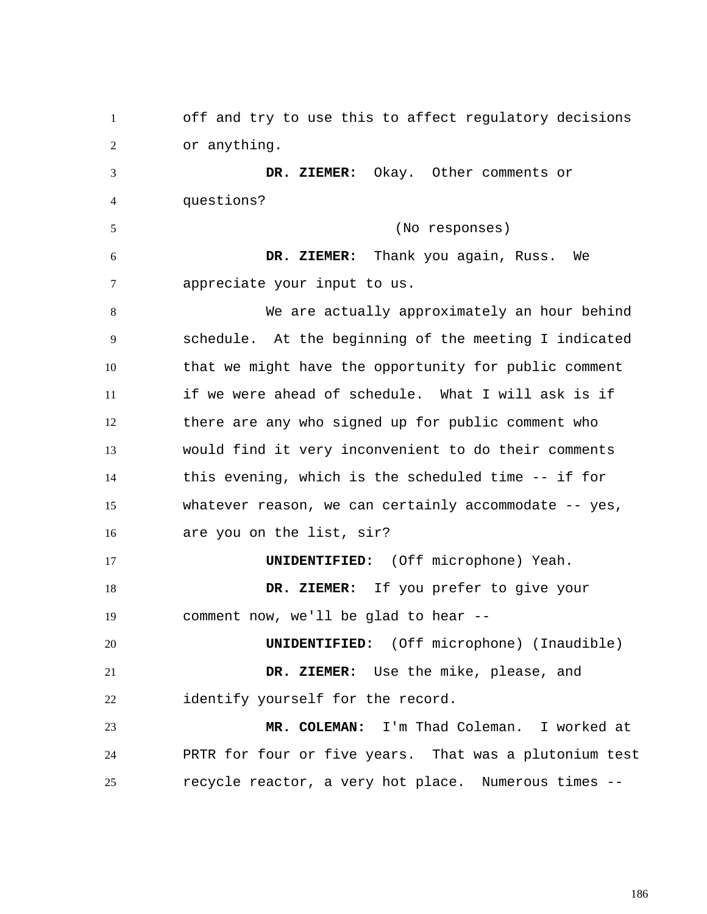1 2 3 4 5 6 7 8 9 10 11 12 13 14 15 16 17 18 19 20 21 22 23 24 25 off and try to use this to affect regulatory decisions or anything.  **DR. ZIEMER:** Okay. Other comments or questions? (No responses)  **DR. ZIEMER:** Thank you again, Russ. We appreciate your input to us. We are actually approximately an hour behind schedule. At the beginning of the meeting I indicated that we might have the opportunity for public comment if we were ahead of schedule. What I will ask is if there are any who signed up for public comment who would find it very inconvenient to do their comments this evening, which is the scheduled time -- if for whatever reason, we can certainly accommodate -- yes, are you on the list, sir? **UNIDENTIFIED:** (Off microphone) Yeah.  **DR. ZIEMER:** If you prefer to give your comment now, we'll be glad to hear -- **UNIDENTIFIED:** (Off microphone) (Inaudible)  **DR. ZIEMER:** Use the mike, please, and identify yourself for the record.  **MR. COLEMAN:** I'm Thad Coleman. I worked at PRTR for four or five years. That was a plutonium test recycle reactor, a very hot place. Numerous times --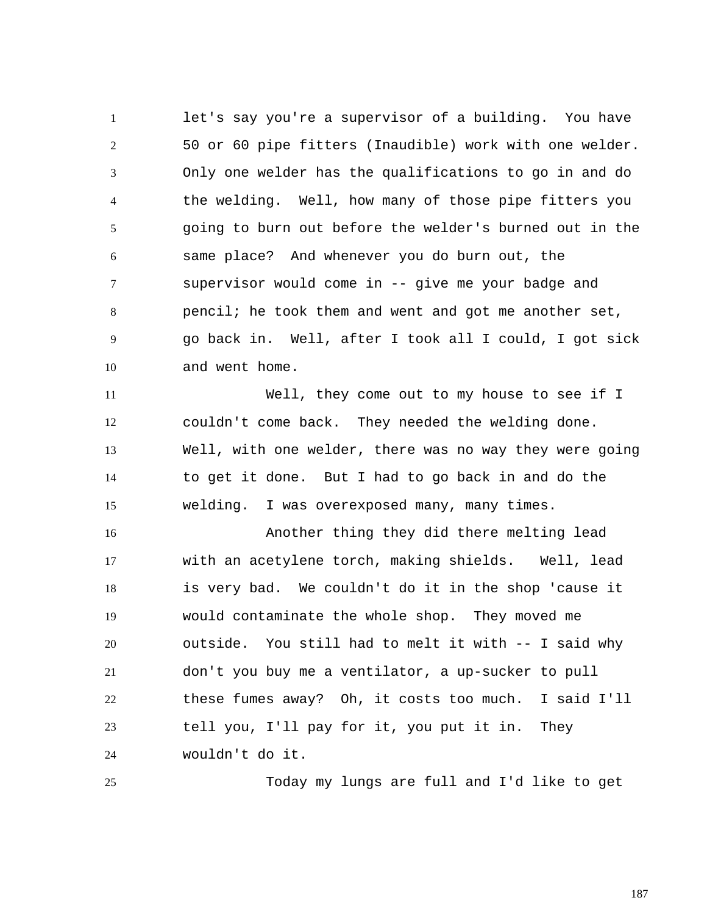1 2 3 4 5 6 7 8 9 10 let's say you're a supervisor of a building. You have 50 or 60 pipe fitters (Inaudible) work with one welder. Only one welder has the qualifications to go in and do the welding. Well, how many of those pipe fitters you going to burn out before the welder's burned out in the same place? And whenever you do burn out, the supervisor would come in -- give me your badge and pencil; he took them and went and got me another set, go back in. Well, after I took all I could, I got sick and went home.

11 12 13 14 15 Well, they come out to my house to see if I couldn't come back. They needed the welding done. Well, with one welder, there was no way they were going to get it done. But I had to go back in and do the welding. I was overexposed many, many times.

16 17 18 19 20 21 22 23 24 Another thing they did there melting lead with an acetylene torch, making shields. Well, lead is very bad. We couldn't do it in the shop 'cause it would contaminate the whole shop. They moved me outside. You still had to melt it with -- I said why don't you buy me a ventilator, a up-sucker to pull these fumes away? Oh, it costs too much. I said I'll tell you, I'll pay for it, you put it in. They wouldn't do it.

25

Today my lungs are full and I'd like to get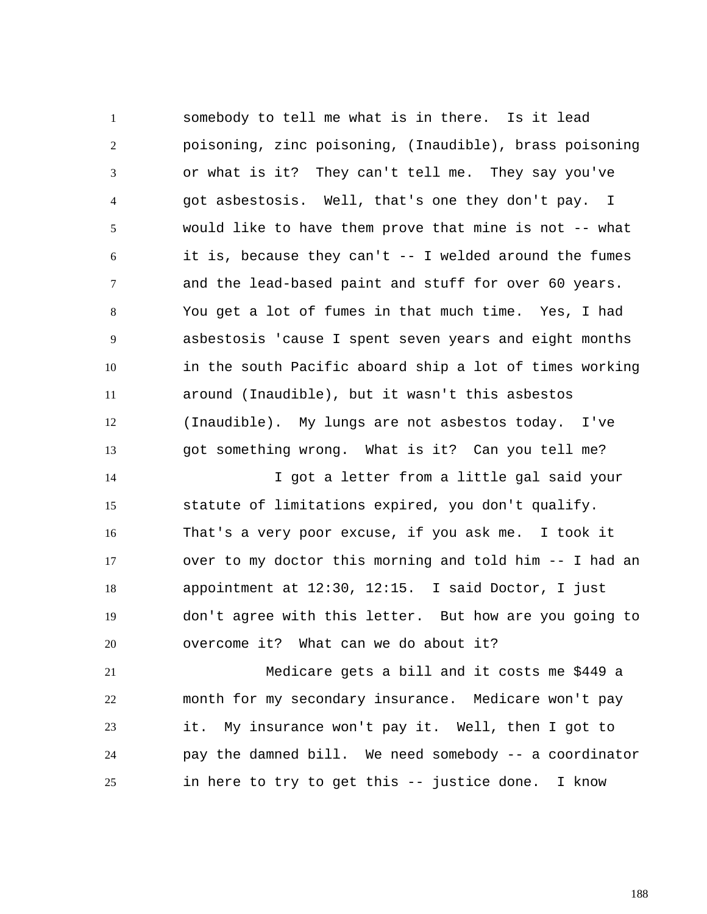1 2 3 4 5 6 7 8 9 10 11 12 13 somebody to tell me what is in there. Is it lead poisoning, zinc poisoning, (Inaudible), brass poisoning or what is it? They can't tell me. They say you've got asbestosis. Well, that's one they don't pay. I would like to have them prove that mine is not -- what it is, because they can't -- I welded around the fumes and the lead-based paint and stuff for over 60 years. You get a lot of fumes in that much time. Yes, I had asbestosis 'cause I spent seven years and eight months in the south Pacific aboard ship a lot of times working around (Inaudible), but it wasn't this asbestos (Inaudible). My lungs are not asbestos today. I've got something wrong. What is it? Can you tell me?

14 15 16 17 18 19 20 I got a letter from a little gal said your statute of limitations expired, you don't qualify. That's a very poor excuse, if you ask me. I took it over to my doctor this morning and told him -- I had an appointment at 12:30, 12:15. I said Doctor, I just don't agree with this letter. But how are you going to overcome it? What can we do about it?

21 22 23 24 25 Medicare gets a bill and it costs me \$449 a month for my secondary insurance. Medicare won't pay it. My insurance won't pay it. Well, then I got to pay the damned bill. We need somebody -- a coordinator in here to try to get this -- justice done. I know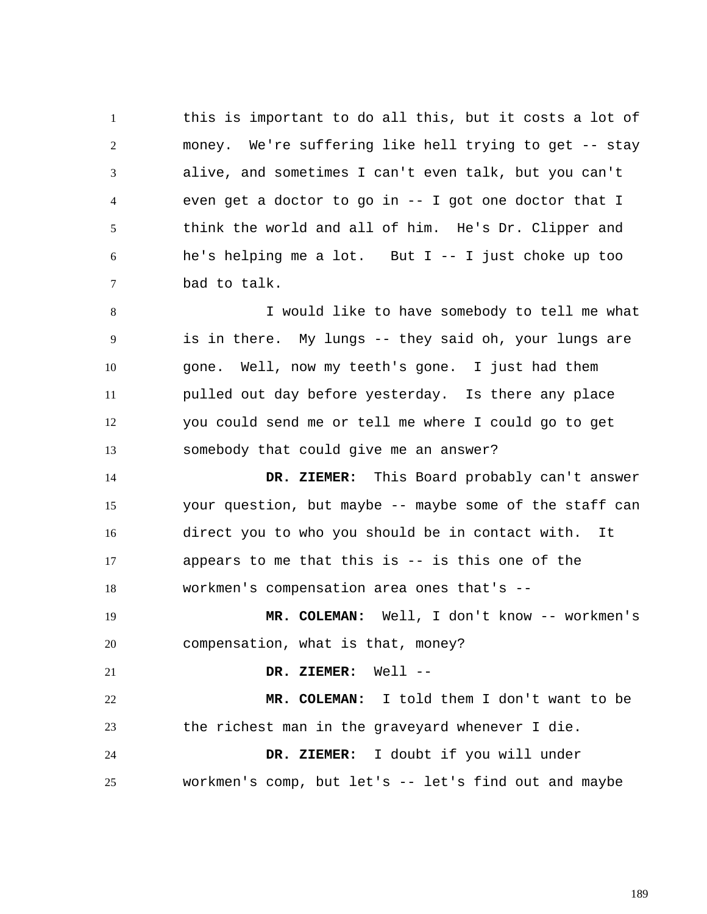1 2 3 4 5 6 7 this is important to do all this, but it costs a lot of money. We're suffering like hell trying to get -- stay alive, and sometimes I can't even talk, but you can't even get a doctor to go in -- I got one doctor that I think the world and all of him. He's Dr. Clipper and he's helping me a lot. But  $I - - I$  just choke up too bad to talk.

8 9 10 11 12 13 I would like to have somebody to tell me what is in there. My lungs -- they said oh, your lungs are gone. Well, now my teeth's gone. I just had them pulled out day before yesterday. Is there any place you could send me or tell me where I could go to get somebody that could give me an answer?

14 15 16 17 18  **DR. ZIEMER:** This Board probably can't answer your question, but maybe -- maybe some of the staff can direct you to who you should be in contact with. It appears to me that this is -- is this one of the workmen's compensation area ones that's --

19 20  **MR. COLEMAN:** Well, I don't know -- workmen's compensation, what is that, money?

21  **DR. ZIEMER:** Well --

22 23  **MR. COLEMAN:** I told them I don't want to be the richest man in the graveyard whenever I die.

24 25  **DR. ZIEMER:** I doubt if you will under workmen's comp, but let's  $--$  let's find out and maybe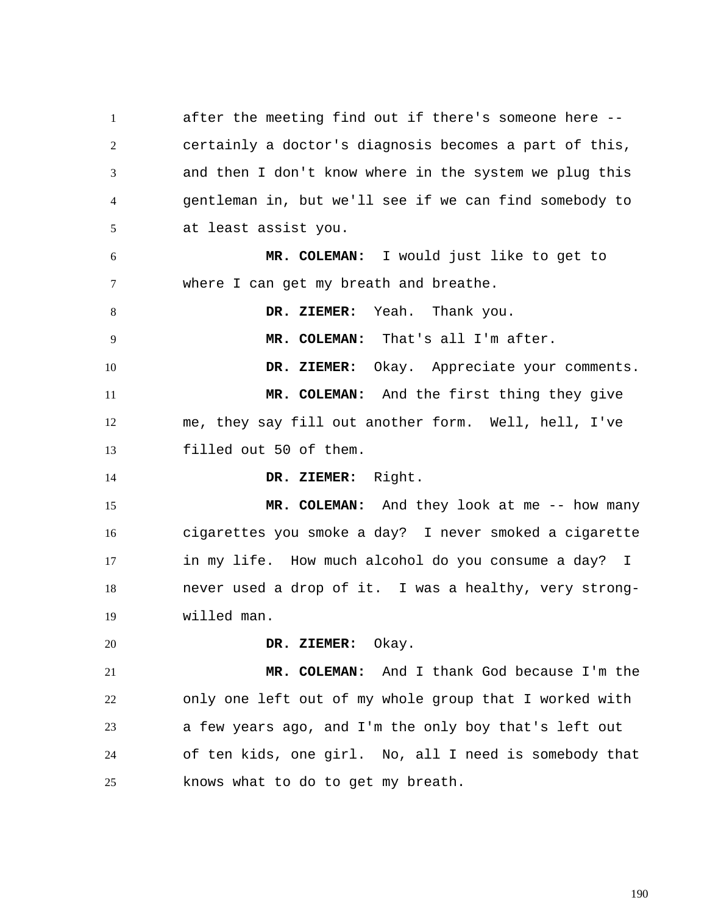1 2 3 4 5 6 7 8 9 10 11 12 13 14 15 16 17 18 19 20 21 22 23 24 25 after the meeting find out if there's someone here - certainly a doctor's diagnosis becomes a part of this, and then I don't know where in the system we plug this gentleman in, but we'll see if we can find somebody to at least assist you.  **MR. COLEMAN:** I would just like to get to where I can get my breath and breathe.  **DR. ZIEMER:** Yeah. Thank you.  **MR. COLEMAN:** That's all I'm after.  **DR. ZIEMER:** Okay. Appreciate your comments.  **MR. COLEMAN:** And the first thing they give me, they say fill out another form. Well, hell, I've filled out 50 of them.  **DR. ZIEMER:** Right.  **MR. COLEMAN:** And they look at me -- how many cigarettes you smoke a day? I never smoked a cigarette in my life. How much alcohol do you consume a day? I never used a drop of it. I was a healthy, very strongwilled man.  **DR. ZIEMER:** Okay.  **MR. COLEMAN:** And I thank God because I'm the only one left out of my whole group that I worked with a few years ago, and I'm the only boy that's left out of ten kids, one girl. No, all I need is somebody that knows what to do to get my breath.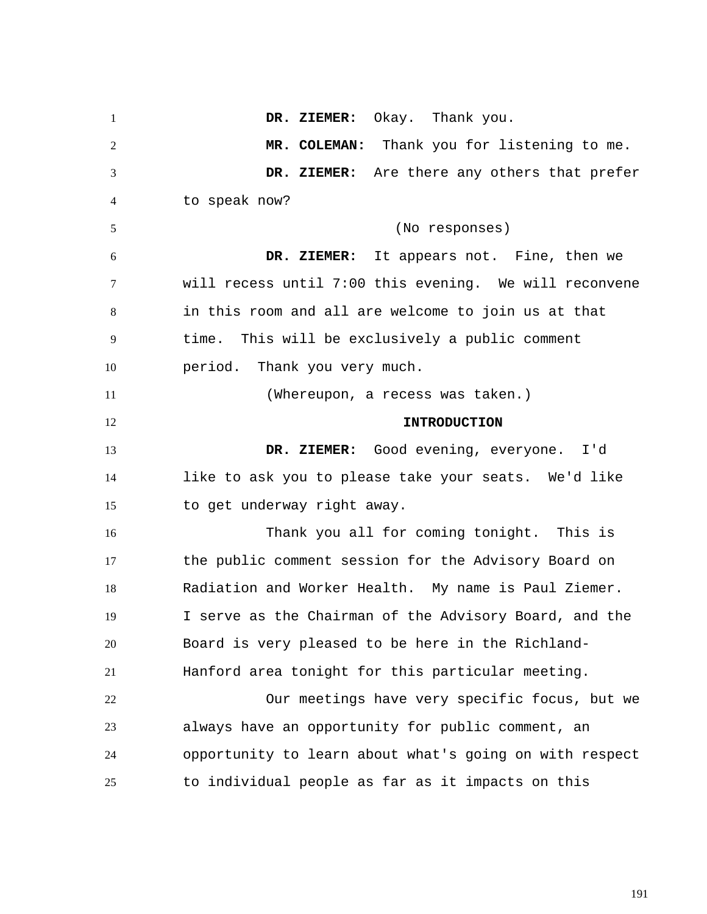1 2 3 4 5 6 7 8 9 10 11 12 13 14 15 16 17 18 19 20 21 22 23 24 25  **DR. ZIEMER:** Okay. Thank you.  **MR. COLEMAN:** Thank you for listening to me.  **DR. ZIEMER:** Are there any others that prefer to speak now? (No responses)  **DR. ZIEMER:** It appears not. Fine, then we will recess until 7:00 this evening. We will reconvene in this room and all are welcome to join us at that time. This will be exclusively a public comment period. Thank you very much. (Whereupon, a recess was taken.) **INTRODUCTION DR. ZIEMER:** Good evening, everyone. I'd like to ask you to please take your seats. We'd like to get underway right away. Thank you all for coming tonight. This is the public comment session for the Advisory Board on Radiation and Worker Health. My name is Paul Ziemer. I serve as the Chairman of the Advisory Board, and the Board is very pleased to be here in the Richland-Hanford area tonight for this particular meeting. Our meetings have very specific focus, but we always have an opportunity for public comment, an opportunity to learn about what's going on with respect to individual people as far as it impacts on this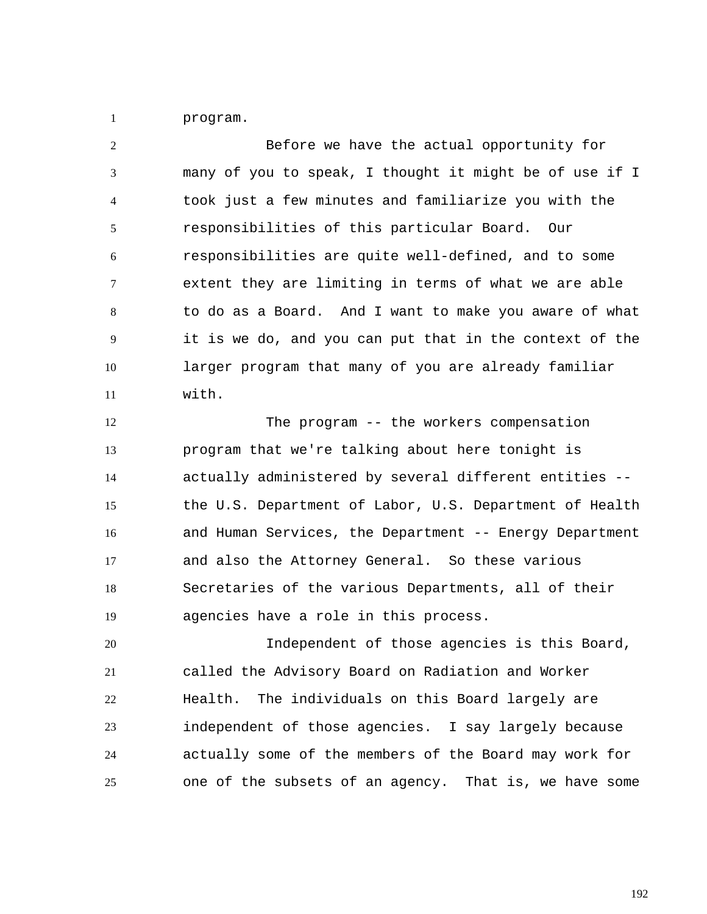1 program.

2 3 4 5 6 7 8 9 10 11 Before we have the actual opportunity for many of you to speak, I thought it might be of use if I took just a few minutes and familiarize you with the responsibilities of this particular Board. Our responsibilities are quite well-defined, and to some extent they are limiting in terms of what we are able to do as a Board. And I want to make you aware of what it is we do, and you can put that in the context of the larger program that many of you are already familiar with.

12 13 14 15 16 17 18 19 The program -- the workers compensation program that we're talking about here tonight is actually administered by several different entities - the U.S. Department of Labor, U.S. Department of Health and Human Services, the Department -- Energy Department and also the Attorney General. So these various Secretaries of the various Departments, all of their agencies have a role in this process.

20 21 22 23 24 25 Independent of those agencies is this Board, called the Advisory Board on Radiation and Worker Health. The individuals on this Board largely are independent of those agencies. I say largely because actually some of the members of the Board may work for one of the subsets of an agency. That is, we have some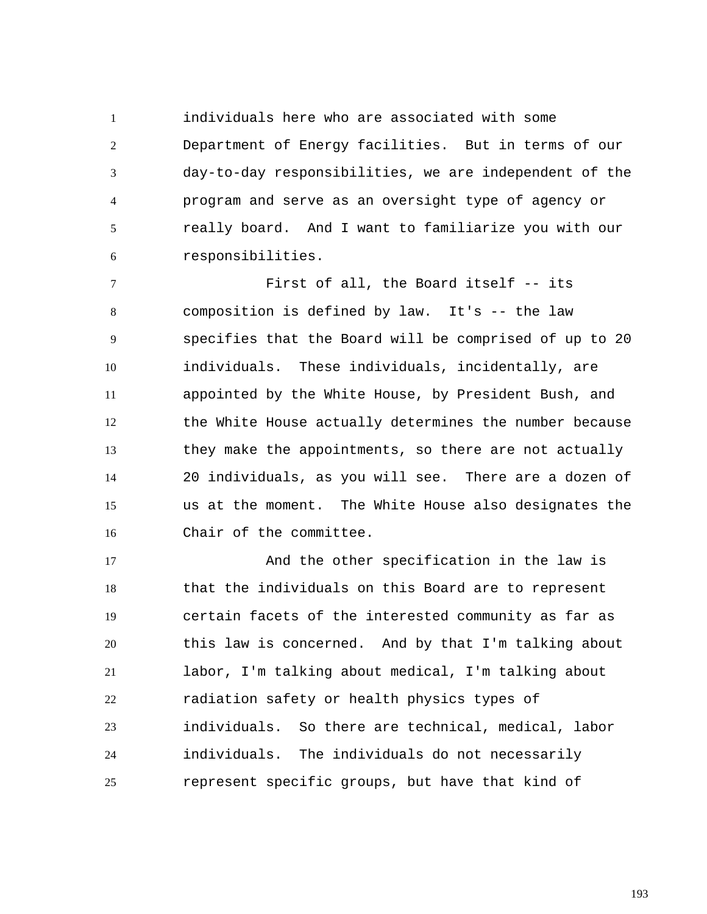1 2 3 4 5 6 individuals here who are associated with some Department of Energy facilities. But in terms of our day-to-day responsibilities, we are independent of the program and serve as an oversight type of agency or really board. And I want to familiarize you with our responsibilities.

7 8 9 10 11 12 13 14 15 16 First of all, the Board itself -- its composition is defined by law. It's -- the law specifies that the Board will be comprised of up to 20 individuals. These individuals, incidentally, are appointed by the White House, by President Bush, and the White House actually determines the number because they make the appointments, so there are not actually 20 individuals, as you will see. There are a dozen of us at the moment. The White House also designates the Chair of the committee.

17 18 19 20 21 22 23 24 25 And the other specification in the law is that the individuals on this Board are to represent certain facets of the interested community as far as this law is concerned. And by that I'm talking about labor, I'm talking about medical, I'm talking about radiation safety or health physics types of individuals. So there are technical, medical, labor individuals. The individuals do not necessarily represent specific groups, but have that kind of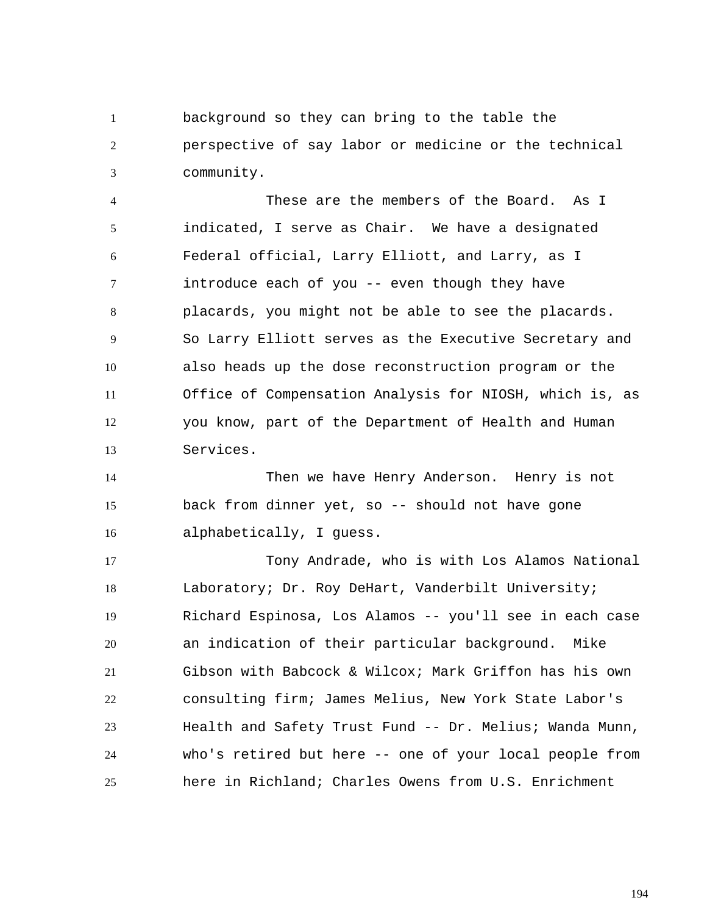1 2 3 background so they can bring to the table the perspective of say labor or medicine or the technical community.

4 5 6 7 8 9 10 11 12 13 These are the members of the Board. As I indicated, I serve as Chair. We have a designated Federal official, Larry Elliott, and Larry, as I introduce each of you -- even though they have placards, you might not be able to see the placards. So Larry Elliott serves as the Executive Secretary and also heads up the dose reconstruction program or the Office of Compensation Analysis for NIOSH, which is, as you know, part of the Department of Health and Human Services.

14 15 16 Then we have Henry Anderson. Henry is not back from dinner yet, so -- should not have gone alphabetically, I guess.

17 18 19 20 21 22 23 24 25 Tony Andrade, who is with Los Alamos National Laboratory; Dr. Roy DeHart, Vanderbilt University; Richard Espinosa, Los Alamos -- you'll see in each case an indication of their particular background. Mike Gibson with Babcock & Wilcox; Mark Griffon has his own consulting firm; James Melius, New York State Labor's Health and Safety Trust Fund -- Dr. Melius; Wanda Munn, who's retired but here -- one of your local people from here in Richland; Charles Owens from U.S. Enrichment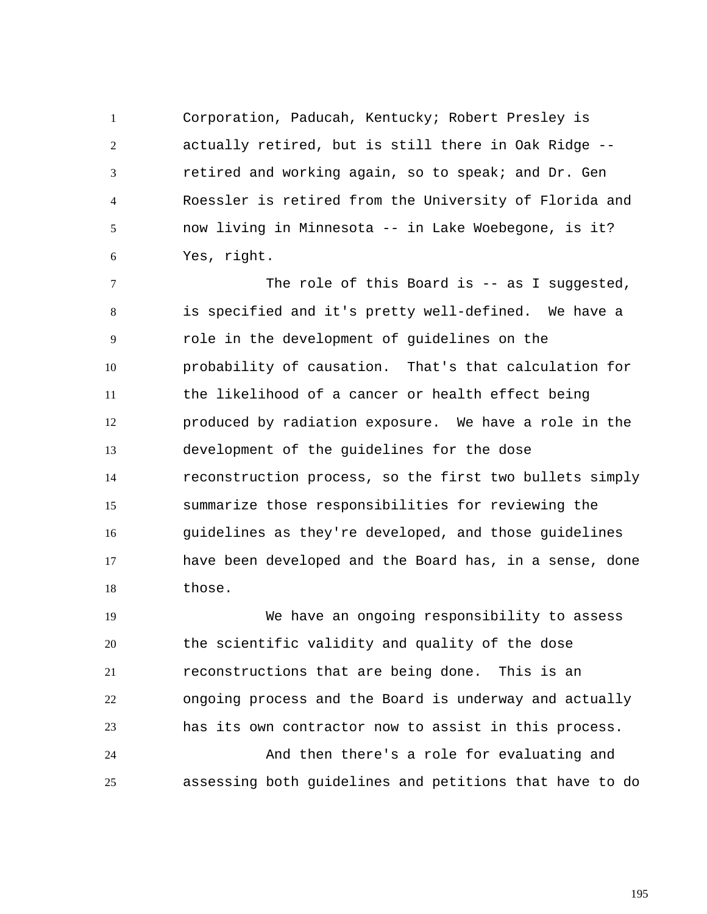1 2 3 4 5 6 Corporation, Paducah, Kentucky; Robert Presley is actually retired, but is still there in Oak Ridge - retired and working again, so to speak; and Dr. Gen Roessler is retired from the University of Florida and now living in Minnesota -- in Lake Woebegone, is it? Yes, right.

7 8 9 10 11 12 13 14 15 16 17 18 The role of this Board is -- as I suggested, is specified and it's pretty well-defined. We have a role in the development of guidelines on the probability of causation. That's that calculation for the likelihood of a cancer or health effect being produced by radiation exposure. We have a role in the development of the guidelines for the dose reconstruction process, so the first two bullets simply summarize those responsibilities for reviewing the guidelines as they're developed, and those guidelines have been developed and the Board has, in a sense, done those.

19 20 21 22 23 We have an ongoing responsibility to assess the scientific validity and quality of the dose reconstructions that are being done. This is an ongoing process and the Board is underway and actually has its own contractor now to assist in this process.

24 25 And then there's a role for evaluating and assessing both guidelines and petitions that have to do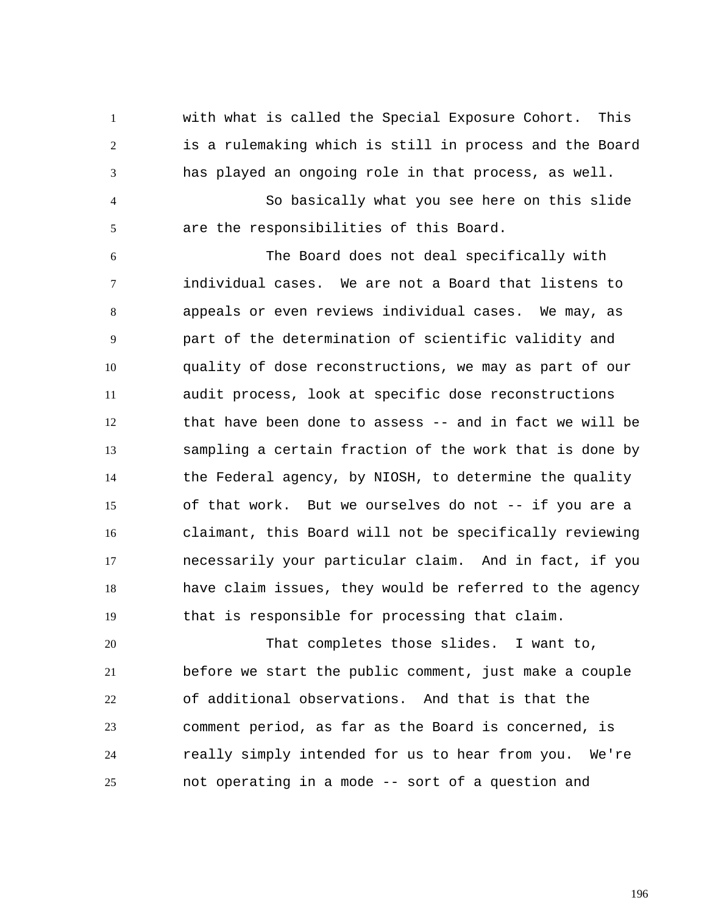with what is called the Special Exposure Cohort. This is a rulemaking which is still in process and the Board has played an ongoing role in that process, as well.

1

2

3

4 5 So basically what you see here on this slide are the responsibilities of this Board.

6 7 8 9 10 11 12 13 14 15 16 17 18 19 The Board does not deal specifically with individual cases. We are not a Board that listens to appeals or even reviews individual cases. We may, as part of the determination of scientific validity and quality of dose reconstructions, we may as part of our audit process, look at specific dose reconstructions that have been done to assess -- and in fact we will be sampling a certain fraction of the work that is done by the Federal agency, by NIOSH, to determine the quality of that work. But we ourselves do not -- if you are a claimant, this Board will not be specifically reviewing necessarily your particular claim. And in fact, if you have claim issues, they would be referred to the agency that is responsible for processing that claim.

20 21 22 23 24 25 That completes those slides. I want to, before we start the public comment, just make a couple of additional observations. And that is that the comment period, as far as the Board is concerned, is really simply intended for us to hear from you. We're not operating in a mode -- sort of a question and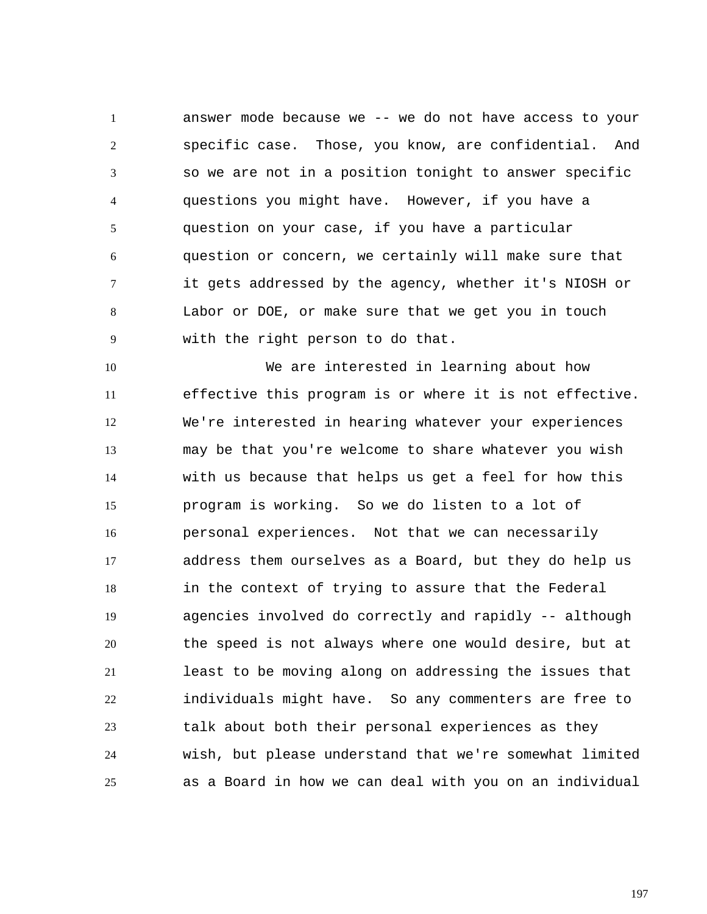1 2 3 4 5 6 7 8 9 answer mode because we -- we do not have access to your specific case. Those, you know, are confidential. And so we are not in a position tonight to answer specific questions you might have. However, if you have a question on your case, if you have a particular question or concern, we certainly will make sure that it gets addressed by the agency, whether it's NIOSH or Labor or DOE, or make sure that we get you in touch with the right person to do that.

10 11 12 13 14 15 16 17 18 19 20 21 22 23 24 25 We are interested in learning about how effective this program is or where it is not effective. We're interested in hearing whatever your experiences may be that you're welcome to share whatever you wish with us because that helps us get a feel for how this program is working. So we do listen to a lot of personal experiences. Not that we can necessarily address them ourselves as a Board, but they do help us in the context of trying to assure that the Federal agencies involved do correctly and rapidly -- although the speed is not always where one would desire, but at least to be moving along on addressing the issues that individuals might have. So any commenters are free to talk about both their personal experiences as they wish, but please understand that we're somewhat limited as a Board in how we can deal with you on an individual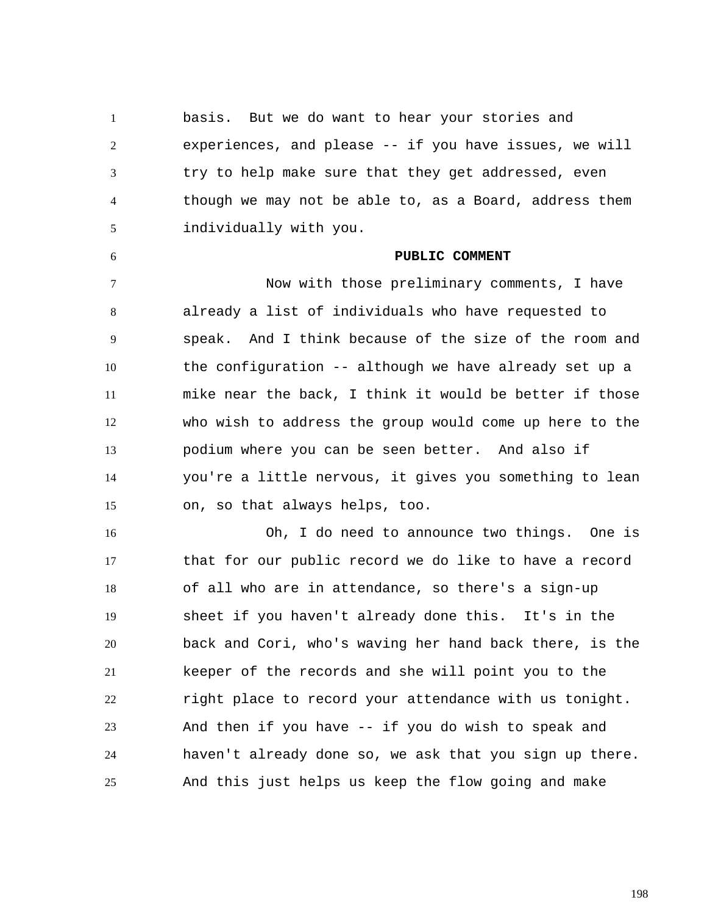1 2 3 4 5 basis. But we do want to hear your stories and experiences, and please -- if you have issues, we will try to help make sure that they get addressed, even though we may not be able to, as a Board, address them individually with you.

6

## **PUBLIC COMMENT**

7 8 9 10 11 12 13 14 15 Now with those preliminary comments, I have already a list of individuals who have requested to speak. And I think because of the size of the room and the configuration -- although we have already set up a mike near the back, I think it would be better if those who wish to address the group would come up here to the podium where you can be seen better. And also if you're a little nervous, it gives you something to lean on, so that always helps, too.

16 17 18 19 20 21 22 23 24 25 Oh, I do need to announce two things. One is that for our public record we do like to have a record of all who are in attendance, so there's a sign-up sheet if you haven't already done this. It's in the back and Cori, who's waving her hand back there, is the keeper of the records and she will point you to the right place to record your attendance with us tonight. And then if you have -- if you do wish to speak and haven't already done so, we ask that you sign up there. And this just helps us keep the flow going and make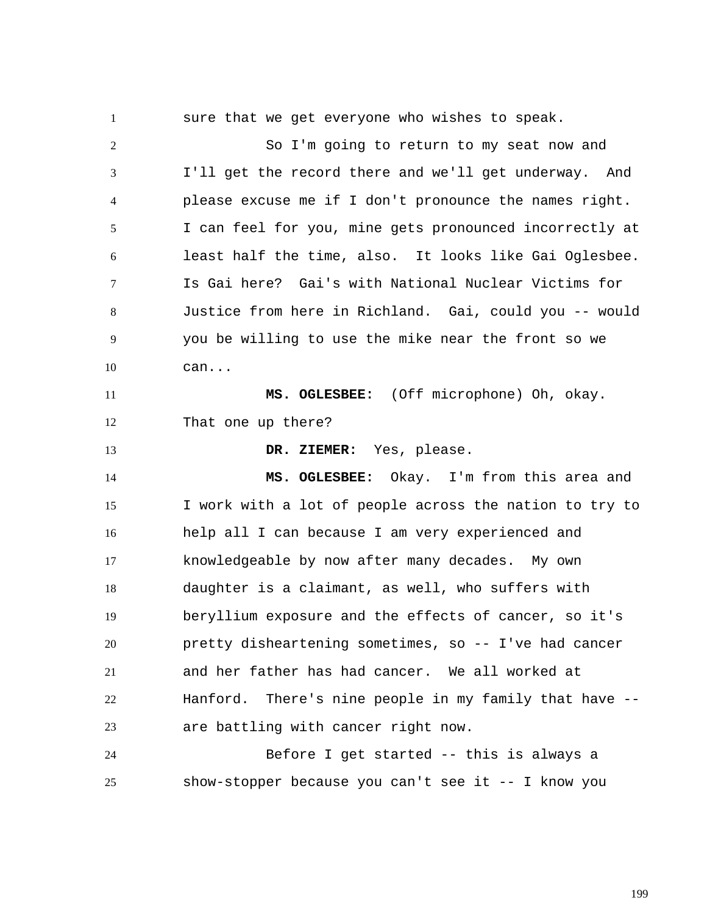1 2 3 4 5 6 7 8 9 10 11 12 13 14 15 16 17 18 19 20 21 22 23 24 25 sure that we get everyone who wishes to speak. So I'm going to return to my seat now and I'll get the record there and we'll get underway. And please excuse me if I don't pronounce the names right. I can feel for you, mine gets pronounced incorrectly at least half the time, also. It looks like Gai Oglesbee. Is Gai here? Gai's with National Nuclear Victims for Justice from here in Richland. Gai, could you -- would you be willing to use the mike near the front so we can...  **MS. OGLESBEE:** (Off microphone) Oh, okay. That one up there?  **DR. ZIEMER:** Yes, please.  **MS. OGLESBEE:** Okay. I'm from this area and I work with a lot of people across the nation to try to help all I can because I am very experienced and knowledgeable by now after many decades. My own daughter is a claimant, as well, who suffers with beryllium exposure and the effects of cancer, so it's pretty disheartening sometimes, so -- I've had cancer and her father has had cancer. We all worked at Hanford. There's nine people in my family that have - are battling with cancer right now. Before I get started -- this is always a show-stopper because you can't see it -- I know you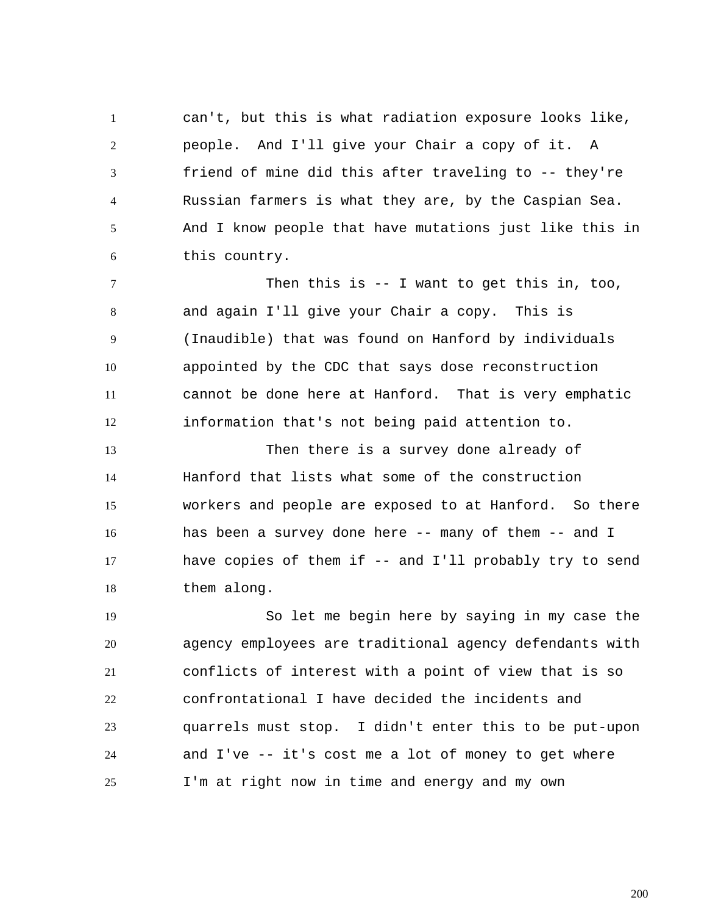1 2 3 4 5 6 can't, but this is what radiation exposure looks like, people. And I'll give your Chair a copy of it. A friend of mine did this after traveling to -- they're Russian farmers is what they are, by the Caspian Sea. And I know people that have mutations just like this in this country.

7 8 9 10 11 12 Then this is -- I want to get this in, too, and again I'll give your Chair a copy. This is (Inaudible) that was found on Hanford by individuals appointed by the CDC that says dose reconstruction cannot be done here at Hanford. That is very emphatic information that's not being paid attention to.

13 14 15 16 17 18 Then there is a survey done already of Hanford that lists what some of the construction workers and people are exposed to at Hanford. So there has been a survey done here -- many of them -- and I have copies of them if -- and I'll probably try to send them along.

19 20 21 22 23 24 25 So let me begin here by saying in my case the agency employees are traditional agency defendants with conflicts of interest with a point of view that is so confrontational I have decided the incidents and quarrels must stop. I didn't enter this to be put-upon and I've -- it's cost me a lot of money to get where I'm at right now in time and energy and my own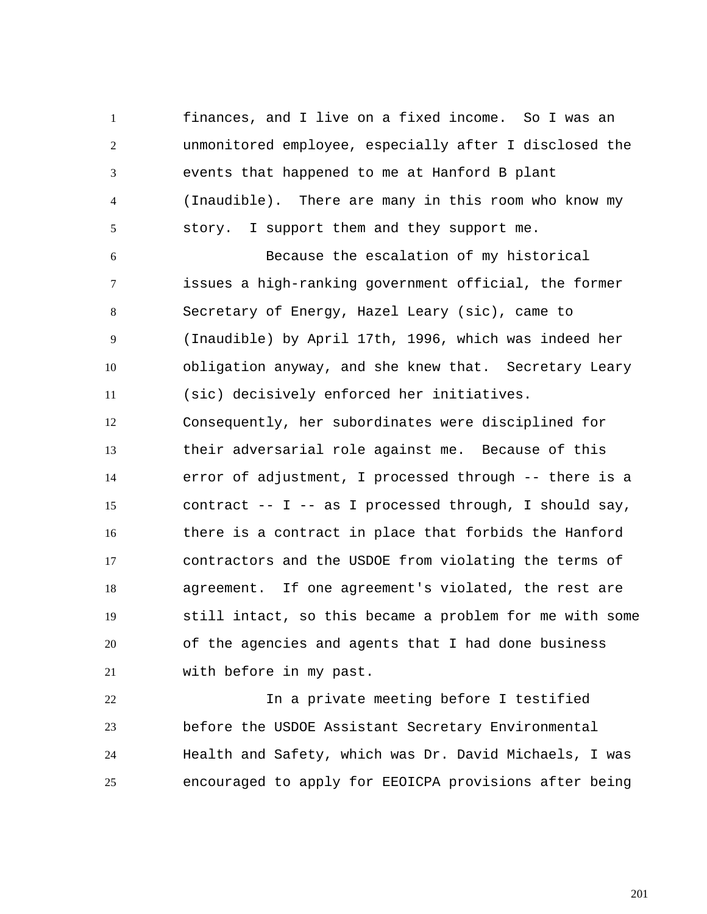1 2 3 4 5 finances, and I live on a fixed income. So I was an unmonitored employee, especially after I disclosed the events that happened to me at Hanford B plant (Inaudible). There are many in this room who know my story. I support them and they support me.

6 7 8 9 10 11 Because the escalation of my historical issues a high-ranking government official, the former Secretary of Energy, Hazel Leary (sic), came to (Inaudible) by April 17th, 1996, which was indeed her obligation anyway, and she knew that. Secretary Leary (sic) decisively enforced her initiatives.

12 13 14 15 16 17 18 19 20 21 Consequently, her subordinates were disciplined for their adversarial role against me. Because of this error of adjustment, I processed through -- there is a contract -- I -- as I processed through, I should say, there is a contract in place that forbids the Hanford contractors and the USDOE from violating the terms of agreement. If one agreement's violated, the rest are still intact, so this became a problem for me with some of the agencies and agents that I had done business with before in my past.

22 23 24 25 In a private meeting before I testified before the USDOE Assistant Secretary Environmental Health and Safety, which was Dr. David Michaels, I was encouraged to apply for EEOICPA provisions after being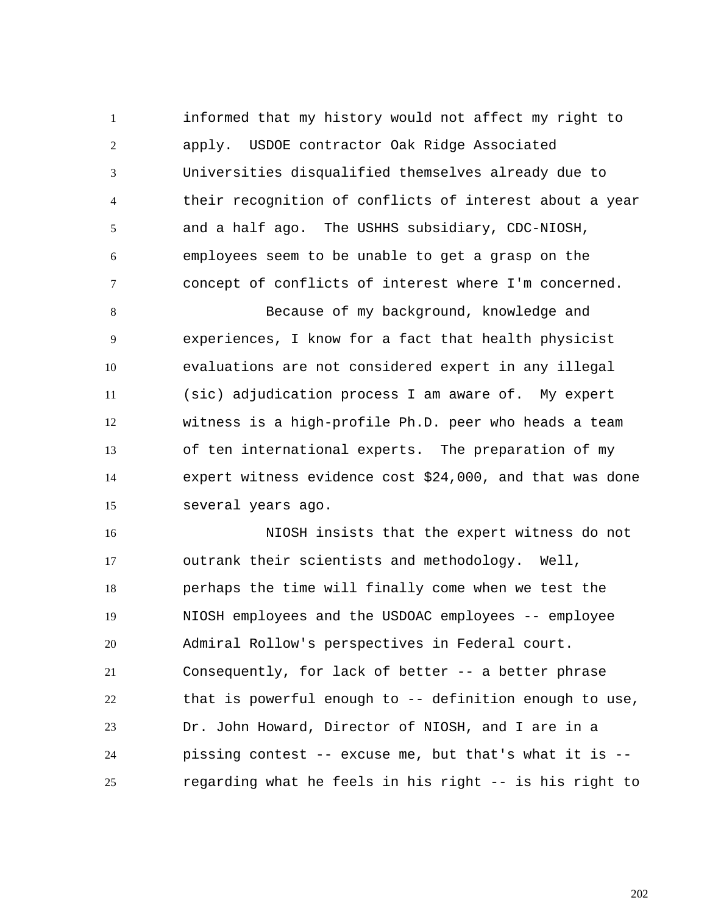1 2 3 4 5 6 7 informed that my history would not affect my right to apply. USDOE contractor Oak Ridge Associated Universities disqualified themselves already due to their recognition of conflicts of interest about a year and a half ago. The USHHS subsidiary, CDC-NIOSH, employees seem to be unable to get a grasp on the concept of conflicts of interest where I'm concerned.

8 9 10 11 12 13 14 15 Because of my background, knowledge and experiences, I know for a fact that health physicist evaluations are not considered expert in any illegal (sic) adjudication process I am aware of. My expert witness is a high-profile Ph.D. peer who heads a team of ten international experts. The preparation of my expert witness evidence cost \$24,000, and that was done several years ago.

16 17 18 19 20 21 22 23 24 25 NIOSH insists that the expert witness do not outrank their scientists and methodology. Well, perhaps the time will finally come when we test the NIOSH employees and the USDOAC employees -- employee Admiral Rollow's perspectives in Federal court. Consequently, for lack of better -- a better phrase that is powerful enough to -- definition enough to use, Dr. John Howard, Director of NIOSH, and I are in a pissing contest -- excuse me, but that's what it is - regarding what he feels in his right -- is his right to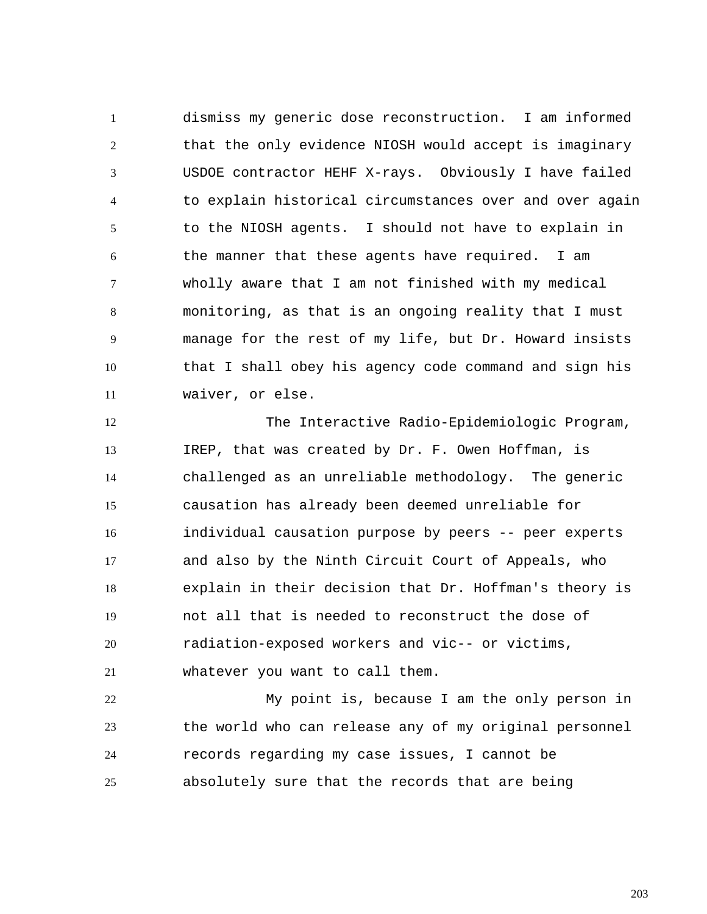1 2 3 4 5 6 7 8 9 10 11 dismiss my generic dose reconstruction. I am informed that the only evidence NIOSH would accept is imaginary USDOE contractor HEHF X-rays. Obviously I have failed to explain historical circumstances over and over again to the NIOSH agents. I should not have to explain in the manner that these agents have required. I am wholly aware that I am not finished with my medical monitoring, as that is an ongoing reality that I must manage for the rest of my life, but Dr. Howard insists that I shall obey his agency code command and sign his waiver, or else.

12 13 14 15 16 17 18 19 20 21 The Interactive Radio-Epidemiologic Program, IREP, that was created by Dr. F. Owen Hoffman, is challenged as an unreliable methodology. The generic causation has already been deemed unreliable for individual causation purpose by peers -- peer experts and also by the Ninth Circuit Court of Appeals, who explain in their decision that Dr. Hoffman's theory is not all that is needed to reconstruct the dose of radiation-exposed workers and vic-- or victims, whatever you want to call them.

22 23 24 25 My point is, because I am the only person in the world who can release any of my original personnel records regarding my case issues, I cannot be absolutely sure that the records that are being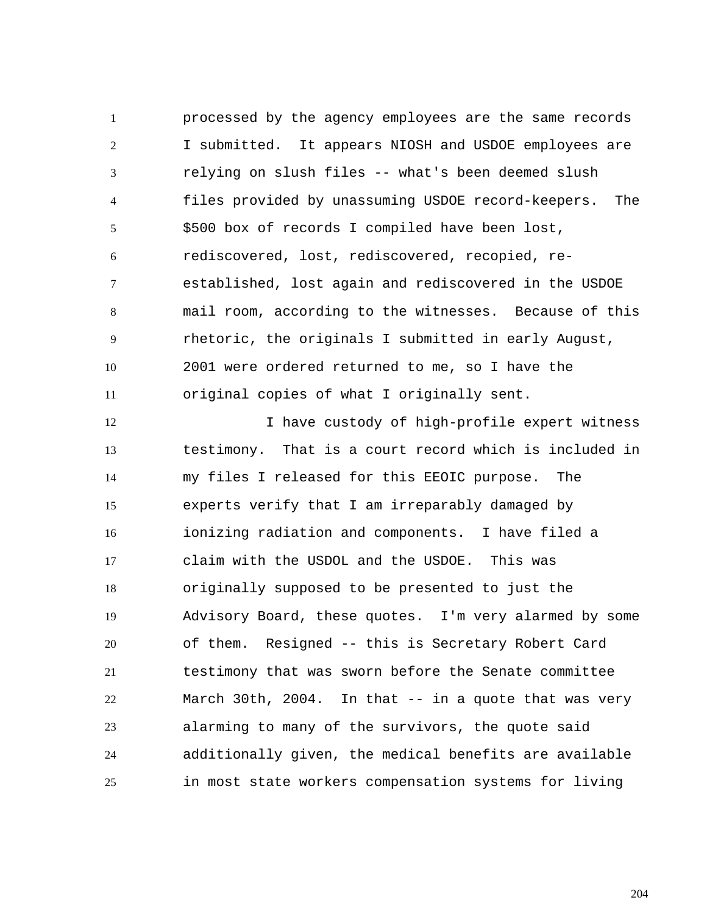1 2 3 4 5 6 7 8 9 10 11 processed by the agency employees are the same records I submitted. It appears NIOSH and USDOE employees are relying on slush files -- what's been deemed slush files provided by unassuming USDOE record-keepers. The \$500 box of records I compiled have been lost, rediscovered, lost, rediscovered, recopied, reestablished, lost again and rediscovered in the USDOE mail room, according to the witnesses. Because of this rhetoric, the originals I submitted in early August, 2001 were ordered returned to me, so I have the original copies of what I originally sent.

12 13 14 15 16 17 18 19 20 21 22 23 24 25 I have custody of high-profile expert witness testimony. That is a court record which is included in my files I released for this EEOIC purpose. The experts verify that I am irreparably damaged by ionizing radiation and components. I have filed a claim with the USDOL and the USDOE. This was originally supposed to be presented to just the Advisory Board, these quotes. I'm very alarmed by some of them. Resigned -- this is Secretary Robert Card testimony that was sworn before the Senate committee March 30th, 2004. In that -- in a quote that was very alarming to many of the survivors, the quote said additionally given, the medical benefits are available in most state workers compensation systems for living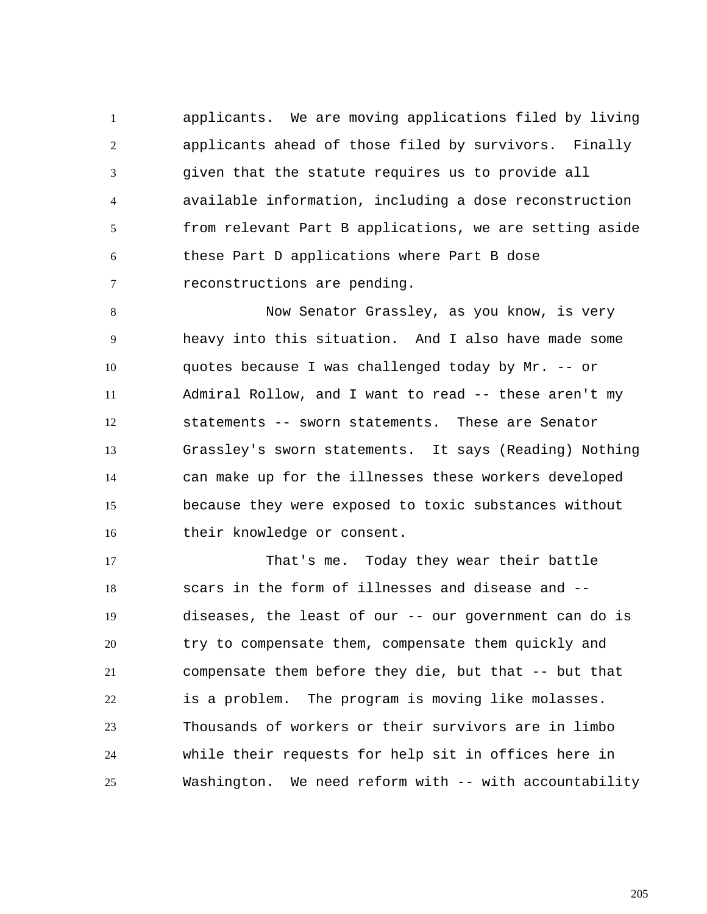1 2 3 4 5 6 7 applicants. We are moving applications filed by living applicants ahead of those filed by survivors. Finally given that the statute requires us to provide all available information, including a dose reconstruction from relevant Part B applications, we are setting aside these Part D applications where Part B dose reconstructions are pending.

8 9 10 11 12 13 14 15 16 Now Senator Grassley, as you know, is very heavy into this situation. And I also have made some quotes because I was challenged today by Mr. -- or Admiral Rollow, and I want to read -- these aren't my statements -- sworn statements. These are Senator Grassley's sworn statements. It says (Reading) Nothing can make up for the illnesses these workers developed because they were exposed to toxic substances without their knowledge or consent.

17 18 19 20 21 22 23 24 25 That's me. Today they wear their battle scars in the form of illnesses and disease and - diseases, the least of our -- our government can do is try to compensate them, compensate them quickly and compensate them before they die, but that -- but that is a problem. The program is moving like molasses. Thousands of workers or their survivors are in limbo while their requests for help sit in offices here in Washington. We need reform with -- with accountability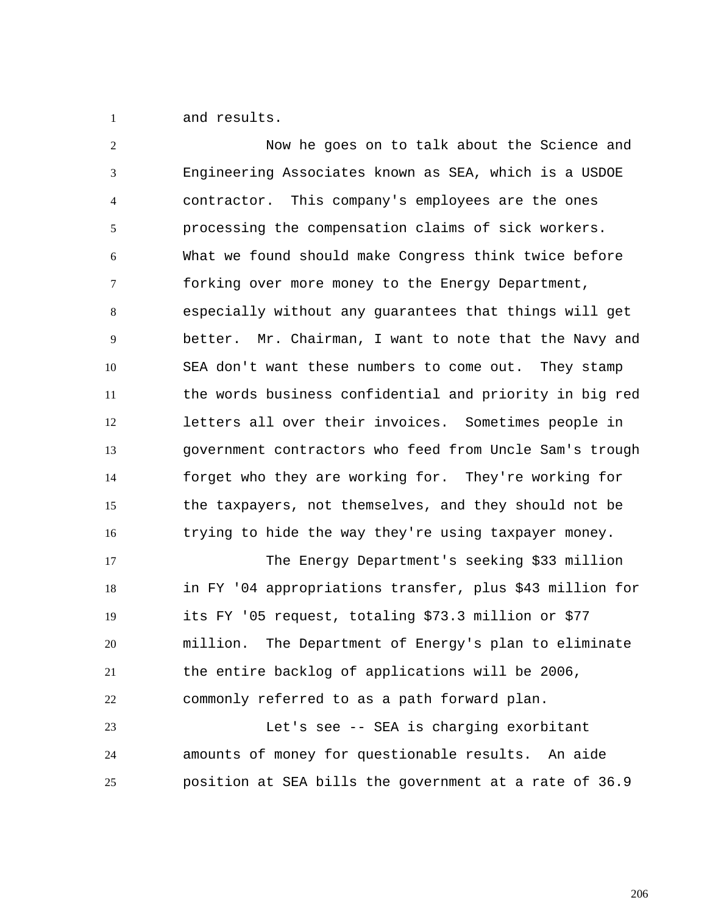1 and results.

2 3 4 5 6 7 8 9 10 11 12 13 14 15 16 Now he goes on to talk about the Science and Engineering Associates known as SEA, which is a USDOE contractor. This company's employees are the ones processing the compensation claims of sick workers. What we found should make Congress think twice before forking over more money to the Energy Department, especially without any guarantees that things will get better. Mr. Chairman, I want to note that the Navy and SEA don't want these numbers to come out. They stamp the words business confidential and priority in big red letters all over their invoices. Sometimes people in government contractors who feed from Uncle Sam's trough forget who they are working for. They're working for the taxpayers, not themselves, and they should not be trying to hide the way they're using taxpayer money.

17 18 19 20 21 22 23 The Energy Department's seeking \$33 million in FY '04 appropriations transfer, plus \$43 million for its FY '05 request, totaling \$73.3 million or \$77 million. The Department of Energy's plan to eliminate the entire backlog of applications will be 2006, commonly referred to as a path forward plan. Let's see -- SEA is charging exorbitant

24 25 amounts of money for questionable results. An aide position at SEA bills the government at a rate of 36.9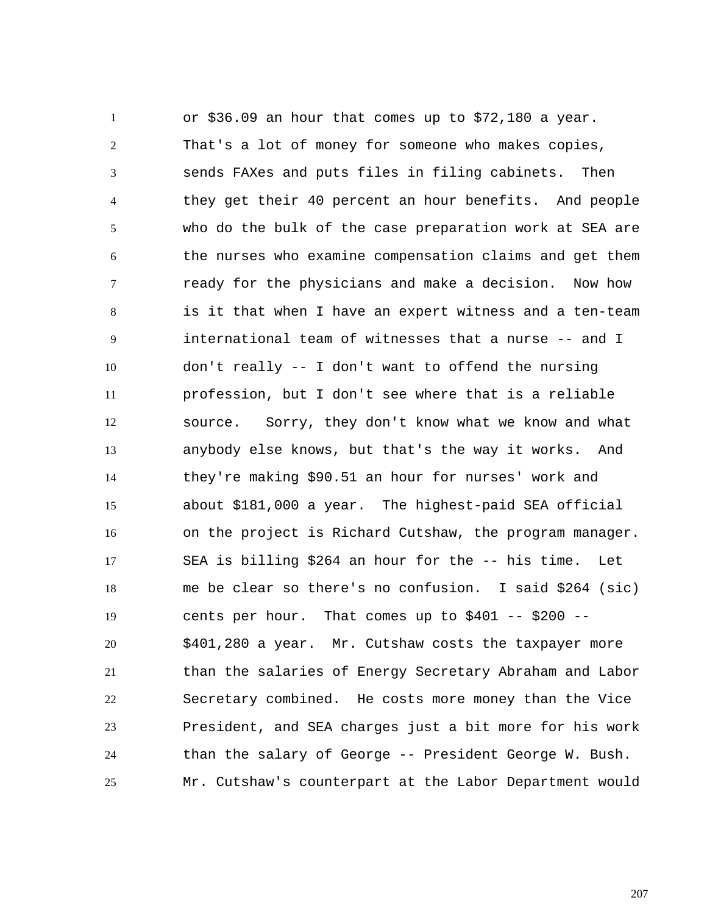1 2 3 4 5 6 7 8 9 10 11 12 13 14 15 16 17 18 19 20 21 22 23 24 25 or \$36.09 an hour that comes up to \$72,180 a year. That's a lot of money for someone who makes copies, sends FAXes and puts files in filing cabinets. Then they get their 40 percent an hour benefits. And people who do the bulk of the case preparation work at SEA are the nurses who examine compensation claims and get them ready for the physicians and make a decision. Now how is it that when I have an expert witness and a ten-team international team of witnesses that a nurse -- and I don't really -- I don't want to offend the nursing profession, but I don't see where that is a reliable source. Sorry, they don't know what we know and what anybody else knows, but that's the way it works. And they're making \$90.51 an hour for nurses' work and about \$181,000 a year. The highest-paid SEA official on the project is Richard Cutshaw, the program manager. SEA is billing \$264 an hour for the -- his time. Let me be clear so there's no confusion. I said \$264 (sic) cents per hour. That comes up to  $$401$  --  $$200$  --\$401,280 a year. Mr. Cutshaw costs the taxpayer more than the salaries of Energy Secretary Abraham and Labor Secretary combined. He costs more money than the Vice President, and SEA charges just a bit more for his work than the salary of George -- President George W. Bush. Mr. Cutshaw's counterpart at the Labor Department would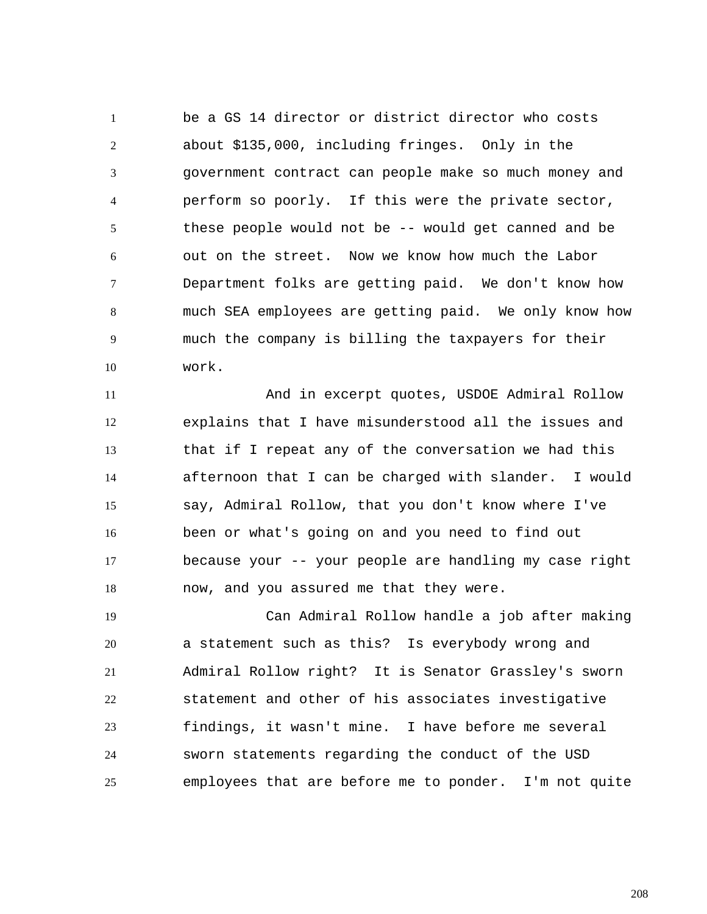1 2 3 4 5 6 7 8 9 10 be a GS 14 director or district director who costs about \$135,000, including fringes. Only in the government contract can people make so much money and perform so poorly. If this were the private sector, these people would not be -- would get canned and be out on the street. Now we know how much the Labor Department folks are getting paid. We don't know how much SEA employees are getting paid. We only know how much the company is billing the taxpayers for their work.

11 12 13 14 15 16 17 18 And in excerpt quotes, USDOE Admiral Rollow explains that I have misunderstood all the issues and that if I repeat any of the conversation we had this afternoon that I can be charged with slander. I would say, Admiral Rollow, that you don't know where I've been or what's going on and you need to find out because your -- your people are handling my case right now, and you assured me that they were.

19 20 21 22 23 24 25 Can Admiral Rollow handle a job after making a statement such as this? Is everybody wrong and Admiral Rollow right? It is Senator Grassley's sworn statement and other of his associates investigative findings, it wasn't mine. I have before me several sworn statements regarding the conduct of the USD employees that are before me to ponder. I'm not quite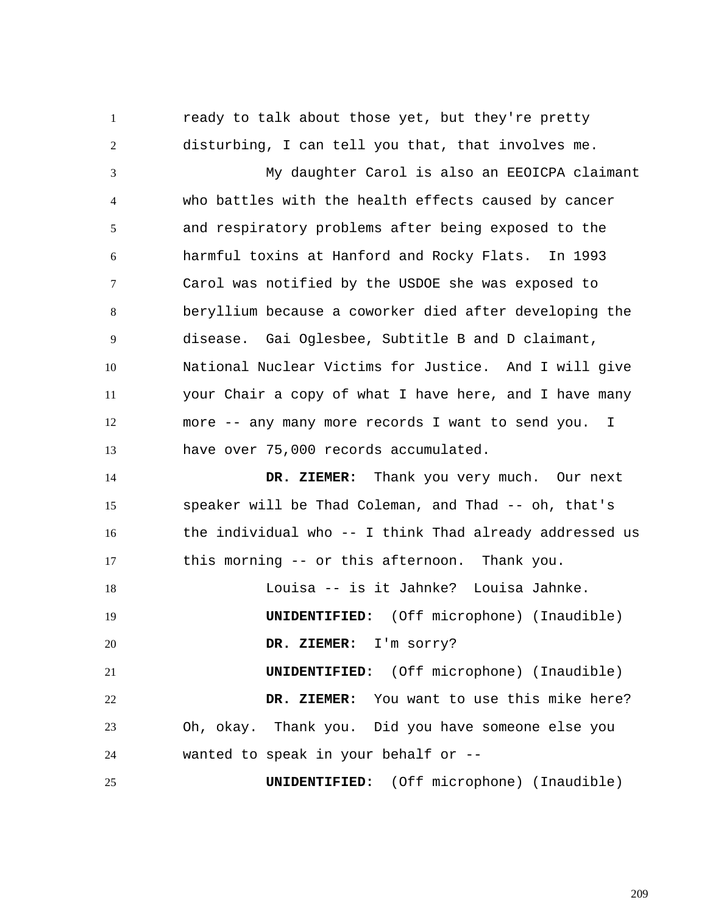ready to talk about those yet, but they're pretty disturbing, I can tell you that, that involves me.

1

2

3 4 5 6 7 8 9 10 11 12 13 My daughter Carol is also an EEOICPA claimant who battles with the health effects caused by cancer and respiratory problems after being exposed to the harmful toxins at Hanford and Rocky Flats. In 1993 Carol was notified by the USDOE she was exposed to beryllium because a coworker died after developing the disease. Gai Oglesbee, Subtitle B and D claimant, National Nuclear Victims for Justice. And I will give your Chair a copy of what I have here, and I have many more -- any many more records I want to send you. I have over 75,000 records accumulated.

14 15 16 17  **DR. ZIEMER:** Thank you very much. Our next speaker will be Thad Coleman, and Thad -- oh, that's the individual who -- I think Thad already addressed us this morning -- or this afternoon. Thank you.

18 19 Louisa -- is it Jahnke? Louisa Jahnke. **UNIDENTIFIED:** (Off microphone) (Inaudible)

20  **DR. ZIEMER:** I'm sorry?

21 22 23 24 **UNIDENTIFIED:** (Off microphone) (Inaudible)  **DR. ZIEMER:** You want to use this mike here? Oh, okay. Thank you. Did you have someone else you wanted to speak in your behalf or --

25 **UNIDENTIFIED:** (Off microphone) (Inaudible)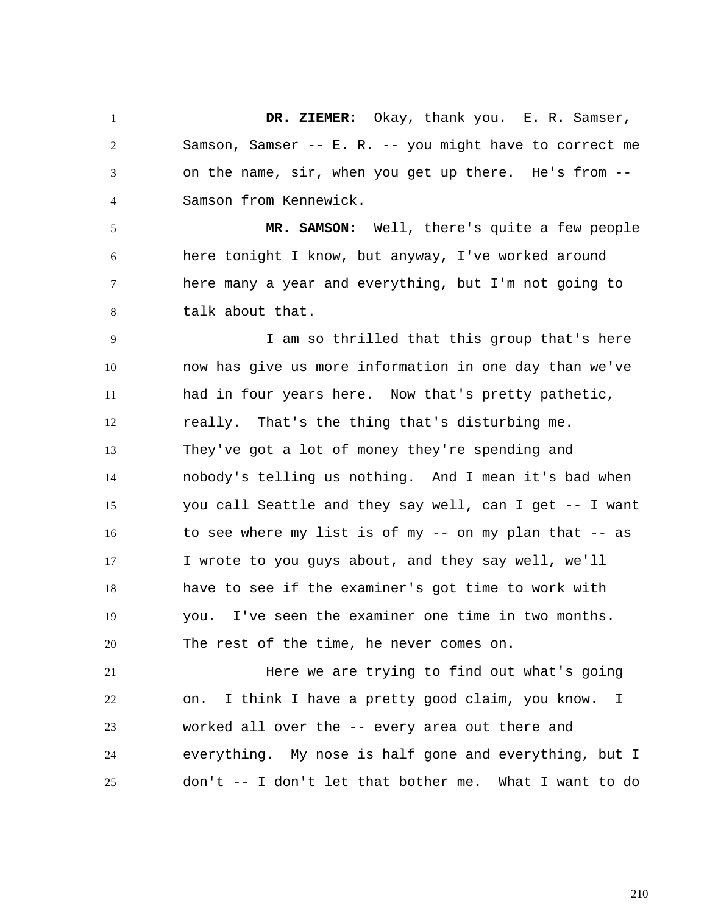1 2 3 4  **DR. ZIEMER:** Okay, thank you. E. R. Samser, Samson, Samser -- E. R. -- you might have to correct me on the name, sir, when you get up there. He's from -- Samson from Kennewick.

5 6 7 8  **MR. SAMSON:** Well, there's quite a few people here tonight I know, but anyway, I've worked around here many a year and everything, but I'm not going to talk about that.

9 10 11 12 13 14 15 16 17 18 19 20 I am so thrilled that this group that's here now has give us more information in one day than we've had in four years here. Now that's pretty pathetic, really. That's the thing that's disturbing me. They've got a lot of money they're spending and nobody's telling us nothing. And I mean it's bad when you call Seattle and they say well, can I get -- I want to see where my list is of my -- on my plan that -- as I wrote to you guys about, and they say well, we'll have to see if the examiner's got time to work with you. I've seen the examiner one time in two months. The rest of the time, he never comes on.

21 22 23 24 25 Here we are trying to find out what's going on. I think I have a pretty good claim, you know. I worked all over the -- every area out there and everything. My nose is half gone and everything, but I don't -- I don't let that bother me. What I want to do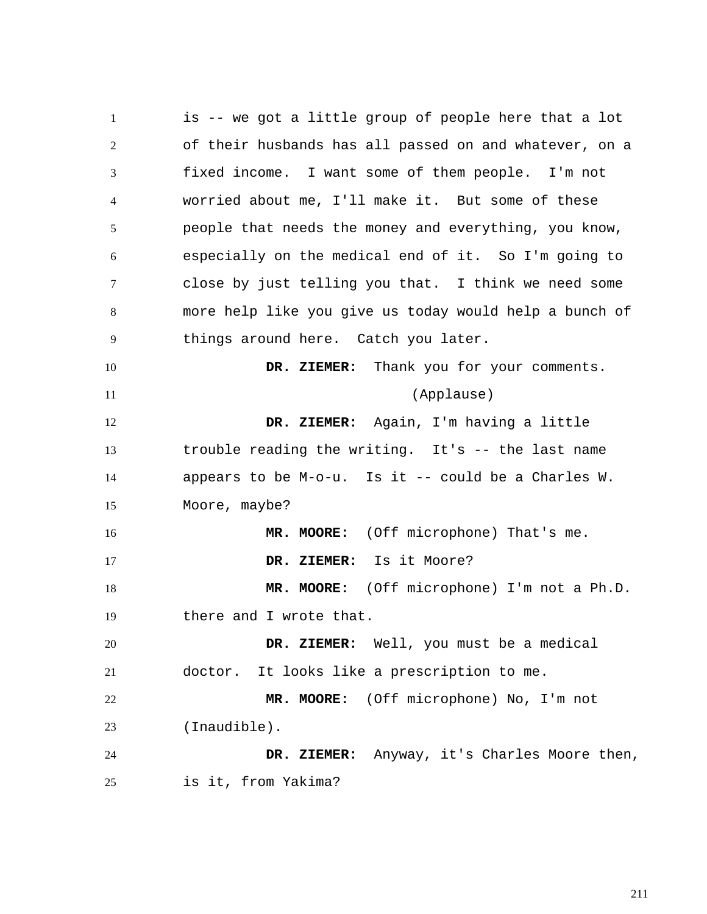1 2 3 4 5 6 7 8 9 10 11 12 13 14 15 16 17 18 19 20 21 22 23 24 25 is -- we got a little group of people here that a lot of their husbands has all passed on and whatever, on a fixed income. I want some of them people. I'm not worried about me, I'll make it. But some of these people that needs the money and everything, you know, especially on the medical end of it. So I'm going to close by just telling you that. I think we need some more help like you give us today would help a bunch of things around here. Catch you later.  **DR. ZIEMER:** Thank you for your comments. (Applause)  **DR. ZIEMER:** Again, I'm having a little trouble reading the writing. It's -- the last name appears to be  $M-o-u$ . Is it -- could be a Charles W. Moore, maybe?  **MR. MOORE:** (Off microphone) That's me.  **DR. ZIEMER:** Is it Moore?  **MR. MOORE:** (Off microphone) I'm not a Ph.D. there and I wrote that.  **DR. ZIEMER:** Well, you must be a medical doctor. It looks like a prescription to me.  **MR. MOORE:** (Off microphone) No, I'm not (Inaudible).  **DR. ZIEMER:** Anyway, it's Charles Moore then, is it, from Yakima?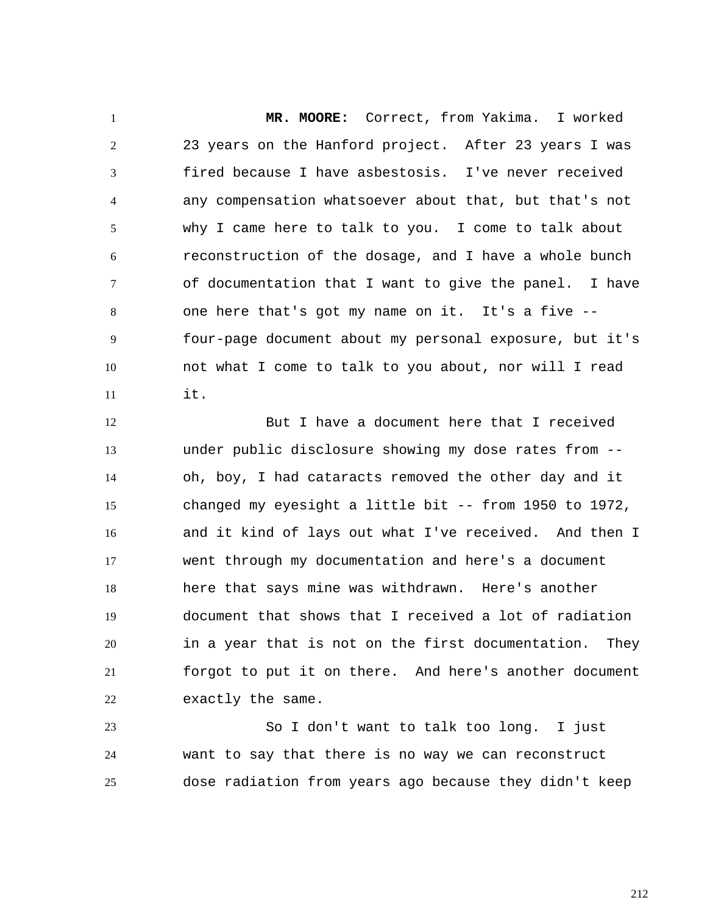1 2 3 4 5 6 7 8 9 10 11  **MR. MOORE:** Correct, from Yakima. I worked 23 years on the Hanford project. After 23 years I was fired because I have asbestosis. I've never received any compensation whatsoever about that, but that's not why I came here to talk to you. I come to talk about reconstruction of the dosage, and I have a whole bunch of documentation that I want to give the panel. I have one here that's got my name on it. It's a five - four-page document about my personal exposure, but it's not what I come to talk to you about, nor will I read it.

12 13 14 15 16 17 18 19 20 21 22 But I have a document here that I received under public disclosure showing my dose rates from - oh, boy, I had cataracts removed the other day and it changed my eyesight a little bit -- from 1950 to 1972, and it kind of lays out what I've received. And then I went through my documentation and here's a document here that says mine was withdrawn. Here's another document that shows that I received a lot of radiation in a year that is not on the first documentation. They forgot to put it on there. And here's another document exactly the same.

23 24 25 So I don't want to talk too long. I just want to say that there is no way we can reconstruct dose radiation from years ago because they didn't keep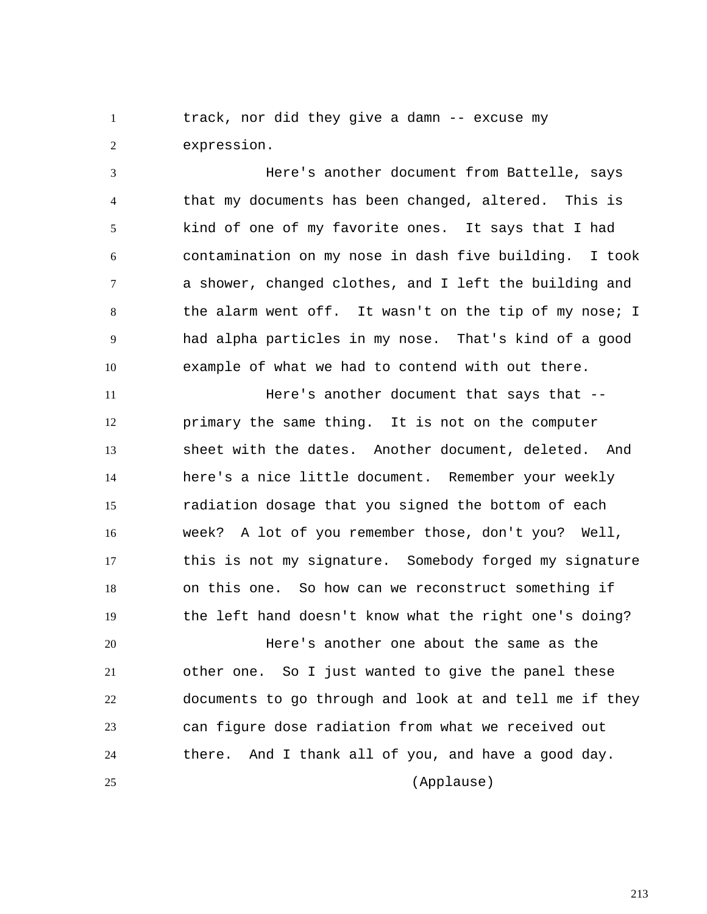1 2 track, nor did they give a damn -- excuse my expression.

3 4 5 6 7 8 9 10 Here's another document from Battelle, says that my documents has been changed, altered. This is kind of one of my favorite ones. It says that I had contamination on my nose in dash five building. I took a shower, changed clothes, and I left the building and the alarm went off. It wasn't on the tip of my nose; I had alpha particles in my nose. That's kind of a good example of what we had to contend with out there.

11 12 13 14 15 16 17 18 19 Here's another document that says that - primary the same thing. It is not on the computer sheet with the dates. Another document, deleted. And here's a nice little document. Remember your weekly radiation dosage that you signed the bottom of each week? A lot of you remember those, don't you? Well, this is not my signature. Somebody forged my signature on this one. So how can we reconstruct something if the left hand doesn't know what the right one's doing?

20 21 22 23 24 25 Here's another one about the same as the other one. So I just wanted to give the panel these documents to go through and look at and tell me if they can figure dose radiation from what we received out there. And I thank all of you, and have a good day.

(Applause)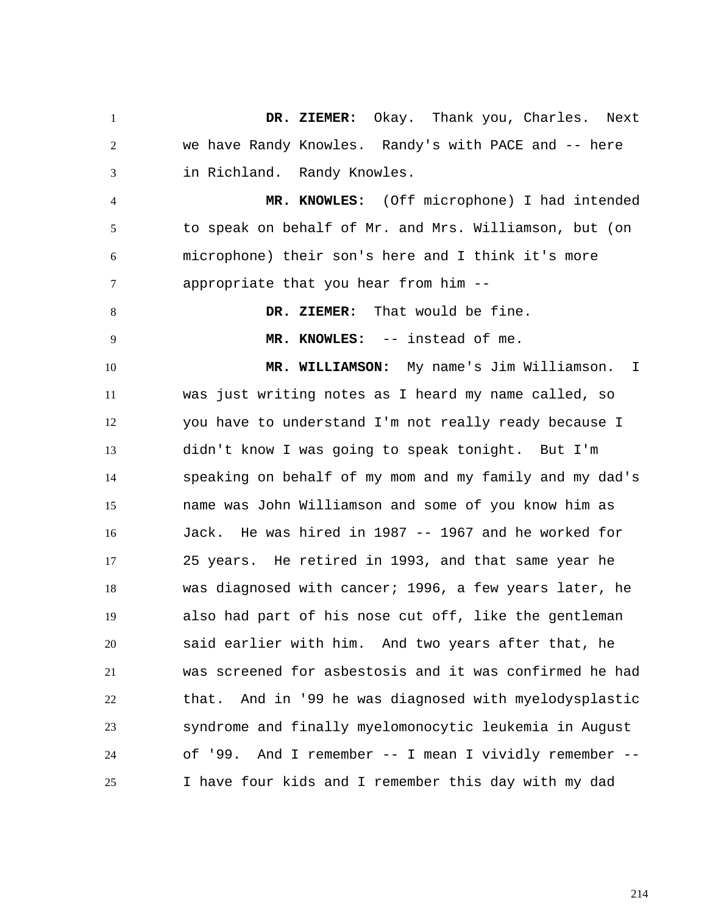1 2 3 4 5 6 7 8 9 10 11 12 13 14 15 16 17 18 19 20 21 22 23 24 25  **DR. ZIEMER:** Okay. Thank you, Charles. Next we have Randy Knowles. Randy's with PACE and -- here in Richland. Randy Knowles.  **MR. KNOWLES:** (Off microphone) I had intended to speak on behalf of Mr. and Mrs. Williamson, but (on microphone) their son's here and I think it's more appropriate that you hear from him --  **DR. ZIEMER:** That would be fine.  **MR. KNOWLES:** -- instead of me.  **MR. WILLIAMSON:** My name's Jim Williamson. I was just writing notes as I heard my name called, so you have to understand I'm not really ready because I didn't know I was going to speak tonight. But I'm speaking on behalf of my mom and my family and my dad's name was John Williamson and some of you know him as Jack. He was hired in 1987 -- 1967 and he worked for 25 years. He retired in 1993, and that same year he was diagnosed with cancer; 1996, a few years later, he also had part of his nose cut off, like the gentleman said earlier with him. And two years after that, he was screened for asbestosis and it was confirmed he had that. And in '99 he was diagnosed with myelodysplastic syndrome and finally myelomonocytic leukemia in August of '99. And I remember -- I mean I vividly remember -- I have four kids and I remember this day with my dad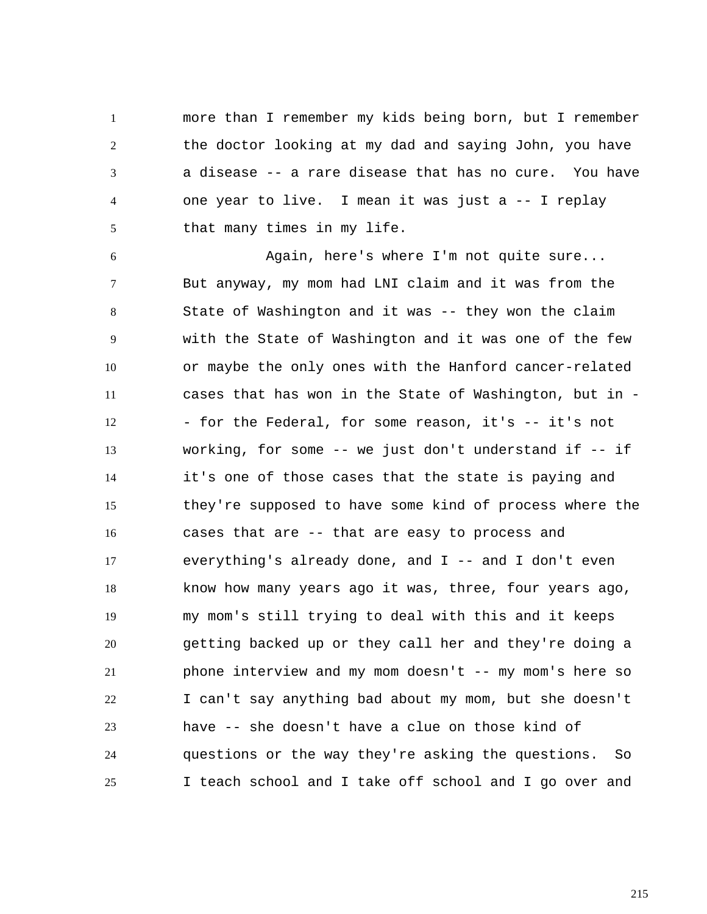1 2 3 4 5 more than I remember my kids being born, but I remember the doctor looking at my dad and saying John, you have a disease -- a rare disease that has no cure. You have one year to live. I mean it was just a -- I replay that many times in my life.

6 7 8 9 10 11 12 13 14 15 16 17 18 19 20 21 22 23 24 25 Again, here's where I'm not quite sure... But anyway, my mom had LNI claim and it was from the State of Washington and it was -- they won the claim with the State of Washington and it was one of the few or maybe the only ones with the Hanford cancer-related cases that has won in the State of Washington, but in - - for the Federal, for some reason, it's -- it's not working, for some -- we just don't understand if -- if it's one of those cases that the state is paying and they're supposed to have some kind of process where the cases that are -- that are easy to process and everything's already done, and  $I$  -- and  $I$  don't even know how many years ago it was, three, four years ago, my mom's still trying to deal with this and it keeps getting backed up or they call her and they're doing a phone interview and my mom doesn't -- my mom's here so I can't say anything bad about my mom, but she doesn't have -- she doesn't have a clue on those kind of questions or the way they're asking the questions. So I teach school and I take off school and I go over and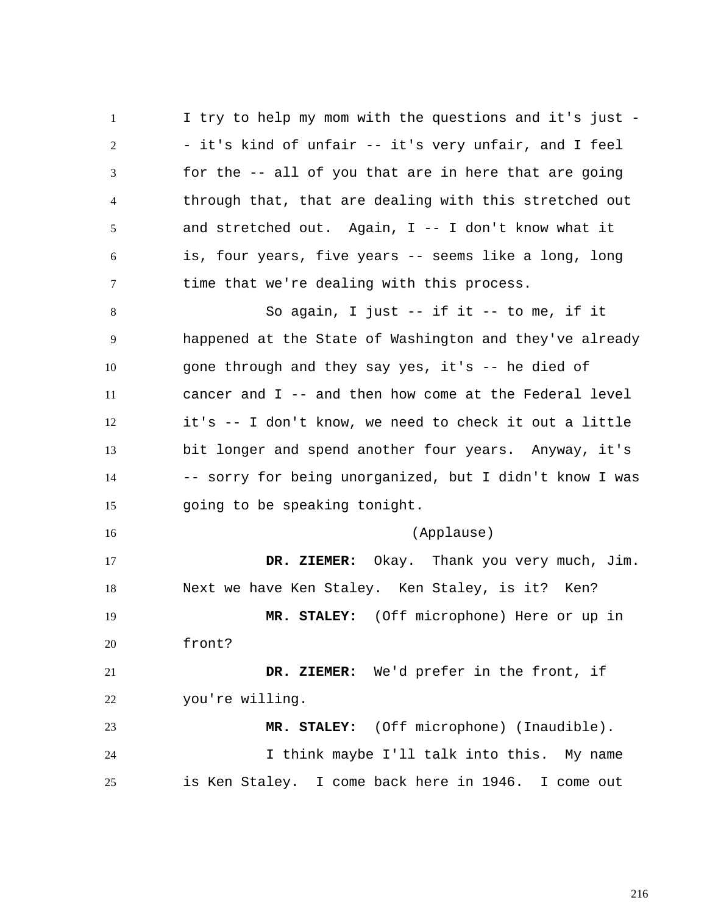1 2 3 4 5 6 7 I try to help my mom with the questions and it's just - - it's kind of unfair -- it's very unfair, and I feel for the -- all of you that are in here that are going through that, that are dealing with this stretched out and stretched out. Again, I -- I don't know what it is, four years, five years -- seems like a long, long time that we're dealing with this process.

8 9 10 11 12 13 14 15 So again, I just -- if it -- to me, if it happened at the State of Washington and they've already gone through and they say yes, it's -- he died of cancer and I -- and then how come at the Federal level it's -- I don't know, we need to check it out a little bit longer and spend another four years. Anyway, it's -- sorry for being unorganized, but I didn't know I was going to be speaking tonight.

16 17 18 19 20 (Applause)  **DR. ZIEMER:** Okay. Thank you very much, Jim. Next we have Ken Staley. Ken Staley, is it? Ken?  **MR. STALEY:** (Off microphone) Here or up in front?

21 22  **DR. ZIEMER:** We'd prefer in the front, if you're willing.

23 24 25  **MR. STALEY:** (Off microphone) (Inaudible). I think maybe I'll talk into this. My name is Ken Staley. I come back here in 1946. I come out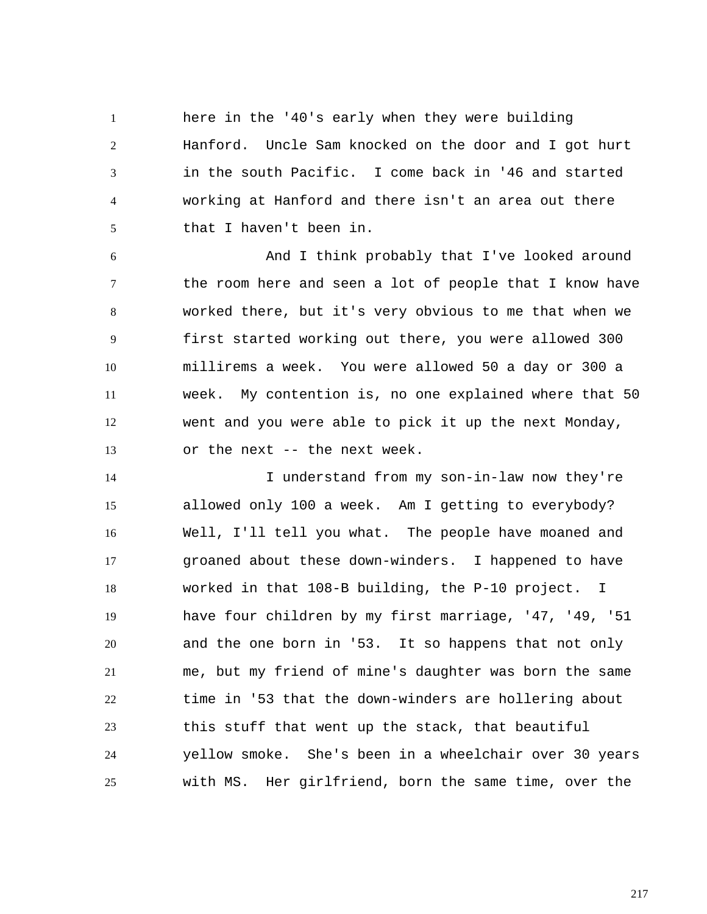1 2 3 4 5 here in the '40's early when they were building Hanford. Uncle Sam knocked on the door and I got hurt in the south Pacific. I come back in '46 and started working at Hanford and there isn't an area out there that I haven't been in.

6 7 8 9 10 11 12 13 And I think probably that I've looked around the room here and seen a lot of people that I know have worked there, but it's very obvious to me that when we first started working out there, you were allowed 300 millirems a week. You were allowed 50 a day or 300 a week. My contention is, no one explained where that 50 went and you were able to pick it up the next Monday, or the next -- the next week.

14 15 16 17 18 19 20 21 22 23 24 25 I understand from my son-in-law now they're allowed only 100 a week. Am I getting to everybody? Well, I'll tell you what. The people have moaned and groaned about these down-winders. I happened to have worked in that 108-B building, the P-10 project. I have four children by my first marriage, '47, '49, '51 and the one born in '53. It so happens that not only me, but my friend of mine's daughter was born the same time in '53 that the down-winders are hollering about this stuff that went up the stack, that beautiful yellow smoke. She's been in a wheelchair over 30 years with MS. Her girlfriend, born the same time, over the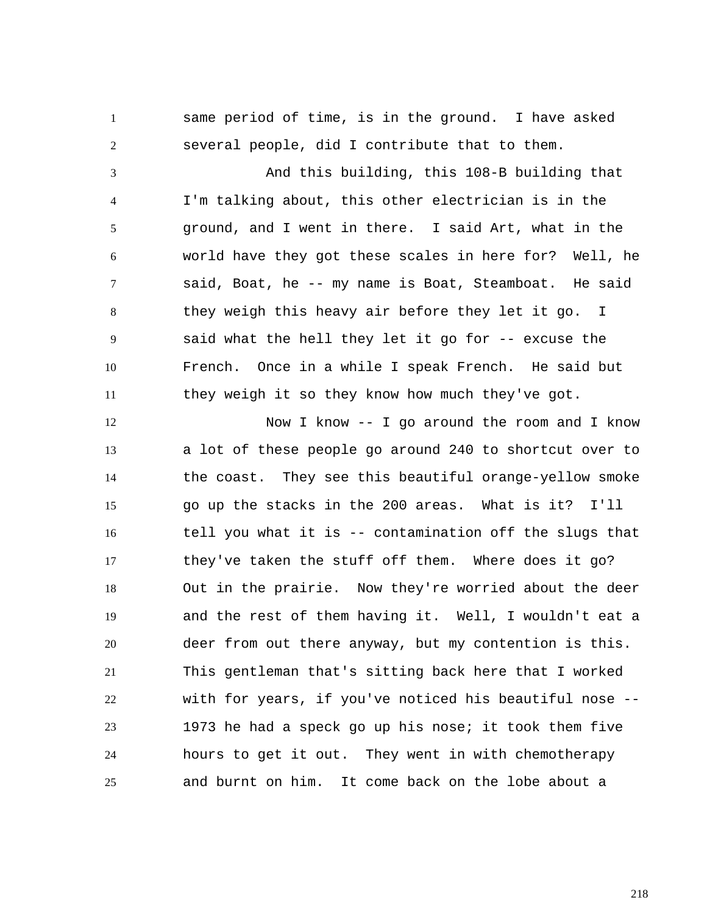same period of time, is in the ground. I have asked several people, did I contribute that to them.

1

2

3 4 5 6 7 8 9 10 11 And this building, this 108-B building that I'm talking about, this other electrician is in the ground, and I went in there. I said Art, what in the world have they got these scales in here for? Well, he said, Boat, he -- my name is Boat, Steamboat. He said they weigh this heavy air before they let it go. I said what the hell they let it go for -- excuse the French. Once in a while I speak French. He said but they weigh it so they know how much they've got.

12 13 14 15 16 17 18 19 20 21 22 23 24 25 Now I know -- I go around the room and I know a lot of these people go around 240 to shortcut over to the coast. They see this beautiful orange-yellow smoke go up the stacks in the 200 areas. What is it? I'll tell you what it is -- contamination off the slugs that they've taken the stuff off them. Where does it go? Out in the prairie. Now they're worried about the deer and the rest of them having it. Well, I wouldn't eat a deer from out there anyway, but my contention is this. This gentleman that's sitting back here that I worked with for years, if you've noticed his beautiful nose -- 1973 he had a speck go up his nose; it took them five hours to get it out. They went in with chemotherapy and burnt on him. It come back on the lobe about a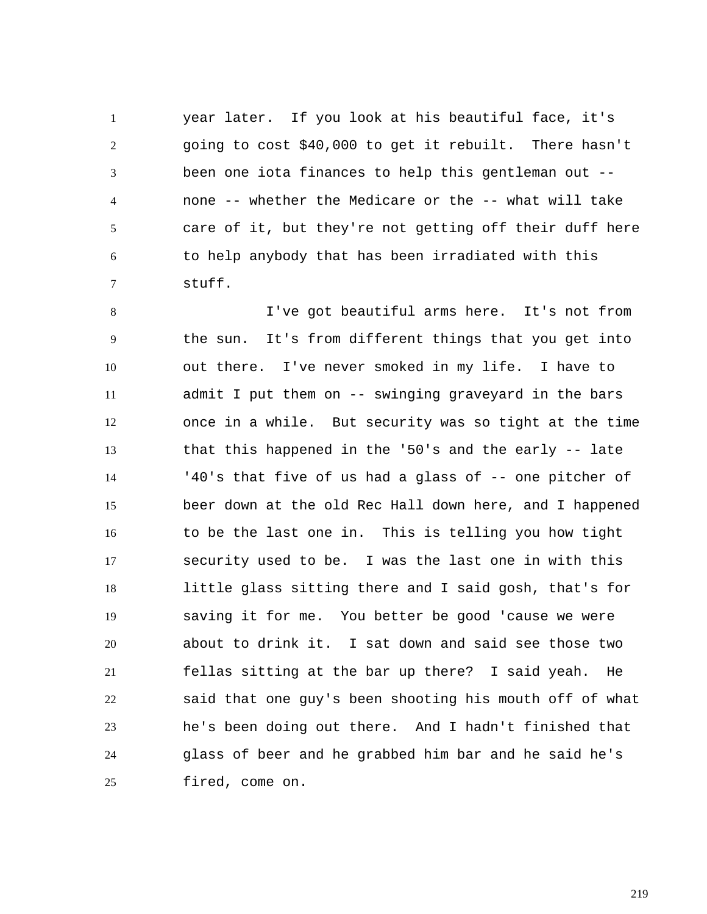1 2 3 4 5 6 7 year later. If you look at his beautiful face, it's going to cost \$40,000 to get it rebuilt. There hasn't been one iota finances to help this gentleman out - none -- whether the Medicare or the -- what will take care of it, but they're not getting off their duff here to help anybody that has been irradiated with this stuff.

8 9 10 11 12 13 14 15 16 17 18 19 20 21 22 23 24 25 I've got beautiful arms here. It's not from the sun. It's from different things that you get into out there. I've never smoked in my life. I have to admit I put them on -- swinging graveyard in the bars once in a while. But security was so tight at the time that this happened in the '50's and the early -- late '40's that five of us had a glass of -- one pitcher of beer down at the old Rec Hall down here, and I happened to be the last one in. This is telling you how tight security used to be. I was the last one in with this little glass sitting there and I said gosh, that's for saving it for me. You better be good 'cause we were about to drink it. I sat down and said see those two fellas sitting at the bar up there? I said yeah. He said that one guy's been shooting his mouth off of what he's been doing out there. And I hadn't finished that glass of beer and he grabbed him bar and he said he's fired, come on.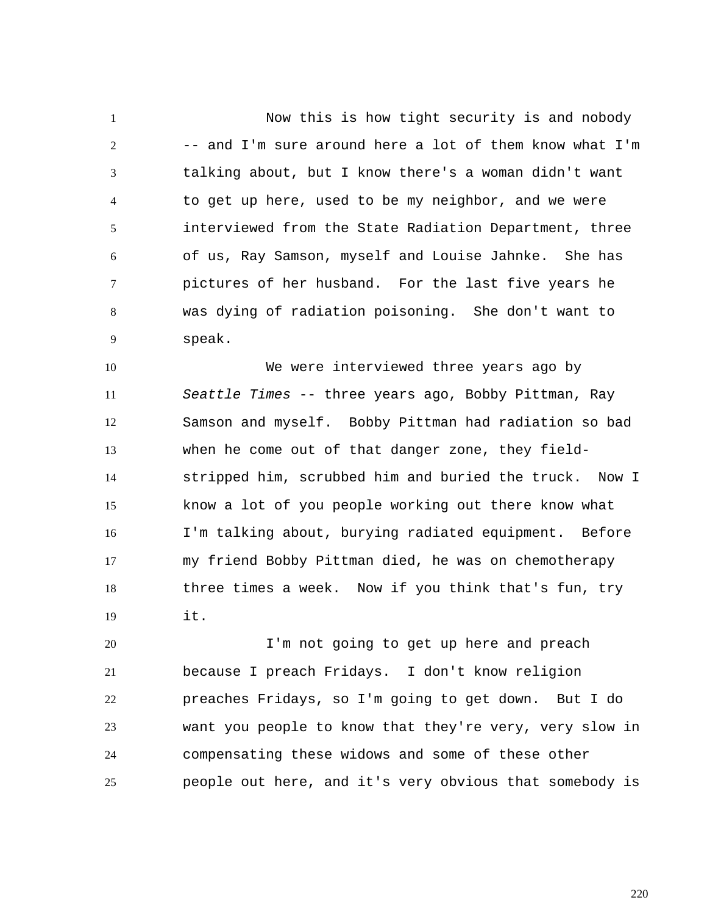1 2 3 4 5 6 7 8 9 Now this is how tight security is and nobody -- and I'm sure around here a lot of them know what I'm talking about, but I know there's a woman didn't want to get up here, used to be my neighbor, and we were interviewed from the State Radiation Department, three of us, Ray Samson, myself and Louise Jahnke. She has pictures of her husband. For the last five years he was dying of radiation poisoning. She don't want to speak.

10 11 12 13 14 15 16 17 18 19 We were interviewed three years ago by *Seattle Times* -- three years ago, Bobby Pittman, Ray Samson and myself. Bobby Pittman had radiation so bad when he come out of that danger zone, they fieldstripped him, scrubbed him and buried the truck. Now I know a lot of you people working out there know what I'm talking about, burying radiated equipment. Before my friend Bobby Pittman died, he was on chemotherapy three times a week. Now if you think that's fun, try it.

20 21 22 23 24 25 I'm not going to get up here and preach because I preach Fridays. I don't know religion preaches Fridays, so I'm going to get down. But I do want you people to know that they're very, very slow in compensating these widows and some of these other people out here, and it's very obvious that somebody is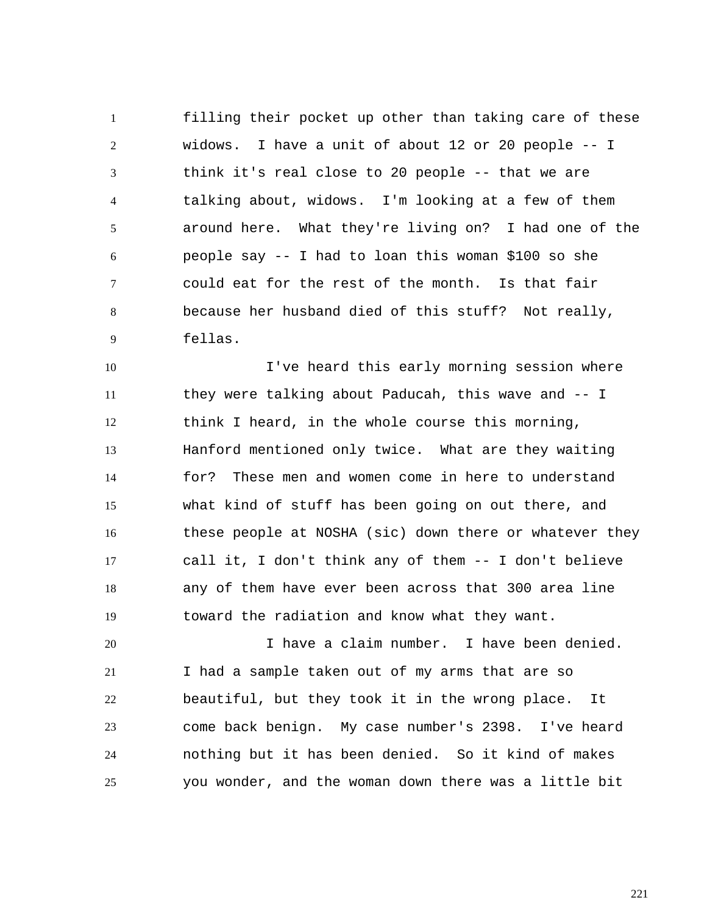1 2 3 4 5 6 7 8 9 filling their pocket up other than taking care of these widows. I have a unit of about 12 or 20 people -- I think it's real close to 20 people -- that we are talking about, widows. I'm looking at a few of them around here. What they're living on? I had one of the people say -- I had to loan this woman \$100 so she could eat for the rest of the month. Is that fair because her husband died of this stuff? Not really, fellas.

10 11 12 13 14 15 16 17 18 19 I've heard this early morning session where they were talking about Paducah, this wave and -- I think I heard, in the whole course this morning, Hanford mentioned only twice. What are they waiting for? These men and women come in here to understand what kind of stuff has been going on out there, and these people at NOSHA (sic) down there or whatever they call it, I don't think any of them -- I don't believe any of them have ever been across that 300 area line toward the radiation and know what they want.

20 21 22 23 24 25 I have a claim number. I have been denied. I had a sample taken out of my arms that are so beautiful, but they took it in the wrong place. It come back benign. My case number's 2398. I've heard nothing but it has been denied. So it kind of makes you wonder, and the woman down there was a little bit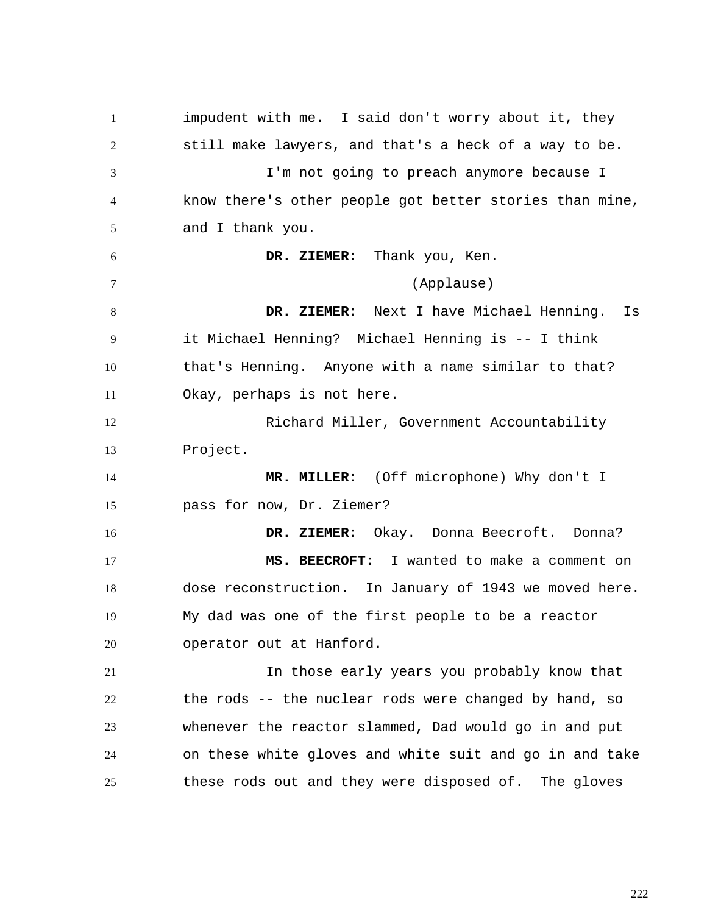1 2 3 4 5 6 7 8 9 10 11 12 13 14 15 16 17 18 19 20 21 22 23 24 25 impudent with me. I said don't worry about it, they still make lawyers, and that's a heck of a way to be. I'm not going to preach anymore because I know there's other people got better stories than mine, and I thank you.  **DR. ZIEMER:** Thank you, Ken. (Applause)  **DR. ZIEMER:** Next I have Michael Henning. Is it Michael Henning? Michael Henning is -- I think that's Henning. Anyone with a name similar to that? Okay, perhaps is not here. Richard Miller, Government Accountability Project.  **MR. MILLER:** (Off microphone) Why don't I pass for now, Dr. Ziemer?  **DR. ZIEMER:** Okay. Donna Beecroft. Donna?  **MS. BEECROFT:** I wanted to make a comment on dose reconstruction. In January of 1943 we moved here. My dad was one of the first people to be a reactor operator out at Hanford. In those early years you probably know that the rods -- the nuclear rods were changed by hand, so whenever the reactor slammed, Dad would go in and put on these white gloves and white suit and go in and take these rods out and they were disposed of. The gloves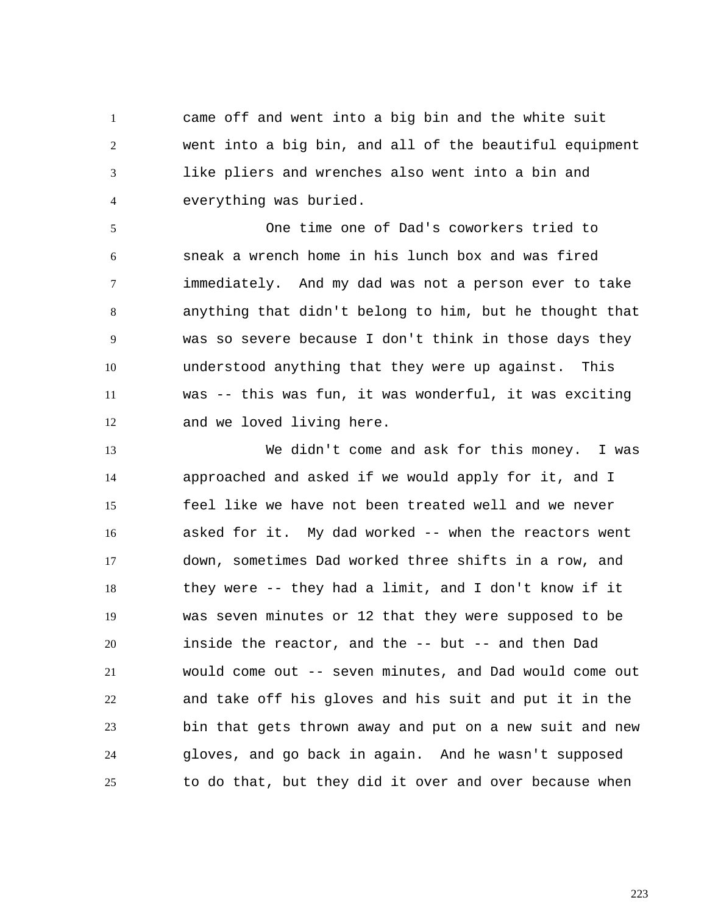1 2 3 4 came off and went into a big bin and the white suit went into a big bin, and all of the beautiful equipment like pliers and wrenches also went into a bin and everything was buried.

5 6 7 8 9 10 11 12 One time one of Dad's coworkers tried to sneak a wrench home in his lunch box and was fired immediately. And my dad was not a person ever to take anything that didn't belong to him, but he thought that was so severe because I don't think in those days they understood anything that they were up against. This was -- this was fun, it was wonderful, it was exciting and we loved living here.

13 14 15 16 17 18 19 20 21 22 23 24 25 We didn't come and ask for this money. I was approached and asked if we would apply for it, and I feel like we have not been treated well and we never asked for it. My dad worked -- when the reactors went down, sometimes Dad worked three shifts in a row, and they were -- they had a limit, and I don't know if it was seven minutes or 12 that they were supposed to be inside the reactor, and the -- but -- and then Dad would come out -- seven minutes, and Dad would come out and take off his gloves and his suit and put it in the bin that gets thrown away and put on a new suit and new gloves, and go back in again. And he wasn't supposed to do that, but they did it over and over because when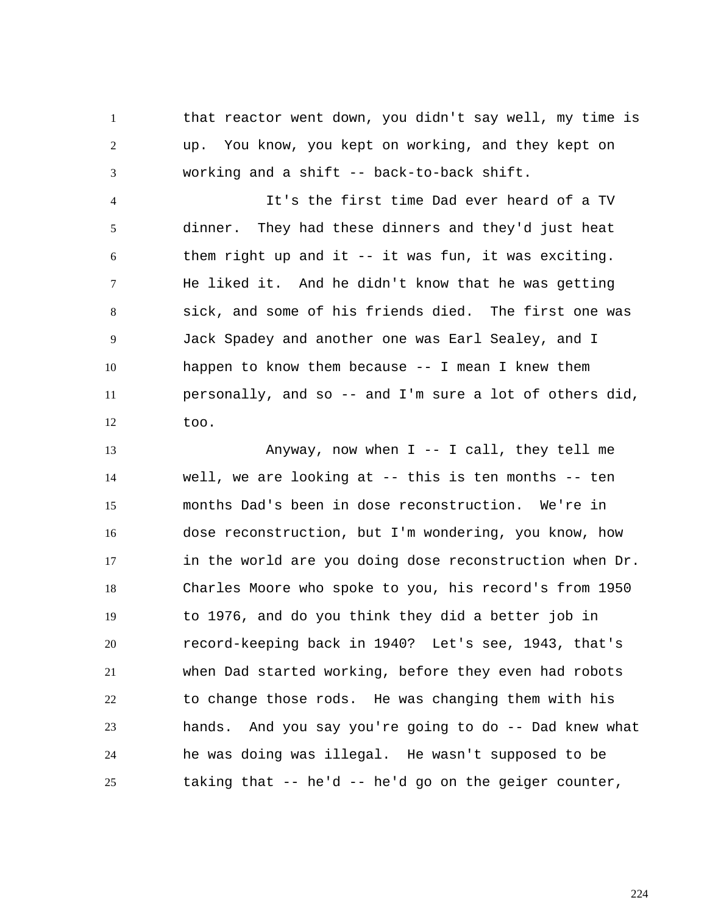1 2 3 that reactor went down, you didn't say well, my time is up. You know, you kept on working, and they kept on working and a shift -- back-to-back shift.

4 5 6 7 8 9 10 11 12 It's the first time Dad ever heard of a TV dinner. They had these dinners and they'd just heat them right up and it -- it was fun, it was exciting. He liked it. And he didn't know that he was getting sick, and some of his friends died. The first one was Jack Spadey and another one was Earl Sealey, and I happen to know them because -- I mean I knew them personally, and so -- and I'm sure a lot of others did, too.

13 14 15 16 17 18 19 20 21 22 23 24 25 Anyway, now when  $I$  -- I call, they tell me well, we are looking at -- this is ten months -- ten months Dad's been in dose reconstruction. We're in dose reconstruction, but I'm wondering, you know, how in the world are you doing dose reconstruction when Dr. Charles Moore who spoke to you, his record's from 1950 to 1976, and do you think they did a better job in record-keeping back in 1940? Let's see, 1943, that's when Dad started working, before they even had robots to change those rods. He was changing them with his hands. And you say you're going to do -- Dad knew what he was doing was illegal. He wasn't supposed to be taking that -- he'd -- he'd go on the geiger counter,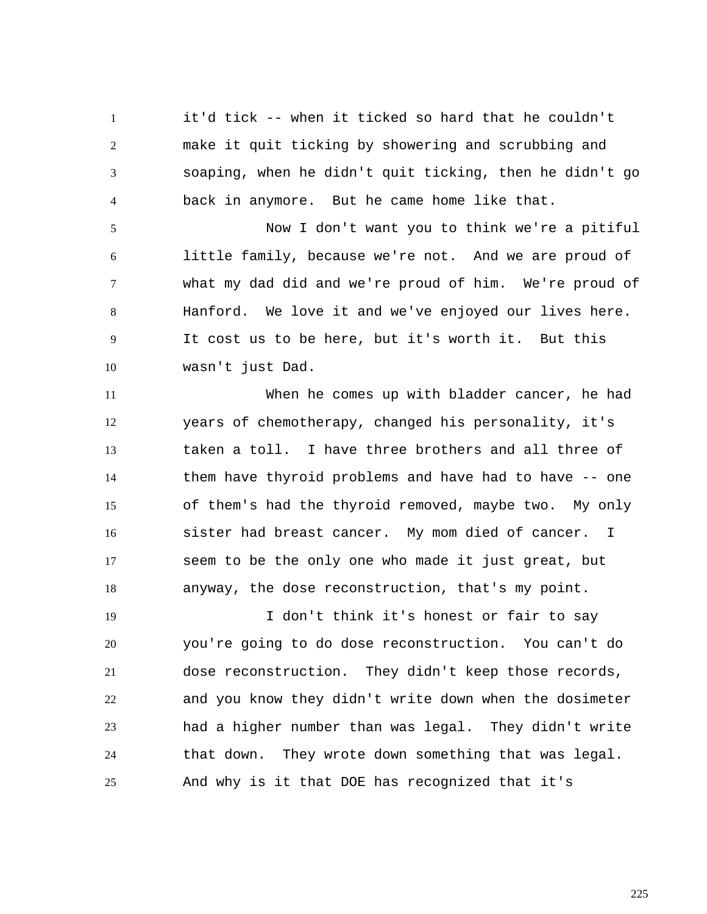1 2 3 4 it'd tick -- when it ticked so hard that he couldn't make it quit ticking by showering and scrubbing and soaping, when he didn't quit ticking, then he didn't go back in anymore. But he came home like that.

5 6 7 8 9 10 Now I don't want you to think we're a pitiful little family, because we're not. And we are proud of what my dad did and we're proud of him. We're proud of Hanford. We love it and we've enjoyed our lives here. It cost us to be here, but it's worth it. But this wasn't just Dad.

11 12 13 14 15 16 17 18 When he comes up with bladder cancer, he had years of chemotherapy, changed his personality, it's taken a toll. I have three brothers and all three of them have thyroid problems and have had to have -- one of them's had the thyroid removed, maybe two. My only sister had breast cancer. My mom died of cancer. I seem to be the only one who made it just great, but anyway, the dose reconstruction, that's my point.

19 20 21 22 23 24 25 I don't think it's honest or fair to say you're going to do dose reconstruction. You can't do dose reconstruction. They didn't keep those records, and you know they didn't write down when the dosimeter had a higher number than was legal. They didn't write that down. They wrote down something that was legal. And why is it that DOE has recognized that it's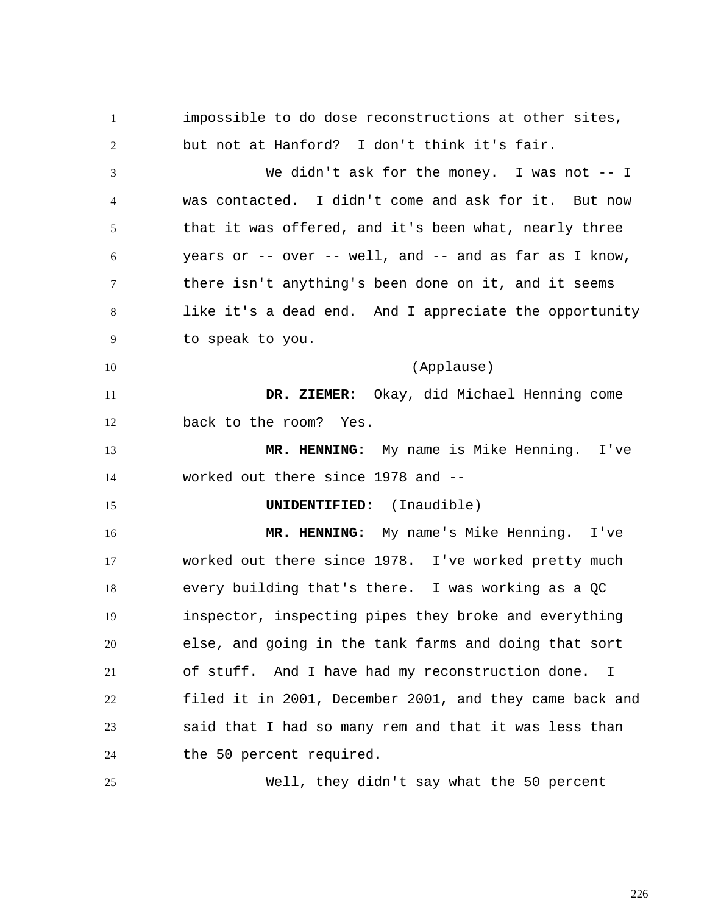1 2 3 4 5 6 7 8 9 10 11 12 13 14 15 16 17 18 19 20 21 22 23 24 25 impossible to do dose reconstructions at other sites, but not at Hanford? I don't think it's fair. We didn't ask for the money. I was not -- I was contacted. I didn't come and ask for it. But now that it was offered, and it's been what, nearly three years or -- over -- well, and -- and as far as I know, there isn't anything's been done on it, and it seems like it's a dead end. And I appreciate the opportunity to speak to you. (Applause)  **DR. ZIEMER:** Okay, did Michael Henning come back to the room? Yes.  **MR. HENNING:** My name is Mike Henning. I've worked out there since 1978 and -- **UNIDENTIFIED:** (Inaudible)  **MR. HENNING:** My name's Mike Henning. I've worked out there since 1978. I've worked pretty much every building that's there. I was working as a QC inspector, inspecting pipes they broke and everything else, and going in the tank farms and doing that sort of stuff. And I have had my reconstruction done. I filed it in 2001, December 2001, and they came back and said that I had so many rem and that it was less than the 50 percent required. Well, they didn't say what the 50 percent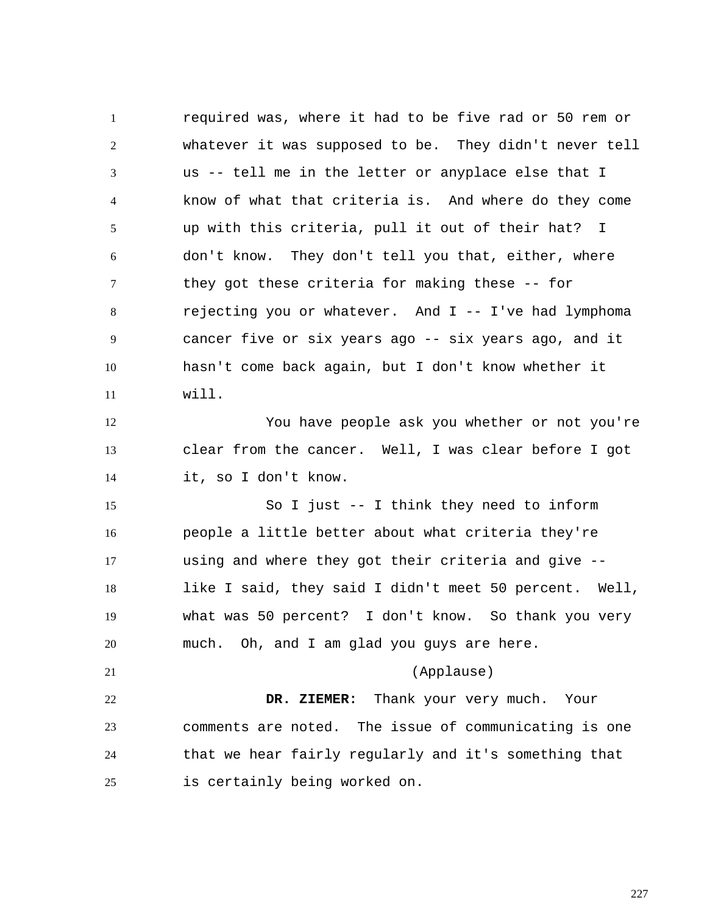1 2 3 4 5 6 7 8 9 10 11 12 13 14 15 16 17 18 19 20 21 22 23 24 25 required was, where it had to be five rad or 50 rem or whatever it was supposed to be. They didn't never tell us -- tell me in the letter or anyplace else that I know of what that criteria is. And where do they come up with this criteria, pull it out of their hat? I don't know. They don't tell you that, either, where they got these criteria for making these -- for rejecting you or whatever. And  $I$  -- I've had lymphoma cancer five or six years ago -- six years ago, and it hasn't come back again, but I don't know whether it will. You have people ask you whether or not you're clear from the cancer. Well, I was clear before I got it, so I don't know. So I just -- I think they need to inform people a little better about what criteria they're using and where they got their criteria and give - like I said, they said I didn't meet 50 percent. Well, what was 50 percent? I don't know. So thank you very much. Oh, and I am glad you guys are here. (Applause)  **DR. ZIEMER:** Thank your very much. Your comments are noted. The issue of communicating is one that we hear fairly regularly and it's something that is certainly being worked on.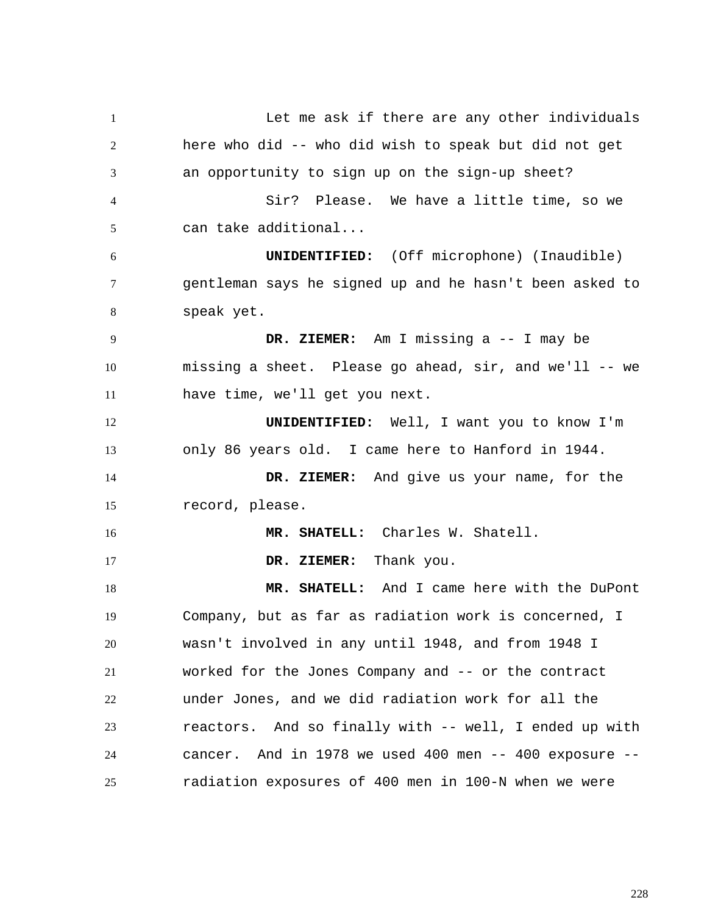1 2 3 4 5 6 7 8 9 10 11 12 13 14 15 16 17 18 19 20 21 22 23 24 25 Let me ask if there are any other individuals here who did -- who did wish to speak but did not get an opportunity to sign up on the sign-up sheet? Sir? Please. We have a little time, so we can take additional... **UNIDENTIFIED:** (Off microphone) (Inaudible) gentleman says he signed up and he hasn't been asked to speak yet.  **DR. ZIEMER:** Am I missing a -- I may be missing a sheet. Please go ahead, sir, and we'll -- we have time, we'll get you next. **UNIDENTIFIED:** Well, I want you to know I'm only 86 years old. I came here to Hanford in 1944.  **DR. ZIEMER:** And give us your name, for the record, please.  **MR. SHATELL:** Charles W. Shatell.  **DR. ZIEMER:** Thank you.  **MR. SHATELL:** And I came here with the DuPont Company, but as far as radiation work is concerned, I wasn't involved in any until 1948, and from 1948 I worked for the Jones Company and -- or the contract under Jones, and we did radiation work for all the reactors. And so finally with -- well, I ended up with cancer. And in 1978 we used 400 men -- 400 exposure - radiation exposures of 400 men in 100-N when we were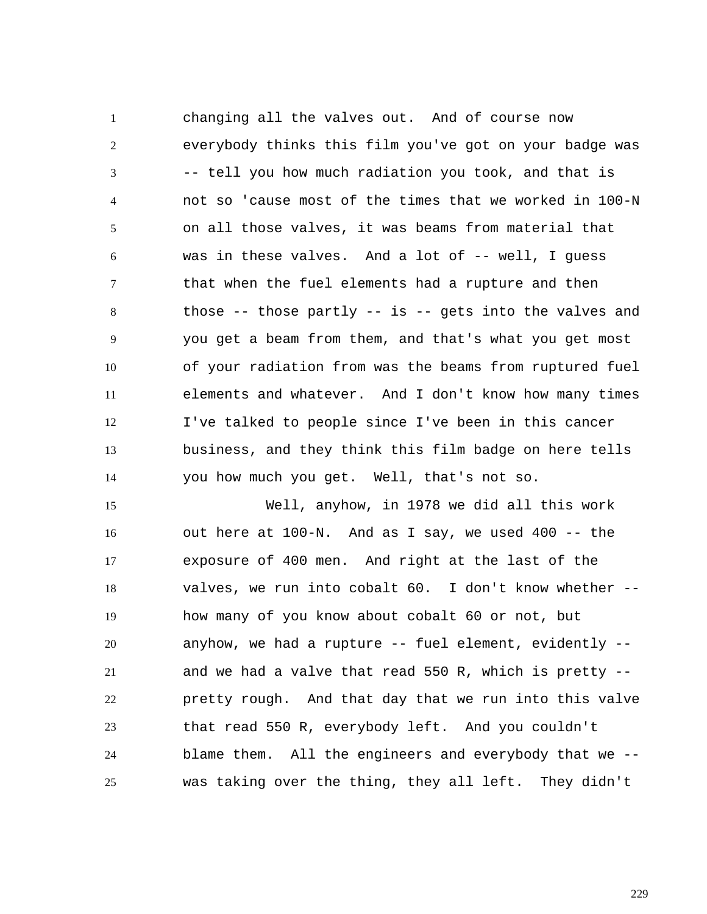1 2 3 4 5 6 7 8 9 10 11 12 13 14 changing all the valves out. And of course now everybody thinks this film you've got on your badge was -- tell you how much radiation you took, and that is not so 'cause most of the times that we worked in 100-N on all those valves, it was beams from material that was in these valves. And a lot of -- well, I quess that when the fuel elements had a rupture and then those  $-$ - those partly  $-$  is  $-$ - gets into the valves and you get a beam from them, and that's what you get most of your radiation from was the beams from ruptured fuel elements and whatever. And I don't know how many times I've talked to people since I've been in this cancer business, and they think this film badge on here tells you how much you get. Well, that's not so.

15 16 17 18 19 20 21 22 23 24 25 Well, anyhow, in 1978 we did all this work out here at 100-N. And as I say, we used 400 -- the exposure of 400 men. And right at the last of the valves, we run into cobalt 60. I don't know whether - how many of you know about cobalt 60 or not, but anyhow, we had a rupture -- fuel element, evidently - and we had a valve that read 550 R, which is pretty - pretty rough. And that day that we run into this valve that read 550 R, everybody left. And you couldn't blame them. All the engineers and everybody that we - was taking over the thing, they all left. They didn't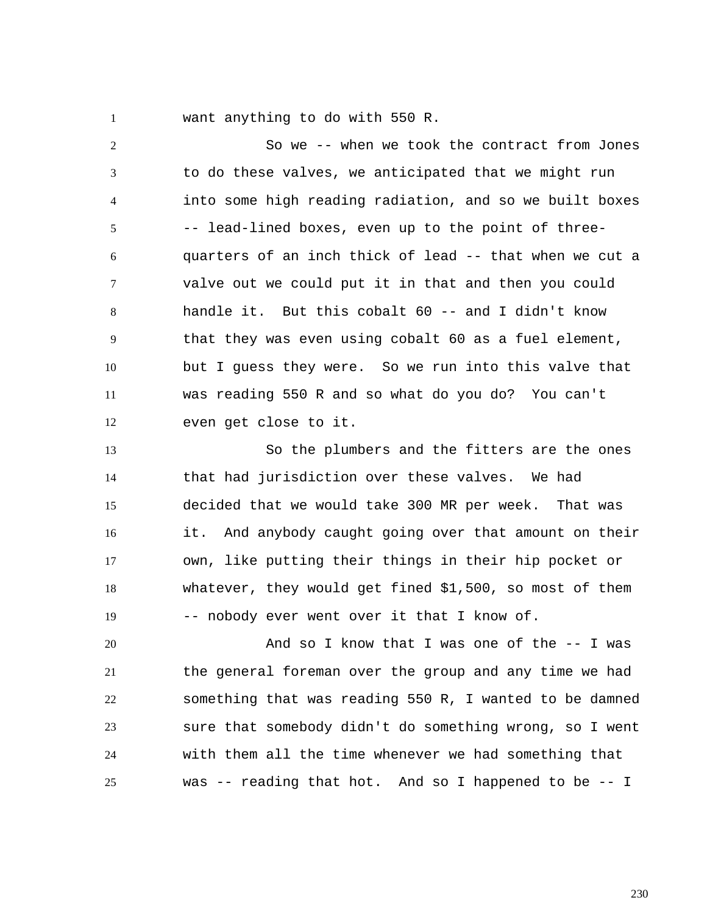1

want anything to do with 550 R.

2 3 4 5 6 7 8 9 10 11 12 So we -- when we took the contract from Jones to do these valves, we anticipated that we might run into some high reading radiation, and so we built boxes -- lead-lined boxes, even up to the point of threequarters of an inch thick of lead -- that when we cut a valve out we could put it in that and then you could handle it. But this cobalt 60 -- and I didn't know that they was even using cobalt 60 as a fuel element, but I guess they were. So we run into this valve that was reading 550 R and so what do you do? You can't even get close to it.

13 14 15 16 17 18 19 So the plumbers and the fitters are the ones that had jurisdiction over these valves. We had decided that we would take 300 MR per week. That was it. And anybody caught going over that amount on their own, like putting their things in their hip pocket or whatever, they would get fined \$1,500, so most of them -- nobody ever went over it that I know of.

20 21 22 23 24 25 And so I know that I was one of the -- I was the general foreman over the group and any time we had something that was reading 550 R, I wanted to be damned sure that somebody didn't do something wrong, so I went with them all the time whenever we had something that was -- reading that hot. And so I happened to be -- I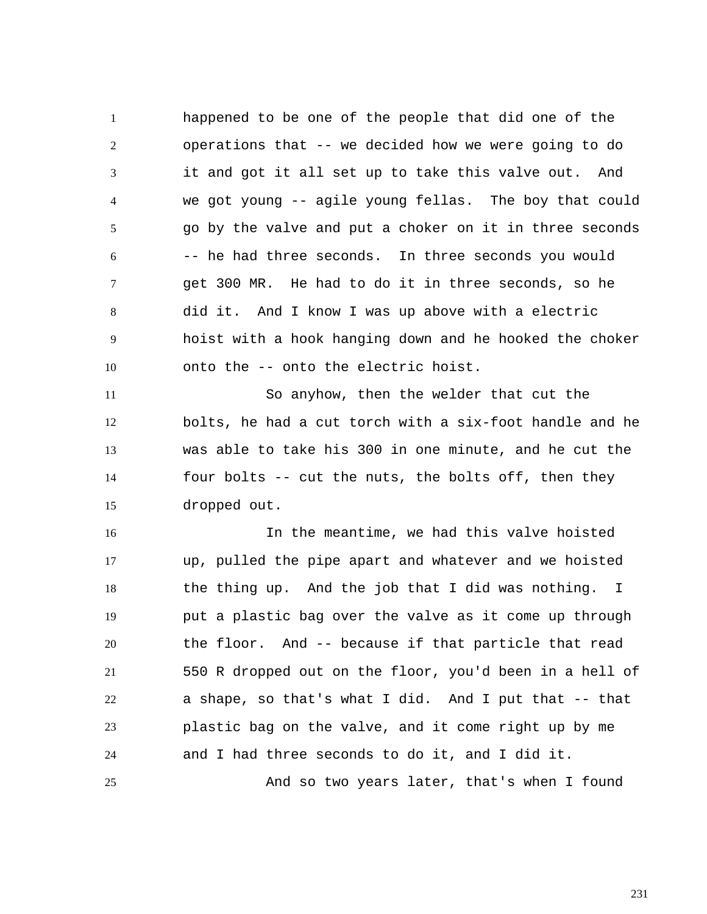1 2 3 4 5 6 7 8 9 10 happened to be one of the people that did one of the operations that -- we decided how we were going to do it and got it all set up to take this valve out. And we got young -- agile young fellas. The boy that could go by the valve and put a choker on it in three seconds -- he had three seconds. In three seconds you would get 300 MR. He had to do it in three seconds, so he did it. And I know I was up above with a electric hoist with a hook hanging down and he hooked the choker onto the -- onto the electric hoist.

11 12 13 14 15 So anyhow, then the welder that cut the bolts, he had a cut torch with a six-foot handle and he was able to take his 300 in one minute, and he cut the four bolts -- cut the nuts, the bolts off, then they dropped out.

16 17 18 19 20 21 22 23 24 25 In the meantime, we had this valve hoisted up, pulled the pipe apart and whatever and we hoisted the thing up. And the job that I did was nothing. I put a plastic bag over the valve as it come up through the floor. And -- because if that particle that read 550 R dropped out on the floor, you'd been in a hell of a shape, so that's what I did. And I put that -- that plastic bag on the valve, and it come right up by me and I had three seconds to do it, and I did it. And so two years later, that's when I found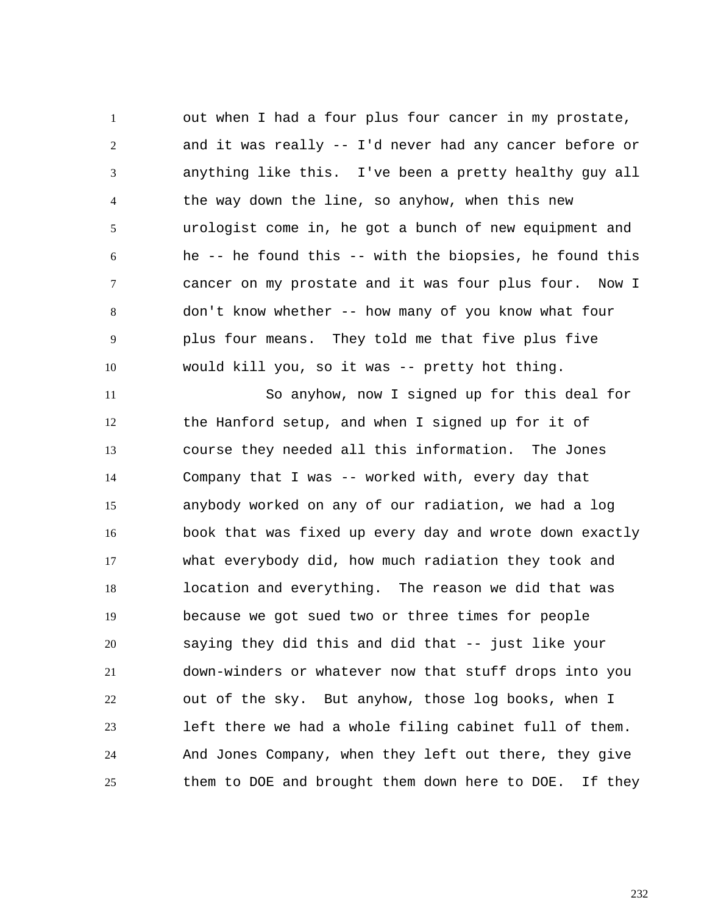1 2 3 4 5 6 7 8 9 10 out when I had a four plus four cancer in my prostate, and it was really -- I'd never had any cancer before or anything like this. I've been a pretty healthy guy all the way down the line, so anyhow, when this new urologist come in, he got a bunch of new equipment and he -- he found this -- with the biopsies, he found this cancer on my prostate and it was four plus four. Now I don't know whether -- how many of you know what four plus four means. They told me that five plus five would kill you, so it was -- pretty hot thing.

11 12 13 14 15 16 17 18 19 20 21 22 23 24 25 So anyhow, now I signed up for this deal for the Hanford setup, and when I signed up for it of course they needed all this information. The Jones Company that I was -- worked with, every day that anybody worked on any of our radiation, we had a log book that was fixed up every day and wrote down exactly what everybody did, how much radiation they took and location and everything. The reason we did that was because we got sued two or three times for people saying they did this and did that -- just like your down-winders or whatever now that stuff drops into you out of the sky. But anyhow, those log books, when I left there we had a whole filing cabinet full of them. And Jones Company, when they left out there, they give them to DOE and brought them down here to DOE. If they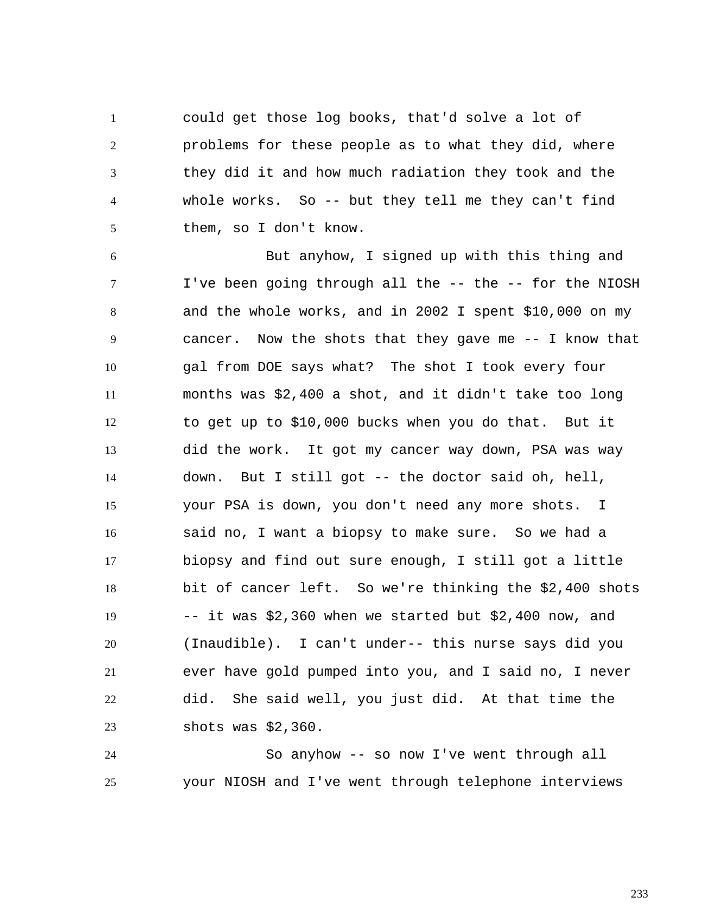1 2 3 4 5 could get those log books, that'd solve a lot of problems for these people as to what they did, where they did it and how much radiation they took and the whole works. So -- but they tell me they can't find them, so I don't know.

6 7 8 9 10 11 12 13 14 15 16 17 18 19 20 21 22 23 But anyhow, I signed up with this thing and I've been going through all the -- the -- for the NIOSH and the whole works, and in 2002 I spent \$10,000 on my cancer. Now the shots that they gave me -- I know that gal from DOE says what? The shot I took every four months was \$2,400 a shot, and it didn't take too long to get up to \$10,000 bucks when you do that. But it did the work. It got my cancer way down, PSA was way down. But I still got -- the doctor said oh, hell, your PSA is down, you don't need any more shots. I said no, I want a biopsy to make sure. So we had a biopsy and find out sure enough, I still got a little bit of cancer left. So we're thinking the \$2,400 shots -- it was \$2,360 when we started but \$2,400 now, and (Inaudible). I can't under-- this nurse says did you ever have gold pumped into you, and I said no, I never did. She said well, you just did. At that time the shots was \$2,360.

24 25 So anyhow -- so now I've went through all your NIOSH and I've went through telephone interviews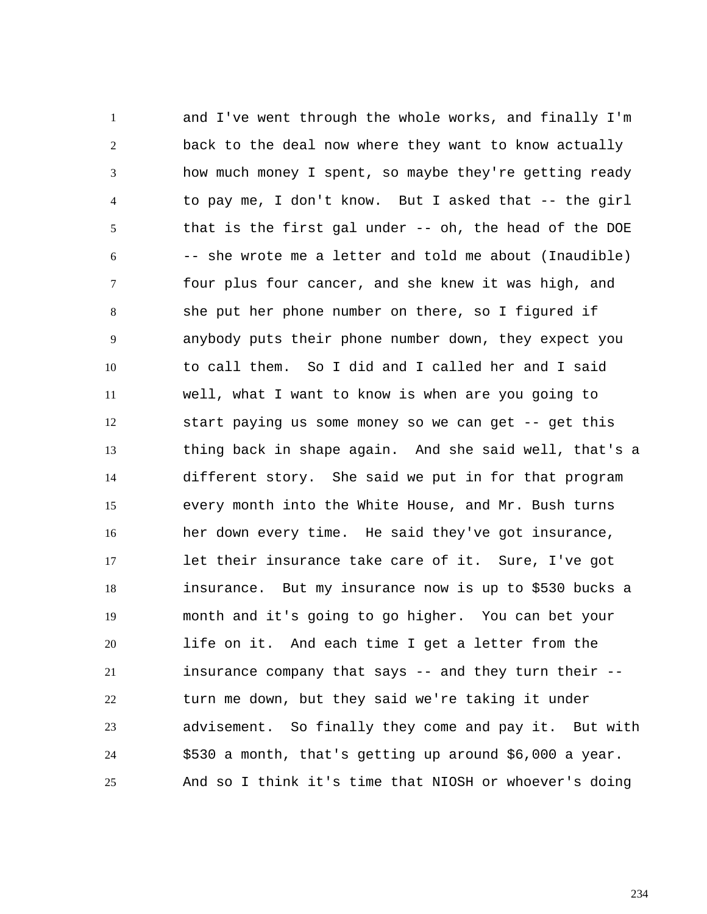1 2 3 4 5 6 7 8 9 10 11 12 13 14 15 16 17 18 19 20 21 22 23 24 25 and I've went through the whole works, and finally I'm back to the deal now where they want to know actually how much money I spent, so maybe they're getting ready to pay me, I don't know. But I asked that -- the girl that is the first gal under -- oh, the head of the DOE -- she wrote me a letter and told me about (Inaudible) four plus four cancer, and she knew it was high, and she put her phone number on there, so I figured if anybody puts their phone number down, they expect you to call them. So I did and I called her and I said well, what I want to know is when are you going to start paying us some money so we can get -- get this thing back in shape again. And she said well, that's a different story. She said we put in for that program every month into the White House, and Mr. Bush turns her down every time. He said they've got insurance, let their insurance take care of it. Sure, I've got insurance. But my insurance now is up to \$530 bucks a month and it's going to go higher. You can bet your life on it. And each time I get a letter from the insurance company that says  $-$  and they turn their  $$ turn me down, but they said we're taking it under advisement. So finally they come and pay it. But with \$530 a month, that's getting up around \$6,000 a year. And so I think it's time that NIOSH or whoever's doing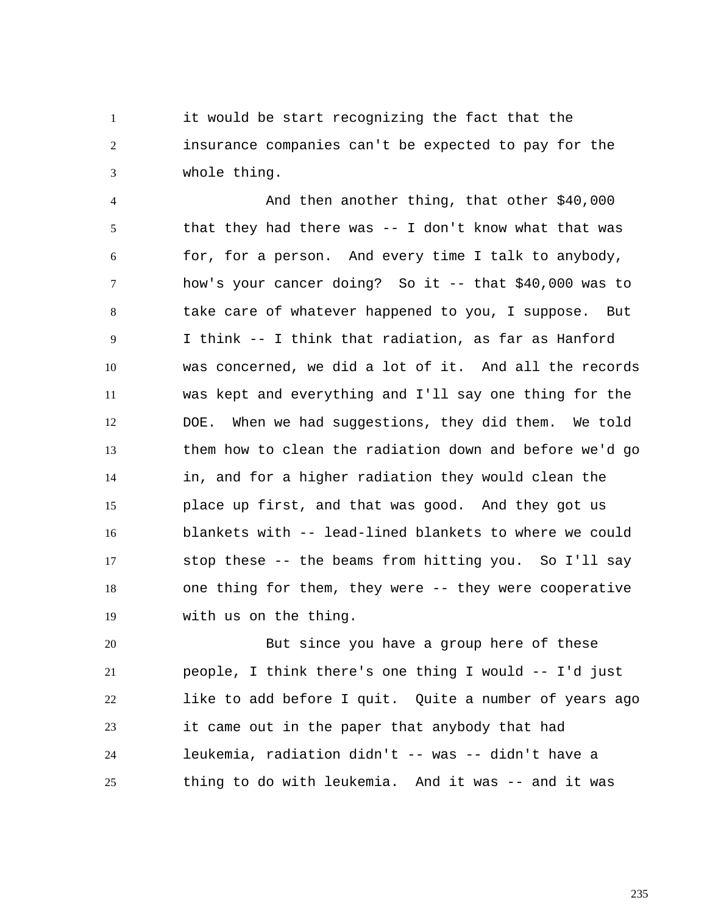1 2 3 it would be start recognizing the fact that the insurance companies can't be expected to pay for the whole thing.

4 5 6 7 8 9 10 11 12 13 14 15 16 17 18 19 And then another thing, that other \$40,000 that they had there was  $-$ - I don't know what that was for, for a person. And every time I talk to anybody, how's your cancer doing? So it -- that \$40,000 was to take care of whatever happened to you, I suppose. But I think -- I think that radiation, as far as Hanford was concerned, we did a lot of it. And all the records was kept and everything and I'll say one thing for the DOE. When we had suggestions, they did them. We told them how to clean the radiation down and before we'd go in, and for a higher radiation they would clean the place up first, and that was good. And they got us blankets with -- lead-lined blankets to where we could stop these -- the beams from hitting you. So I'll say one thing for them, they were -- they were cooperative with us on the thing.

20 21 22 23 24 25 But since you have a group here of these people, I think there's one thing I would -- I'd just like to add before I quit. Quite a number of years ago it came out in the paper that anybody that had leukemia, radiation didn't -- was -- didn't have a thing to do with leukemia. And it was -- and it was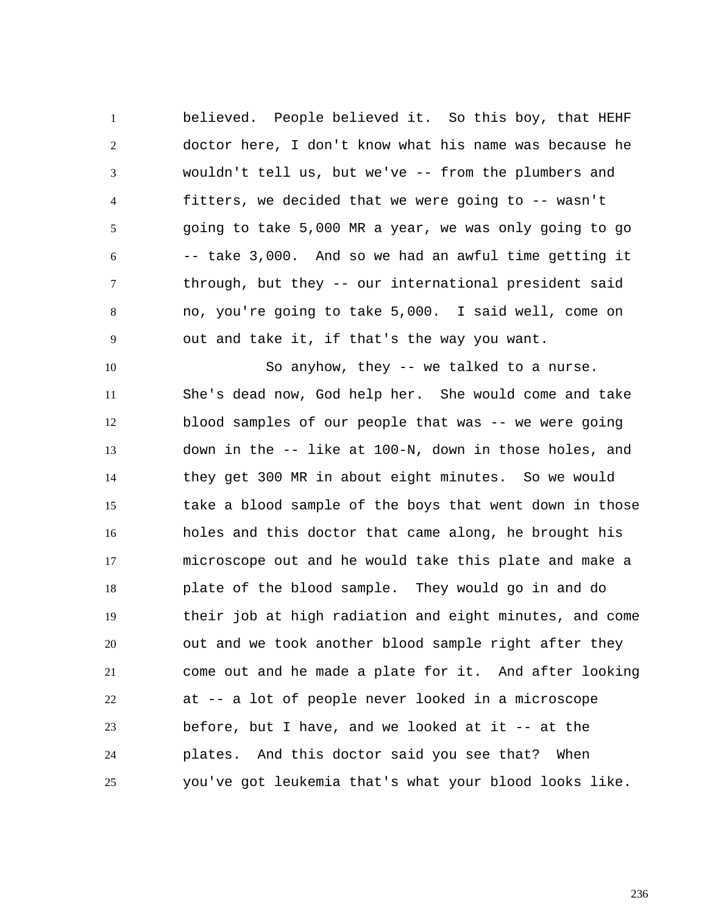1 2 3 4 5 6 7 8 9 believed. People believed it. So this boy, that HEHF doctor here, I don't know what his name was because he wouldn't tell us, but we've -- from the plumbers and fitters, we decided that we were going to -- wasn't going to take 5,000 MR a year, we was only going to go -- take 3,000. And so we had an awful time getting it through, but they -- our international president said no, you're going to take 5,000. I said well, come on out and take it, if that's the way you want.

10 11 12 13 14 15 16 17 18 19 20 21 22 23 24 25 So anyhow, they -- we talked to a nurse. She's dead now, God help her. She would come and take blood samples of our people that was -- we were going down in the -- like at 100-N, down in those holes, and they get 300 MR in about eight minutes. So we would take a blood sample of the boys that went down in those holes and this doctor that came along, he brought his microscope out and he would take this plate and make a plate of the blood sample. They would go in and do their job at high radiation and eight minutes, and come out and we took another blood sample right after they come out and he made a plate for it. And after looking at -- a lot of people never looked in a microscope before, but I have, and we looked at it -- at the plates. And this doctor said you see that? When you've got leukemia that's what your blood looks like.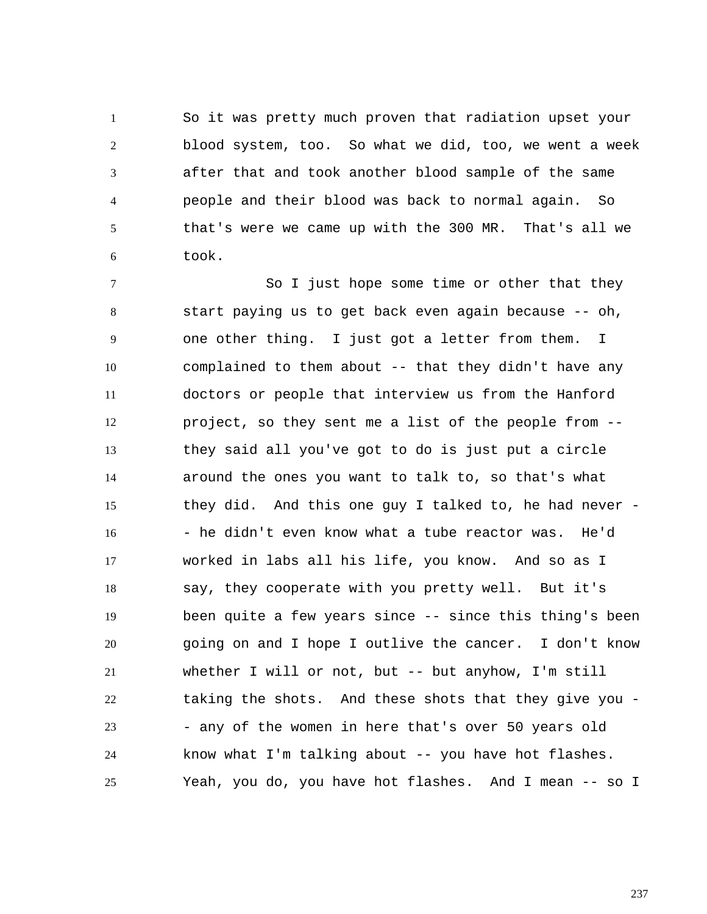1 2 3 4 5 6 So it was pretty much proven that radiation upset your blood system, too. So what we did, too, we went a week after that and took another blood sample of the same people and their blood was back to normal again. So that's were we came up with the 300 MR. That's all we took.

7 8 9 10 11 12 13 14 15 16 17 18 19 20 21 22 23 24 25 So I just hope some time or other that they start paying us to get back even again because -- oh, one other thing. I just got a letter from them. I complained to them about -- that they didn't have any doctors or people that interview us from the Hanford project, so they sent me a list of the people from - they said all you've got to do is just put a circle around the ones you want to talk to, so that's what they did. And this one guy I talked to, he had never - - he didn't even know what a tube reactor was. He'd worked in labs all his life, you know. And so as I say, they cooperate with you pretty well. But it's been quite a few years since -- since this thing's been going on and I hope I outlive the cancer. I don't know whether I will or not, but -- but anyhow, I'm still taking the shots. And these shots that they give you - - any of the women in here that's over 50 years old know what I'm talking about -- you have hot flashes. Yeah, you do, you have hot flashes. And I mean -- so I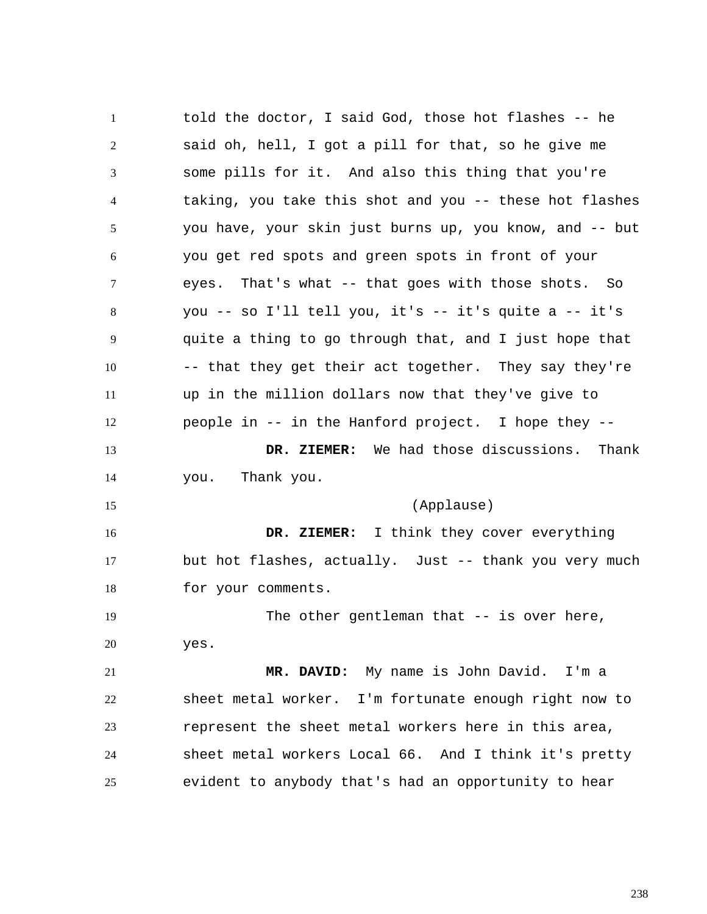1 2 3 4 5 6 7 8 9 10 11 12 13 14 15 16 17 18 19 20 21 22 23 24 25 told the doctor, I said God, those hot flashes -- he said oh, hell, I got a pill for that, so he give me some pills for it. And also this thing that you're taking, you take this shot and you -- these hot flashes you have, your skin just burns up, you know, and -- but you get red spots and green spots in front of your eyes. That's what -- that goes with those shots. So you -- so I'll tell you, it's -- it's quite a -- it's quite a thing to go through that, and I just hope that -- that they get their act together. They say they're up in the million dollars now that they've give to people in -- in the Hanford project. I hope they --  **DR. ZIEMER:** We had those discussions. Thank you. Thank you.  **DR. ZIEMER:**  (Applause) I think they cover everything but hot flashes, actually. Just -- thank you very much for your comments. The other gentleman that  $-$  is over here, yes.  **MR. DAVID:** My name is John David. I'm a sheet metal worker. I'm fortunate enough right now to represent the sheet metal workers here in this area, sheet metal workers Local 66. And I think it's pretty evident to anybody that's had an opportunity to hear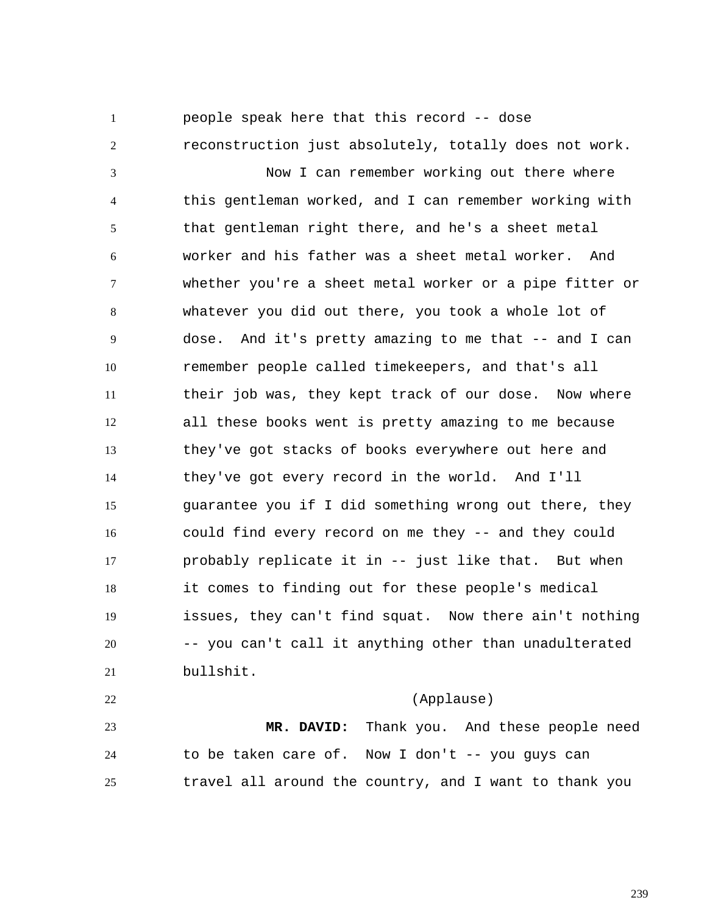1 2 3 4 5 6 7 8 9 10 11 12 13 14 15 16 17 18 19 20 21 22 people speak here that this record -- dose reconstruction just absolutely, totally does not work. Now I can remember working out there where this gentleman worked, and I can remember working with that gentleman right there, and he's a sheet metal worker and his father was a sheet metal worker. And whether you're a sheet metal worker or a pipe fitter or whatever you did out there, you took a whole lot of dose. And it's pretty amazing to me that -- and I can remember people called timekeepers, and that's all their job was, they kept track of our dose. Now where all these books went is pretty amazing to me because they've got stacks of books everywhere out here and they've got every record in the world. And I'll guarantee you if I did something wrong out there, they could find every record on me they -- and they could probably replicate it in -- just like that. But when it comes to finding out for these people's medical issues, they can't find squat. Now there ain't nothing -- you can't call it anything other than unadulterated bullshit. (Applause)

23 24 25  **MR. DAVID:** Thank you. And these people need to be taken care of. Now I don't -- you guys can travel all around the country, and I want to thank you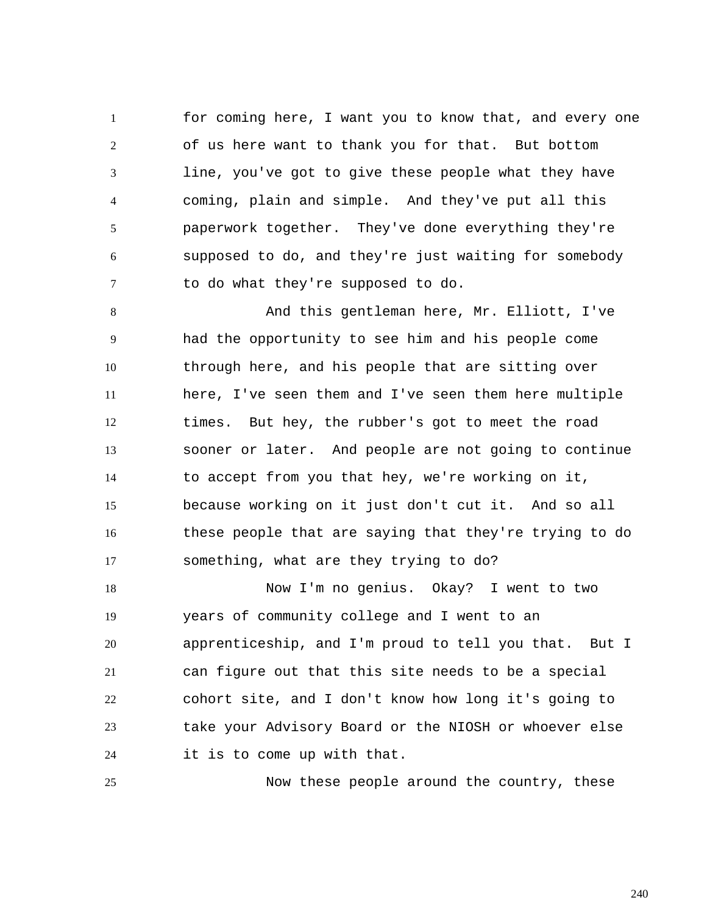1 2 3 4 5 6 7 for coming here, I want you to know that, and every one of us here want to thank you for that. But bottom line, you've got to give these people what they have coming, plain and simple. And they've put all this paperwork together. They've done everything they're supposed to do, and they're just waiting for somebody to do what they're supposed to do.

8 9 10 11 12 13 14 15 16 17 And this gentleman here, Mr. Elliott, I've had the opportunity to see him and his people come through here, and his people that are sitting over here, I've seen them and I've seen them here multiple times. But hey, the rubber's got to meet the road sooner or later. And people are not going to continue to accept from you that hey, we're working on it, because working on it just don't cut it. And so all these people that are saying that they're trying to do something, what are they trying to do?

18 19 20 21 22 23 24 Now I'm no genius. Okay? I went to two years of community college and I went to an apprenticeship, and I'm proud to tell you that. But I can figure out that this site needs to be a special cohort site, and I don't know how long it's going to take your Advisory Board or the NIOSH or whoever else it is to come up with that.

25

Now these people around the country, these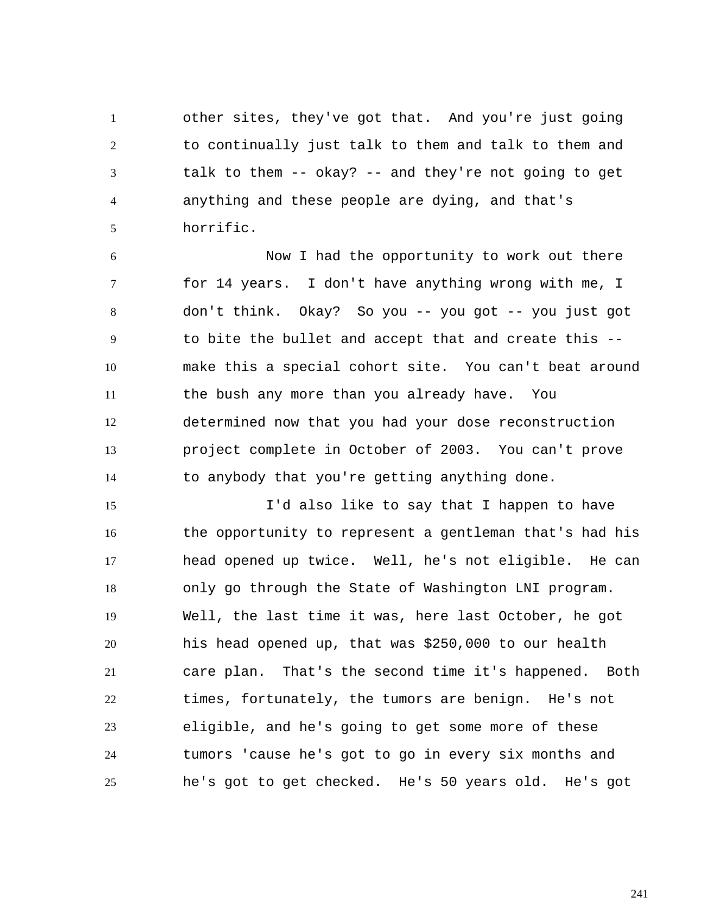1 2 3 4 5 other sites, they've got that. And you're just going to continually just talk to them and talk to them and talk to them -- okay? -- and they're not going to get anything and these people are dying, and that's horrific.

6 7 8 9 10 11 12 13 14 Now I had the opportunity to work out there for 14 years. I don't have anything wrong with me, I don't think. Okay? So you -- you got -- you just got to bite the bullet and accept that and create this - make this a special cohort site. You can't beat around the bush any more than you already have. You determined now that you had your dose reconstruction project complete in October of 2003. You can't prove to anybody that you're getting anything done.

15 16 17 18 19 20 21 22 23 24 25 I'd also like to say that I happen to have the opportunity to represent a gentleman that's had his head opened up twice. Well, he's not eligible. He can only go through the State of Washington LNI program. Well, the last time it was, here last October, he got his head opened up, that was \$250,000 to our health care plan. That's the second time it's happened. Both times, fortunately, the tumors are benign. He's not eligible, and he's going to get some more of these tumors 'cause he's got to go in every six months and he's got to get checked. He's 50 years old. He's got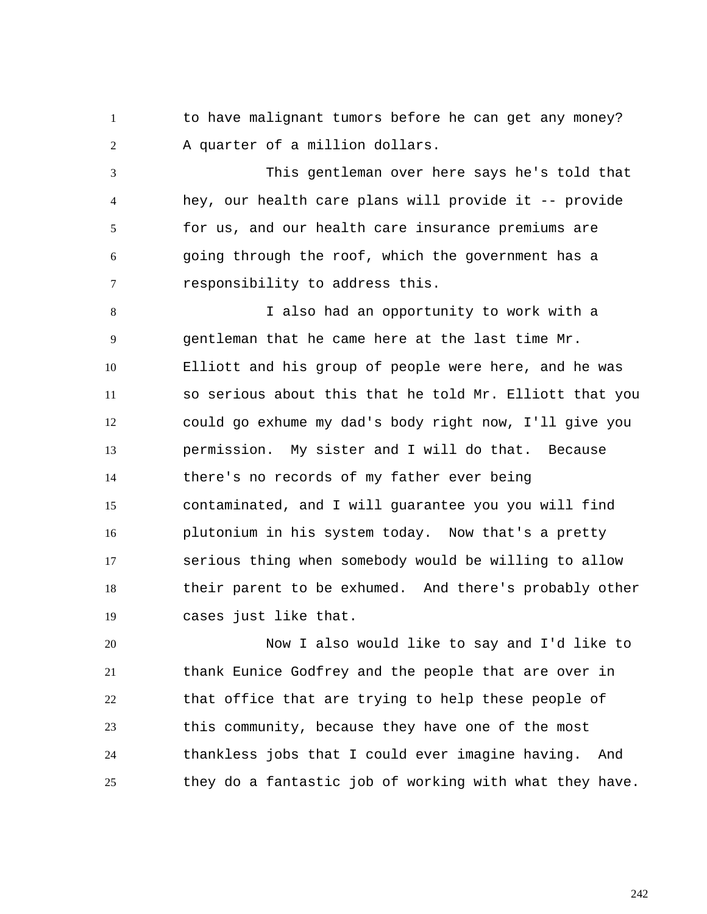1 2 to have malignant tumors before he can get any money? A quarter of a million dollars.

3 4 5 6 7 This gentleman over here says he's told that hey, our health care plans will provide it -- provide for us, and our health care insurance premiums are going through the roof, which the government has a responsibility to address this.

8 9 10 11 12 13 14 15 16 17 18 19 I also had an opportunity to work with a gentleman that he came here at the last time Mr. Elliott and his group of people were here, and he was so serious about this that he told Mr. Elliott that you could go exhume my dad's body right now, I'll give you permission. My sister and I will do that. Because there's no records of my father ever being contaminated, and I will guarantee you you will find plutonium in his system today. Now that's a pretty serious thing when somebody would be willing to allow their parent to be exhumed. And there's probably other cases just like that.

20 21 22 23 24 25 Now I also would like to say and I'd like to thank Eunice Godfrey and the people that are over in that office that are trying to help these people of this community, because they have one of the most thankless jobs that I could ever imagine having. And they do a fantastic job of working with what they have.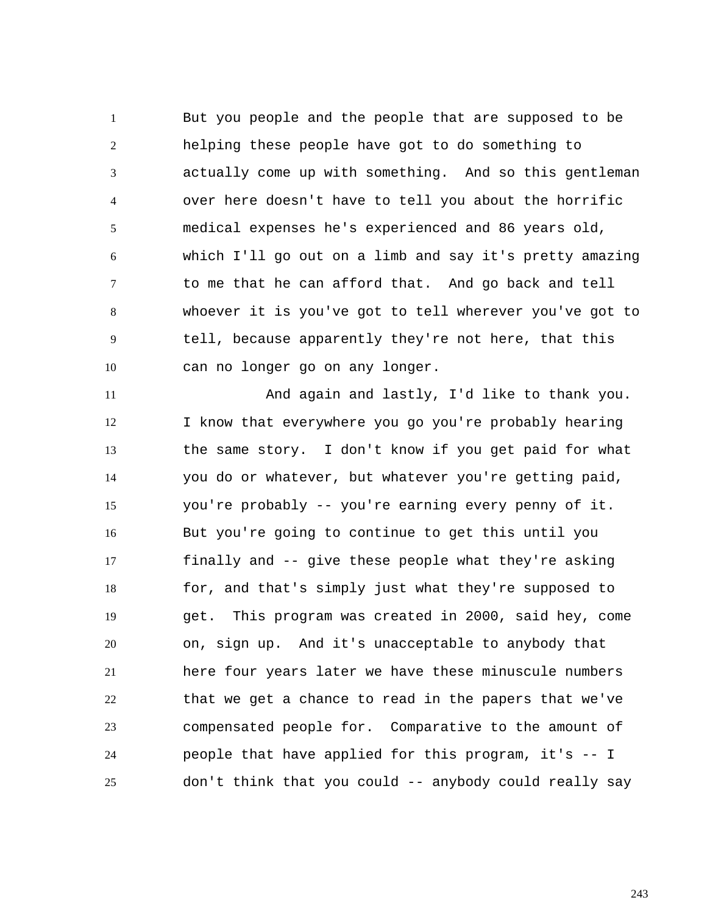1 2 3 4 5 6 7 8 9 10 But you people and the people that are supposed to be helping these people have got to do something to actually come up with something. And so this gentleman over here doesn't have to tell you about the horrific medical expenses he's experienced and 86 years old, which I'll go out on a limb and say it's pretty amazing to me that he can afford that. And go back and tell whoever it is you've got to tell wherever you've got to tell, because apparently they're not here, that this can no longer go on any longer.

11 12 13 14 15 16 17 18 19 20 21 22 23 24 25 And again and lastly, I'd like to thank you. I know that everywhere you go you're probably hearing the same story. I don't know if you get paid for what you do or whatever, but whatever you're getting paid, you're probably -- you're earning every penny of it. But you're going to continue to get this until you finally and -- give these people what they're asking for, and that's simply just what they're supposed to get. This program was created in 2000, said hey, come on, sign up. And it's unacceptable to anybody that here four years later we have these minuscule numbers that we get a chance to read in the papers that we've compensated people for. Comparative to the amount of people that have applied for this program, it's -- I don't think that you could -- anybody could really say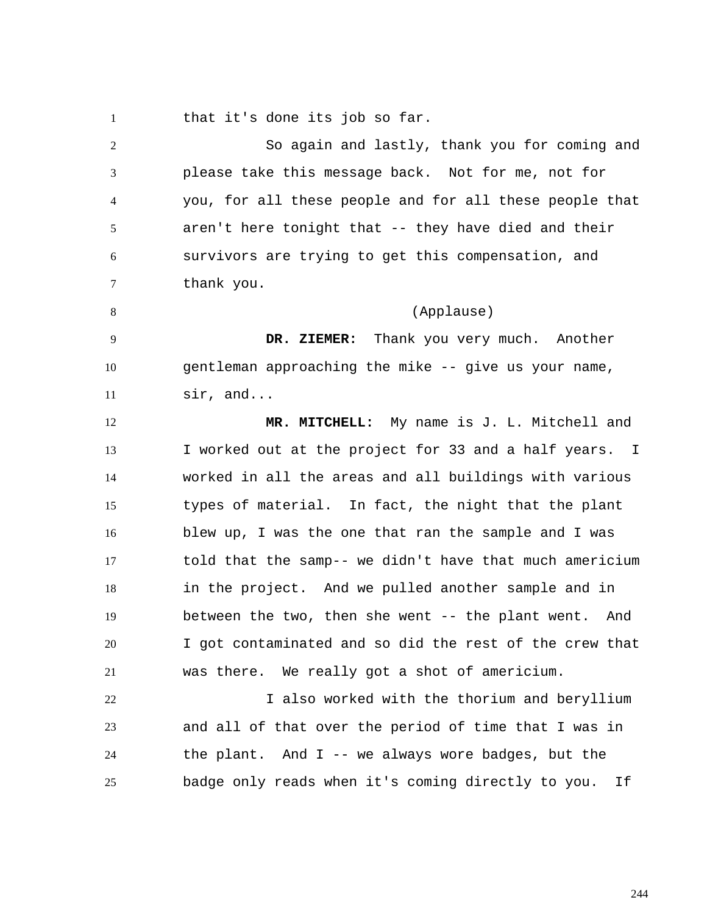1 that it's done its job so far.

2 3 4 5 6 7 8 9 10 11 12 13 14 15 16 17 18 19 20 21 22 23 24 25 So again and lastly, thank you for coming and please take this message back. Not for me, not for you, for all these people and for all these people that aren't here tonight that -- they have died and their survivors are trying to get this compensation, and thank you. (Applause)  **DR. ZIEMER:** Thank you very much. Another gentleman approaching the mike -- give us your name, sir, and...  **MR. MITCHELL:** My name is J. L. Mitchell and I worked out at the project for 33 and a half years. I worked in all the areas and all buildings with various types of material. In fact, the night that the plant blew up, I was the one that ran the sample and I was told that the samp-- we didn't have that much americium in the project. And we pulled another sample and in between the two, then she went -- the plant went. And I got contaminated and so did the rest of the crew that was there. We really got a shot of americium. I also worked with the thorium and beryllium and all of that over the period of time that I was in the plant. And I -- we always wore badges, but the badge only reads when it's coming directly to you. If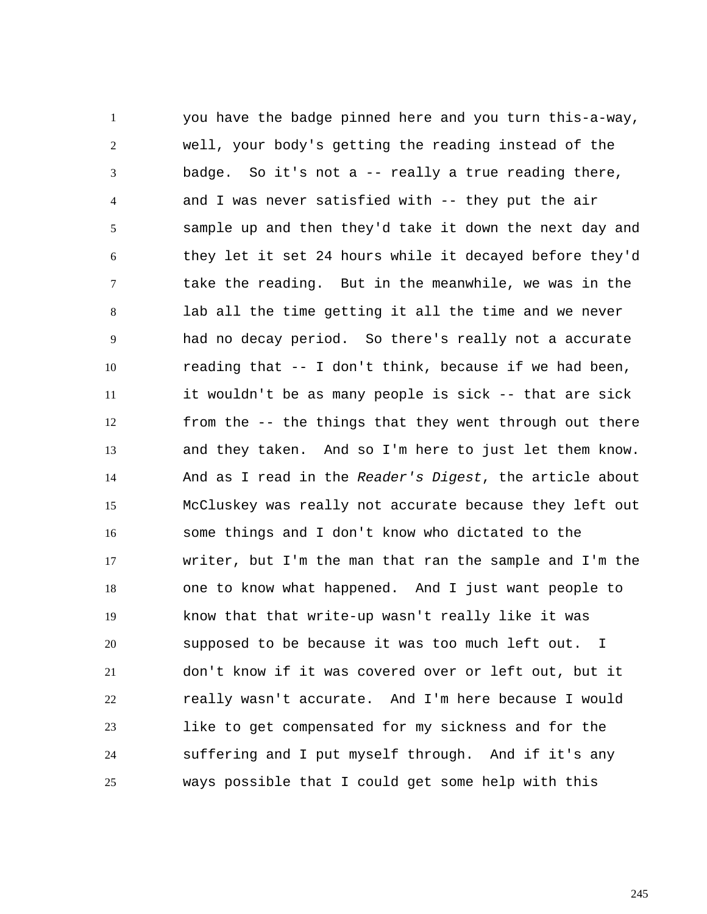1 2 3 4 5 6 7 8 9 10 11 12 13 14 15 16 17 18 19 20 21 22 23 24 25 you have the badge pinned here and you turn this-a-way, well, your body's getting the reading instead of the badge. So it's not a -- really a true reading there, and I was never satisfied with -- they put the air sample up and then they'd take it down the next day and they let it set 24 hours while it decayed before they'd take the reading. But in the meanwhile, we was in the lab all the time getting it all the time and we never had no decay period. So there's really not a accurate reading that -- I don't think, because if we had been, it wouldn't be as many people is sick -- that are sick from the -- the things that they went through out there and they taken. And so I'm here to just let them know. And as I read in the *Reader's Digest*, the article about McCluskey was really not accurate because they left out some things and I don't know who dictated to the writer, but I'm the man that ran the sample and I'm the one to know what happened. And I just want people to know that that write-up wasn't really like it was supposed to be because it was too much left out. I don't know if it was covered over or left out, but it really wasn't accurate. And I'm here because I would like to get compensated for my sickness and for the suffering and I put myself through. And if it's any ways possible that I could get some help with this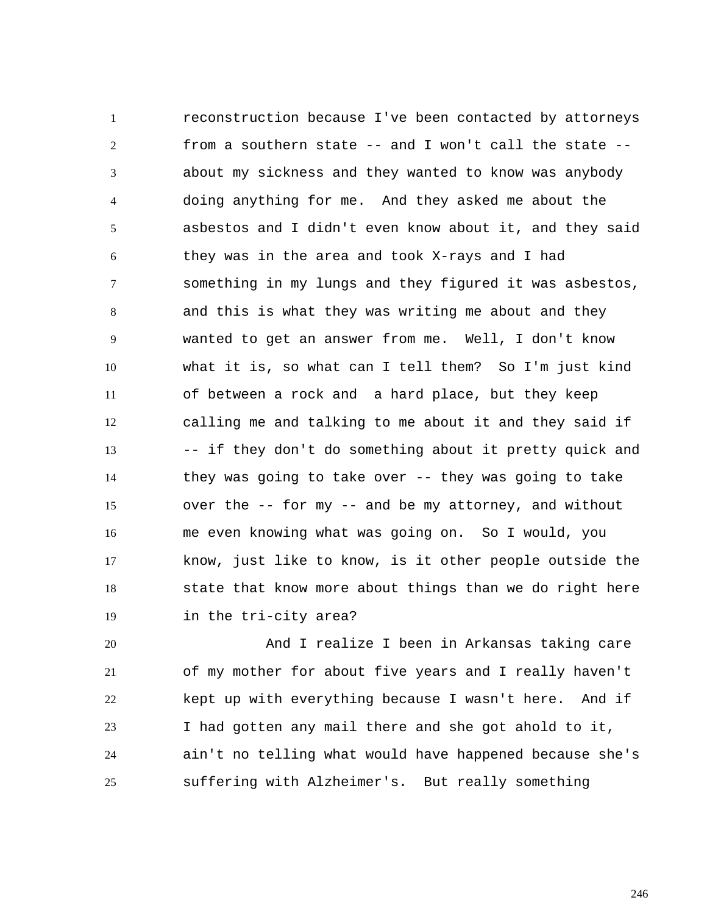1 2 3 4 5 6 7 8 9 10 11 12 13 14 15 16 17 18 19 reconstruction because I've been contacted by attorneys from a southern state -- and I won't call the state - about my sickness and they wanted to know was anybody doing anything for me. And they asked me about the asbestos and I didn't even know about it, and they said they was in the area and took X-rays and I had something in my lungs and they figured it was asbestos, and this is what they was writing me about and they wanted to get an answer from me. Well, I don't know what it is, so what can I tell them? So I'm just kind of between a rock and a hard place, but they keep calling me and talking to me about it and they said if -- if they don't do something about it pretty quick and they was going to take over -- they was going to take over the -- for my -- and be my attorney, and without me even knowing what was going on. So I would, you know, just like to know, is it other people outside the state that know more about things than we do right here in the tri-city area?

20 21 22 23 24 25 And I realize I been in Arkansas taking care of my mother for about five years and I really haven't kept up with everything because I wasn't here. And if I had gotten any mail there and she got ahold to it, ain't no telling what would have happened because she's suffering with Alzheimer's. But really something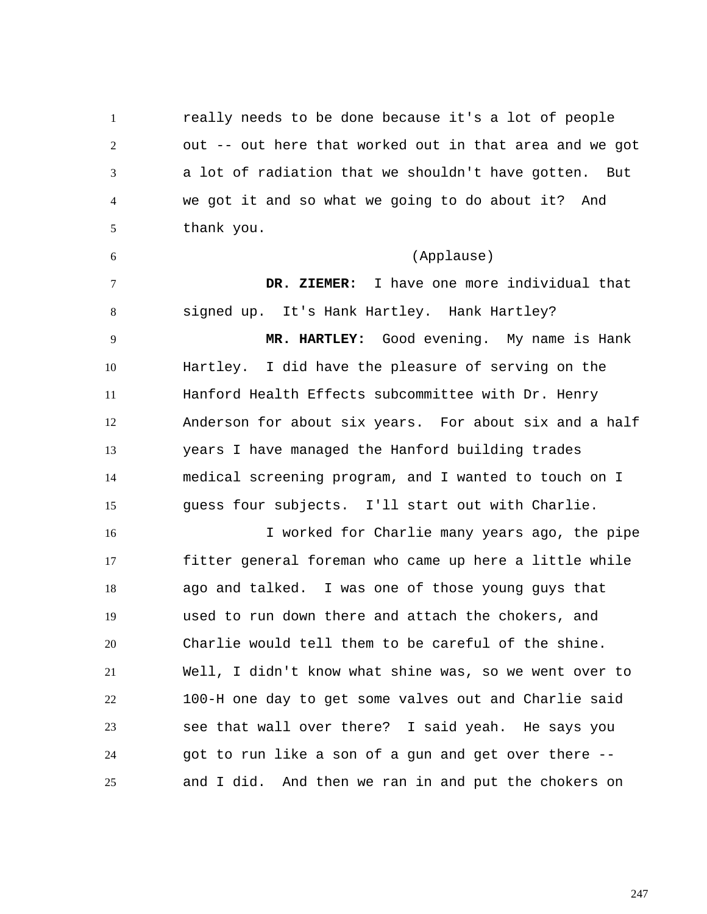1 2 3 4 5 really needs to be done because it's a lot of people out -- out here that worked out in that area and we got a lot of radiation that we shouldn't have gotten. But we got it and so what we going to do about it? And thank you.

6 (Applause)

7 8 9 10 11 12 13 14 15  **DR. ZIEMER:** I have one more individual that signed up. It's Hank Hartley. Hank Hartley?  **MR. HARTLEY:** Good evening. My name is Hank Hartley. I did have the pleasure of serving on the Hanford Health Effects subcommittee with Dr. Henry Anderson for about six years. For about six and a half years I have managed the Hanford building trades medical screening program, and I wanted to touch on I guess four subjects. I'll start out with Charlie.

16 17 18 19 20 21 22 23 24 25 I worked for Charlie many years ago, the pipe fitter general foreman who came up here a little while ago and talked. I was one of those young guys that used to run down there and attach the chokers, and Charlie would tell them to be careful of the shine. Well, I didn't know what shine was, so we went over to 100-H one day to get some valves out and Charlie said see that wall over there? I said yeah. He says you got to run like a son of a gun and get over there - and I did. And then we ran in and put the chokers on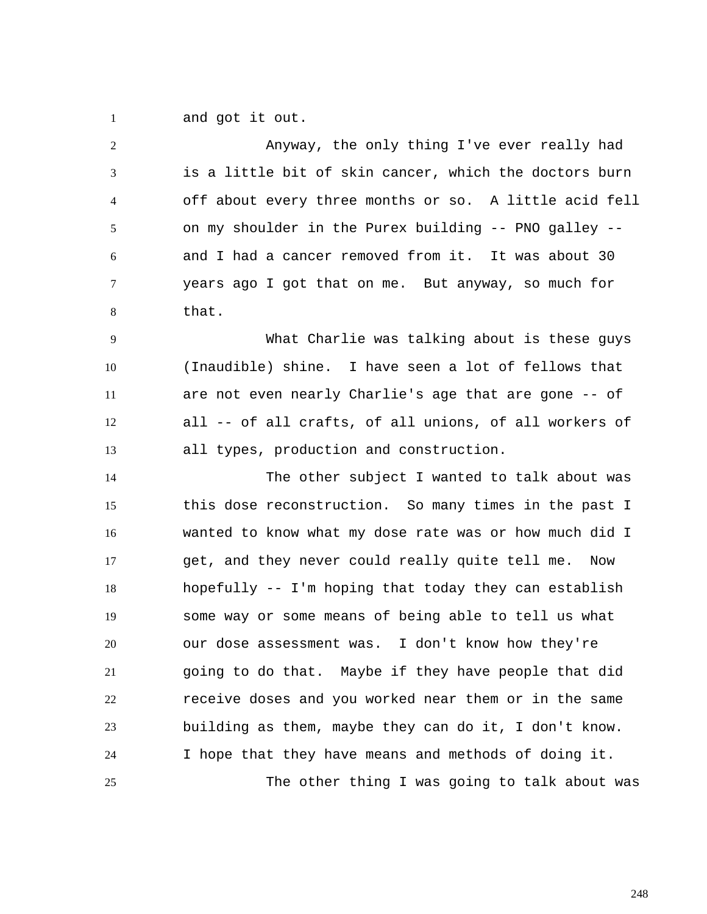1 and got it out.

2 3 4 5 6 7 8 Anyway, the only thing I've ever really had is a little bit of skin cancer, which the doctors burn off about every three months or so. A little acid fell on my shoulder in the Purex building -- PNO galley - and I had a cancer removed from it. It was about 30 years ago I got that on me. But anyway, so much for that.

9 10 11 12 13 What Charlie was talking about is these guys (Inaudible) shine. I have seen a lot of fellows that are not even nearly Charlie's age that are gone -- of all -- of all crafts, of all unions, of all workers of all types, production and construction.

14 15 16 17 18 19 20 21 22 23 24 25 The other subject I wanted to talk about was this dose reconstruction. So many times in the past I wanted to know what my dose rate was or how much did I get, and they never could really quite tell me. Now hopefully -- I'm hoping that today they can establish some way or some means of being able to tell us what our dose assessment was. I don't know how they're going to do that. Maybe if they have people that did receive doses and you worked near them or in the same building as them, maybe they can do it, I don't know. I hope that they have means and methods of doing it. The other thing I was going to talk about was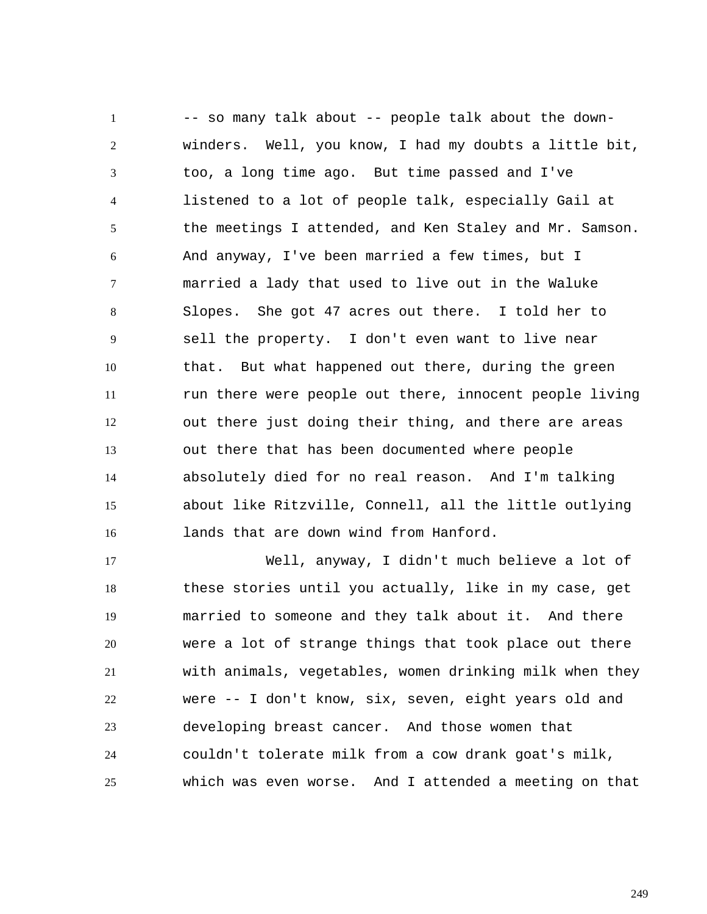1 2 3 4 5 6 7 8 9 10 11 12 13 14 15 16 -- so many talk about -- people talk about the downwinders. Well, you know, I had my doubts a little bit, too, a long time ago. But time passed and I've listened to a lot of people talk, especially Gail at the meetings I attended, and Ken Staley and Mr. Samson. And anyway, I've been married a few times, but I married a lady that used to live out in the Waluke Slopes. She got 47 acres out there. I told her to sell the property. I don't even want to live near that. But what happened out there, during the green run there were people out there, innocent people living out there just doing their thing, and there are areas out there that has been documented where people absolutely died for no real reason. And I'm talking about like Ritzville, Connell, all the little outlying lands that are down wind from Hanford.

17 18 19 20 21 22 23 24 25 Well, anyway, I didn't much believe a lot of these stories until you actually, like in my case, get married to someone and they talk about it. And there were a lot of strange things that took place out there with animals, vegetables, women drinking milk when they were -- I don't know, six, seven, eight years old and developing breast cancer. And those women that couldn't tolerate milk from a cow drank goat's milk, which was even worse. And I attended a meeting on that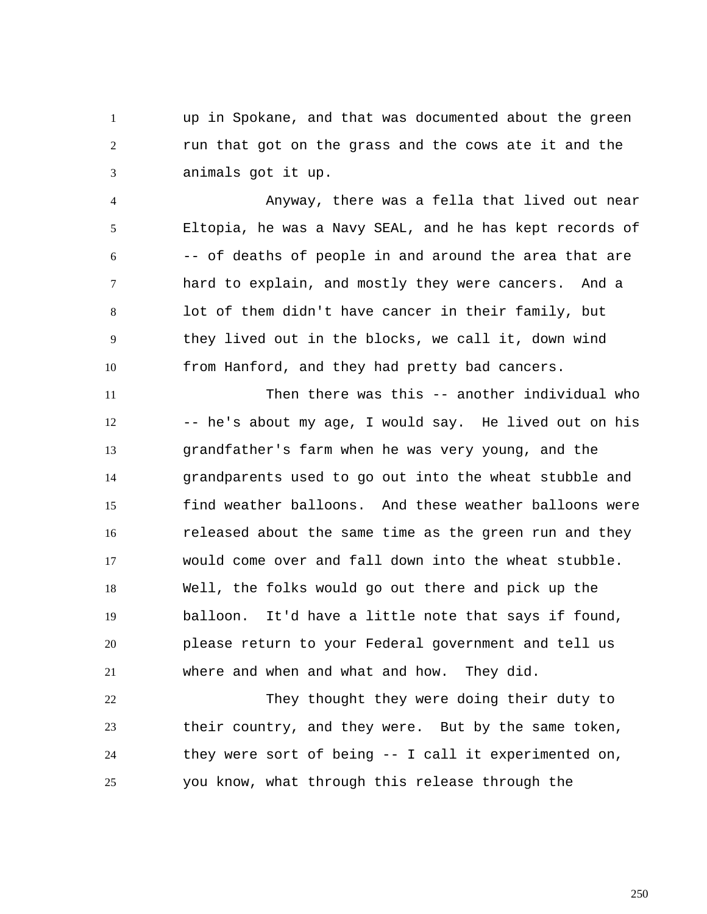1 2 3 up in Spokane, and that was documented about the green run that got on the grass and the cows ate it and the animals got it up.

4 5 6 7 8 9 10 Anyway, there was a fella that lived out near Eltopia, he was a Navy SEAL, and he has kept records of -- of deaths of people in and around the area that are hard to explain, and mostly they were cancers. And a lot of them didn't have cancer in their family, but they lived out in the blocks, we call it, down wind from Hanford, and they had pretty bad cancers.

11 12 13 14 15 16 17 18 19 20 21 Then there was this -- another individual who -- he's about my age, I would say. He lived out on his grandfather's farm when he was very young, and the grandparents used to go out into the wheat stubble and find weather balloons. And these weather balloons were released about the same time as the green run and they would come over and fall down into the wheat stubble. Well, the folks would go out there and pick up the balloon. It'd have a little note that says if found, please return to your Federal government and tell us where and when and what and how. They did.

22 23 24 25 They thought they were doing their duty to their country, and they were. But by the same token, they were sort of being -- I call it experimented on, you know, what through this release through the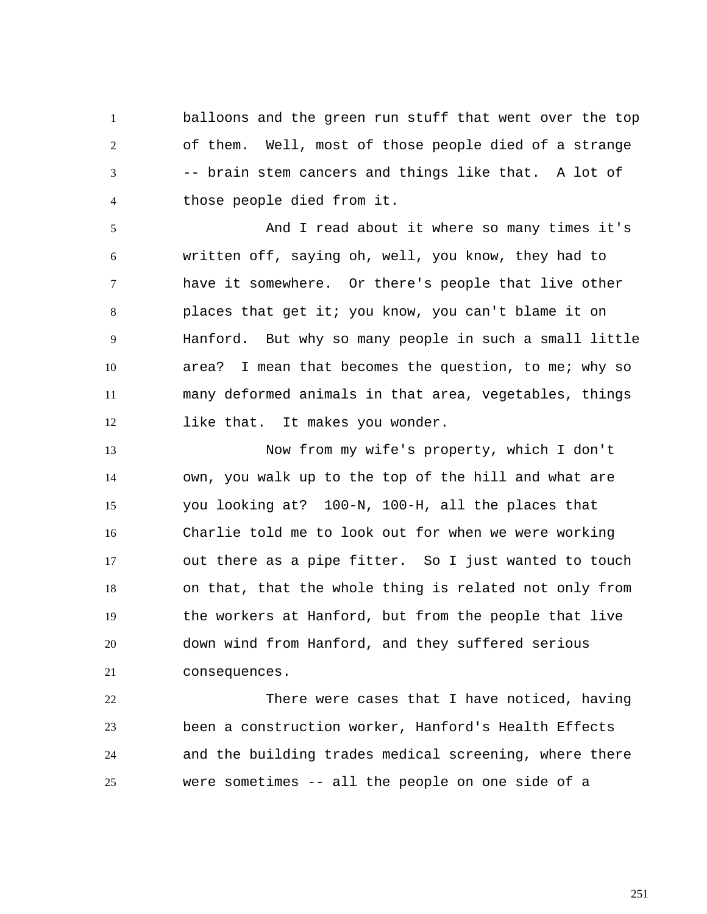1 2 3 4 balloons and the green run stuff that went over the top of them. Well, most of those people died of a strange -- brain stem cancers and things like that. A lot of those people died from it.

5 6 7 8 9 10 11 12 And I read about it where so many times it's written off, saying oh, well, you know, they had to have it somewhere. Or there's people that live other places that get it; you know, you can't blame it on Hanford. But why so many people in such a small little area? I mean that becomes the question, to me; why so many deformed animals in that area, vegetables, things like that. It makes you wonder.

13 14 15 16 17 18 19 20 21 Now from my wife's property, which I don't own, you walk up to the top of the hill and what are you looking at? 100-N, 100-H, all the places that Charlie told me to look out for when we were working out there as a pipe fitter. So I just wanted to touch on that, that the whole thing is related not only from the workers at Hanford, but from the people that live down wind from Hanford, and they suffered serious consequences.

22 23 24 25 There were cases that I have noticed, having been a construction worker, Hanford's Health Effects and the building trades medical screening, where there were sometimes -- all the people on one side of a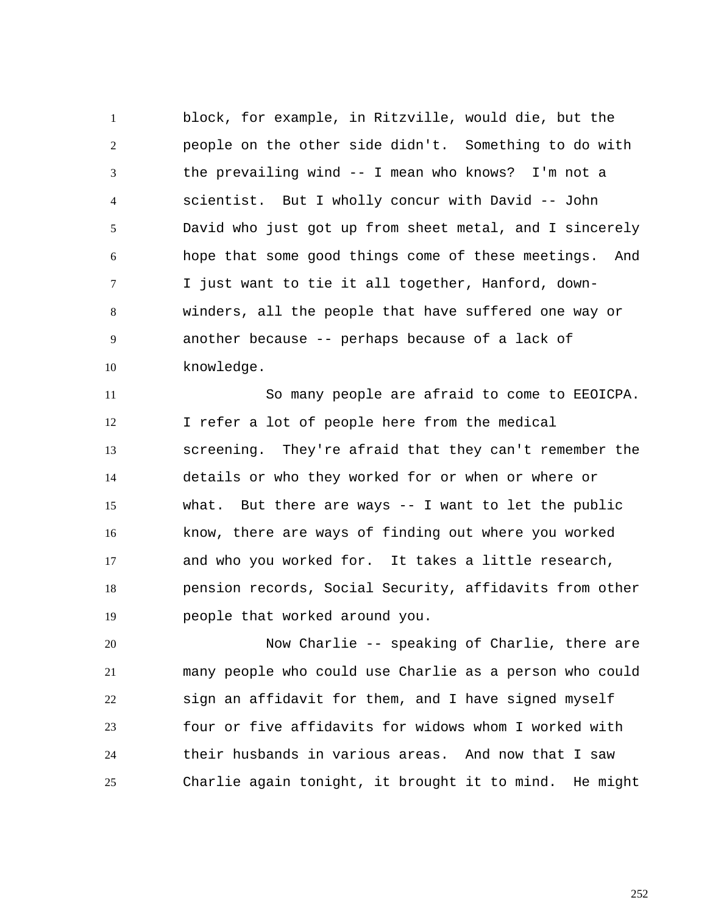1 2 3 4 5 6 7 8 9 10 block, for example, in Ritzville, would die, but the people on the other side didn't. Something to do with the prevailing wind -- I mean who knows? I'm not a scientist. But I wholly concur with David -- John David who just got up from sheet metal, and I sincerely hope that some good things come of these meetings. And I just want to tie it all together, Hanford, downwinders, all the people that have suffered one way or another because -- perhaps because of a lack of knowledge.

11 12 13 14 15 16 17 18 19 So many people are afraid to come to EEOICPA. I refer a lot of people here from the medical screening. They're afraid that they can't remember the details or who they worked for or when or where or what. But there are ways -- I want to let the public know, there are ways of finding out where you worked and who you worked for. It takes a little research, pension records, Social Security, affidavits from other people that worked around you.

20 21 22 23 24 25 Now Charlie -- speaking of Charlie, there are many people who could use Charlie as a person who could sign an affidavit for them, and I have signed myself four or five affidavits for widows whom I worked with their husbands in various areas. And now that I saw Charlie again tonight, it brought it to mind. He might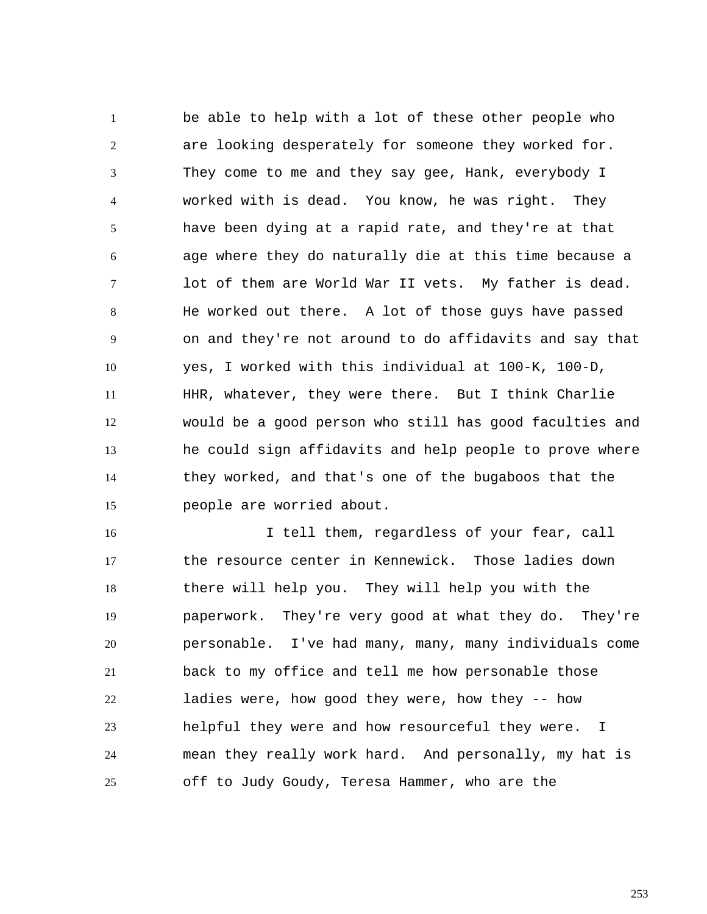1 2 3 4 5 6 7 8 9 10 11 12 13 14 15 be able to help with a lot of these other people who are looking desperately for someone they worked for. They come to me and they say gee, Hank, everybody I worked with is dead. You know, he was right. They have been dying at a rapid rate, and they're at that age where they do naturally die at this time because a lot of them are World War II vets. My father is dead. He worked out there. A lot of those guys have passed on and they're not around to do affidavits and say that yes, I worked with this individual at 100-K, 100-D, HHR, whatever, they were there. But I think Charlie would be a good person who still has good faculties and he could sign affidavits and help people to prove where they worked, and that's one of the bugaboos that the people are worried about.

16 17 18 19 20 21 22 23 24 25 I tell them, regardless of your fear, call the resource center in Kennewick. Those ladies down there will help you. They will help you with the paperwork. They're very good at what they do. They're personable. I've had many, many, many individuals come back to my office and tell me how personable those ladies were, how good they were, how they -- how helpful they were and how resourceful they were. I mean they really work hard. And personally, my hat is off to Judy Goudy, Teresa Hammer, who are the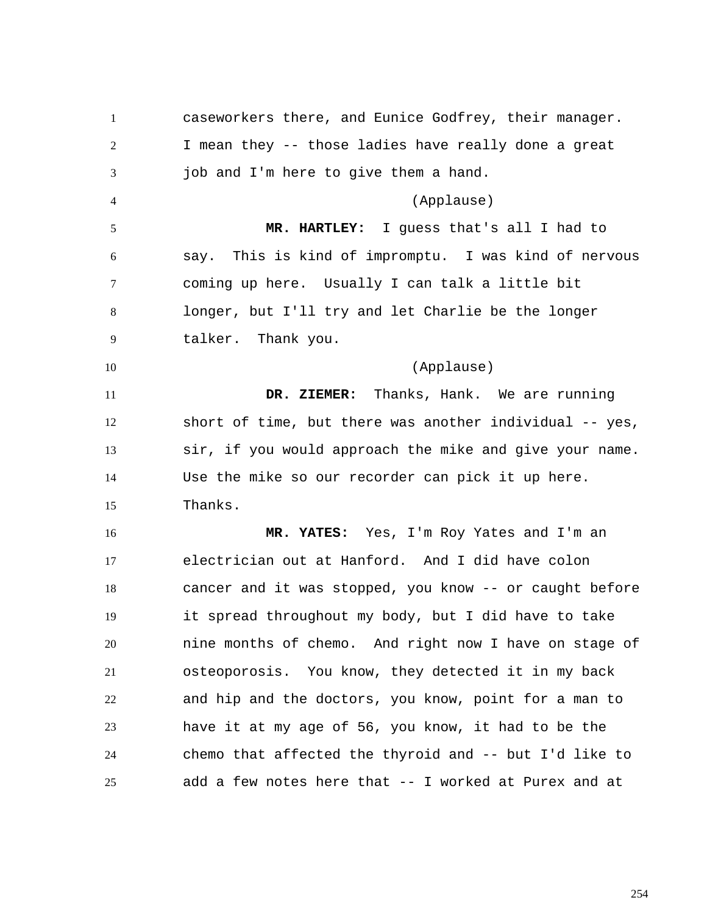1 2 3 4 5 6 7 8 9 10 11 12 13 14 15 16 17 18 19 20 21 22 23 24 25 caseworkers there, and Eunice Godfrey, their manager. I mean they -- those ladies have really done a great job and I'm here to give them a hand. (Applause)  **MR. HARTLEY:** I guess that's all I had to say. This is kind of impromptu. I was kind of nervous coming up here. Usually I can talk a little bit longer, but I'll try and let Charlie be the longer talker. Thank you. (Applause)  **DR. ZIEMER:** Thanks, Hank. We are running short of time, but there was another individual -- yes, sir, if you would approach the mike and give your name. Use the mike so our recorder can pick it up here. Thanks.  **MR. YATES:** Yes, I'm Roy Yates and I'm an electrician out at Hanford. And I did have colon cancer and it was stopped, you know -- or caught before it spread throughout my body, but I did have to take nine months of chemo. And right now I have on stage of osteoporosis. You know, they detected it in my back and hip and the doctors, you know, point for a man to have it at my age of 56, you know, it had to be the chemo that affected the thyroid and -- but I'd like to add a few notes here that -- I worked at Purex and at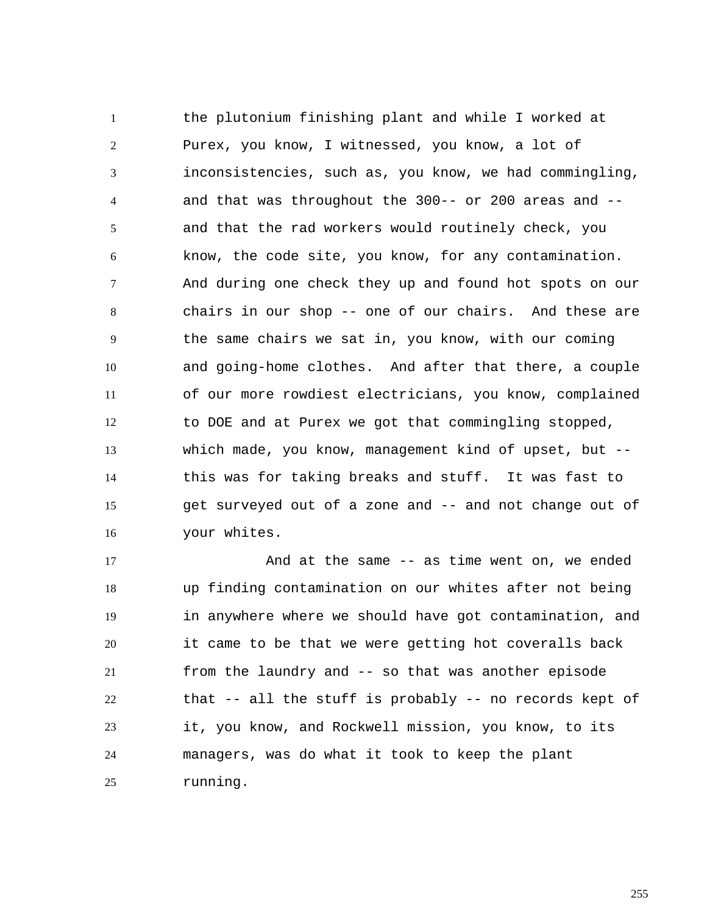1 2 3 4 5 6 7 8 9 10 11 12 13 14 15 16 the plutonium finishing plant and while I worked at Purex, you know, I witnessed, you know, a lot of inconsistencies, such as, you know, we had commingling, and that was throughout the 300-- or 200 areas and - and that the rad workers would routinely check, you know, the code site, you know, for any contamination. And during one check they up and found hot spots on our chairs in our shop -- one of our chairs. And these are the same chairs we sat in, you know, with our coming and going-home clothes. And after that there, a couple of our more rowdiest electricians, you know, complained to DOE and at Purex we got that commingling stopped, which made, you know, management kind of upset, but -this was for taking breaks and stuff. It was fast to get surveyed out of a zone and -- and not change out of your whites.

17 18 19 20 21 22 23 24 25 And at the same -- as time went on, we ended up finding contamination on our whites after not being in anywhere where we should have got contamination, and it came to be that we were getting hot coveralls back from the laundry and -- so that was another episode that -- all the stuff is probably -- no records kept of it, you know, and Rockwell mission, you know, to its managers, was do what it took to keep the plant running.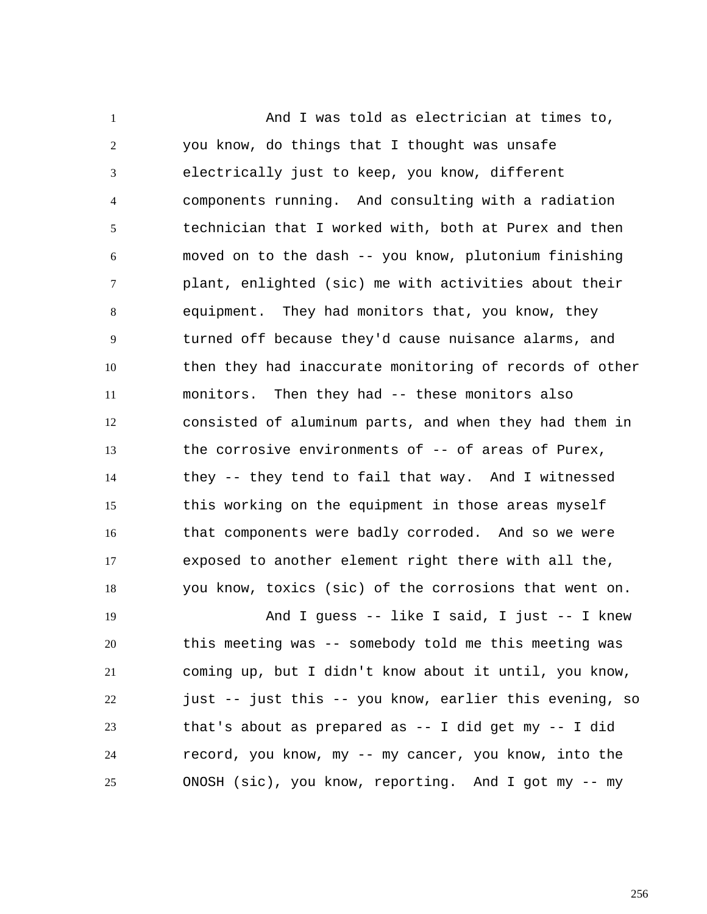1 2 3 4 5 6 7 8 9 10 11 12 13 14 15 16 17 18 And I was told as electrician at times to, you know, do things that I thought was unsafe electrically just to keep, you know, different components running. And consulting with a radiation technician that I worked with, both at Purex and then moved on to the dash -- you know, plutonium finishing plant, enlighted (sic) me with activities about their equipment. They had monitors that, you know, they turned off because they'd cause nuisance alarms, and then they had inaccurate monitoring of records of other monitors. Then they had -- these monitors also consisted of aluminum parts, and when they had them in the corrosive environments of -- of areas of Purex, they -- they tend to fail that way. And I witnessed this working on the equipment in those areas myself that components were badly corroded. And so we were exposed to another element right there with all the, you know, toxics (sic) of the corrosions that went on.

19 20 21 22 23 24 25 And I guess -- like I said, I just -- I knew this meeting was -- somebody told me this meeting was coming up, but I didn't know about it until, you know, just -- just this -- you know, earlier this evening, so that's about as prepared as -- I did get my -- I did record, you know, my -- my cancer, you know, into the ONOSH (sic), you know, reporting. And I got my -- my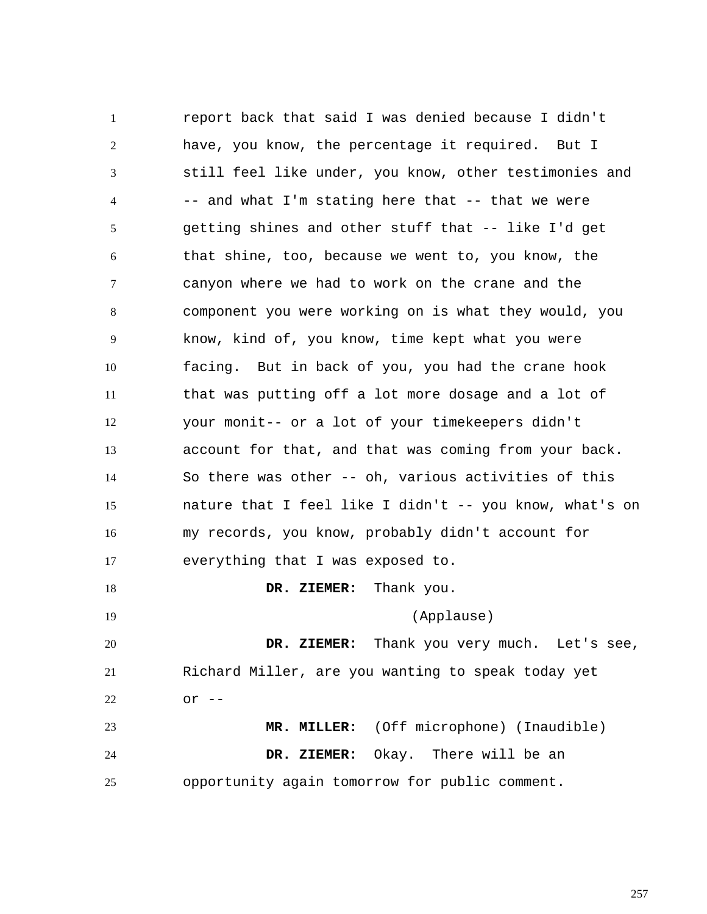1 2 3 4 5 6 7 8 9 10 11 12 13 14 15 16 17 18 19 20 21 22 23 24 25 report back that said I was denied because I didn't have, you know, the percentage it required. But I still feel like under, you know, other testimonies and  $--$  and what I'm stating here that  $--$  that we were getting shines and other stuff that -- like I'd get that shine, too, because we went to, you know, the canyon where we had to work on the crane and the component you were working on is what they would, you know, kind of, you know, time kept what you were facing. But in back of you, you had the crane hook that was putting off a lot more dosage and a lot of your monit-- or a lot of your timekeepers didn't account for that, and that was coming from your back. So there was other -- oh, various activities of this nature that I feel like I didn't -- you know, what's on my records, you know, probably didn't account for everything that I was exposed to.  **DR. ZIEMER:** Thank you. (Applause)  **DR. ZIEMER:** Thank you very much. Let's see, Richard Miller, are you wanting to speak today yet or  $--$  **MR. MILLER:** (Off microphone) (Inaudible)  **DR. ZIEMER:** Okay. There will be an opportunity again tomorrow for public comment.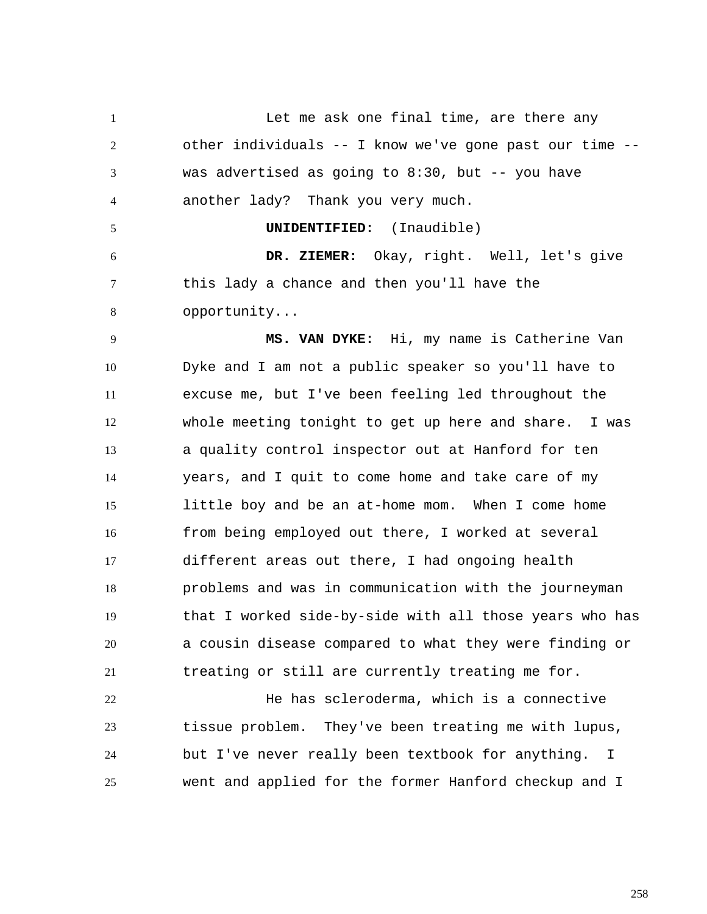1 2 3 4 5 6 7 8 9 10 11 12 13 14 15 16 17 18 19 20 21 22 23 24 25 Let me ask one final time, are there any other individuals -- I know we've gone past our time - was advertised as going to  $8:30$ , but  $-$ - you have another lady? Thank you very much. **UNIDENTIFIED:** (Inaudible)  **DR. ZIEMER:** Okay, right. Well, let's give this lady a chance and then you'll have the opportunity... **MS. VAN DYKE:** Hi, my name is Catherine Van Dyke and I am not a public speaker so you'll have to excuse me, but I've been feeling led throughout the whole meeting tonight to get up here and share. I was a quality control inspector out at Hanford for ten years, and I quit to come home and take care of my little boy and be an at-home mom. When I come home from being employed out there, I worked at several different areas out there, I had ongoing health problems and was in communication with the journeyman that I worked side-by-side with all those years who has a cousin disease compared to what they were finding or treating or still are currently treating me for. He has scleroderma, which is a connective tissue problem. They've been treating me with lupus, but I've never really been textbook for anything. I went and applied for the former Hanford checkup and I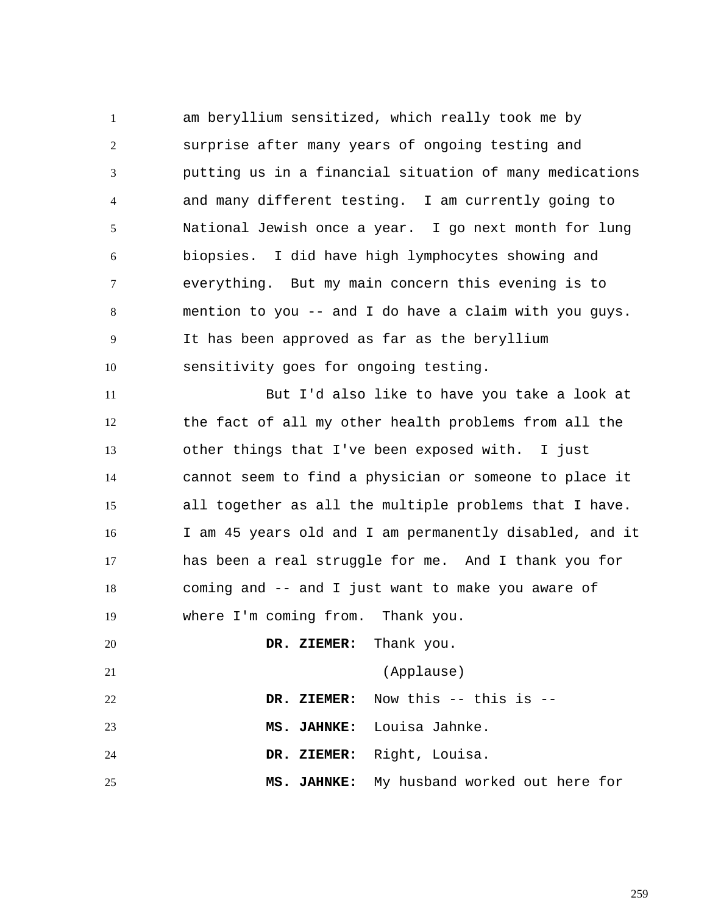1 2 3 4 5 6 7 8 9 10 11 12 13 14 15 16 17 18 19 20 21 22 23 24 25 am beryllium sensitized, which really took me by surprise after many years of ongoing testing and putting us in a financial situation of many medications and many different testing. I am currently going to National Jewish once a year. I go next month for lung biopsies. I did have high lymphocytes showing and everything. But my main concern this evening is to mention to you -- and I do have a claim with you guys. It has been approved as far as the beryllium sensitivity goes for ongoing testing. But I'd also like to have you take a look at the fact of all my other health problems from all the other things that I've been exposed with. I just cannot seem to find a physician or someone to place it all together as all the multiple problems that I have. I am 45 years old and I am permanently disabled, and it has been a real struggle for me. And I thank you for coming and -- and I just want to make you aware of where I'm coming from. Thank you.  **DR. ZIEMER:** Thank you. (Applause)  **DR. ZIEMER:** Now this -- this is --  **MS. JAHNKE:** Louisa Jahnke.  **DR. ZIEMER:** Right, Louisa.  **MS. JAHNKE:** My husband worked out here for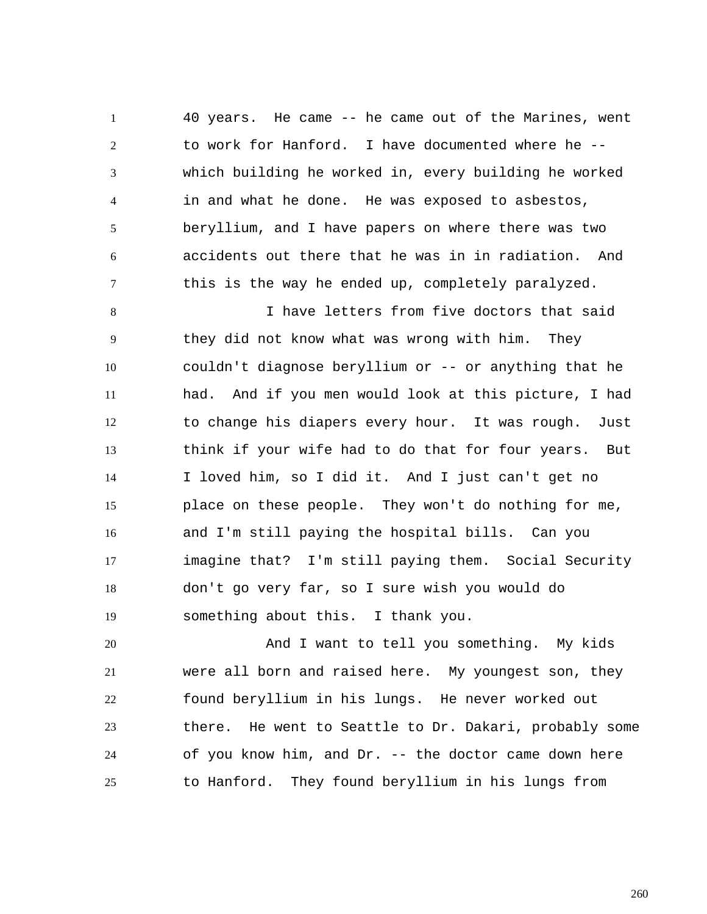1 2 3 4 5 6 7 40 years. He came -- he came out of the Marines, went to work for Hanford. I have documented where he - which building he worked in, every building he worked in and what he done. He was exposed to asbestos, beryllium, and I have papers on where there was two accidents out there that he was in in radiation. And this is the way he ended up, completely paralyzed.

8 9 10 11 12 13 14 15 16 17 18 19 I have letters from five doctors that said they did not know what was wrong with him. They couldn't diagnose beryllium or -- or anything that he had. And if you men would look at this picture, I had to change his diapers every hour. It was rough. Just think if your wife had to do that for four years. But I loved him, so I did it. And I just can't get no place on these people. They won't do nothing for me, and I'm still paying the hospital bills. Can you imagine that? I'm still paying them. Social Security don't go very far, so I sure wish you would do something about this. I thank you.

20 21 22 23 24 25 And I want to tell you something. My kids were all born and raised here. My youngest son, they found beryllium in his lungs. He never worked out there. He went to Seattle to Dr. Dakari, probably some of you know him, and Dr. -- the doctor came down here to Hanford. They found beryllium in his lungs from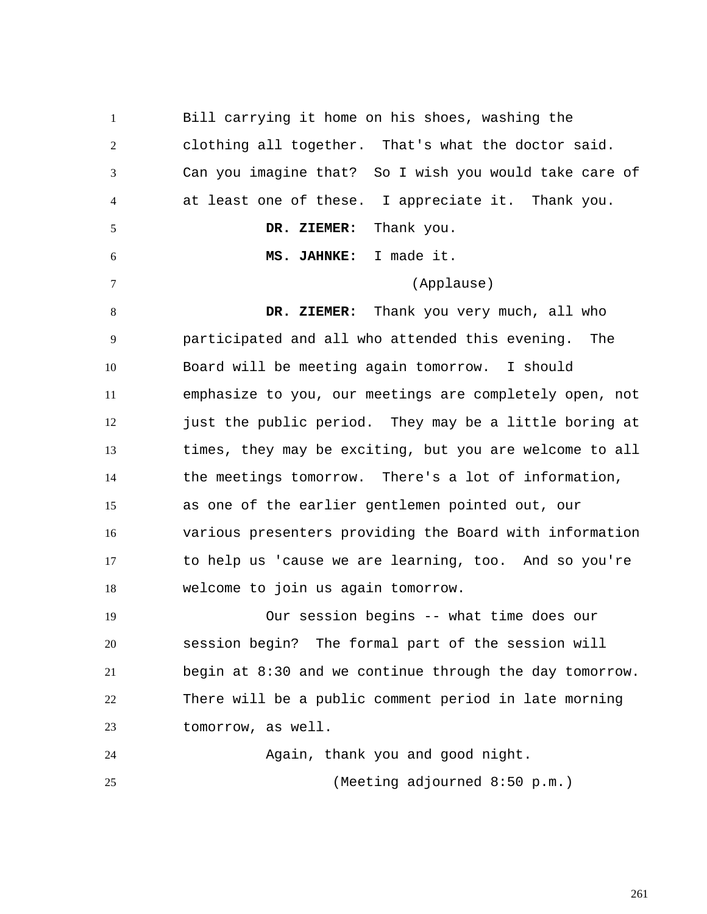1 2 3 4 5 6 7 8 9 10 11 12 13 14 15 16 17 18 19 20 21 22 23 24 25 Bill carrying it home on his shoes, washing the clothing all together. That's what the doctor said. Can you imagine that? So I wish you would take care of at least one of these. I appreciate it. Thank you.  **DR. ZIEMER:** Thank you.  **MS. JAHNKE:** I made it. (Applause)  **DR. ZIEMER:** Thank you very much, all who participated and all who attended this evening. The Board will be meeting again tomorrow. I should emphasize to you, our meetings are completely open, not just the public period. They may be a little boring at times, they may be exciting, but you are welcome to all the meetings tomorrow. There's a lot of information, as one of the earlier gentlemen pointed out, our various presenters providing the Board with information to help us 'cause we are learning, too. And so you're welcome to join us again tomorrow. Our session begins -- what time does our session begin? The formal part of the session will begin at 8:30 and we continue through the day tomorrow. There will be a public comment period in late morning tomorrow, as well. Again, thank you and good night. (Meeting adjourned 8:50 p.m.)